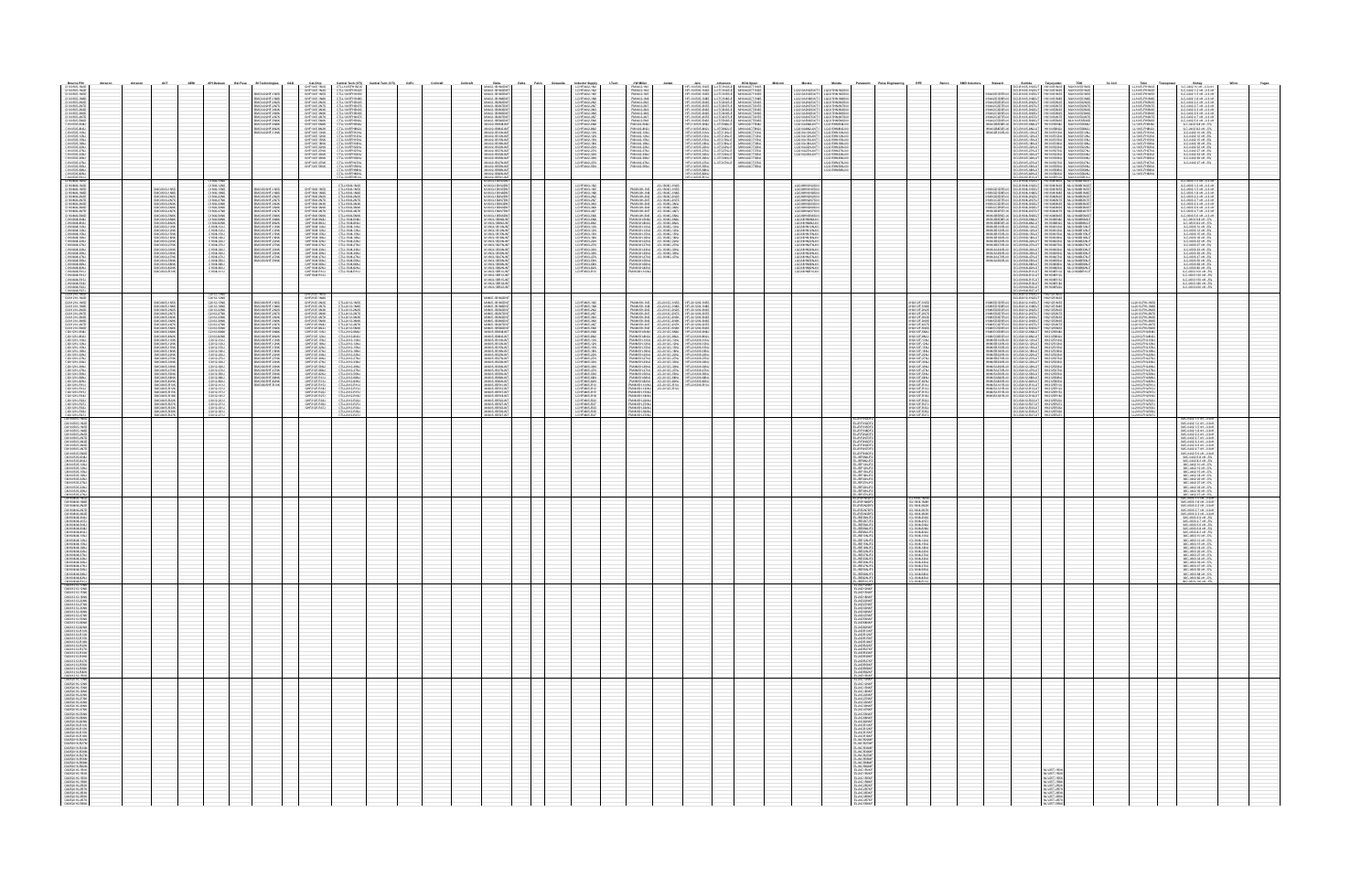| C1100505-1N0D<br>C1100505-1N2D<br>C1100505-1N5D<br>CI100505-1N8D                                                    |                                                                                                                                                                                                                                                     | Cal-Chip<br>BMC0402HF-1N8S<br>BMC0402HF-2N2S                                                                             | Central Tech (CTI)<br>Central Tech (CTI)<br>GHE1005 1NG<br>GHE1005 1NG<br>GHE1005 1NG<br>GHE1005 1NG<br>GHE1005 1NG<br>GHE1005 1NG<br>CTLL1005FH1NG<br>GHE1005 1NG<br>CTLL1005FH1NG<br>GHF1005 2N2S CTLL1005FH2N2S | M0402-1B1N0DMT<br>M0402-1B1N2DMT<br>M0402-1B1N5DMT<br>M0402-1B1N8DMT<br>M0402-1B2N2DI                         |          | LCHF0402-1NO<br>LCHF0402-1N2<br>LCHF0402-1N5<br>LCHF0402-1N8                                                                                                                                  | PM0402-1N0<br>PM0402-1N2<br>PM0402-1N5<br>PM0402-1NB                                                                                                                                                                                                                                                                   | KOA Spee<br>HEL100505-1N0S L-07C1N0S-E MHID402CT1N0S<br>HEL100505-1N2S L-07C1N2S-E MHID402CT1N2S<br>HEL100505-1N5S L-07C1N5S-E MHID402CT1N5S<br>HFI-100505-1N8S L-07C1N8S-E MHI0402CT1N8S<br>HFI-100505-2N2S L-07C2N2S-E MHI0402CT2N2                                                                                  | LOG10A1N2S00T1 LOG15HN1N2<br>LOG10A1N5S00T1 LOG15HN1<br>LOG10A1N8S00T1 LOG15HN1N8S                                                                                  |                                                                                               | SCI-B1005-1N0SJT HK10051N0S MLK100551N0S<br>SCI-B1005-1N2SJT HK10051N2S MLK100551N2S<br>SR-00 SCI-B1005-1N8SJT HK10051N3S MLK100551N2S<br>PR-00 SCI-B1005-1N95LT HK10051N9S MLK100551N5S<br>H0402D1D8R-00 SCI-B1005-1N8SJT HK10051N8S MLK1005S1N8S                                                                                                                                                                                                                           | LL1005-FH1N0S<br>LL1005-FH1N2S<br>LL1005-FH1N5S<br>LL1005-FH1NBS<br>LL1005-FH2N2S                       | ILC-0402 10 nH -0.3 nH<br>ILC-0402 1.2 nH -0.3 nH<br>ILC-0402 1.5 nH -0.3 nH<br>ILC-0402 1.8 nH -0.3 nH<br>ILC-0402 2.2 nH -0.3 nH                    |
|---------------------------------------------------------------------------------------------------------------------|-----------------------------------------------------------------------------------------------------------------------------------------------------------------------------------------------------------------------------------------------------|--------------------------------------------------------------------------------------------------------------------------|--------------------------------------------------------------------------------------------------------------------------------------------------------------------------------------------------------------------|---------------------------------------------------------------------------------------------------------------|----------|-----------------------------------------------------------------------------------------------------------------------------------------------------------------------------------------------|------------------------------------------------------------------------------------------------------------------------------------------------------------------------------------------------------------------------------------------------------------------------------------------------------------------------|------------------------------------------------------------------------------------------------------------------------------------------------------------------------------------------------------------------------------------------------------------------------------------------------------------------------|---------------------------------------------------------------------------------------------------------------------------------------------------------------------|-----------------------------------------------------------------------------------------------|------------------------------------------------------------------------------------------------------------------------------------------------------------------------------------------------------------------------------------------------------------------------------------------------------------------------------------------------------------------------------------------------------------------------------------------------------------------------------|---------------------------------------------------------------------------------------------------------|-------------------------------------------------------------------------------------------------------------------------------------------------------|
| CI100505-2N2D<br>CI100505-2N7D<br>CI100505-3N3D<br>CI100505-3N9D<br>C1100505-4N7D<br>C1100505-5N6D<br>CI100505-6NBJ |                                                                                                                                                                                                                                                     | BMC0402HF-2N75<br>GHF1005 2N7S<br>BMC0402HF-3N3K<br>BMC0402HF-3N9K<br>BMC0402HF-4N7K<br>BMC0402HF-5N6K<br>BMC0402HF-6N8K | GHF1005 3N3K CTLL1005FH3N35<br>GHF1005 3N9K CTLL1005FH3N9S<br>GHF1005 4N7K CTLL1005FH4N7S<br>GHF1005 6NBK CTLL1005FH6NBJ                                                                                           | M0402-1B2N7D<br>M0402-1B3N3D1<br>M0402-1B3N9DMT<br>M0402-1B4N7D<br>M0402-1B5N6D1<br>M0402-1B6N8JMT            |          | LCHF0402-2N2<br>LCHF0402-3N<br>LCHF0402-3N9                                                                                                                                                   | PM0402-2N2<br>PM0402-2N7<br>PM0402-3N3<br>PM0402-3N9<br>PM0402-4N7<br>PM0402-5N6<br>PM0402-6N8J                                                                                                                                                                                                                        | HERICOSOS-2N7S EGYC-2N7SE MHD402CT2N7S<br>HERICOSOS-2N3S EGYC-2N3SE MHD402CT3N3S<br>HFI-100505-3N9S L-07C3N9S-E MHI0402CT3N9S<br>HFL100505-4N7S L-07C4N7S-E MH0402CT4N7S<br>HFL100505-5N6S L-07C5N6S-E MH0402CT5N6S<br>HFL100505-5N63 L-07C5N63-E MH0402CT5N69<br>JFL140605-6N6J L-07CN6JLE MH0402CT5N9J               | LOG10A2N2500T1 LOG15HN2N<br>LOG10A2N7500T1 LOG15HN2N<br>LOG10A3N3S00T1 LOG15HN<br>LOG10A3N9S00T1 LOG15HN3N9<br>LOG10A4N7500T1 LOG15HN4<br>LOG10A6N8J00T1 LOG15HN6N8 |                                                                                               | HO402D2D2R-00 SCI-B1005-2N2SJT HK10052N2S MLK1005S2N2S<br>HO402C2D7R-00 SCI-B1005-2N7SJT HK10052N7S MLK1005S2N7S<br>HO402C2D3R-00 SCI-B1005-3N3SJT HK10053N7S MLK1005S2N7S<br>IH0402C3D9R-00 SCI-B1005-3N9SJT HK10053N9S MLK1005S3N9S<br>10402C4D7R-00 SCI-B1005-4N7SJT HK10054N7S MLK1005S4N7S<br>10402C5D6R-00 SCI-B1005-5N6SJT HK10055N6S MLK1005S5N6D<br>1040206D8R-00 SCI-B1005-5N6SJT HK10055N6S MLK1005S5N6D<br>1040206D8R-00 SCI-B1005-6N5JT HX40056N3J MLK100556N8J | LL1005-FH3N3S<br>LL1005-FH3N9S<br>L1005-FH4N7S<br>L11005-FH5N6S<br>LL1005-FH6N8J                        | ILC-0402 3.3 nH -0.3 nH<br>LC-0402 3.9 nH -0.3 nH<br>ILC-0402 4.7 nH -0.3 nH<br>ILC-0402 5.6 nH -0.3 nH<br>LC-0402 6.8 nH -5%                         |
| CI100505-8N2J<br>CI100505-10NJ<br>CI100505-12NJ<br>CI100505-15NJ<br>CI100505-18NJ<br>CI100505-22NJ                  |                                                                                                                                                                                                                                                     | BMC0402HF-8N2K<br>BMC0402HF-10NK                                                                                         | GHF1005 8N2K CTLL1005FH8N2J<br>GHF1005 12NK CTLL1005FH12NJ<br>GHF1005 15NK CTLL1005FH15NJ<br>GHF1005 18NK CTLL1005FH18NJ<br>GHF1005 22NK CTLL1005FH22NJ                                                            | M0402-1B8N2JMT<br>M0402-1B10NJM<br>M0402-1B12NJM1<br>M0402-1B15NJMT<br>M0402-1B18NJM<br>M0402-1B22NJMT        |          | CHF0402-8N7<br>CHF0402-5N6<br>CHF0402-5N6<br>CHF0402-8N2<br>CHF0402-12N<br>CHF0402-12N<br>CHF0402-12N<br>CHF0402-15N<br>CHF0402-15N<br>$LCHF0402-18N$                                         | PM0402-8N2J<br>PM0402-10NJ<br>PM0402-12NJ<br>PM0402-15NJ<br>PM0402-18NJ<br>PM0402-22NJ                                                                                                                                                                                                                                 | HFI-100505-8N2J L-07C8N2J-E MH0402CT8N2J<br>HFI-100505-10NJ L-07C10NJ-E MH10402CT10NJ<br>HFI-100505-12NJ L-07C12NJ-E MH10402CT12NJ<br>HFI-100505-15NJ L-07C15NJ-E MH10402CT15NJ<br>HFI-100505-15NJ L-07C15NJ-E MH10402CT15NJ<br>HFI-100505-18NJ L-07C18NJ-E MHI0402CT18NJ<br>HFI-100505-22NJ L-07C22NJ-E MHI0402CT22NJ | LOG10A8N2J00T1 LOG15HN8N2<br>LOG10A12NJ00T1 LOG15HN12NJ0<br>LOG10A15NJ00T1 LOG15HN15N<br>LOG10A18NJ00T1 LOG15HN18<br>LOG10A22NJ00T1 LOG15HN22N                      |                                                                                               | SCI-B1005-18NJJT HK100518NJ MLK1005S18NJ<br>SCI-B1005-22NJJT HK100522NJ MLK1005S22NJ                                                                                                                                                                                                                                                                                                                                                                                         | LL1005-FH8N2J<br>LL1005-FH10NJ<br>LL1005-FH15NJ<br>LL1005-FH18NJ<br>LL1005-FH22NJ                       | LC-0402 8.2 nH -5%<br>ILC-0402 10 nH -5%<br>ILC-0402 12 nH -5%<br>ILC-0402 15 nH -5%<br>ILC-0402 18 nH -5%<br>ILC-0402 22 nH -5%                      |
| CI100505-27NJ<br>CH00505-33NJ<br>CI100505-39NJ<br>CI100505-47NJ                                                     |                                                                                                                                                                                                                                                     |                                                                                                                          | GHF1005 27NK CTLL1005FH27NJ<br>GHF1005 33NK CTLL1005FH33NJ<br>GHF1005 39NK CTLL1005FH39NJ<br>GHF1005 47NK CTLL1005FH47NJ<br>GHF1005 56NK CTLL1005FH56NJ                                                            | M0402-1B27NJMT<br>M0402-1B33NJMT<br>M0402-1B39NJMT<br>M0402-1B47NJMT<br>M0402-1B56NJM1<br>M0402-1B68NJM1      |          | LCHF0402-22N<br>LCHF0402-27N<br>LCHF0402-33N<br>LCHF0402-39N<br>LCHF0402-56N<br>LCHF0402-56N                                                                                                  | PM0402-27NJ<br>PM0402-33NJ<br>PM0402-39NJ<br>PM0402-47NJ                                                                                                                                                                                                                                                               | HFI-100505-27NJ L-07C27NJ-E MHI0402CT27NJ<br>HFL100505-33NJ L-07C33NJ-E MH0402CT33NJ<br>HFI-100505-47NJ L-07C47NJ-E MHI0402CT47NJ<br>HFI-100505-56                                                                                                                                                                     | LOG10A27NJ00T1 LOG15HN27N<br>LOG10A33NJ00T1 LOG15HI<br>LOG15HN39NJ<br>LOG15HN47NJ00<br>LOG15HN                                                                      |                                                                                               | SCI-B1005-27NJJT HK100527NJ MLK1005327NJ<br>SCI-B1005-33NJJT HK100533NJ MLK100533NJ<br>SCI-B1005-39NJJT HK100538NJ MLK100533NJ<br>SCI-B1005-47NJJT HK100547NJ MLK1005S47NJ<br>SCI-B1005-56NUT HK100556NJ MLK10055                                                                                                                                                                                                                                                            | LL1005-FH27NJ<br>LL1005-FH33NJ<br>LL1005-FH47NJ                                                         | ILC-0402 27 nH -5%<br>LC-0402 33 nH -5%<br>ILC-0402 39 nH -5%<br>ILC-0402 47 nH -5%                                                                   |
| CI100505-82NJ<br>CI100505-R10J<br>C1160808-1N0D<br>C1160808-1N5D                                                    | C1608-10NS<br>C1608-12NS<br>C1608-15NS<br>SMC0603-1N5S                                                                                                                                                                                              | BMC0603HF-1N5S                                                                                                           | CTLL1005FH68NJ<br>CTLL1005FHR10J<br>GHF16081N5S CTLL1608-1N2S                                                                                                                                                      | M0402-1B82NJMT<br>M0402-1BR10JMT<br>M 0603-181N0DNT<br>M 0603-1B1N5DNT                                        |          |                                                                                                                                                                                               | PM0603H-1N5 JCI-1608C-1N5S                                                                                                                                                                                                                                                                                             | HFI-100505-82NJ<br>HFI-100505-R10J                                                                                                                                                                                                                                                                                     | LOG18HN1N2S00                                                                                                                                                       |                                                                                               | SCI-B1005-82NJJT HK100582NJ MLK1005S82NJ<br>SCI-B1005-R10JJT HK1005R10J MLK1005SR10J<br>SCI-B1608-1N0SJT HK16081N0S MLG1608B1N0ST<br>SCI-B1608-1N2SJT HK16081N2S MLG1608B1N2ST<br>HD603D1D5R-00 SCI-B1608-1N5SJT HK16081N5S MLG1608B1N5ST                                                                                                                                                                                                                                    | LL1005-FH82NJ                                                                                           | LC-0603 1.0 nH -0.3 nH<br>LC-0603 1.2 nH -0.3 nH<br>LC-0603 1.5 nH -0.3 nH                                                                            |
| C1160808-1N8D<br>C160808-2N7D<br>C1160808-3N3D<br>C1160808-3N9D<br>C1160808-4N7D                                    | SMC0603-1N8S<br>C1608-18NS<br>C1608-22NK<br>C1608-27NK<br>SMC0603-2N<br>SMC0603-3N3K<br>C1608-33NK<br>C1608-39NK<br>C1608-47NK<br>C1608-56NK<br>SMC0603-3N9K                                                                                        | BMC0603HF-1N8S<br>BMC0603HF-2N2S<br>BMC0603HF-2N7S<br>BMC0603HF-3N3K<br>BMC0603HF-3N9K<br>BMC0603HF-4N7K                 | GHF1608 1NBS<br>GHF1608 2N2S<br>GHF1608 2N7S<br>GHF1608 2N7S<br>CTL11608 2N7S<br>GHF1608 3N3K CTLL1608-3N3K                                                                                                        | M 0603-1B1N8DNT<br>M 0603-182N2DN<br>M 0603-1B3N3DNT<br>M 0603-1B3N9DN<br>M 0603-1B4N7DN                      |          | LCHF0603-1N2<br>LCHF0603-1N5<br>LCHF0603-2N2<br>LCHF0603-2N7<br>LCHF0603-2N7<br>LCHF0603-2N7<br>LCHF0603-3N3                                                                                  | PM0603H-1N8 JCL-1608C-1N8S<br>PM0603H-2N2 JCL-1608C-2N2S<br>PM0603H-2N7 JCL-1608C-2N2S<br>PM0603H-2N7 JCL-1608C-2N7S<br>PM0603H-3N3 JCI-1608C-3N3J<br>PM0603H-3N9 JCI-1608C-3N9J<br>PM0603H-4N7 JCI-1608C-4N7J                                                                                                         |                                                                                                                                                                                                                                                                                                                        | LOG18HN1N8500<br>LOG18HN2N2500<br>LOG18HN2N7500<br>LOG18HN3N3S00                                                                                                    |                                                                                               | 00603D1D8R-00 SCI-B1608-1N85JT HK16081N8S MLG1608B1N8ST<br>00603D2D2R-00 SCI-B1608-2N2SJT HK16082N2S MLG1608B2N2ST<br>00603C2D7R-00 SCI-B1608-2N2SJT HK16082N2S MLG1608B2N2ST<br>H0603C3D3R-00 SCI-B1608-3N3SJT HK16083N3S MLG1608B3N3ST                                                                                                                                                                                                                                     |                                                                                                         | ILC-0503 1.8 nH -0.3 nH<br>ILC-0503 2.7 nH -0.3 nH<br>ILC-0503 3.3 nH -0.3 nH<br>ILC-0603 3.9 nH -0.3 nH<br>ILC-0603 4.7 nH -0.3 nH                   |
| CI160808-5N6D<br>CI160808-6N8J<br>CI160808-8N2J<br>C1160808-10NJ<br>CI160808-12NJ                                   | SMC0603-4N7K<br>SMC0603-5N6K<br>SMC0603-6N8K<br>C1608-68NK<br>C1608-82NK<br>C1608-120J<br>C1608-120J<br>SMC0603-8N2K<br>SMC0603-10NK<br>SMC0603-12NK                                                                                                | BMC0603HF-5N6K<br>BMC0603HF-6N8K<br>BMC0603HF-8N2K<br>BMC0603HF-10NK<br>BMC0603HF-12NK                                   | GHF1608 3N9K CTL1.1608-3N9K<br>GHF1608 4N7K CTL1.1608-4N7K<br>GHF1608 5N6K CTL1.608-5N6K<br>GHF1508 6NSJ CTLL1508-5NSJ<br>GHF1608 8N2J CTLL1608-8N2J<br>GHF1608 10NJ CTLL1608-10NJ<br>GHF1608 12NJ CTLL1608-12NJ   | M 0603-1B5N6DNT<br>M 0603-1B6N8JNT<br>M 0603-1B8N2JN<br>M 0603-1B10NJNT<br>M 0603-1B12NJNT                    |          | LCHF0603-3N9<br>LCHF0603-4N7<br>LCHF0603-5N6<br>LCHF0603-8NS<br>LCHF0603-8N2<br>LCHF0603-10N<br>LCHF0603-12N                                                                                  | PM0603H-5N6 JCI-1608C-5N6J<br>PM0603H-6N8J JCL1608C-6N8J<br>PM0603H-8N2J JCL1608C-8N2J<br>PM0603H-12NJ JCL1608C-12NJ                                                                                                                                                                                                   |                                                                                                                                                                                                                                                                                                                        | LOG18HN3N9500<br>LOG18HN6N8J00<br>LOG18HN8N2J00<br>LOG18HN10NJ00<br>LOG18HN12NJ00                                                                                   |                                                                                               | 10603C3R9R-00 SCI-B1608-3N9SJT HK16083N9S MLG1608B3N9ST<br>10603B4R7D-00 SCI-B1608-4N7SJT HK16084N7S MLG1608B4N7ST<br>10603B5R6D-00 SCI-B1608-5N6SJT HK16085N6S MLG1608B8N6ST<br>10603D6P6D-00 SCI-B1608-5N8JT HK16085N6S MLG1608B9N6ST<br>HO503B6D8R-00 SCI-B1608-6N8JJT HK16086N8J MLG1608B6N8JT<br>106038100R40 SCLB1608-10NUT HK160810NJ MLG1608810NJT<br>106038120R40 SCLB1608-12NUT HK160812NJ MLG1608812NJT                                                           |                                                                                                         | ILC-0603 5.6 nH -0.3 nH<br>LC-0603 6.8 nH -5%<br>ILC-0603.10 nH -5%<br>ILC-0603 12 nH -5%                                                             |
| CI160808-15NJ<br>C150808-22NJ<br>C150808-27NJ<br>C150808-33NJ<br>CI160808-39NJ                                      | SMC0603-15NK<br>C1608-150J<br>C1608-180J<br>SMC0603-18NK<br>SMC0603-22NK<br>SMC0603-27NK<br>SMC0603-33NK<br>C1608-220<br>C1608-270J<br>C1608-330J<br>SMC0603-39NK                                                                                   | BMC0603HF-15NK<br>BMC0603HF-18NK<br>BMC0603HF-22NK<br>BMC0603HF-27NK<br>BMC0603HF-33NK<br>BMC0603HF-39NK                 | GHF1608.15NJ CTLL1608-15NJ<br>GHF1608.18NJ CTLL1608-18NJ<br>GHF1508 39NJ CTLL1608-39NJ                                                                                                                             | M 0603-1B15NJN<br>M.0603-1B18NJN7<br>M 0603-1822NJNT<br>M 0603-1827NJNT<br>M 0603-1833NJNT<br>M 0603-1B39NJNT |          | LCHF0603-15N<br>LCHF0603-18N<br>LCHF0603-22N<br>LCHF0603-27N<br>LCHF0603-33N<br>LCHF0603-38N<br>LCHF0603-6R<br>LCHF0603-6R<br>LCHF0603-6R<br>LCHF0603-6R<br>LCHF0603-6R                       | PM0603H-15NJ JCI-1608C-15NJ<br>PM0603H-18NJ JCI-1608C-18NJ<br>PM0603H.22NJ JCL1608C.22NJ<br>PM0603H.27NJ JCL1608C.22NJ<br>PM0603H.33NJ JCL1608C.33NJ<br>PM0603H-39NJ JCI-1608C-39NJ                                                                                                                                    |                                                                                                                                                                                                                                                                                                                        | LOG18HN15NJ00<br>LOG18HN22NJ00                                                                                                                                      |                                                                                               | H0603B150R-00 SCI-B1608-15NJJT HK160815NJ MLG1608B15NJ<br>IH0503B180R-00 SCI-B1508-18NJJT HK150818NJ MLG1508B18NJ<br>108038270R-00 SCI-B1608-22NJJT HK160822NJ MLG1608B22NJT<br>108038270R-00 SCI-B1608-27NJJT HK160827NJ MLG1608B27NJT<br>108038330R-00 SCI-B1608-32NJJT HK160837NJ MLG1608B32NJT                                                                                                                                                                           |                                                                                                         | ILC-0603 15 nH -5%<br>ILC-0603 18 nH -5%<br>ILC-0603 22 nH -5%<br>ILC-0603 27 nH -5%<br>ILC-0603 33 nH -5%<br>ILC-0603 33 nH -5%<br>LC-0603 39 nH -5% |
| C1160808-47NJ<br>C1160808-56NJ<br>CI160808-68NJ<br>CI160808-82NJ<br>CI160808-R10J                                   | C1608-390J<br>C1608-470J<br>C1608-560J<br>C1608-680J<br>SMC0603-47NK<br>SMC0603-56NK<br>SMC0603-68NK<br>SMC0603-82NK<br>C1608-820J<br>SMC0603-R10K<br>C1608-101J                                                                                    | BMC0603HF-47NK<br>GHF1608 47NJ<br>GHF1608 56NJ<br>GHF1608 R10J<br>GHF1608 R12J                                           | CTLL1608-47NJ<br>CTLL1608-56N<br>GHF1608 68NJ CTLL1608-68NJ<br>GHF1608 82NJ CTLL1608-82NJ<br>CTLL1608-R10J                                                                                                         | M 0603-1B47NJN<br>M 0603-1B68NJN<br>M 0603-1B82NJN<br>M 0603-1BR10JP                                          |          | LCHF0603-82N                                                                                                                                                                                  | PM0603H-47NJ JCI-1608C-47N<br>PM0603H-68NJ<br>PM0603H-82NJ<br>MO603H-100                                                                                                                                                                                                                                               |                                                                                                                                                                                                                                                                                                                        | LOG18HN39NJ00<br>LOG18HN47NJ00<br>LOG18HN56NJ00<br>LOG18HN58NJ00<br>LOG18HN82NJ00                                                                                   |                                                                                               | HO603A390R-00 SCI-B1608-39NJ.IT HK160839NJ MLG1508B39NJT HO603A470R-00 SCI-B1608-47NJ/IT HK160858NJ MLG1608B47NJT HK160858NJT MLG1608B47NJT HK160858NJT MLG1608B68NJT HK160858NJT MLG1608B68NJT SCI-B1608-68NJJT HK160868NJT M<br>SCI-B1608-82NJJT HK160882NJ MLG1608B82NJT<br>SCI-B1608-R10JJT HK1608R10J MLG1608BR10JT                                                                                                                                                     |                                                                                                         | ILC-0603 47 nH -5%<br>ILC-0603 56 nH -5%<br>ILC-0603 68 nH -5%<br>ILC-0603 82 nH -5%<br>ILC-0603 100 nH -5%                                           |
| C150808-R12J<br>CI160808-R18J<br>CI160808-R22J<br>C150808-R27J<br>CI201210-1N0D<br>CI201210-1N2D                    | C2012-10NS<br>C2012-12NS                                                                                                                                                                                                                            | GHF2125 1N5S<br>GHF2125 1NBS                                                                                             |                                                                                                                                                                                                                    | M 0603-1BR12JNT<br>M 0603-1BR18JNT<br>M 0603-1BR22JNT<br>M0805-1B1N2D                                         |          |                                                                                                                                                                                               |                                                                                                                                                                                                                                                                                                                        |                                                                                                                                                                                                                                                                                                                        |                                                                                                                                                                     |                                                                                               | SCI-B1608-R12JJT HK1608R12J<br>SCI-B1608-R15JJT HK1608R15J<br>SCI-B1608-R18JJT HK1608R18J<br>SCI-B1608-R27JJT<br>SCI-B2012-1N0SJT HK21251N0S<br>SCI-B2012-1N2SJT HK21251N2S                                                                                                                                                                                                                                                                                                  |                                                                                                         | 1.0-0603 120 nH -5%<br>ILC-0603 180 nH -5%<br>ILC-0603 220 nH -5%                                                                                     |
| CI201210-1N5D<br>C(201210-1N8D<br>C(201210-2N2D<br>C(201210-2N7D<br>CI201210-3N3D                                   | C2012-15NS<br>SMC0805-1N55<br>SMC0805-1N85<br>SMC0805-2N2S<br>C2012-22NK<br>C2012-27NK<br>SMC0805-2N7S<br>C2012-33NK<br>SMC0805-3N3K                                                                                                                | BMC0805HF-1N5S<br>BMC0805HF-1N8S<br>BMC0805HF-2N2S<br>BMC0805HF-2N7S<br>BMC0805HF-3N3K                                   | 4<br>GHF2125 3N3K CTLL2012-2N2S<br>GHF2125 4N7K CTLL2012-3N3K                                                                                                                                                      | M0805-1B1N5DN<br>M0805-1B2N7DN<br>M0805-1B3N3DN                                                               |          |                                                                                                                                                                                               | M0805H-1N5 JCI-2012C-1N5S HFL201209-1N<br>PM0805H-1N8 JCI-2012C-1N8S HFL201209-1N8S<br>PM0805H-2N2 JCI-2012C-2N2S HFL201209-2N2S<br>PM0805H-2N7 JCI-2012C-2N7S HFL201209-2N7S<br>PM0805H-3N3 JCI-2012C-3N3K HFI-201209-3N3S                                                                                            |                                                                                                                                                                                                                                                                                                                        |                                                                                                                                                                     | 12012F-1N5<br>IH2012F-2N2S<br>IH2012F-2N7S<br>IIH2012F-3N3S<br>IH2012F-3N9S                   | 100050105R-00 SCL82012-1NSSJT HK21251NSS<br>100050108R-00 SCL82012-1NSSJT HK21251NSS<br>100060202R-00 SCL82012-2N2SJT HK21251NSS<br>100060202R-00 SCL83012-2N2SJT HK21252N2S<br>-2N2SJT HK21252N2S<br>H0805D2D7R-00 SCI-B2012-2N7SJT HK21252N7S<br>H0805D3D7R-00 SCI-B2012-3N3SJT HK21253N3S                                                                                                                                                                                 | 112012-FHL1N5S<br>LL2012-FHL2N2S<br>LL2012-FHL3N3S                                                      |                                                                                                                                                       |
| CI201210-3N9D<br>CI201210-4N7D<br>CI201210-5N6D<br>CI201210-6N8J<br>CI201210-8N2J<br>CI201210-10NJ                  | SMORROS SNEK<br>SMORROS 4N7K<br>C2012-47NK<br>C2012-56NK<br>SMC0805-5N6K<br>SMC0805-6N8K<br>C2012-68NK<br>C2012-82NK<br>C2012-100J<br>SMC0805-8N2K<br>SMC0805-10NK<br>SMC0805-12NK                                                                  | BMC0805HF-3N9K<br>BMC0805HF-5N6K<br>BMC0805HF-6N8K<br>BMC0805HF-8N2K<br>BMC0805HF-12NK                                   | GHE2125 ENGK CTLL2012-3NGK<br>GHE2125 ENGJ CTLL2012-4N7K<br>GHF2125 8N2J CTLL2012-5N6K<br>GHF212510NJ CTLL2012-6N8J<br>GHF212512NJ CTLL2012-8N2J<br>GHF212515NJ CTL12012-10NJ<br>GHF2125 18NJ CTLL2012-12NJ        | M0805-1B3N9D<br>M0805-1B5N6DN1<br>M0805-1B6N8JN<br>MOROS-1BRN2JNT<br>M0805-1B12NJNT                           |          | LOHEBBOS.ING.<br>LOHEBBOS.2NG<br>LOHEBBOS.2NG<br>LOHEBBOS.2NG<br>LOHEBBOS.2NG<br>LOHEBBOS.2NG<br>LOHEBBOS.2NG<br>LOHEBBOS.2NG<br>LOHEBBOS.2NG<br>LOHEBBOS.2NG<br>LOHEBBOS.2NG<br>LOHEBBOS.2NG | PM0805H-3N9 JCL2012C-3N9K HFL201206-3N9S<br>PM0805H-4N7 JCL2012C-4N7K HFL201209-4N7S<br>PM0805H-5N6 JCL2012C-5N6K HFL201209-5N6S<br>PM0805H-6N8J JCL2012C-6N8J HFL201209-6N8J<br>PM0805H-8N2J JCL2012C-8N2J HFL201209-8N2J<br>PM0805H-10NJ JCL2012C-10NJ HFL201209-8N2J<br>PM0805H-12NJ JCI-2012C-12NJ HFI-201209-12NJ |                                                                                                                                                                                                                                                                                                                        |                                                                                                                                                                     | IIH2012F-4N7S<br>IIH2012F-5N6S<br>IH2012F-6N8J<br>IH2012F-8N2J<br>IH2012F-12NJ                | HOBOSDSDBR.co SCI-B2012-3N95JT HK21253N95<br>H0805C5D6R-00 SCI-B2012-5N6SJT HK21255N6S<br>H0805C6D8R40 SCI-B2012-6NSJT HK21256NSJ<br>H0805C8D2R40 SCI-B2012-8N2JT HK21258N2J<br>H0805B100R400 SCI-B2012-5N2JT HK212510NJ<br>H0805B120R-00 SCI-B2012-12NJJT HK212512NJ                                                                                                                                                                                                        | LL2012-FHL4N7<br>LL2012-FHL5N6S<br>112012-FHL6N81<br>112012-FHL8N2J<br>112012-FHL10NJ<br>LL2012-FHL12NJ |                                                                                                                                                       |
| CI201210-12NJ<br>CI201210-15NJ<br>CI201210-18NJ<br>CI201210-22NJ<br>CI201210-27NJ                                   | C2012-120J<br>SMC0805-15NK<br>C2012-150J<br>C2012-180J<br>C2012-220J<br>SMC0805-18NK<br>SMC0805-22NK<br>SMC0805-27NK<br>C2012-270J<br>SMC0805-33NH                                                                                                  | BMC0805HF-15NK<br>BMC0805HF-18NK<br>BMC0805HF-22NK<br>BMC0805HF-27NK<br>BMC0805HF-33NK<br>BMC0805HF-39NK                 | GHF2125 22NJ CTL12012-15NJ<br>GHF2125 27NJ CTL12012-15NJ<br>GHF2125 33NJ CTL12012-22NJ<br>GHF2125 39NJ CTLL2012-27NJ                                                                                               | M0805-1B15NJN<br>M0805-1B18NJN<br>M0805-1B22NJNT<br>M0805-1B27NJNT<br>M0805-1B33NJN<br>M0805-1B39NJNT         |          | LCHF0805-27N                                                                                                                                                                                  | PM0805H-15NJ JCI-2012C-15NJ HFI-201209-15NJ<br>PM0805H-18NJ JCI-2012C-18NJ HFI-201209-15NJ<br>PM0805H-27NJ JCI-2012C-27NJ HFI-201209-22NJ<br>PM0805H-27NJ JCI-2012C-27NJ HFI-201209-27NJ<br>PM0805H-33NJ JCI-2012C-33NJ HFI-201209-3<br>PM0805H-39NJ JCI-2012C-39NJ HFI-201209-39N                                     |                                                                                                                                                                                                                                                                                                                        |                                                                                                                                                                     | IIH2012F-15NJ<br>IIH2012F-22NJ<br>IH2012F-27NJ<br>IIH2012F-33NJ<br>IIH2012F-39NJ              | IH0805B150R-00 SCI-B2012-15NJJT HK212515NJ<br>IH0805B220R-00 SCI-B2012-22NJJT HK212522NJ<br>IH0805B270R-00 SCI-B2012-27NJJT HK212527NJ<br>IH0805B330R-00 SCI-B2012-33NJJT HK212533N<br>IH0805A390R-00 SCI-B2012-39NJJT HK212539NJ                                                                                                                                                                                                                                            | LL2012-FHL15NJ<br>LL2012-FHL22NJ<br>LL2012-FHL27NJ<br>LL2012-FHL33                                      |                                                                                                                                                       |
| CI201210-39NJ<br>CI201210-47NJ<br>CI201210-56NJ<br>CI201210-82NJ<br>CI201210-R10J                                   | C2012-330J<br>C2012-390J<br>C2012-470J<br>SMC0805-39NK<br>SMC0805-47NK<br>SMC0805-56NK<br>C2012-560J<br>C2012-680J<br>SMC0805-68NK<br>SMC0805-82NK<br>C2012-820J<br>SMC0805-R10K<br>C2012-101J                                                      | BMC0805HF-47NK<br>BMC0805HF-56NK<br>BMC0805HF-68NK<br>BMC0805HF-82NK                                                     | GHF2125 47NJ CTL12012-33NJ<br>GHF2125 56NJ CTL12012-39NJ<br>GHF2125 58NJ CTL12012-47NJ<br>GHF2125 82NJ CTLL2012-56NJ<br>GHF2125 R10J CTLL2012-68NJ<br>GHF2125 R12J CTLL2012-82NJ<br>GHF2125 R15J CTLL2012-R10J     | M0805-1B47NJNT<br>M0805-1B56NJN<br>M0805-1B68NJNT<br>MOBOS-1BR2NJNT                                           |          | LCHF0805-33N<br>LCHF0805-39N<br>LCHF0805-47N<br>LCHF0805-56N<br>LCHF0805-68N<br>LCHF0805-82N<br>LCHF0805-R10                                                                                  | PM0805H-47NJ JCI-2012C-47NJ HFI-201209-47NJ<br>PM0805H-56NJ JCI-2012C-56NJ HFI-201209-56NJ<br>PM0805H-68NJ JCI-2012C-68NJ HFI-201209-68NJ<br>PM0805H-82NJ JCI-2012C-82NJ HFI-201209-82<br>PM0805H-100NJ JCI-2012C-R10J HFI-201209                                                                                      |                                                                                                                                                                                                                                                                                                                        |                                                                                                                                                                     | IH2012F-47NJ<br>IIH2012F-56NJ<br>IH2012F-68NJ<br>IIH2012F-82NJ                                | IH0805A470R-00 SCI-B2012-47NJJT HK212547NJ<br>IH0805A560R-00 SCI-B2012-56NJJT HK212556NJ<br>IH0805A680R-00 SCI-B2012-68NJJT HK212568NJ<br>IH0805A820R-00 SCI-B2012-82NJJT HK212582NJ<br>H0805A101R-00 SCI-B2012-R10JJT HK2125R10J                                                                                                                                                                                                                                            | LL2012-FHL39NJ<br>LL2012-FHL56NJ<br>LL2012-FHL68NJ<br>LL2012-FHL82NJ<br>LL2012-FHLR10                   |                                                                                                                                                       |
| CI201210-R12J<br>CI201210-R15J<br>C1201210-R181<br>CI201210-R33J                                                    | SMC0805-R12K<br>C2012-121J<br>SMC0805-R15K<br>C2012.151J<br>SMC0805-R18K<br>SMC0805-R22K<br>SMC0805-R27K<br>$\begin{array}{r}\n  \text{C2012-181J} \\  \text{C2012-221J} \\  \text{C2012-271J} \\  \text{C2012-271J}\n \end{array}$<br>SMC0805-R33K |                                                                                                                          | GHF2125 R18J CTLL2012-R12J<br>GHF2125 R22J CTLL2012-R15J<br>GHE2125 R27J<br>GHE2125 R33J<br>GHE2125 R33J<br>GHE2125 R33J<br>GHE2125 R34J<br>GHE2125 R47J<br>CTL12012 R33J<br>CTL12012 R33J<br>CTL12012 R33J        | M0805-1BR12JNT<br>M0805-1BR15JNT<br>M0805-1BR18JNT<br>M0805-1BR22JNT<br>M0805-1BR27JNT<br>M0805-1BR33JNT      |          | LCHF0805-R12<br>LCHF0805-R15<br>LCHF0805-R18<br>LCHF0805-R2<br>LCHF0805-R2<br>LCHF0805-R3<br>LCHF0805-R3<br>LCHF0805-R47<br>LCHF0805-R47                                                      | PM0805H-120NJ JCI-2012C-R12<br>PM0805H-150NJ<br>PM0305H-270NJ<br>PM0805H-330NJ                                                                                                                                                                                                                                         |                                                                                                                                                                                                                                                                                                                        |                                                                                                                                                                     | IIH2012F-R12J<br>IH2012F-R15J<br>IH2012F-R18J<br>IH2012F-R22J<br>IH2012F-R27J<br>TH2012F-R33J | H0805A121R-00 SCI-B2012-R12JJT HK2125R12.<br>H0805A151R-00 SCI-B2012-R15JJT HK2125R15J<br>H0805A181R.00 SCLB2012-R18JJT HK2125R18J<br>SCLB2012-R22JJT HK2125R22J<br>SCI-B2012-R33JJT HK2125R33J                                                                                                                                                                                                                                                                              | LL2012-FHLR12J<br>LL2012-FHLR15J<br>112012-FHLR181<br>12012-FHLR22J<br>12012-FHLR27J<br>LL2012-FHLR33J  |                                                                                                                                                       |
| CI201210-R47J<br>CM100505-1N0D<br>CM100505-1N2D<br>CM100505-1N5D<br>CM100505-1N8D<br>CM400505-1N8D                  | $\begin{array}{r c} \hline \text{C2012-3313} \\ \hline \text{C2012-3913} \\ \hline \text{C2012-4713} \end{array}$<br>SMC0805-R47K                                                                                                                   |                                                                                                                          | CTLL2012-R4                                                                                                                                                                                                        | M0805-1BR47JNT                                                                                                |          |                                                                                                                                                                                               | PM0805H-390M<br>PM0805H-470M                                                                                                                                                                                                                                                                                           |                                                                                                                                                                                                                                                                                                                        | ELJRE1N0DF2<br>ELJRE1N2DF2<br>ELJRE1N5DF2                                                                                                                           | IIH2012F-R39J<br>IIH2012F-R47J                                                                | SCI-B2012-R47JJT HK2125R4                                                                                                                                                                                                                                                                                                                                                                                                                                                    | LL2012-FHLR4                                                                                            | IMC-0402 1.0 nH -0.3nH<br>MC-0402 1.2 nH -0.3nH<br>MC-0402 1.5 nH -0.3nH<br>MC-0402 1.8 nH -0.3nH                                                     |
| CM100505-2N2D<br>CM100505-2N7D<br>CM100505-3N3D<br>CM100505-3N9D<br>CM100505-4N7D<br>CM100505-5N6D<br>CM100505-6N8J |                                                                                                                                                                                                                                                     |                                                                                                                          |                                                                                                                                                                                                                    |                                                                                                               |          |                                                                                                                                                                                               |                                                                                                                                                                                                                                                                                                                        |                                                                                                                                                                                                                                                                                                                        | ELJRF2N2DF2<br>ELJRE2N7DE2<br>ELJRF3N3DF<br>ELJRF3N9DF2<br>ELJRE4N7DF2<br>ELJRE5N6DF                                                                                |                                                                                               |                                                                                                                                                                                                                                                                                                                                                                                                                                                                              |                                                                                                         | MC-0402 2.2 nH -0.3nH<br>IMC-0402 2.7 nH -0.3nH<br>IMC-0402 3.3 nH -0.3n<br>IMC-0402 3.9 nH -0.3nH<br>MC-0402 4.7 nH -0.3nH<br>IMC-0402 5.6 nH -0.3nH |
| CM100505-8N2J<br>CM100505-10NJ<br>CM100505-12NJ<br>CM100505-15NJ<br>CM100505-18NJ                                   |                                                                                                                                                                                                                                                     |                                                                                                                          |                                                                                                                                                                                                                    |                                                                                                               |          |                                                                                                                                                                                               |                                                                                                                                                                                                                                                                                                                        |                                                                                                                                                                                                                                                                                                                        | ELJRF6N8JF2<br>ELJRESN2JF2<br>ELJRE10NJF2<br>ELJRE12NJF2<br>ELJRE15NJF2<br>ELJRE18NJF2<br>ELJRE22NJF2                                                               |                                                                                               |                                                                                                                                                                                                                                                                                                                                                                                                                                                                              |                                                                                                         | IMC-0402 6.8 nH -5%<br>MC-0402 8.2 nH -5%<br>MC-0402 10 nH -5%<br>MC-0402 12 nH -5%<br>MC-0402 15 nH -5%<br>MC-0402 18 nH -5%                         |
| CM100505-22NJ<br>CM100505-27NJ<br>CM100505-33NJ<br>CM100505-39NJ<br>CM100505-47NJ                                   |                                                                                                                                                                                                                                                     |                                                                                                                          |                                                                                                                                                                                                                    |                                                                                                               |          |                                                                                                                                                                                               |                                                                                                                                                                                                                                                                                                                        |                                                                                                                                                                                                                                                                                                                        | ELJRE27NJF2<br>ELJRE33NJF<br>ELJRE39NJE2                                                                                                                            |                                                                                               |                                                                                                                                                                                                                                                                                                                                                                                                                                                                              |                                                                                                         | MC-0402 22 nH -5%<br>MC-0402.27 nH -5%<br>MC-0402 33 nH -5%<br>MC-0402 39 nH -5%<br>MC-0402 47 nH -5%                                                 |
| CM160808-1N5D<br>CM160808-1N8D<br>CM160808-2N2D<br>CM160808-2N7D<br>CM160808-3N3D                                   |                                                                                                                                                                                                                                                     |                                                                                                                          |                                                                                                                                                                                                                    |                                                                                                               |          |                                                                                                                                                                                               |                                                                                                                                                                                                                                                                                                                        |                                                                                                                                                                                                                                                                                                                        | ELJRE1N5DF2<br>ELJRE1N8DF2<br>ELJRE2N2DF2<br>ELJRE2N7DF2<br>ELJRE3N3DF2                                                                                             | ICL1608-1N5M<br>ICL1608-1N8K<br>ICL1608-2N7K<br>ICL1608-3N3K                                  |                                                                                                                                                                                                                                                                                                                                                                                                                                                                              |                                                                                                         | MC-0603 1.5 nH -0.3nH<br>MC-0603 1.8 nH -0.3nH<br>MC-0603 2.2 nH -0.3nH<br>IMC-0603 2.7 nH -0.3nH<br>MC-0603 3.3 nH -0.3nH<br>IMC-0603 3.9 nH -53     |
| CM160808-4N7J<br>CM160808-6NBJ<br>CM160808-8N2J<br>CM160808-10NJ                                                    |                                                                                                                                                                                                                                                     |                                                                                                                          |                                                                                                                                                                                                                    |                                                                                                               |          |                                                                                                                                                                                               |                                                                                                                                                                                                                                                                                                                        |                                                                                                                                                                                                                                                                                                                        | ELIRE4N7JF2<br>ELJRE6N8JF2<br>ELJRE8N2JF2<br>ELJRE10NJF2<br>ELJRE12NJF2                                                                                             | ICL1608-4N7<br>ICL1608-5N6J<br>ICL1608-6N8J<br>ICL1608-8N2J<br>ICL1608-10NJ<br>CL1608-12NJ    |                                                                                                                                                                                                                                                                                                                                                                                                                                                                              |                                                                                                         | MC-0603 4.7 nH -5%<br>IMC-0603 6.8 nH -5%<br>IMC-0603 8.2 nH -5%<br>MC-0603 10 nH -5%<br>MC-0603 12 nH -5%                                            |
| CM160808-12NJ<br>CM160808-18NJ<br>CM160808-22NJ<br>CM160808-27NJ<br>CM160808-33NJ<br>CM160808-39NJ                  |                                                                                                                                                                                                                                                     |                                                                                                                          |                                                                                                                                                                                                                    |                                                                                                               |          |                                                                                                                                                                                               |                                                                                                                                                                                                                                                                                                                        |                                                                                                                                                                                                                                                                                                                        | ELJRE15NJF2<br>ELJRE18NJF2<br>ELJRE22NJE2<br>ELJRE27NJE2<br>ELJRE33NJE2<br>ELJRE39NJF2                                                                              | CL1608-15NJ<br>ICL1608-18NJ<br>ICL1608-27NJ<br>ICL1608-33NJ<br>ICL1608-39NJ                   |                                                                                                                                                                                                                                                                                                                                                                                                                                                                              |                                                                                                         | IMC-0603 15 nH -5%<br>MC-0603 18 nH -5%<br>MC-0603 22 nH -5%<br>MC-0603 27 nH -5%<br>MC-0603 33 nH -5%<br>MC-0603 39 nH -5%                           |
| CM160808-47NJ<br>CM160808-56NJ<br>CM160808-68NJ<br>CM160808-82NJ<br>CM160808-82NJ                                   |                                                                                                                                                                                                                                                     |                                                                                                                          |                                                                                                                                                                                                                    |                                                                                                               |          |                                                                                                                                                                                               |                                                                                                                                                                                                                                                                                                                        |                                                                                                                                                                                                                                                                                                                        | ELJRE47NJF2<br>ELJRE68NJF3                                                                                                                                          | ICL1608-47NJ<br>CL1608-68NJ<br>CL1608-82N.                                                    |                                                                                                                                                                                                                                                                                                                                                                                                                                                                              |                                                                                                         | IMC-0603 47 nH -59<br>MC-0603 56 nH -5%<br>MC-0603 68 nH -5%<br>IMC-0603 82 nH -5%                                                                    |
|                                                                                                                     |                                                                                                                                                                                                                                                     |                                                                                                                          |                                                                                                                                                                                                                    |                                                                                                               |          |                                                                                                                                                                                               |                                                                                                                                                                                                                                                                                                                        |                                                                                                                                                                                                                                                                                                                        | ELINDIONE<br>ELINDISNE<br>ELINDISNE<br>ELINDISNE<br>ELINDISNE<br>ELINDISNE<br>ELINDISNE                                                                             |                                                                                               |                                                                                                                                                                                                                                                                                                                                                                                                                                                                              |                                                                                                         |                                                                                                                                                       |
|                                                                                                                     |                                                                                                                                                                                                                                                     |                                                                                                                          |                                                                                                                                                                                                                    |                                                                                                               | ———      |                                                                                                                                                                                               |                                                                                                                                                                                                                                                                                                                        |                                                                                                                                                                                                                                                                                                                        | ELIND27NKF<br>ELIND33NKF<br>ELIND38NKF<br>ELIND58NKF<br>ELIND58NKF<br>ELIND58NKF<br>ELINDRZNKE                                                                      |                                                                                               |                                                                                                                                                                                                                                                                                                                                                                                                                                                                              |                                                                                                         |                                                                                                                                                       |
|                                                                                                                     |                                                                                                                                                                                                                                                     |                                                                                                                          |                                                                                                                                                                                                                    |                                                                                                               |          |                                                                                                                                                                                               |                                                                                                                                                                                                                                                                                                                        |                                                                                                                                                                                                                                                                                                                        | ELJNDR12KF<br>ELJNDR15KF<br>ELINDR18KF<br>ELINDR22KF<br>ELINDR27KF                                                                                                  |                                                                                               |                                                                                                                                                                                                                                                                                                                                                                                                                                                                              |                                                                                                         |                                                                                                                                                       |
|                                                                                                                     |                                                                                                                                                                                                                                                     |                                                                                                                          |                                                                                                                                                                                                                    |                                                                                                               |          |                                                                                                                                                                                               |                                                                                                                                                                                                                                                                                                                        |                                                                                                                                                                                                                                                                                                                        | ELJNDR33KF<br>ELINDR39KF<br>ELINDR47KF<br>ELINDR56KF<br>ELJNDR68KF                                                                                                  |                                                                                               |                                                                                                                                                                                                                                                                                                                                                                                                                                                                              |                                                                                                         |                                                                                                                                                       |
|                                                                                                                     |                                                                                                                                                                                                                                                     |                                                                                                                          |                                                                                                                                                                                                                    |                                                                                                               | —<br>— 1 |                                                                                                                                                                                               |                                                                                                                                                                                                                                                                                                                        |                                                                                                                                                                                                                                                                                                                        | ELJND1R0KF<br>ELJNC10NKF<br>ELJNC12NKF<br>ELJNC18NKF<br>ELJNC22NKF                                                                                                  |                                                                                               |                                                                                                                                                                                                                                                                                                                                                                                                                                                                              |                                                                                                         |                                                                                                                                                       |
|                                                                                                                     | —1—                                                                                                                                                                                                                                                 |                                                                                                                          |                                                                                                                                                                                                                    |                                                                                                               | ———      |                                                                                                                                                                                               |                                                                                                                                                                                                                                                                                                                        |                                                                                                                                                                                                                                                                                                                        | ELJNC27NKF<br>ELINC33NKF<br>ELJNC47NKF<br>ELJNC56NKF                                                                                                                |                                                                                               |                                                                                                                                                                                                                                                                                                                                                                                                                                                                              |                                                                                                         |                                                                                                                                                       |
|                                                                                                                     |                                                                                                                                                                                                                                                     |                                                                                                                          |                                                                                                                                                                                                                    |                                                                                                               |          |                                                                                                                                                                                               |                                                                                                                                                                                                                                                                                                                        |                                                                                                                                                                                                                                                                                                                        | ELINCESNIKE<br>ELINCESNIKE<br>ELINCRIOKE<br>ELINCRIZKE<br>ELINCRISKE<br>ELINCRISKE<br>ELINCRIZZME                                                                   |                                                                                               |                                                                                                                                                                                                                                                                                                                                                                                                                                                                              |                                                                                                         |                                                                                                                                                       |
|                                                                                                                     | ______                                                                                                                                                                                                                                              | ___                                                                                                                      |                                                                                                                                                                                                                    |                                                                                                               | ————     |                                                                                                                                                                                               |                                                                                                                                                                                                                                                                                                                        |                                                                                                                                                                                                                                                                                                                        | ELJNCR27MF<br>ELJNCR39MF                                                                                                                                            |                                                                                               |                                                                                                                                                                                                                                                                                                                                                                                                                                                                              |                                                                                                         |                                                                                                                                                       |
|                                                                                                                     |                                                                                                                                                                                                                                                     |                                                                                                                          |                                                                                                                                                                                                                    |                                                                                                               | —        |                                                                                                                                                                                               |                                                                                                                                                                                                                                                                                                                        |                                                                                                                                                                                                                                                                                                                        | ELJNCR56MF<br>ELINCRIZME<br>ELINCTROKE<br>ELINCTROKE<br>ELJNC1R5KF                                                                                                  |                                                                                               | NLV25T-1R0K                                                                                                                                                                                                                                                                                                                                                                                                                                                                  |                                                                                                         |                                                                                                                                                       |
|                                                                                                                     |                                                                                                                                                                                                                                                     |                                                                                                                          |                                                                                                                                                                                                                    |                                                                                                               |          |                                                                                                                                                                                               |                                                                                                                                                                                                                                                                                                                        |                                                                                                                                                                                                                                                                                                                        | ELINCIREKE<br>ELINC2R2KE<br>ELINC2R7KE<br>ELINCSRSKE<br>ELINCSRSKE<br>ELINC4R7KE                                                                                    |                                                                                               | NLV25T-1R5K<br>NLV25T-1R8K<br>NLV25T-2R2K<br>NLV25T-2R7K<br>NLV25T-3R3K<br>NLV25T-3R5K<br>NLV25T-4R7K                                                                                                                                                                                                                                                                                                                                                                        |                                                                                                         |                                                                                                                                                       |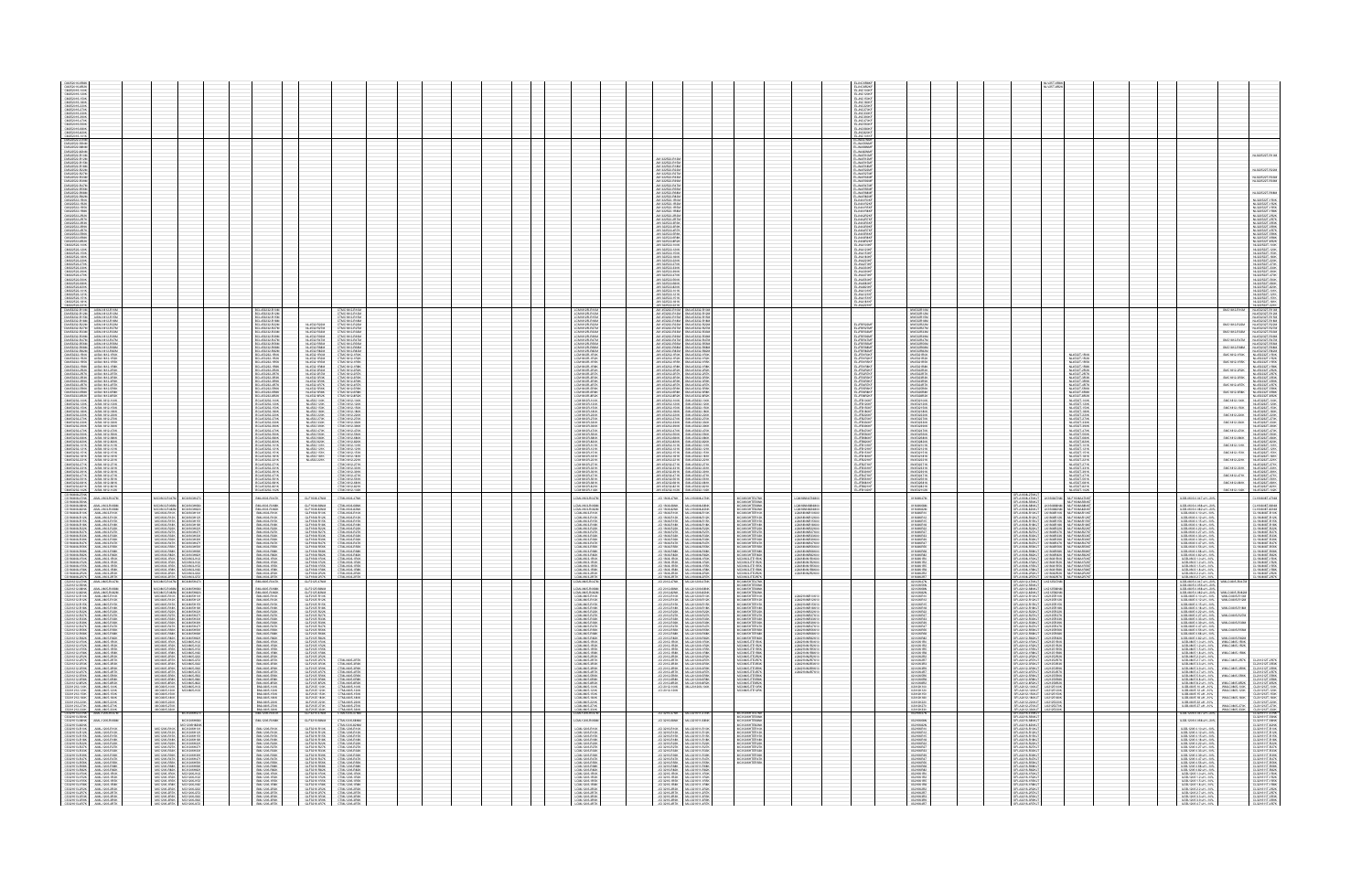| CM252016-6R8K<br>CM252016-8R2K<br>CM252016-100K<br>CM252016-120K<br>CM252016-150K<br>CM252016-180K<br>CM252016-220K<br>CM252016-270K<br>CM252016-330K<br>CM252016-390K<br>CM252016-470K<br>CM252016-560K<br>CM252016-680K<br>CM252016-820K<br>CM322522-47NM<br>CM322522-56NM<br>CM322522-68NM<br>CM322522-R12M<br>CM322522-R15M<br>CM322622E18M<br>CM322522-R27M<br>CM322522-R33M<br>2522-R39M<br>CM322522-R47M<br>CM322522-R56M<br>CM322522-R68M<br>CM322522-R82M<br>CM322522-1R0K<br>CM322522-1R2K<br>CM322522-1R5K<br>CM322522-1R8K<br>2522-2R2K<br>CM322522-2R7K<br>CM322522-3R3K<br>CM322522-3R9K<br>CM322522-4R7K<br>CM322522-5R6K<br>CM322522-6R8K<br>CM322522-120K<br>CM322522-150K<br>CM322522-180K                                                                                                                                                                                                                                                                                                                                                                                                                                                                                                                                                                                                                                                                                                                                                                                                                                                                                                                                                                                                                                                                                                                                                                                                                                                                                                                                                                                                                                                                                                                                                                                                                                                                                                                                                                                                                                                                                                                                                                     |                                                                                                                                                                                                                                                                                                                                                                                                                                                                                                                                                                                                                                                                                                                                                                                                                                                                                                                                                                                                                                                                                                                                                                                                                                                                                                                                                                                                                                                                                                                                                                                                                                                                                                                                                                                                                                                             |                                                                                                                                                                                                                                                                                                                                                                                                                                                                                                                                                                                                                                                                                                                                                                                                                                                                                                                                                                                                                                                          | JWI 322522-R1<br>JWI 322522-R15M<br>JWI 322522-R15M<br>JWI 322522-R27M<br>JWI 322522-R27M<br>JWI 322522-R3<br>JWI 322522-R39M<br>JWI 322522-R568<br>JWI 322522-R<br>JWI 322522-R82M<br>JWI322522-1R2<br>JWI 322522-1R58<br>JWI 322522-1R88<br>JWI 322522-2R<br>JWI 322522-2R7<br>JWI 322522-3R3K<br>JW 322522-3R9K<br>JW 322522-4R7K<br>JW 322522-5R6K<br>JWI 322522-6R8K<br>M1322522-8R2K<br>M1322522-100K<br>M1322522-120K<br>JWI 322522-150K<br>JWI 322522-22                                                                                                                                                                                                                                                                                                                                                                                                                                                                                                                                                                                                                                                                                                                                                                                                                                                                                                                                                                                                                                                                                                                                                                                                                                                                                                                                                                                                                                                                                                                                                                                                                                                                                                                                                                                                                                               | ELJNC6R8K<br>ELJNC8R2K<br>ELJNC120KF<br>ELJNC150KF<br>ELJNC180KF<br>ELINC220KF<br>ELJNC330KF<br>ELJNC390KF<br>ELJNC470KF<br>ELJNC560K<br>ELJNC680KF<br>ELJNC820KF<br>ELJNC101KF<br>ELJNA47NMF<br><b>ELJNAS6NM</b><br>ELJNA68NM<br>ELJNAR12MF<br>ELJNAR15MF<br>ELJNAR18ME<br>ELJNAR27MF<br>ELJNAR33MF<br>ELJNAR39M<br>ELJNAR47ME<br><b>ELJNARSEME</b><br>ELJNAR82MF<br>ELJNA1R0KF<br>ELJNA1R2KF<br>ELJNA1R5KF<br>ELJNA1R8K<br>ELJNA2R7KI<br>ELJNA3R3KF<br>ELJNA3R9KF<br>ELJNA4R7KF<br>ELJNA5R6KF<br>ELJNA6R8KF<br>ELJNA120KF<br>ELJNA150KF<br>ELJNA180KF<br>ELJNA220KF<br>ELJNA270KF                                                                                                                                                                                                                                                                                                                                                                                                       | NLV25T-6R8<br>NLV25T-8R2<br>NL322522T-R22<br>NL322522T-R33M<br>NL322522T-R39M<br>NL322522T-1R0K<br>NL322522T-1R2K<br>NL322522T-1R5K<br>NL322522T-1R8K<br>N.322522T-2R2K<br>NL322522T-2R7K<br>NL322522T-3R3K<br>NL322522T-3R9K<br>NL322522T-4R7K<br>NL322522T-5R6K<br>NL322522T-6R8K<br>NL322522T-8R2K<br>NL322522T-100K<br>NL322522T-120K<br>NL322522T-150K<br>NL322522T-180K<br>NL322522T-220K<br>NL322522T-270K                                                                                                                                                                                                                                                                                                                                                                                                                                                                                                                                                                                                                                                                                                                                                                                                                                                                                                                                                                                                                                                                                                                                                                                                                                                                                                                                                                                                                                                                                                                                                                                                                                                                                                                                                                                                                                                                                                                                                                                                                                                                                                                                                                                                                                                                                                                                                                                                                                                                                                                                      |
|----------------------------------------------------------------------------------------------------------------------------------------------------------------------------------------------------------------------------------------------------------------------------------------------------------------------------------------------------------------------------------------------------------------------------------------------------------------------------------------------------------------------------------------------------------------------------------------------------------------------------------------------------------------------------------------------------------------------------------------------------------------------------------------------------------------------------------------------------------------------------------------------------------------------------------------------------------------------------------------------------------------------------------------------------------------------------------------------------------------------------------------------------------------------------------------------------------------------------------------------------------------------------------------------------------------------------------------------------------------------------------------------------------------------------------------------------------------------------------------------------------------------------------------------------------------------------------------------------------------------------------------------------------------------------------------------------------------------------------------------------------------------------------------------------------------------------------------------------------------------------------------------------------------------------------------------------------------------------------------------------------------------------------------------------------------------------------------------------------------------------------------------------------------------------------------------------------------------------------------------------------------------------------------------------------------------------------------------------------------------------------------------------------------------------------------------------------------------------------------------------------------------------------------------------------------------------------------------------------------------------------------------------------------------------------|-------------------------------------------------------------------------------------------------------------------------------------------------------------------------------------------------------------------------------------------------------------------------------------------------------------------------------------------------------------------------------------------------------------------------------------------------------------------------------------------------------------------------------------------------------------------------------------------------------------------------------------------------------------------------------------------------------------------------------------------------------------------------------------------------------------------------------------------------------------------------------------------------------------------------------------------------------------------------------------------------------------------------------------------------------------------------------------------------------------------------------------------------------------------------------------------------------------------------------------------------------------------------------------------------------------------------------------------------------------------------------------------------------------------------------------------------------------------------------------------------------------------------------------------------------------------------------------------------------------------------------------------------------------------------------------------------------------------------------------------------------------------------------------------------------------------------------------------------------------|----------------------------------------------------------------------------------------------------------------------------------------------------------------------------------------------------------------------------------------------------------------------------------------------------------------------------------------------------------------------------------------------------------------------------------------------------------------------------------------------------------------------------------------------------------------------------------------------------------------------------------------------------------------------------------------------------------------------------------------------------------------------------------------------------------------------------------------------------------------------------------------------------------------------------------------------------------------------------------------------------------------------------------------------------------|----------------------------------------------------------------------------------------------------------------------------------------------------------------------------------------------------------------------------------------------------------------------------------------------------------------------------------------------------------------------------------------------------------------------------------------------------------------------------------------------------------------------------------------------------------------------------------------------------------------------------------------------------------------------------------------------------------------------------------------------------------------------------------------------------------------------------------------------------------------------------------------------------------------------------------------------------------------------------------------------------------------------------------------------------------------------------------------------------------------------------------------------------------------------------------------------------------------------------------------------------------------------------------------------------------------------------------------------------------------------------------------------------------------------------------------------------------------------------------------------------------------------------------------------------------------------------------------------------------------------------------------------------------------------------------------------------------------------------------------------------------------------------------------------------------------------------------------------------------------------------------------------------------------------------------------------------------------------------------------------------------------------------------------------------------------------------------------------------------------------------------------------------------------------------------------------------------------------------------------------------------------------------------------------------------------|-------------------------------------------------------------------------------------------------------------------------------------------------------------------------------------------------------------------------------------------------------------------------------------------------------------------------------------------------------------------------------------------------------------------------------------------------------------------------------------------------------------------------------------------------------------------------------------------------------------------------------------------------------------------------------------------------------------------------------------------------------------------------------------------------------------------------------------------------------------------------------------------------------------------------------------------------------------------------------------------|--------------------------------------------------------------------------------------------------------------------------------------------------------------------------------------------------------------------------------------------------------------------------------------------------------------------------------------------------------------------------------------------------------------------------------------------------------------------------------------------------------------------------------------------------------------------------------------------------------------------------------------------------------------------------------------------------------------------------------------------------------------------------------------------------------------------------------------------------------------------------------------------------------------------------------------------------------------------------------------------------------------------------------------------------------------------------------------------------------------------------------------------------------------------------------------------------------------------------------------------------------------------------------------------------------------------------------------------------------------------------------------------------------------------------------------------------------------------------------------------------------------------------------------------------------------------------------------------------------------------------------------------------------------------------------------------------------------------------------------------------------------------------------------------------------------------------------------------------------------------------------------------------------------------------------------------------------------------------------------------------------------------------------------------------------------------------------------------------------------------------------------------------------------------------------------------------------------------------------------------------------------------------------------------------------------------------------------------------------------------------------------------------------------------------------------------------------------------------------------------------------------------------------------------------------------------------------------------------------------------------------------------------------------------------------------------------------------------------------------------------------------------------------------------------------------------------------------------------------------------------------------------------------------------------------------------------------|
| CM322522-270K<br>CM322522-330K<br>CM322522-390K<br>322522-560K<br>CM322522-680K<br>CM322522-820K<br>CM322522-121K<br>CM322522-151K<br>CM322522-181K<br>CM453232-R10M AISM-1812-R10<br>CM453232-R12M AISM-1812-R12M<br>CMS3232-R15M AISM-1812-R15M<br>CMS3232-R16M AISM-1812-R16M<br>CMS3232-R22M AISM-1812-R22M<br>CM453232-R27M AISM-1812-R27M<br>CM453232-R33M AISM-1812-R33M<br>CM453232-R39M AISM-1812-R39M<br>CM453232-R47M AISM-1812-R47M<br>CM453232-R56M AISM-1812-R56M<br>CM453232-R68M AISM-1812-R68M<br>CM453232-R82M AISM-1812-R82M<br>CM453232-R82M AISM-1812-R82M<br>CM453232-1R0K AISM-1812-1R0K<br>CM453232-1R2K AISM-1812-1R2K<br>CM453232-1R5K AISM-1812-1R5K<br>CM453232-1R8K AISM-1812-1R8K<br>CM453232-2R2K AISM-1812-1R8K<br>CM453232-2R7K AISM-1812-2R7K<br>CM453232-3R3K AISM-1812-3R3K<br>CM453232-3R9K AISM-1812-3R9K<br>CM453232-4R7K AISM-1812-4R7K<br>CM453232-5R6K AISM-1812-5R6K<br>CM453232-6R8K AISM-1812-6R8K<br>CM453232-8R2K AISM-1812-8R2K<br>CM453232-100K AISM-1812-100K<br>CM453232-120K AISM-1812-120K<br>CM453232-150K AISM-1812-150K<br>CM453232-180K AISM-1812-180K<br>CM453232-220K AISM-1812-220K<br>CM453232-270K AISM-1812-270K<br>CM453232-330K AISM-1812-330K<br>CM453232-390K AISM-1812-390K<br>CM453232-470K AISM-1812-470K<br>CM453232-560K AISM-1812-560K<br>CM453232-680K AISM-1812-680K<br>CM453232-820K AISM-1812-820K<br>CM453232-101K AISM-1812-101K                                                                                                                                                                                                                                                                                                                                                                                                                                                                                                                                                                                                                                                                                                                                                                                                                                                                                                                                                                                                                                                                                                                                                                                                                                                                  | CTMC1812-R10<br>BCL453232-R10M<br>BCL453232-R12M<br>CTMC1812-R12M<br>BCL453232-R15M<br>CTMC1812-R15<br>CTMC1812-R18<br>BCL453232-R22M<br>NL4532 R22M CTMC1812-R22M<br>BCL453232-R27M<br>NL4532 R27M CTMC1812-R27M<br>BCL453232-R33M<br>NL4532 R33M CTMC1812-R33M<br>BCL453232-R39M<br>NL4532 R39M<br>BCL453232-R47M<br>NL4532 R47M CTMC1812-R47M<br>BCL453232-R56M<br>NL4532 R56M CTMC1812-R56M<br>BCL453232-R68M<br>NL4532 R68M CTMC1812-R68M<br>BCL453232-R82M<br>BCL453232-1R0K<br>BCL453232-1R2K<br>NL4532 R82M CTMC1812-R82M<br>NL4532 1R0M CTMC1812-1R0K<br>NL4532 1R2M CTMC1812-1R2K<br>BCL453232-1R5K<br>NL4532 1R5M CTMC1812-1R5K<br>NL4532 1R8M CTMC1812-1R8K<br>NL4532 2R2M CTMC1812-2R2K<br>BCL453232-1R8<br>BCL453232-2R7K<br>NL4532 2R7M CTMC1812-2R7K<br>BCL453232-3R3K<br>NL4532 3R3K CTMC1812-3R3K<br>NL4532 3R9K CTMC1812-3R9K<br>NL4532 4R7K CTMC1812-4R7K<br>BCL453232-5R6K<br>NL4532 5R6K CTMC1812-5R6K<br>BCL453232-6R8K<br>NL4532 6R8K CTMC1812-6R8K<br>NL4532 8R2K<br>CTMC1812-8R2K<br>BCL453232-8R2K<br>NL4532 100K<br>NL4532 120K CTMC1812-120K<br>BCL453232-150K<br>NL4532 150K<br>CTMC1812-150K<br>BCL453232-180K<br>NL4532 180K CTMC1812-180K<br>NL4532 220K CTMC1812-220K<br>NL4532 270K CTMC1812-270K<br>BCL453232.221K<br>BCL453232.271K<br>BCL453232.531K<br>NL4532 330K CTMC1812-330K<br>BCL453232-390K<br>NL4532 390K CTMC1812-390K<br>NL4532470K<br>NL4532560K<br>CTMC1812-560<br>BCL453232-680K<br>NL4532 680K CTMC1812-680K<br>NL4532 820K CTMC1812-820K<br>NL4532 101K CTMC1812-101K<br>BCL453232-820K<br>BCL453232-101K                                                                                                                                                                                                                                                                                             | LCM1812R-R1<br>LCM1812R-R12M<br>LCM1812R-R15M<br>LCM1812R-R15M<br>LCM1812R-R22M<br>LCM1812R-R33M<br>LCM1812R-R33M<br>LCM1812R-R47M<br>LCM1812R-R47M<br>CM1812R-R66M<br>CM1812R-R66M<br>CM1812R-R6M<br>CM1812R-1R0K<br>CM1812R-1R6K<br>CM1812R-1R8K<br>CM1812R-2R2K<br>CM1812R-2R2K<br>CM1812R-2R2K<br>LCM1812R-2R7K<br>LCM1812R-3R3K<br>LCM1812R-3R9K<br>LCM1812R-4R7K<br>LCM1812R-5R6K<br>LCM1812R-6R8K<br>LCM1812R-8R2K<br>LCM1812R-100K<br>LCM1812R-120K<br>LCM1812R-150K<br>LCM1812R-220K<br>LCM1812R-220K<br>LCM1812R-390K<br>LCM1812R-470K<br>LCM1812R-560K<br>LCM1812R-560K<br>LCM1812R-560K<br>LCM1812R-680K<br>LCM1812R-820K<br>LCM1812R-101K<br>LCM1812R-121K                                                                                                                                                                                                                                                                                                                                                                                  | JWI 322522-270<br>JWI 322522-330<br>JWI 322522-390K<br>JWI 322522-47<br>JWI 322522-560K<br>JWI 322522-820K<br>JWI 322522-101K<br>JWI 322522-121K<br>JWI 322522-151K<br>JWI 322522-181K<br>JWI 453232-R10M SMI-453232-R10M<br>JWI 453232-R12M SMI-453232-R12M<br>JWI 453232-R15M SMI-453232-R15M<br>JWI 453232-R18M SMI-453232-R18M<br>JWI 453232-R22M SMI-453232-R22M<br>JWI 453232-R27M SMI-453232-R27M<br>JWI 453232-R33M SMI-453232-R33M<br>JWI453232-R35M SMI453232-R35M<br>JWI 453232-R56M SMI-453232-R56M<br>JWI 453232-R68M SMI-453232-R68M<br>JWI 453232-R82M SMI-453232-R82M<br>JWI 453232-1R0K SMI-453232-1R0K<br>JWI 453232-1R2K SMI-453232-1R2K<br>JWI 453232-1R5K SMI-453232-1R5K<br>JWI 453232-1R8K SMI-453232-1R8K<br>JWI 453232-2R2K SMI-453232-2R2K<br>JWI 453232-2R7K SMI-453232-2R7K<br>JWI 453232-3R3K SMI-453232-3R3K<br>JWI 453232-5R6K SMI-453232-5R6K<br>JWI 453232-6R8K SMI-453232-6R8K<br>JWI453232-8R2K SMI-453232-8R2K<br>JWI453232-100K SMI-453232-100K<br>JWI 453232-120K SMI-453232-120K<br>JWI 453232-150K SMI-453232-150K<br>JWI 453232-180K SMI-453232-180K<br>JW 453232-220K SM 453232-220K<br>JW 453232-270K SM 453232-270K<br>JW 453232-330K SM 453232-330K<br>JWI 453232-390K SMI-453232-390K<br>JWI453232-470K SMI-453232-470K<br>JWI453232-560K SMI-453232-560K<br>JWI 453232-680K SMI-453232-680K<br>JWI 453232-820K SMI-453232-820K<br>JW 453232-101K SMI-453232-101K<br>JW 453232-121K SMI-453232-121K                                                                                                                                                                                                                                                                                                                                                                                                                                                                                                                                                                                                                                                                                                                                                                                                                                                              | ELJNA330KF<br>ELJNA390KF<br>ELJNA680KF<br>ELJNA820KF<br>ELJNA101KF<br>ELJNA151KF<br>ELJNA181KF<br>ELJNA221KF<br>W4532R10M<br>W4532R12M<br>W4532R15M<br>W4532R18M<br>W4532R22M<br>ELJFBR22M<br>ELJFBR27MF<br>W4532R27M<br>ELJFBR33M<br>W4532R33M<br>ELJFBR35MF<br>W4532R39M<br>ELJFBR56M<br>W4532R56M<br>ELJFBR68MF<br>W4532R68M<br>ELJFBR82MF<br>ELJFB1R0KF<br>ELJFB1R2KF<br>W4532R82M<br>M45321R2K<br>ELJFB1R5KF<br>IW45321R5K<br>ELJFB1R8KF<br>ELJFB2R2KF<br>ELJFB2R7KF<br>M45322R7K<br>ELJFB3R3KF<br>M45323R3K<br>ELJFB3R9KF<br>ELJFB4R7KF<br>ELJFB5R6KF<br>M45323R9K<br>M45325R6K<br><b>ELJFB6R8KF</b><br>M45326R8K<br>ELJFB8R2K<br>M45328R2K<br>ELJFB100KF<br>ELJFB120KF<br>W4532120K<br>ELJFB150K<br>M4532150K<br>ELJFB180KF<br>M4532180K<br>ELJFB220KF<br>ELJFB270KF<br>ELJFB330KF<br>W4532220K<br>M4532330K<br>ELJFB390KF<br>M4532390K<br>ELJFB470K<br>W4532560K<br>ELJFB680KF<br>M4532680K<br>ELJFBR20K<br>M4532820K<br>ELJFB101K<br>M4532101K                                   | NL322522T-330K<br>NL322522T-390K<br>NL322522T-470K<br>NL322522T-560K<br>NL322522T-680K<br>NL322522T-820K<br>NL322522T-101K<br>NL322522T-121K<br>NL322522T-121K<br>NL322522T-151K<br>NL322522T-181K<br>NL322522T-221K<br>SMC1812-R10M NL453232T-R10M<br>NL453232T-R12M<br>NL453232T-R15M<br>NL453232T-R18M<br>NL453232T-R27M<br>SMC1812-R33M NL453232T-R33M<br>NL453232T-R39M<br>SMC1812-R47M NL453232T-R47M<br>NL453232T-R56M<br>SMC1812-R68M NL453232T-R68M<br>ML453232T-R82M<br>NL4532T-1R2K<br>NL453232T-1R2K<br>SMC1812-1R5K NL453232T-1R5K<br>NL453232T-1R5K<br>SMC1812-2R2K NL453232T-2R2K<br>NL4532T-1R5K<br>NL4532T-1RBK<br>NL4532T-2R2K<br>NL453232T-2R7K<br>NL4532T-2R7K<br>NL4532T-3R3K<br>SMC1812-3R3K NL453232T-3R3K<br>NL453232T-3R9K<br>NL4532T-3R9K<br>NL4532T-4R7K<br>NL4532T-5R6K<br>NL453232T-5R6K<br>NL4532T-6RBK<br>SMC1812-6R8K NL453232T-6R8K<br>NL453232T-6R8K<br>SMC1812-100K NL453232T-100K<br>NL453232T-100K<br>SMC1812-150K NL453232T-150K<br>NL4532T-BR2K<br>NL4532T-100K<br>NL4532T-120K<br>NL4532T-150K<br>NL4532T-180K<br>NL453232T-180K<br>SMC1812-220K NL453232T-220K<br>NL453232T-270K<br>SMC1812-330K NL453232T-330K<br>NL4532T-220K<br>NL4532T-270K<br>NL4532T-330K<br>NL4532T-390K<br>NL453232T-390K<br>SMC1812-470K NL453232T-470K<br>NL453232T-560K<br>NL453232T-560K<br>NL4532T-470K<br>NL4532T-680K<br>SMC1812-680K NL453232T-680K<br>NL4532T-820K<br>NL453232T-820K<br>SMC1812-101K NL453232T-101K<br>NL453232T-121K<br>NL45323ZT-121K<br>NL4532T-101K                                                                                                                                                                                                                                                                                                                                                                                                                                                                                                                                                                                                                                                                                                                                                                                                                                                                                                                                                                                                                                                                                                                                                                                                                                                                                                                                                                                                                                                      |
| CM453232-121K AISM-1812-121K<br>CM453232-151K AISM-1812-151K<br>CM453232-181K AISM-1812-181K<br>CM453232-221K AISM-1812-221K<br>CM453232-271K AISM-1812-271K<br>CM453232-331K AISM-1812-331K<br>CM453232-391K AISM-1812-391K<br>CM453232-471K AISM-1812-471K<br>CM453232-561K AISM-1812-561K<br>CM453232-681K AISM-1812-681K<br>CM453232-821K AISM-1812-821K<br>CM453232-102K AISM-1812-102K<br>CS160808-27NK<br>CS160808-47NK AML-0603-R047M<br>MIC0603-R047M MCI0603H4<br>CS160808-56NK<br>CS160808-68NK AML-0603-R068M<br>CS160808-82NK AML-0603-R068M<br>CS160808-R10K AML-0603-R10K<br>MIC0603-R068M MCI0603H680<br>MIC0603-R10K MCI0603H101<br>CS160808-R12K AIML-0603-R12K<br>MIC0603-R12K MCI0603H121<br>CS160808-R15K AIML-0603-R15K<br>CS160808-R18K AIML-0603-R18K<br>CS160808-R22K AIML-0603-R22K<br>MIC0603-R22K MCI0603H221<br>CS160808-R27K AIML-0603-R27K<br>MIC0603-R27K MCI0603H27<br>CS160808-R33K AIML-0603-R33K<br>MIC0603-R33K MCI060<br>CS160808-R39K AIML-0603-R39K<br>MIC0603-R39K MCI0603H391<br>CS160808-R47K AIML-0603-R47K<br>MIC0603-R47K MCI0603H471<br>CS160808-R56K AIML-0603-R56K<br>CS160808-R68K AIML-0603-R68K<br>MIC0603-R56K MCI0603H5<br>MIC0603-R68K MCI0603H681<br>CS160808-R82K AIML-0603-R82K<br>CS160808-1R0K AIML-0603-1R0K<br>CS160808-1R2K AIML-0603-1R2K<br>MIC0603-1R2K MCI0603J122<br>CS160808-1RSK AIML-0603-1RSK<br>CS160808-1RSK AIML-0603-1RSK<br>CS160808-2R2K AIML-0603-2R2K<br>MIC0603-1R5K MCI0603J152<br>MIC0603-1R8K MCI0603J182<br>MIC0603-2R2K MCI0603J222<br>CS160808-2R7K AIML-0603-2R7K<br>MIC0603-2R7K MCI0603J272<br>CS201212-47NK AML-0805-R047M<br>CS201212-56NK AML-0805-R058M<br>CS201212-82NK AIML-0805-R082M<br>MIC0805-R082M MCI0805H820<br>MIC0805-R10K MCI0805H101<br>MIC0805-R12K MCI0805H121<br>CS201212-R10K AIML-0805-R10K<br>CS201212-R12K AIML-0805-R12K<br>CS201212-R15K AIML-0805-R15K<br>MIC0805-R15K MCI0805H151<br>CS201212-R18K AIML-0805-R18K<br>MIC0805-R18K MCI0805H181<br>MIC0805-R22K MCI0805H221<br>MIC0805-R27K MCI0805H221<br>12-R22K AIML-0805-R22<br>CS201212-R27K AIML-0805-R27K<br>CS201212-R33K AIML-0805-R33K<br>MIC0805-R33K MCI0805H331<br>CS201212-R39K AIML-0805-R39K<br>CS201212-R47K AIML-0805-R47K<br>MIC0805-R39K MCI0805H3<br>MIC0805-R47K MCI0805H47                                                                                                                                                                                                                                                                                                                                                                                                            | BCL453232-121K<br>NL4532 121K CTMC1812-121K<br>BCL453232-151K<br>NL4532.151K CTMC1812-151K<br>BCL453232-181K<br>NL4532 181K CTMC1812-181K<br>BCL453232-221K<br>NL4532 221K CTMC1812-221K<br>BCL453232-271K<br>CTMC1812-271K<br>BCL453232-331K<br>CTMC1812-331K<br>BCL453232-391K<br>CTMC1812-391K<br>BCL453232-471K<br>CTMC1812-471K<br>BCL453232-561K<br>BCL453232-681K<br>CTMC1812-681K<br>BCL453232-821K<br>BCL453232-102K<br>CTMC1812-821K<br>CTMC1812-102K<br>CTML0603-47N<br>BML0603-R047<br>GLF1608 47NM<br>BML0603-R068K<br>BML0603-R082K<br>BML0603-R10K<br>GLF1608 68NM<br>CTML0603-68NK<br>GLF1608 82NM<br>GLF1608 R10K CTML0603-R10K<br>BML0603-R12K<br>GLF1608 R12K CTML0603-R12K<br>GLF1608 R15K<br>GLF1608 R18K<br>BML0603-R22K<br>GLF1608 R22K CTML0603-R22K<br>BML0603-R27K<br>GLF1608 R27K CTML0603-R27K<br>BML0603-R33K<br>GLF1608 R33K<br>BML0603-R39K<br>GLF1608 R39K CTML0603-R39K<br>BML0603-R47K<br>GLF1608 R47K CTML0603-R47K<br>BML0603-R56K<br>BML0603-R68K<br>GLF1608 R56K<br>GLF1608 R68K CTML0603-R68K<br>GLF1608 R82K<br>BML0603-1R2K<br>GLF1608 1R2K<br>CTML0603-1R2K<br>BML0603-1R5K<br>BML0603-1R8K<br>BML0603-2R2K<br>BML0603-2R7K<br>GLF16081RSK CTML0603-1RSK<br>GLF16081R8K CTML0603-1R8K<br>GLF16082R2K CTML0603-2R2K<br>GLF1608 2R7K CTML0603-2R7K<br><b>BML0805-R</b><br>GLF2125 47NM<br>GLF2125 68N<br>BML0805-R082K<br>GLF2125 82NM<br>GLF2125 R10K<br>GLF2125 R12K<br>BML0805-R10H<br>BML0805-R15K<br>GLF2125 R15K<br>BML0805-R18K<br>BML0805-R22K<br>GLF2125 R18K<br>GLF2125 R22K<br>BML0805-R27K<br>GLF2125 R27K<br>BML0805-R33K<br>GLF2125 R33K<br>BML0805-R39K<br>GLF2125 R39K<br>BML0805-R47K<br>GLF2125 R47K                                                                                                                                                                                              | LCM1812R-151K<br>LCM1812R-181K<br>LCM1812R-221K<br>LCM1813R-271K<br>LCM1812R-271K<br>LCM1812R-331K<br>LCM1812R-391K<br>LCM1812R-471K<br>LCM1812R-561K<br>LCM1812R-681<br>LCM1812R-821K<br>LCM1812R-102K<br>LCML0603-R047<br>LCML0603-R068M<br>LCML0603-R082M<br>LCML0603-R10K<br>LCML0603-R12K<br>LCML0603-R15K<br>LCML0603-R18K<br>LCML0603-R22K<br>LCML0503-R27K<br>LCML0503-R33K<br>LCML0503-R35K<br>LCML0503-R47K<br>$LCML0503-RS6$<br>LCML0603-R68K<br>LCML0603-R82K<br>LCML0603-1R0K<br>LCML0603-1R2K<br>LCML0503-1R5K<br>LCML0603-1R8K<br>LCML0503-2R7K<br>ML0805-R04<br>LCML0805-R<br>LCML0805-R082M<br>LCML0805-R10K<br>LCML0805-R12K<br>LCML0805-R15K<br>LCML0805-R18K<br>LCML0805-R22K<br>LCML0805-R27K<br>LCML0805-R33K<br>LCML0805-R39K<br>LCML0805-R47K<br>LCML0805-R56K<br>LCML0805-R68K                                                                                                                                                                                                                                                  | JWI 453232-151K SMI-453232-151K<br>JWI 453232-181K SMI-453232-181K<br>JWI 453232-221K SMI-453232-221K<br>JWI 453232-271K SMI-453232-271K<br>JWI 453232-331K SMI-453232-331K<br>JWI 453232-391K SMI-453232-391K<br>JW453232-471K SML453232-471K<br>JW453232-561K SML453232-561K<br>JWI 453232-681K SMI-453232-681K<br>JWI 453232-821K SMI 453232-821K<br>JWI 453232-102K SMI-453232-102K<br>JCI 1608-47NK MLI-160808-47NK<br>MCI0603HTE47N<br>LOM18NN47<br>MCI0603HTE56NK<br>JCI 1608-68NK MLI-160808-68NK<br>JCI 1608-82NK MLI-160808-82NK<br>JCI 1608-R10K MLI-160808-R10K<br>LOM18NNS<br>LOM18NNR10K00<br>MCI0603HTER10K<br>JCI 1608-R12K MLI-160808-R12K<br>MCI0603HTER12K<br>LOM18NNR12K00<br>JCI 1608-R15K MLI-160808-R15K<br>JCI 1608-R18K MLI-160808-R18K<br>MCI0603HTER15<br>LOM18NNR15K00<br>JCI 1608-R22K MLI-160808-R22K<br>MCI0603HTER22K<br>LOM18NNR22K00<br>JCI 1608-R27K MLI-160808-R27K<br>MCI0603HTER27K<br>LOM18NNR27K00<br>JCI 1608-R33K MLI-160808-R33K<br>MCI0603HTER33<br>LOM18NNR33K00<br>JCI 1608-R39K MLI-160808-R39K<br>MCI0603HTER39K<br>JCI 1608-R47K MLI-160808-R47K<br>MCI0603HTER47K<br>LOM18NNR47K00<br>JCI 1608-R56K MLI-160808-R56K<br>MCI0603HTER56K<br>LOM18NNR56K<br>JCI 1608-R68K MLI-160808-R68K<br>MCI0603HTER68P<br>LOM18NNR68K0<br>LQM18NN<br>JCI 1608-R82K<br>MLI-160808-R82<br>LOM <sub>18N</sub><br>JCI 1608-1R2K MLI-160808-1R2K<br>MC/0603JTE1R2K<br>LOM18NN1R2K00<br>JCJ 1608-1R5K MLL-160808-1R5K<br>JCJ 1608-1R8K MLL-160808-1R8K<br>JCJ 1608-2R2K MLL-160808-2R2K<br>JCJ 1608-2R7K MLL-160808-2R7K<br>MCD6031TE1RSK<br>MCD6031TE1RSK<br>MCD6031TE2RXX<br>LOM18NN1R5K00<br>LOM18NN1R8K00<br>LOM18NN2R2K00<br>MCI0603JTE2R7K<br>JCI 2012-47NK<br>MCI0805HTE47NH<br>MCI0805HTE56NK<br>JCI 2012-68NK MLI-201209-68N<br>MCI0805HTE68NK<br>JCI 2012-82NK MLI-201209-82NK<br>MCI0805HTE82NK<br>JCI 2012-R10K MLI-201209-R10K<br>LOM21NNR10K1<br>JCI 2012-R15K MLI-201209-R15K<br>MCI0805HTER15K<br>LOM21NNR15K10<br>JCI 2012-R18K MLI-201209-R18K<br>MCI0805HTER18K<br>LOM21NNR18K10<br>MCI0805HTER22<br>JCI 2012-R27K MLI-201209-R27<br>JCI 2012-R33K MLI-201209-R33K<br>MCI0805HTER33K<br>LOM21NNR33K10<br>JCI 2012-R39K MLI-201209-R39K<br>MCI0905HTER39K<br>LOM21NNR39K10<br>LOM21NNR47K10<br>LOM21NNR56K10<br>JCI 2012-R47K MLI-201209-R47K<br>MCI0805HTER47K | ELJFB121KF<br>ELJFB151KF<br>M4532151K<br>ELJFB181KF<br>M4532181K<br>ELJFB221KF<br>M4532221K<br>ELJFB271KF<br>M4532271K<br>ELJFB331KF<br>M4532331K<br>ELJFB391KF<br>M4532391K<br>ELJFB471KF<br>ELJFB561KF<br>ELJFB581KF<br>M4532471K<br>M4532561K<br>M4532681K<br>ELJFBR21KF<br>M4532821K<br>II1608K47M<br>SFI-A1608-56NKJT<br>II1608K68M<br>11608K82M<br>II1608KR12<br>11608KR15<br>II1608KR22<br>11608KR27<br>11608KR33<br>11608KR47<br>11608KR56<br>11608KR68<br>II1608K1R2<br>11608K1R5<br>11608K1R8<br>11608K2R2<br>II1608K2R7<br><b>II2012K47N</b><br>SFI-A2012-47NKJT LK2<br>12012K56N<br>SFI-A2012-56NKJT<br>II2012K68N<br>SFI-A2012-68NKJT LK212<br>12012K82N<br>12012KR10<br>12012KR15<br>12012KR18<br>12012KR22<br>12012KR27<br>12012KR33<br>12012KR39                                                                                                                                                                                                                          | NL4532T-121K<br>SMC1812-151K NL4532327-151K<br>NL4532327-181K<br>SMC1812-221K NL4532327-221K<br>NL4532327-271K<br>NL4532327-271K<br>NL4532T-151K<br>NL4532T-181K<br>NL4532T-221K<br>NL4532T-271K<br>NL4532T-331K<br>SMC1812-331K NL453232T-331K<br>NL4532T-391K<br>NL453232T-391K<br>NL4532T-471K<br>NL4532T-561K<br>SMC1812-471K NL453232T-471K<br>NL453232T-561K<br>SMC1812-681K NL453232T-681K<br>NL4532T-681K<br>NL4532T-821K<br>NL453232T-821K<br>SMC1812-102K NL453232T-102K<br>NL4532T-102K<br>CL160808T-47NM<br>ILSB-0603 0.047 uH -2<br>SFI-A1608-47NKJT LK160847<br>MLF1608A47NH<br>MLF1608A56NKT<br>CL160808T-68NM<br>CL160808T-82NM<br>CL160808T-R10K<br>SFI-A1608-68NKJT LK160868NM MLF1608A68NK<br>ILSB-0603 0.068 uH -20%<br>ILSB-0603 0.082 uH -20%<br>SFI-A1608-R10KJT LK1608R10K MLF1608AR10KT<br>SFI-A1608-R12KJT LK1608R12K MLF1608AR12KT<br>ILSB-0603 0.12 uH -10%<br>CL160808T-R12K<br>CL160808T-R15K<br>CL160808T-R18K<br>SFI-A1608-R18KJT LK1608R18K MLF1608AR18KT<br>SFI-A1608-R22KJT LK1608R22K MLF1608AR22KT<br>LSB-0603 0.22 uH -10%<br>CL160808T-R22K<br>SFI-A1608-R27KJT LK1608R27K MLF1608AR27KT<br>ILSB-0603 0.27 uH -10%<br>CL160808T-R27K<br>SFI-A1608-R33KJT LK1608R33K MLF1608AR33K<br>ILSB-0603 0.33 uH-1<br>CL160808T-R33K<br>SFI-A1608-R39KJT LK1608R39K MLF1608AR39KT<br>ILSB-0603 0.39 uH -10%<br>SFI-A1608-R47KJT LK1608R47K MLF1608AR47KT<br>ILSB-0603 0.47 uH -10%<br>CL160808T-R47K<br>SFI-A1608-R56KJT LK1608R56K MLF1608AR56K<br>ILSB-0603 0.56 uH -10%<br>CL160808T-R56K<br>SFI-A1608-R68KJT LK1608R68K MLF1608AR68KT<br>CL160808T-R82K<br>ILSB-0603 0.82 uH -10%<br>SFI-A1608-1R0KJT LK16081R0K MLF1608A1R0<br>LSB-0603 1.0 uH-10<br>SFI-A1608-1R2KJT LK16081R2K MLF1608A1R2KT<br>ILSB-0603 1.2 uH -109<br>CL160808T-1R2K<br>SFIA1608-1RSKJT LK16081RSK MLF1608A1RSKT<br>SFIA1608-1RSKJT LK16081RSK MLF1608A1RSKT<br>SFIA1608-2RXLT LK16082R2K MLF1608A2R2KT<br>LSB-0603 1.5 uH -10%<br>$\begin{array}{r c} \text{C1-160808751R5K} \\ \text{C1-160808751R8K} \\ \text{C1-160808752R3K} \\ \text{C1-160808752R7K} \end{array}$<br>1.58-0603 1.8 uH - 10%<br>1.58-0603 2.2 uH - 10%<br>1.58-0603 2.7 uH - 10%<br>SFI-A1608-2R7KJT LK16082R7K MLF1608A2R7KT<br>ILSB-0805 0.047 uH -- 20% WMLC0805-R047M<br>ILSB-0805 0.056 uH -20%<br>ILSB-0805 0.058 uH -- 20%<br>SFI-A2012-82NKJT LK212582NM<br>ILSB-0805 0.082 uH -20% WMLC0805-R082M<br>SFI-A2012-R10KJT LK2125R10K<br>SFI-A2012-R12KJT LK2125R12K<br>1LSB-0805 0.10 uH -10%<br>WMLC0805-R12M<br>ILSB-0805 0.15 uH -10%<br>SFI-A2012-R15KJT LK2125R15K<br>SFI-A2012-R18KJT LK2125R18K<br>ILSB-0805 0.18 uH -10% WMLC0805-R18M<br>SFI-A2012-R22KJT LK2125R22<br>ILSB-0805 0.22 uH-10%<br>ILSB-0805 0.27 uH-10%<br>ILSB-0805 0.33 uH-10%<br><b>WMLC0805-R27M</b><br>SFI-A2012-R27KJT LK21<br>SFI-A2012-R33KJT LK2125R33K<br>ILSB-0805 0.39 uH -10% WMLC0805-R39M<br>SFI-A2012-R39KJT LK2125R39<br>SFI-A2012-R47KJT LK2125R47K<br>ILSB-0805 0.47 uH-109 |
| CS201212-RSSK AML-0805-RSSK<br>CS201212-RSSK AML-0805-RSSK<br>CS201212-RS2K AML-0805-RS2K<br>MICOBOS-RS6K MCIOBOSHS61<br>MICOBOS-RS8K MCIOBOSHS81<br>MIC0805-R82K MCI0805H82<br>CS201212-1R0K AIML-0805-1R0K<br>MIC0805-1R0K MCl0805J102<br>CS201212-1R2K AIML-0805-1R2K<br>MIC0805-1R2K MC0805J122<br>MIC0805-1R5K MC0805J152<br>MIC0805-1R8K MC0805J182<br>CS201212-1R5K AIML-0805-1R5K<br>CS201212-1R8K AIML-0805-1R8K<br>CS201212-2R2K AML-0805-2R2K<br>CS201212-2R7K AML-0805-2R7K<br>CS201212-3R3K AML-0805-3R3K<br>CS201212-3R3K AML-0805-3R9K<br>MIC0805-2R2K MCI0805J222<br>MIC0805-2R7K MC10805.127<br>MIC0805-3R9K MCI0805J392<br>CS201212-4R7K AIML-0805-4R7K<br>CS201212-5R6K AIML-0805-5R6K<br>MIC0805-4R7K MCI0805J472<br>MIC0805-6R8K MCl0805J682<br>CS201212-6R8K AIML-0805-6R8K<br>CS201212-8R2K AIML-0805-8R2K<br>MIC0805-8R2K MCI0805J822<br>CS201212-100K AIML-0805-100K<br>CS201212-120K AIML-0805-120K<br>MIC0805-100K MCl0805J10<br>MIC0805-120K MCI0805J123<br>CS201212-150K AIML-0805-150K<br>MIC0805-150K<br>CS201212-180K AIML-0805-180K<br>CS201212-220K AIML-0805-220K<br>CS201212-270K AIML-0805-270K<br>MIC0805-180K<br>MIC0805-220K<br>MIC0805-270K<br>MIC0805-330K<br>CS201212-330K AIML-0805-330<br>CS321613-47NK AML-1206-R047M<br>MCI1206H47<br>CS321613-56NK<br>CS321613-68NK AIML-1206-R068M<br>MCI1206H680<br>CS321613-82NK<br>CS321613-R10K AIML-1206-R10K<br>MCH206H82NK<br>MIC1206-R10K MCI1206H101<br>CS321613-R12K AIML-1206-R12K<br>MIC1206-R12K MCI1206H121<br>CS321613-R15K AML-1206-R15K<br>CS321613-R18K AML-1206-R18K<br>CS321613-R22K AML-1206-R22K<br>MIC1206-R15K MCI1206H151<br>MIC1206-R18K MCI1206H181<br>MIC1206-R22K MCI1206H221<br>CS321613-R27K AIML-1206-R27K<br>MIC1206-R27K MCI1206H271<br>CS321613-R33K AIML-1206-R33K<br>CS321613-R39K AIML-1206-R39K<br>MIC1206-R33K MC11206H331<br>MIC1206-R39K MC11206H391<br>CS321613-R47K AIML-1206-R47K<br>MIC1206-R47K MCI1206H471<br>CS321613-R56K AIML-1206-R56K<br>CS321613-R68K AIML-1206-R68K<br>MIC1206-R56K MCI1206H561<br>MIC1206-R68K MCI1206H681<br>05321613-R82K AML-1206-R82K<br>05321613-1R0K AML-1206-1R0K<br>05321613-1R2K AML-1206-1R2K<br>MIC1206-R82K MCI1206H821<br>MIC1206-1R0K MCI1206J102<br>MIC1206-1R2K MCI1206J12<br>CS321613-1R5K AIML-1206-1R5K<br>MIC1206-1R5K MCI1206J152<br>CS321613-1R8K AML-1206-1R8K<br>CS321613-2R2K AML-1206-2R2K<br>MIC1206-1R8K MC1206J182<br>MIC1206-2R2K MC1206J222<br>CS321613-2R7K AIML-1206-2R7K<br>MIC1206-2R7K MCI1206J272<br>CS321613-3R3K AIML-1206-3R3K<br>CS321613-3R9K AIML-1206-3R9K<br>MIC1206-3R3K MCI1206J332<br>21613-3R9K AIML-1206-3R9K<br>MIC1206-3R9K MC11206J392<br>MIC1206-4R7K MC11206-M72 | BML0805-R56K<br>GLF2125 R56K<br>GLF2125 R68K<br>BML0805-R82K<br>GLF2125 R82K<br>BML0805-1R0K<br>GLF2125 1R0K<br>BML0805-1R2K<br>GLF2125 1R2K<br>BML0805-1R8K<br>GLF2125 1R8K<br>BML0805-2R2K<br>GLF2125 2R2K<br>BML0805-2R7<br>GLF2125 2R7K<br>GLF2125 3R3K CTML0805-3R3<br>BML0805-3R9K<br>GLF2125 3R9K CTML0805-3R9K<br>BML0805-4R7K<br>BML0805-5R6K<br>GLF2125 4R7K CTML0805-4R7K<br>GLF2125 5R6K CTML0805-5R6K<br>BML0805-6R8K<br>GLF2125 6R8K CTML0805-6R8K<br>BML0805-8R2K<br>GLF2125 8R2K CTML0805-8R2K<br>BML0805-100K<br>GLF2125 100K CTML0805-100K<br>GLF2125 120K CTML0805-120K<br>BML0805-120K<br>BML0805-150K<br>GLF2125 150K CTML0805-150K<br>BML0805-180K<br>GLF2125 180K CTML0805-180K<br>BML0805-220K<br>GLF2125 220K CTML0805-220K<br>BML0805-270K<br>GLF2125 270K CTML0805-270K<br>BML1206-R047K<br>GLF3216 47NM CTML1206-47NM<br>GLF3216 68NM CTML1206-68NM<br>BML1206-R068K<br>CTML1206-82NM<br>GLF3216 R10K CTML1206-R10K<br>BML1206-R10K<br>BML1206-R12K<br>GLF3216 R12K CTML1206-R12K<br>GLF3216 R18K CTML1206-R16K<br>BML1206-R15K<br>GLF3216 R18K CTML1206-R18K<br>GLF3216 R22K CTML1206-R22K<br>BML1206-R22K<br>BML1206-R27K<br>GLF3216 R27K CTML1206-R27K<br>GLF3216 R33K CTML1206-R33K<br>GLF3216 R39K CTML1206-R39K<br>BML1206-R47K<br>GLF3216 R47K CTML1206-R47K<br>BML1206-R56K<br>BML1206-R68K<br>GLF3216 R56K CTML1206-R56K<br>GLF3216 R68K CTML1206-R68K<br>BML1206-R82<br>GLF3216 R82K<br>BML1206-1R0K<br>GLF3216 1R0K CTML1206-1R0K<br>BML1206-1R2K<br>GLF3216 1R2K<br>CTML1206-1R2K<br>BML1206-1R5K<br>GLF3216 1R5K CTML1206-1R5K<br>BML1206-1R8K<br>BML1206-2R2K<br>BML1206-2R7K<br>GLF3216 1R8K CTML1206-1R8K<br>GLF3216 2R2K CTML1206-2R2K<br>GLF3216 2R7K CTML1206-2R7K<br>BML1206-3R3K<br>BML1206-3R9K<br>BML1206-4R7K<br>GLE3216 3R3K CTML1206-3R3K<br>GLE3216 3R9K CTML1206-3R9K<br>GLE3216 4R7K CTML1206-4R7K | LCML0805-R82<br>LCML0805-1R0K<br>LCML0805-1R2K<br>LCML0805-1R6K<br>LCML0805-1R6K<br>$\begin{array}{r l} \multicolumn{1}{r}{\textbf{LCM10805-2R2K}}\\ \multicolumn{1}{r}{\textbf{LCM10805-2R7K}}\\ \multicolumn{1}{r}{\textbf{LCM10805-3R3K}}\\ \multicolumn{1}{r}{\textbf{LCM10805-3R3K}}\\ \multicolumn{1}{r}{\textbf{LCM10805-3R3K}}\\ \multicolumn{1}{r}{\textbf{LCM10805-3R3K}}\\ \multicolumn{1}{r}{\textbf{LCM10805-3R3K}}\\ \multicolumn{1}{r}{\textbf{LCM10805-3$<br>LCML0805-4R7K<br>LCML0805-6R86<br>LCML0805-8R2K<br>LCML0805-100K<br>LCML0805-120K<br>LCML0805-150K<br>LCML0805-180K<br>LCML0805-220K<br>LCML0805-270K<br>LCML1206-R047M<br>LCML1206-R068M<br>LCML1206-R106<br>LCML1206-R12K<br>LCML1206-R15K<br>LCML1206-R18K<br>LCML1206-R22K<br>LCML1206-R27K<br>LCML1206-R33K<br>LCML1206-R33K<br>LCML1206-R47K<br>LCML1206-R56K<br>LCML1206-R68K<br>LCML1206-R82K<br>LCML1206-1R0K<br>${10011706488871}$<br>${10011706488871}$<br>${10011706488871}$<br>${10011706488871}$<br>${10011706488871}$<br>${100117064887}$<br>${10011706487}$ | JCI 2012-R56K MLI-201209-R56K<br>MCI080SHTER688<br>LOM21NNR68K10<br>JCI 2012-R82K MLI-201209-R82K<br>MCI0805HTER82P<br>LQM21NNR82K10<br>JCI 2012-1R0K MLI-201209-1R0K<br>MCI0805JTE1R0K<br>LOM21NN1R0K10<br>JCL2012-1R2K MLL201209-1R2K<br>JCL2012-1R5K MLL201209-1R5K<br>JCL2012-1R8K MLL201209-1R8K<br>MCI0805JTE1R2<br>MC/0805JTE1R8K<br>LOM21NN1R8K10<br>JCI 2012-2R2K MLI-201209-2R2K<br>MCI0805JTE2R2K<br>LOM21NN2R2K10<br>JCI 2012-2R7K MLI-201209-2R7K<br>JCI 2012-3R3K MLI-201209-3R3K<br>MCI0805JTE3R3K<br>LOM21NN3R3K10<br>JCI 2012-3R9K MLI-201209-3R9K<br>MCI0805JTE3R9K<br>LOM21NN3R9K10<br>JCI 2012-4R7K MLI-201209-4R7K<br>MCI0805JTE4R7K<br>LOM21NN4R7K10<br>JCI 2012-5R6K MLI-201209-5R6<br>MCI0805JTE5R6<br>MCI0805JTE6R8K<br>JCI 2012-6R8K MLI-201209-6R8K<br>JCI 2012-8R2K MLI-201209-8R2K<br>MCI0805JTE8R2K<br>JCI 2012-100K MLI-201209-100K<br>MCI0805JTE10RK<br>JCI 2012-120K<br>MCI0805JTE12RK<br>_____<br>JCI 3216-47NK MLI-321611-47NK<br>MCI1206HTE47N<br>MCI1206HTE56NK<br>JCI 3216-68NK MLI-321611-68NK<br>MCI1206HTE68NK<br>MCI1206HTE82NK<br>C 3216-R10K ML-321611-R10K<br>MCI1206HTER10K<br>JCI 3216-R12K MLI-321611-R12K<br>MCI1206HTER12K<br>JCI 3216-R15K MLI-321611-R15K<br>JCI 3216-R18K MLI-321611-R15K<br>MCI1206HTER15K<br>JCI 3216-R22K MLI-321611-R22K<br>MCI1206HTER22K<br>JCI 3216-R27K MLI-321611-R27K<br>MCI1206HTER27K<br>MCI1206HTER33K<br>JCI 3216-R47K MLI-321611-R47K<br>MCI1206HTER47K<br>JCI 3216-R56K MLI-321611-R56K<br>MCI1206HTER56K<br>JCI 3216-R82K MLI-321611-R82K<br>JCI 3216-1R0K MLI-321611-1R0K<br>JCI 3216-1R2K MLI-321611-1R2K<br>JCI 3216-1R5K MLI-321611-1R5K<br>JCL3216-1R8K MLI-321611-1R8K<br>JCL3216-2R2K MLI-321611-2R2K<br>JCI 3216-2R7K MLI-321611-2R7K<br>JCI 3216-3R3K MLI-321611-3R3K<br>JCL3216-3R9K MLL321611-3R9K                                                                                                                                                                                                                                                                                                                                                                                                                                                                                                            | 12012KR68<br>112012KR82<br>12012K1R0<br>12012K1R2<br>12012K1R5<br>12012K1R8<br>12012K2R2<br>12012K2R7<br>12012K3R3<br>12012K3R9<br>12012K4R7<br>12012K5R6<br>II2012K6R8<br>12012K8R2<br>12012K100<br>12012K120<br>12012K150<br>12012K150<br>2012K180<br>2012K220<br>$- 12012K270$<br>13216K47N<br>SFI-A3216-47NKJT<br>SFI-A3216-56NKJT<br>13216K68N<br>SFI-A3216-68NKJ<br>13216K82N<br>SFI-A3216-82NK<br>13216KR10<br>SFI-A3216-R10KJ1<br>13216KR12<br>SFI-A3216-R12KJT<br>13216KR15<br>SFI-A3216-R15KJ<br>SFI-A3216-R22KJT<br>13216KR22<br>13216KR27<br>SFI-A3216-R27KJT<br>13216KR33<br>SEI-A3216-R33K<br>SFI-A3216-R47KJT<br>13216KR47<br>113216KR56<br>113216KR68<br>SFI-A3216-R56KJT<br>SFI-A3216-R68KJT<br>13216KR82<br>13216K1R0<br>SFI-A3216-R82<br>SFI-A3216-1R0K<br>13216K1R2<br>SFI-A3216-1R2KJ<br>13216K1R5<br>SFI-A3216-1R5KJT<br>13216K1R8<br>SFI-A3216-1RBKJ<br>13216K2R2<br>SFI-A3216-2R2K<br>SFI-A3216-2R7KJT<br>13216K3R3<br>13216K3R9<br>13216K4R7<br>SFI-A3216-3R3KJT | SFIA2012-R56KJT LK2125R56K<br>SFI-A2012-R68KJT LK2125R68K<br>ILSB-0805 0.56 uH -10%<br>WMLC0805-R56M<br>ILSB-0805 0.68 uH -10%<br>ILSB-0805 0.82 uH -10% WMLC0805-R82M<br>SFI-A2012-R82KJT LK2125R82<br>SFI-A2012-1R0KJT LK21251R0K<br>ILSB-0805 1.0 uH -10% WMLC0805-1R0K<br>ILSB-0805 1.2 uH -10% WMLC0805-1R2K<br>SFI-A2012-1R2KJT LK21251R2<br>ILSB-0805 1.8 uH -10% WMLC0805-1R8K<br>SFI-A2012-1RBKJT LK21251RBK<br>SFI-A2012-2R2KJT LK21252R2K<br>ILSB-0805 2.2 uH -10%<br>SFLA2012-2R7KJT LK21252R7K<br>ILSB-0805 2.7 uH -10%<br>ILSB-0805 3.3 uH -10%<br>WMLC0805-2R7K<br>CL201212T-3R3K<br>ILSB-0805 3.9 uH -10% WMLC0805-3R9K CL201212T-3R9K<br>SFI-A2012-3R9KJT LK21253R9K<br>SFI-A2012-4R7KJT LK21254R7K<br>ILSB-0805 4.7 uH -10% WMLC0805-5R6K CL201212T-4R7K<br>SFI-A2012-5R6KJT LK21255R6<br>SFI-A2012-6R8KJT LK21256R8K<br>ILSB-0805 6.8 uH -10%<br>CL201212T-6R8K<br>ILSB-0805 8.2 uH -10% WMLC0805-8R2K CL201212T-8R2K<br>SFI-A2012-8R2KJT LK21258R2K<br>SFI-A2012-100KJT LK2125100K<br>ILSB-0805 10 uH -10% WMLC0805-100K CL201212T-100K<br>SELA2012-120KJT 1K2125120K<br>ILSB-0805 12 uH -10% WMLC0805-120K CL201212T-120K<br>LSB-0805 15 uH -10%<br>CL201212T-150K<br>SFI-A2012-150KJT LK2125150K<br>SFI-A2012-180KJT LK2125180K<br>ILSB-0805.18 uH .- 10% WMLC0805-180K CL201212T-180K<br>SFI-A2012-220KJT LK2125220K<br>LSB-0805 22 uH -10%<br>CL201212T-220K<br>LSB-080527 uH -10%<br>LSB-080527 uH -10% WMLC0805-270K CL201212T-270K<br>SFI-A2012-270KJT LK2125270K<br>SFI-A2012-330KJT LK2125330K<br>ILSB-1206 0.047 uH -- 20%<br>CL321611T-47NK<br>CL321611T-56NK<br>ILSB-1206 0.068 uH -20%<br>CL321611T-68NK<br>CL321611T-82NK<br>ILSB-1206 0.10 uH-10%<br>CL321611T-R10K<br>ILSB-1206 0.12 uH-10%<br>CL321611T-R12K<br>ILSB-1206 0.15 uH-10%<br>ILSB-1206 0.18 uH-10%<br>CL321611T-R15K<br>ILSB-1206 0.22 uH-10%<br>CL321611T-R22K<br>ILSB-1206 0.27 uH -10%<br>CL321611T-R27K<br>ILSB-1206 0.33 uH-10<br>ILSB-1206 0.39 uH-10<br>CL321611T-R33K<br>CL321611T-R39K<br>ILSB-1206 0.47 uH -10%<br>CL321611T-R47K<br>ILSB-1206 0.56 uH -10%<br>ILSB-1206 0.68 uH -10%<br>CL321611T-R56K<br>ILSB-1206 0.82 uH-1<br>CL321611T-R82K<br>LSB-1206 1.0 uH-109<br>CL321611T-1R0K<br>ILSB-1206 1.2 uH -10<br>CL321611T-1R2K<br>ILSB-1206 1.5 uH -10%<br>CL321611T-1R5K<br>LSB-1206 1.8 uH -105<br>CL321611T-1R8K<br>LSB-1206 2.2 uH -10%<br>CL321611T-2R7K<br>1LSB-1206 3.3 uH - 10%<br>1LSB-1206 3.9 uH - 10%<br>CL321611T-3R3K<br>CL321611T-3R3K<br>CL321611T-4R7K                                                                                                                                                                                                                                                                                                                                                                                                                                                                |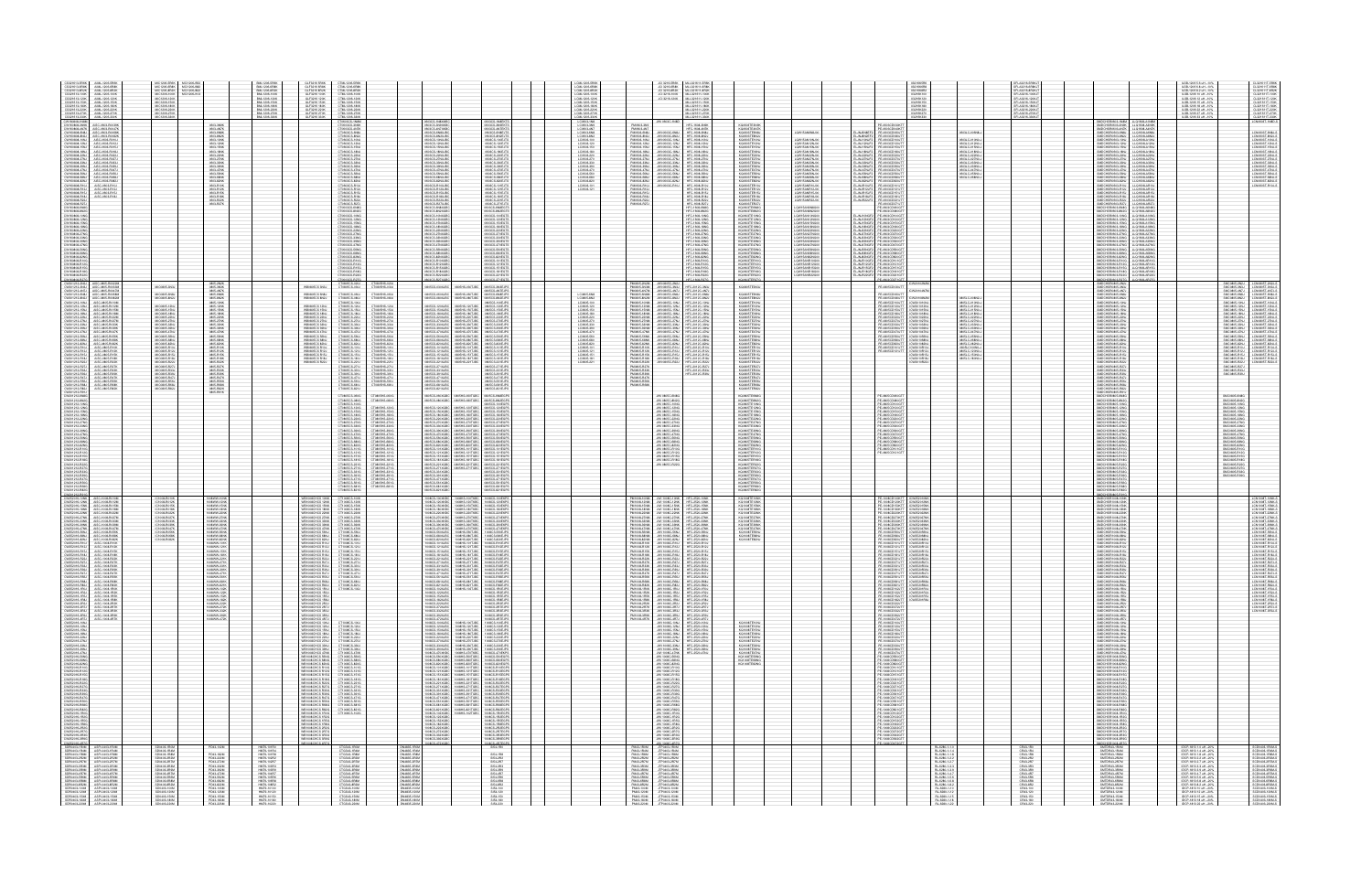|                                                                                                                                                                                                                                                                                                                                                           | MIC1206-5R6K MC1206J562<br>MIC1206-6R8K MC1206J682<br>MIC1206-8R2K MC1206J822            | BML1206-5R6K                                                 |                                                      | GLF3216 5R6K CTML1206-5R6K<br>GLF3216 6R8K CTML1206-6R8K<br>GLF3216 8R2K CTML1206-8R2K                                                                                                                                                                                                                                        |                                                    | LCML1206-5R6K<br>LCML1206-6R8K<br>LCML1206-8R2K |                                           | JCI 3216-5R6K ML1-321611-5R6K<br>JCI 3216-6R8K ML1-321611-6R8K<br>JCI 3216-8R2K ML1-321611-8R2K                                                                                                                      |                                              |                                                                                                                                  |                                                                                          |                                                 | SELA3216-6R8KJ                                     |                                                                                    | LSB-1206 5.6 uH -10%                                                                                                                                                  |
|-----------------------------------------------------------------------------------------------------------------------------------------------------------------------------------------------------------------------------------------------------------------------------------------------------------------------------------------------------------|------------------------------------------------------------------------------------------|--------------------------------------------------------------|------------------------------------------------------|-------------------------------------------------------------------------------------------------------------------------------------------------------------------------------------------------------------------------------------------------------------------------------------------------------------------------------|----------------------------------------------------|-------------------------------------------------|-------------------------------------------|----------------------------------------------------------------------------------------------------------------------------------------------------------------------------------------------------------------------|----------------------------------------------|----------------------------------------------------------------------------------------------------------------------------------|------------------------------------------------------------------------------------------|-------------------------------------------------|----------------------------------------------------|------------------------------------------------------------------------------------|-----------------------------------------------------------------------------------------------------------------------------------------------------------------------|
| $\begin{tabular}{ c  c c c c} CSS21613-5R8K & AML-1206-5R6K \\ \hline CSS21613-6R8K & AML-1206-6R8K \\ \hline CS321613-8R2K & AML-1206-8R2K \\ \hline CS321613-100K & AML-1206-120K \\ \hline CSS21613-120K & AML-1206-120K \\ \end{tabular}$                                                                                                             |                                                                                          | BML1206-6R8K<br>BML1206-8R2K                                 |                                                      |                                                                                                                                                                                                                                                                                                                               |                                                    |                                                 |                                           |                                                                                                                                                                                                                      |                                              |                                                                                                                                  | 113216K5R6<br>113216K6R8<br>113216K8R2<br>113216K100                                     |                                                 | SFI-A3216-8R2KJ1                                   |                                                                                    | CL321611T-5R5K<br>CL321611T-6R5K<br>CL321611T-8R2K<br>CL321611T-100K<br>CL321611T-190K<br>ILSB-1206 6.8 uH -10%<br>ILSB-1206 8.2 uH -10%                              |
| CS321613-120K AIML-1206-120K<br>CS321613-150K AIML-1206-150K                                                                                                                                                                                                                                                                                              | MIC1206-150K<br>MIC1206-180K                                                             | BML1206-150K                                                 | GLF3216 120K                                         | GLF3216 150K CTML1206-150K                                                                                                                                                                                                                                                                                                    |                                                    | LCML1206-120K<br>LCML1206-150K                  |                                           | JCI 3216-120K MLI-321611-<br>MLI-321611-150K                                                                                                                                                                         |                                              |                                                                                                                                  | 3216K120<br>3216K150                                                                     |                                                 | ELA3216-120K<br>SFI-A3216-150KJ<br>SFI-A3216-180KJ |                                                                                    | LSB-1206 12 uH-1<br>CL321611T-120K<br>LSB-1206 15 uH -10%<br>CL321611T-150K                                                                                           |
| $\begin{tabular}{ c   c c c c} \hline CSS21613-180K & AML-1206-180K \\ \hline CSS21613-220K & AML-1206-220K \\ \hline CSS21613-270K & AML-1206-270K \\ \hline CSS21613-330K & AML-1206-330K \\ \hline \end{tabular}$                                                                                                                                      | MIC1206-220K<br>MIC1206-270K                                                             | BML1206-180K<br>BML1206-220K<br>BML1206-270K<br>BML1206-270K |                                                      | GLF3216 180K CTML1205-180K<br>GLF3216 220K CTML1205-220K<br>GLF3216 270K CTML1205-270K                                                                                                                                                                                                                                        |                                                    | LCML1205-180K<br>LCML1205-220K<br>LCML1205-270K |                                           | ML-321611-180K<br>ML-321611-220K<br>MLI-321611-270K<br>MLI-321611-330K                                                                                                                                               |                                              |                                                                                                                                  | 13216K180<br>13216K220<br>13216K270                                                      |                                                 | SFI-A3216-220KJ1                                   |                                                                                    | LSB-1205 18 uH -10%<br>LSB-1205 22 uH -10%<br>LSB-1205 27 uH -10%<br>LSB-1205 33 uH -10%<br>CL321611T-180K<br>CL321611T-220K<br>CL321611T-270K                        |
|                                                                                                                                                                                                                                                                                                                                                           | MIC1206-330K                                                                             | BML1206-330K                                                 |                                                      | GLF3216 330K CTML1206-330K<br>0603CS-1N8XMB<br>CT0603CS-1N8M                                                                                                                                                                                                                                                                  | 0603CS-1N8EKT                                      | LCML1206-330K<br>LC0503-1N8                     |                                           | JWI 0603C-1N8D                                                                                                                                                                                                       |                                              |                                                                                                                                  | II3216K330                                                                               |                                                 | SFI-A3216-330KJT                                   | LLQ1608-A1N8                                                                       | CL321611T-330K<br>LCN0603T-1N8D-3                                                                                                                                     |
| CW160808-1N8M<br>CW160808-3N9K AISC-0603-R0039K<br>CW160808-4N7K AISC-0603-R0047K<br>CW160808-6N8J AISC-0603-R0068K                                                                                                                                                                                                                                       | $-0603 - 3N9k$<br>0603-4N7K<br>0603-6N8K                                                 |                                                              |                                                      | CT0603CS-3N9K<br>0603CS-3N9XX<br>CT0603CS-4N7K<br>0603CS-4N7XKB<br>CT0603CS-6N8J<br>0603CS-6N8XJBC                                                                                                                                                                                                                            | 0603CS-4N7EKTS<br>0603CS-6N8EJTS                   | $LCO603-3N9$<br>LC0503-4N7<br>$LCO603-6N8$      | PM0603-4N7                                | HFC-1608-3N9<br>HFC-1608-4N7K<br>PM0603-6N8J JWI 0603C-6N8J HFC-1608-6N8J                                                                                                                                            | KO0503TE4N7K<br>KO0603TE6N8J                 | LOW15AN6N8J00                                                                                                                    | PE-0503CD040K<br>ELINJENSEF2 PE-0603CD060JTT                                             | 0603LC-006NB                                    |                                                    | SMDCHSR0603-4N7K<br>LQ1608-A4N7<br>SMDCHSR0603-6N8J LLQ1608-A6N8J                  | LCN0603T-6NBJ-S                                                                                                                                                       |
| CW160808-8N2J AISC-0603-R0082K<br>CW160808-10NJ AISC-0603-R010J<br>CW160808-12NJ AISC-0603-R012J                                                                                                                                                                                                                                                          | 0603-8N2K<br>0603-10NK<br>0603-12NK                                                      |                                                              |                                                      | CT0603CS-8N2J<br>CT0603CS-10NJ<br>CT0603CS-12NJ<br>0603CS-8N2XJBC<br>0603CS-10NXJBC<br>0603CS-12NXJBC                                                                                                                                                                                                                         | 0603CS-8N2EJ                                       |                                                 |                                           | JWI 0603C-8N2J HFC-1608-8N<br>JWI 0603C-10NJ HFC-1608-10N                                                                                                                                                            |                                              | ELINJBN2EF2 PE-0603CD<br>ELINJ10NJF2 PE-0603CD                                                                                   |                                                                                          |                                                 |                                                    |                                                                                    | LCN0603T-8N2J-5<br>LCN0603T-10NJ-5<br>LCN0603T-12NJ-5                                                                                                                 |
|                                                                                                                                                                                                                                                                                                                                                           |                                                                                          |                                                              |                                                      | CT0603CS-15NJ<br>CT0603CS-18NJ<br>0603CS-15NXJBC<br>0603CS-18NXJBC                                                                                                                                                                                                                                                            | 0603CS-120EJTS<br>0603CS-150EJTS                   | $-LCO603-120$<br>1,00603,150                    |                                           | PM0603-12NJ JWI 0603C-12NJ HFC-1608-12N                                                                                                                                                                              | KO0603TE12NJ<br>KO0603TE15NJ                 | LOW15AN12NJ00<br>LOW15AN15NJ00                                                                                                   | ELJNJ12NJF2 PE-0603CD120J1<br>ELJNJ15NJF2 PE-0603CD150JTT                                | 0603LC-012N0-J<br>0603LC-015N0-J                |                                                    | SMDCHSR0603-12NJ LLQ1608-A12NJ<br>SMDCHSR0603-15NJ LLQ1608-A15NJ                   |                                                                                                                                                                       |
| CW160908-15NJ AISC-0603-R015J<br>CW160908-18NJ AISC-0603-R018J<br>CW160908-22NJ AISC-0603-R022J<br>CW160908-27NJ AISC-0603-R027J                                                                                                                                                                                                                          | 0603-15NK<br>0603-18NK<br>0603-22NK<br>0603-27NK                                         |                                                              |                                                      | CT0603CS-22NJ<br>0603CS-22NXJBC<br>0603CS-27NXJBC<br>CT0603CS-27NJ                                                                                                                                                                                                                                                            | 0603CS-270EJTS                                     | LC0603-270                                      |                                           | M0603-15NJ M0603C-15NJ HEC-1608-15NJ<br>PM0603-18NJ M0603C-18NJ HEC-1608-19NJ<br>PM0603-27NJ M0603C-27NJ HEC-1608-27NJ<br>PM0603-27NJ M0603C-27NJ HEC-1608-27NJ                                                      | KO0603TE27NJ                                 |                                                                                                                                  | ELJNJ27NJF2 PE-0603CD270J                                                                | CROSS C-027NO-J                                 |                                                    | LQ1608-A18N<br>LLQ1608-A27NJ                                                       | LCN0603T-15NJ-5<br>LCN0603T-18NJ-5<br>LCN0603T-22NJ-5<br>LCN0603T-27NJ-5                                                                                              |
|                                                                                                                                                                                                                                                                                                                                                           |                                                                                          |                                                              |                                                      | CT0603CS-33NJ<br>0603CS-33NXJB<br>CT0603CS-39NJ<br>0603CS-39NXJBC                                                                                                                                                                                                                                                             | 0603CS-330EJT<br>0603CS-390EJTS                    | LC0603-330<br>LC0603-390                        |                                           |                                                                                                                                                                                                                      | KO0603TE33NJ<br>KO0603TE39NJ                 | LQW15AN27NJ00<br>LQW15AN33NJ0<br>ELJNJ33NJF2 PE-0603CD3<br>LQW15AN39NJ00                                                         | ELJNJ39NJF2 PE-0603CD390J                                                                | 0603LC-039NO-                                   |                                                    | SMDCHSR0603-<br><u>LQ1608-A33N</u><br>SMDCHSR0603-39NJ<br>LLQ1608-A39N             |                                                                                                                                                                       |
| 00160808-3301 AISC-0603-00331<br>CW160808-3301 AISC-0603-00331<br>CW160808-5901 AISC-0603-00471<br>CW160808-5901 AISC-0603-00471<br>CW160808-5901 AISC-0603-00651<br>CW160808-6701 AISC-0603-00321<br>CW160808-6121 AISC-0603-0131                                                                                                                        | 0603-33NK<br>0603-39NK<br>0603-47NK<br>0603-56NK<br>0603-58NK                            |                                                              |                                                      | CT0603CS-47NJ<br>CT0603CS-56NJ<br>CT0603CS-58NJ<br>0603CS-47NX-IBC<br>0603CS-56NX-IBC                                                                                                                                                                                                                                         | 0603CS-470EJTS<br>0603CS-560EJTS                   | LC0603-470<br>100603,660                        |                                           | PM060347NJ JWI 0603C47NJ HFC-1608-47NJ<br>PM0603-56NJ JWI 0603C-56NJ HFC-1608-56NJ                                                                                                                                   | KO0603TE47NJ<br>KO0603TE56NJ                 | LQW15AN47NJ00<br>ELINI47NIF2 PE.0603CD560JT<br>ELINI68NIF2 PE.0603CD560JT<br>ELINI68NIF2 PE.0603CD560JT<br>LOW15AN56NJ00         |                                                                                          | 0603LC-047N0-<br>0603LC-056N0-J                 |                                                    | LLQ1608-A47N<br>SMDCHSR0603-56NJ LLQ1608-A56NJ                                     | CROSSIT-39N-5<br>CROSSIT-39N-5<br>CROSSIT-47N-5<br>CROSSIT-58N-5<br>CROSSIT-58N-5<br>CROSSIT-82N-5<br>CROSSIT-82N-5<br>CROSSIT-R10-5                                  |
|                                                                                                                                                                                                                                                                                                                                                           |                                                                                          |                                                              |                                                      | 0603CS-68NXJB<br>CT0603CS-82NJ<br>0603CS-82NXJBC                                                                                                                                                                                                                                                                              | 0603CS-680EJTS<br>0603CS-820EJTS                   | LC0603-680<br>LC0603-820                        |                                           | PM0503-58NJ JWI 0603C-58NJ HFC-1608-68N                                                                                                                                                                              | KO0603TE68NJ<br>KO0603TE82NJ                 | LQW15AN68NJ0<br>LQW15AN82NJ00                                                                                                    | ELJNJ82NJF2 PE-0603CD820JT                                                               | 0603LC-068NO                                    |                                                    | SMDCHSR0603-68NJ<br>LLQ1608-A68N<br>SMDCHSR0603-82NJ LLQ1608-A82NJ<br>LLQ1608-AR10 |                                                                                                                                                                       |
|                                                                                                                                                                                                                                                                                                                                                           | 0603-82NK<br>0603-R10K<br>0603-R12K<br>0603-R15K                                         |                                                              |                                                      | CT0603CS-R10J<br>0603CS-R10XJBC<br>CT0603CS-R15<br>0503CS-R15XJBC                                                                                                                                                                                                                                                             | 0603CS-101EJ<br>_0603CS-121EJ<br>0603CS-151EJTS    | $LC0603-101$<br>$LC0603-121$                    | PM0603-R10J<br>PM0603-R15J                | HFC-1608-R15                                                                                                                                                                                                         | KO0603TER10J<br>KO0603TER15J                 | ELJNJR10JF2 PE-0603CD1<br>ELJNJR12JF2 PE-0603CD1<br>ELJNJR15JF2 PE-0603CD151<br>LQW15ANR15J00                                    |                                                                                          |                                                 |                                                    | SMDCHSR0603-R15<br>LLQ1608-AR15J                                                   |                                                                                                                                                                       |
| $\begin{tabular}{ c c c c } \hline C(V160808-R121&AISC-0602-R121\\ \hline C(W160808-R151&AISC-0602-R151\\ \hline C(W160808-R221&AISC-0602-R151\\ \hline C(W160808-R271&\\ \hline C(W160808-R810&\\ \hline C(W160808-R810&\\ \hline \end{tabular}$                                                                                                         | 0603-R18K<br>0603-R22K<br>0603-R27K                                                      |                                                              |                                                      | CT0603CS-R18J<br>0603CS-R18XJBC                                                                                                                                                                                                                                                                                               | 0603CS-181EJTS                                     |                                                 | PM0603-R18J<br>PM0603-R22J<br>PM0603-R27J | HFC-1608-R18J                                                                                                                                                                                                        | KO0603TER18J                                 | LQW15ANR18J00<br>LQW15ANR22J0                                                                                                    | ELJNJR18JF2 PE-0603CD181JT1                                                              |                                                 |                                                    | SMDCHSR0603-R18J LLQ1608-AR18J                                                     |                                                                                                                                                                       |
|                                                                                                                                                                                                                                                                                                                                                           |                                                                                          |                                                              |                                                      | CT0603CS-R22J<br>CT0603CS-R27J<br>CT0603CS-6N8G<br>0603CS-R22XJBC<br>0603CS-R27XJBC<br>0603CS-6N8XGBC                                                                                                                                                                                                                         | 0603CS-6N8EGTS<br>0603CS-8N2EGTS                   |                                                 |                                           | HFC-1608-R22J<br>HFC-1608-R22J<br>HFC-1608-RN8G                                                                                                                                                                      | KO0603TE6N8G                                 | LOW15AN6N8G00<br>LOW15AN8N2G00                                                                                                   | ELJNJR22JF2 PE-0603CD221JTT<br>PE-0603CD271JTT<br>PE-0603CD060GTT<br>PE-0603CD080GT      |                                                 |                                                    | SMDCHSR0603-6N8G LLQ1608-A6N8G<br>SMDCHSR0603-8N2G LLQ1608-A8N2G                   |                                                                                                                                                                       |
| CW160808-8N2G                                                                                                                                                                                                                                                                                                                                             |                                                                                          |                                                              |                                                      | CT0603CS-8N2G<br>CT0603CS-10NG<br>CT0603CS-12NG<br>CT0603CS-12NG<br>0603CS-8N2XGBC<br>0603CS-10NXGBC<br>0603CS-12NXGBC<br>0603CS-12NXGBC                                                                                                                                                                                      |                                                    |                                                 |                                           | HFC-1608-8N2G<br>HFC-1608-10NG<br>HFC-1608-12NG<br>HFC-1608-12NG                                                                                                                                                     | K00603TE8N2G<br>K00603TE10NG<br>K00603TE12NG |                                                                                                                                  | ELJNJ12NGF2 PE-0603CD120G                                                                |                                                 |                                                    |                                                                                    |                                                                                                                                                                       |
| CW160808-15NG                                                                                                                                                                                                                                                                                                                                             |                                                                                          |                                                              |                                                      | CT0603CS-15NG<br>0603CS-15NXGBC<br>CT0603CS-18NG                                                                                                                                                                                                                                                                              | 0603CS-150EGTS<br>0603CS-180EGT                    |                                                 |                                           | HFC-1608-15NG                                                                                                                                                                                                        | KQ0603TE15NG<br>K00603TE18NG                 | LOW15AN15NG00<br>ELJNJ18NGF2 PE-0603CD180<br>LOW15AN18NG0                                                                        | ELJNJ15NGF2 PE-0603CD150GT                                                               |                                                 |                                                    | SMDCHSR0603-15NG LLO1608-A15NG<br>SMDCHSR0603-18NG LLQ1608-A18NG                   |                                                                                                                                                                       |
| CW160808-18NG<br>CW160808-22NG<br>CW160808-27NG                                                                                                                                                                                                                                                                                                           |                                                                                          |                                                              |                                                      | 0603CS-18NXGBC<br>0603CS-22NXGBC<br>0603CS-27NXGBC<br>CT0603CS-22NG<br>CT0603CS-27NG<br>CT0603CS-33NG<br>_0603CS-33NXGBC                                                                                                                                                                                                      | 0603CS-220EGT<br>0603CS-270EGTS<br>0603CS-330EGTS  |                                                 |                                           | HFC-1608-18NG<br>HFC-1608-22NG<br>HFC-1608-27NG<br>HFC-1608-27NG<br>HFC-1608-33NC                                                                                                                                    | KQ0603TE22NG<br>KQ0603TE27NG<br>KQ0603TE33NG | LOW15AN22NG<br>ELJNJ22NGF2 PE-0603CD22<br>LOW15AN27NG00<br>ELJNJ27NGF2 PE-0603CD270<br>LOW15AN33NG00<br>ELJNJ33NGF2 PE-0603CD330 |                                                                                          |                                                 |                                                    | LLQ1608-A221<br>SMDCHSR0603-2<br>SMDCHSR0603-33NG LLO1608-A33NG                    |                                                                                                                                                                       |
| CW160808-33NG<br>CW160808-39NG<br>CW160808-47NG                                                                                                                                                                                                                                                                                                           |                                                                                          |                                                              |                                                      | CT0603CS-39NG<br>CT0603CS-47NG<br>0603CS-39NXGBC<br>0603CS-47NXGBC                                                                                                                                                                                                                                                            | 0603CS-390EG<br>0603CS-470EGT                      |                                                 |                                           | HFC-1608-39NG                                                                                                                                                                                                        | KO0603TE39NG<br>KQ0603TE47NG                 | LOW15AN39NG<br>ELJNJ39NGF2 PE-0603CD39<br>LQW15AN47NG00<br>ELJNJ47NGF2 PE-0603CD470                                              |                                                                                          |                                                 |                                                    | SMDCHSR0603-39NG<br>LLQ1608-A39N<br>LLQ1608-A47NG<br>SMDCHSR0603-47N               |                                                                                                                                                                       |
| CW160808-68NG                                                                                                                                                                                                                                                                                                                                             |                                                                                          |                                                              |                                                      | CT0603CS-56NG<br>0603CS-56NX<br>0603CS-68NX                                                                                                                                                                                                                                                                                   | 0603CS-560E                                        |                                                 |                                           | HFC-1608-56NG<br>HFC-1608-68NG<br>HFC-1608-82NG                                                                                                                                                                      | KO0603TE68N                                  | ELINJSMGF2 PE-0603CD56                                                                                                           |                                                                                          |                                                 |                                                    |                                                                                    |                                                                                                                                                                       |
| CW160808-R10G<br>CW160808-R12G<br>CW160808-R15G                                                                                                                                                                                                                                                                                                           |                                                                                          |                                                              |                                                      | CT0603CS-82NG<br>0603CS-82NXGB<br>CT0603CS-R10G<br>CT0603CS-R12G<br>CT0603CS-R15G<br>CT0603CS-R15G                                                                                                                                                                                                                            | 0603CS-820EGTS<br>0603CS-101EGTS                   |                                                 |                                           |                                                                                                                                                                                                                      | KQ0603TE82NG<br>K00603TER10G                 | LOW15AN82NG00<br>LQW15ANR10G00<br>ELJNJR10GF2 PE-0603CD101G                                                                      | ELJNJ82NGF2 PE-0603CD820G                                                                |                                                 |                                                    | SMDCHSR0603-82NG LLQ1608-A82N<br>SMDCHSR0603-R10G LLQ1608-AR10                     |                                                                                                                                                                       |
| CW160808-R18G                                                                                                                                                                                                                                                                                                                                             |                                                                                          |                                                              |                                                      | 0603CS-R10XGBC<br>0603CS-R12XGBC<br>0603CS-R15XGBC<br>0603CS-R18XGBC<br>CT0603CS-R18G                                                                                                                                                                                                                                         | 0603CS-151EGTS<br>0603CS-181EGTS                   |                                                 |                                           | HFC-1608-R103<br>HFC-1608-R123<br>HFC-1608-R153<br>HFC-1608-R180                                                                                                                                                     | KO0603TER12G<br>KO0603TER15G<br>K00603TER18G | LOW15ANR15G0<br>LOW15ANR18G00                                                                                                    | EUNIRIAGEZ PE 060300121GTT<br>EUNIRIAGEZ PE 060300151GTT<br>EUNIRIAGEZ PE 060300181GTT   |                                                 |                                                    | SMDCHSR0603-R18G LLQ1608-AR18G                                                     |                                                                                                                                                                       |
| CW160808-R22G<br>CW160808-R27G                                                                                                                                                                                                                                                                                                                            |                                                                                          |                                                              |                                                      | CT0603CS-R22G<br>0603CS-R22XGB<br>CT0603CS-R27G<br>0603CS-R27XGB                                                                                                                                                                                                                                                              | 0603CS-221EGTS<br>0603CS-271EGTS                   |                                                 |                                           | HFC-1608-R220                                                                                                                                                                                                        | KQ0603TER22G<br>KQ0603TER27G                 | LOW15ANR22G0<br>ELJNJR22GF2 PE-0603CD221G                                                                                        | PE-0603CD271G                                                                            |                                                 |                                                    | SMDCHSR0603-R22G LLQ1608-AR22<br>SMDCHSR0603-R2                                    |                                                                                                                                                                       |
| CW201212-2N2J AISC-0805-R0022M<br>CW201212-3N3J AISC-0805-R0033M                                                                                                                                                                                                                                                                                          | MIC0805-3N3J<br>0805-3N3K                                                                |                                                              | WB0805CS 3N3J                                        | CT0805CS-020J<br>0805CS-030XJBC 0805HS-030TJBC 0805CS-3N3EJPS<br>CT0805CS-030J CT0805HS-030J                                                                                                                                                                                                                                  |                                                    |                                                 |                                           | PM0805-3N3M JWI 0805C-3N3J HFC-2012C-3N3                                                                                                                                                                             | KO0805TE3N3J                                 |                                                                                                                                  | PE-0805CD030J                                                                            |                                                 |                                                    | SMDCHSR0805-<br>SMDCHSR0805-3N3                                                    | SMC0805-3N3J LCN0805T-3N3J-5                                                                                                                                          |
| CW201212-4N7J AISC-0805-R0047M<br>CW201212-6N8J AISC-0805-R0068M<br>CW201212-8N2J AISC-0805-R0062M                                                                                                                                                                                                                                                        | 0805-4N7K<br>0805-6N8K<br>0805-8N2K<br>MIC0805-8N2J                                      |                                                              | WB0805CS 8N2J                                        | CT0805CS-080J CT0805HS-080J<br>0805CS-080XJBC 0805HS-080TJBC 0805CS-8N2EJPS                                                                                                                                                                                                                                                   | 0805CS-4N7EJPS                                     | LC0805-8N2                                      |                                           | PM0805-4N7M M/I0805C-4N7J HFC-2012C-4N7J<br>PM0805-6N8M M/I0805C-6N8J HFC-2012C-6N8J<br>PM0805-8N2M M/I0805C-8N2J HFC-2012C-8N2J                                                                                     | KQ0805TE6N8J<br>KO0805TE8N2J                 |                                                                                                                                  | PE-0805CD080JTT ICW20108N2M                                                              | _0805LC-008N                                    |                                                    | SMDCHSR0805-4N<br>SMDCHSR0805-8N2                                                  | SMC08054N7J LCN0805T-4N7J-S<br>SMC0805-6N8J LCN0805T-6N8J-S<br>SMC0805-8N2J LCN0805T-8N2J-5                                                                           |
| CW201212-10N1 AISC-0805-R010M<br>CW201212-12NJ AISC-0805-R012M<br>CW201212-15NJ AISC-0805-R015M<br>CW201212-18NJ AISC-0805-R018M                                                                                                                                                                                                                          | 0805-10NK<br>0805-12NK<br>0805-15NK<br>0805-18NK<br>MIC0805-12N                          |                                                              | WB0805CS 12NJ                                        | CT0805CS-100J<br>CT0805CS-120J CT0805HS-120J<br>CT0805CS-150J CT0805HS-150J<br>0805CS-120XJBC 0805HS-120TJBC 0805CS-120EJPS                                                                                                                                                                                                   |                                                    | LC0805-100                                      |                                           | PM0805-10NM __ JWI 0805C-10NJ __ HFC-2012C-10NJ                                                                                                                                                                      | KO0805TE10NJ                                 |                                                                                                                                  | PE-0805CD100JTT CW201010NJ                                                               | 0805LC-010N0-J                                  |                                                    | SMDCHSR0805-10NJ<br>SMDCHSR0805-12NJ                                               | SMC0805-10NJ LCN08057-10NJ-SMC0805-12NJ LCN08057-12NJ-SMC0805-15NJ-SMC0805-12NJ-S<br>SMC0805-15NJ LCN08057-15NJ-SMC0805-15NJ-SMC0805-18NJ-SMC0805-12NJ-SMC0805-12NJ-S |
|                                                                                                                                                                                                                                                                                                                                                           | MIC0805-18NJ                                                                             |                                                              | WB0805CS 15M<br>WB0805CS 18NJ                        | 0805CS-150XJBC 0805HS-150TJBC 0805CS-150EJPS<br>0805CS-180XJBC 0805HS-180TJBC 0805CS-180EJPS<br>CT0805CS-180J CT0805HS-180J                                                                                                                                                                                                   |                                                    | LC0805-15<br>LC0805-180                         |                                           |                                                                                                                                                                                                                      | KO0805TE15NJ<br>KO0805TE18NJ                 |                                                                                                                                  | PE-0805CD180JTT CW201018NJ                                                               | 0805LC-018N0-J                                  |                                                    | SMDCHSR0805-18M                                                                    |                                                                                                                                                                       |
| CW201212-22NJ AISC-0805-R022M<br>CW201212-32NJ AISC-0805-R027M<br>CW201212-33NJ AISC-0805-R033K<br>CW201212-32NJ AISC-0805-R033K<br>CW201212-47NJ AISC-0805-R047K                                                                                                                                                                                         | MIC0805-22NJ<br>0805-22NK<br>0805-27NK<br>0805-33NK<br>0805-38NK<br>MIC0805-27N          |                                                              |                                                      | WB0805CS 22NJ CT0805CS-220J CT0805HS-220J<br>0805CS-220XJBC 0805HS-220TJBC 0805CS-220EJPS<br>WB0805CS 27NJ CT0805CS-270J CT0805HS-270J<br>WB0805CS 33NJ CT0805CS-330J CT0805HS-330J<br>WB0805CS 33NJ CT0805CS-350J CT0805HS-390J<br>WB0805CS 43NJ CT0805CS-470J CT0805HS-390J<br>0805CS-270XJBC 0805HS-270TJBC 0805CS-270EJPS |                                                    | LC0805-220<br>LC0805-270<br>1.02805-330         |                                           | PM0805-22NM J/I/I 0805C-22NJ HFC-2012C-22N<br>PM0805-27NM M0805C-27NJ HFC-2012C-27NJ<br>PM0805-33NM M0805C-33NJ HFC-2012C-33NJ<br>PM0805-35NM M0805C-39NJ HFC-2012C-33NJ<br>PM4006C-13NJ M0.006C-39NJ HFC-2010C-13NJ | KO0805TE22NJ<br>KO0805TE27NJ                 |                                                                                                                                  | PE-0805CD220JTT CW201022NJ<br>PE-0805CD270JTT  ICW201027NJ<br>PE-0805CD330JTT CW201033N  | 0805LC-022N0-J<br>0805LC-033N0                  |                                                    | SMDCHSR0905-22N<br>SMDCHSR0805-2                                                   | SMC0805-22NJ LCN0805T-22NJ-5<br>SMC0805-27NJ LCN0805T-27NJ-5<br>SMC0805-33NJ LCN0805T-33NJ-5<br>SMC0805-39NJ LCN0805T-39NJ-5<br>SMC0805-47NJ LCN0805T-47NJ-5          |
|                                                                                                                                                                                                                                                                                                                                                           | MICOROS-33NJ<br>MIC0805-47NJ                                                             |                                                              |                                                      | 0805CS-330XJBC 0805HS-330TJBC 0805CS-330EJPS 0805CS-390XJBC 0805HS-390TJBC 0805CS-390EJPS<br>WB0805CS 47NJ CT0805CS-470J CT0805HS-470J<br>WB0805CS 56NJ CT0805CS-560J CT0805HS-560J<br>0805CS-470XJBC 0805HS-470TJBC 0805CS-470EJPS                                                                                           |                                                    | $LCO805-390$<br>LC0805-470                      |                                           |                                                                                                                                                                                                                      | KORROSTERRNU<br>KORROSTERRNU<br>KO0805TE47NJ |                                                                                                                                  | PE-0805CD390JTT CW201039NJ                                                               | 0805LC-039N0-J<br>0805LC-047N0-J                |                                                    | SMDCHSR0805-33N<br>SMDCHSR0805-47M                                                 |                                                                                                                                                                       |
| CW201212-47NJ AISC-0805-R047K<br>CW201212-58NJ AISC-0805-R056K<br>CW201212-58NJ AISC-0805-R056K<br>CW201212-82NJ AISC-0805-R062K                                                                                                                                                                                                                          | 0805-47NK<br>0805-56NK<br>0805-68NK<br>MIC0805-56NJ<br>MIC0805-68N                       |                                                              | WB0805CS 68NJ                                        | 0805CS-560XJBC 0805HS-560TJBC 0805CS-560EJPS<br>CT0805CS-680J CT0805HS-680J<br>0805CS-680XJBC 0805HS-680TJBC 0805CS-680EJPS                                                                                                                                                                                                   |                                                    | LC0805-560<br>LC0805-680                        |                                           | PM0805-68NK __ JWI 0805C-68NJ __ HFC-2012C-68N                                                                                                                                                                       | KO0805TE56NJ<br>KO0805TE68NJ                 |                                                                                                                                  | PE-0805CD560JTT ICW201056NJ<br>PE-0805CD680JTT ICW201068N                                | 0805LC-056NO-                                   |                                                    | SMDCHSR0805-56N<br>SMDCHSR0805-69                                                  | SMC080547NJ LCM0805T-47NJ-S<br>SMC0805-56NJ LCM0805T-56NJ-5<br>SMC0805-68NJ LCM0805T-58NJ-5<br>SMC0805-87NJ LCM0805T-62NJ-5                                           |
| CW201212-R10J AISC-0805-R10K<br>CW201212-R12J AISC-0805-R12K                                                                                                                                                                                                                                                                                              | 0805-82NK<br>MIC0805-82NJ<br>MIC0805-R10<br>0805-R10K<br>0805-R12K<br>MIC0805-R12J       |                                                              | WB0805CS R10J                                        | 0805CS-820XJBC 0805HS-820TJBC 0805CS-820EJPS<br>WB0805CS 82NJ CT0805CS-820J CT0805HS-820J<br>CT0805CS-101J CT0805HS-101,<br>0805CS-101XJBC 0805HS-101TJBC 0805CS-101EJPS<br>WB0805CS R12J CT0805CS-121J CT0805HS-121J<br>0805CS-121XJBC 0805HS-121TJBC 0805CS-121EJPS                                                         |                                                    | LC0805-820<br>LC0805-101<br>LC0805-121          |                                           | PM0805-82NK __ JWI 0805C-82NJ __ HFC-2012C-82N<br>PM0805-R10K JWI 0805C-R10J HFC-2012C-R10<br>PM0805-R12K JWI 0805C-R12J HFC-2012C-R12J                                                                              | KO0805TE82NJ<br>KO0805TER10J<br>KO0805TER12J |                                                                                                                                  | PE-0805CD101JTT   ICW2010R10J<br>PE-0805CD121JTT ICW2010R12J                             | 0805LC100N0-<br>0805LC-120N0-J                  |                                                    | SMDCHSR0805-R10<br>SMDCHSR0805-R12J                                                | SMC0805-82NJ LCN0805T-82NJ-S<br>SMC0805-R10J LCN0805T-R10J-S<br>SMC0805-R12J LCN0805T-R12J-5                                                                          |
| CW201212-R15J AISC-0805-R15K<br>CW201212-R18J AISC-0805-R18K<br>CW201212-R22J AISC-0805-R22K                                                                                                                                                                                                                                                              | 0805-R15K<br>0805-R18K<br>0805-R22K<br>MIC0805-R15J<br>MIC0805-R18J<br>MIC0805-R22J      |                                                              |                                                      | WE0805CS R15J CT0805CS-151J CT0805HS-151J<br>WE0805CS R18J CT0805CS-181J CT0805HS-181J<br>WE0805CS R22J CT0805CS-221J CT0805HS-221J<br>0805CS-151XJBC 0805HS-151TJBC 0805CS-151EJPS<br>0805CS-181XJBC 0805HS-181TJBC 0805CS-181EJPS<br>0805CS-221XJBC 0805HS-221TJBC 0805CS-221EJPS                                           |                                                    | LC0805-181                                      |                                           | PM0805-R15K MI 0805C-R15J HFC-2012C-R15J<br>PM0805-R18K MI 0805C-R18J HFC-2012C-R18J<br>PM0805-R22K MI 0805C-R22J HFC-2012C-R22J                                                                                     | KO0805TER15J<br>KO0805TER18J                 |                                                                                                                                  | ICW2010R15J                                                                              | 0805LC-180N0-J                                  |                                                    |                                                                                    | SMC0805-R15J LCN0805T-R15J-5<br>SMC0805-R18J LCN0805T-R18J-5<br>SMC0805-R22J LCN0805T-R22J-5                                                                          |
|                                                                                                                                                                                                                                                                                                                                                           | MIC0805-R27J                                                                             |                                                              |                                                      | CT0805CS-271J CT0805HS-271J<br>0805CS-271XJBC                                                                                                                                                                                                                                                                                 | 0805CS-271EJPS                                     | LC0805-221                                      | PM0805-R27K                               | HFC-2012C-R27J                                                                                                                                                                                                       | KO0805TER22J<br>KO0805TER27J                 |                                                                                                                                  | ICW2010R22J                                                                              |                                                 |                                                    | SMDCHSR0805-R22<br>SMDCHSR0805-R27J                                                |                                                                                                                                                                       |
| CW201212-R27J AISC-0805-R27K<br>CW201212-R33J AISC-0805-R33K<br>CW201212-R39J AISC-0805-R39K<br>CW201212-R47J AISC-0805-R47K                                                                                                                                                                                                                              | 0805-R27K<br>0805-R33K<br>0805-R39K<br>0805-R47K                                         |                                                              |                                                      | CT0805CS-331J CT0805HS-331J<br>CT0805CS-331J CT0805HS-331J<br>CT0805CS-391J CT0805HS-391J CT0805CS-471J CT0805HS-471J                                                                                                                                                                                                         |                                                    |                                                 | PM0805-R33K<br>PM0805-R33K<br>PM0805-R47K | HFC-2012C-                                                                                                                                                                                                           | KO0805TER2                                   |                                                                                                                                  |                                                                                          |                                                 |                                                    |                                                                                    | SMC0805-R27J<br>SMC0805-R33J<br>SMC0805-R39J                                                                                                                          |
| CW201212-R55J AISC-0805-R56K<br>CW201212-R68J AISC-0805-R68K<br>CW201212-R62J AISC-0805-R62K                                                                                                                                                                                                                                                              | MIC0805-R47J<br>MIC0805-R56J                                                             |                                                              |                                                      | 0805CS-471XJBC<br>CT0805CS-561J CT0805HS-561J<br>CT0805CS-681J CT0805HS-681J<br>0805CS-561XJBC                                                                                                                                                                                                                                | 0805CS-471EJPS<br>0805CS-561EJPS                   |                                                 | PM0805-R56K<br>PM0805-R68K                |                                                                                                                                                                                                                      | KO0805TER47J<br>KO0805TER56J                 |                                                                                                                                  |                                                                                          |                                                 |                                                    | SMDCHSR0805-R47J<br>SMDCHSR0805-R56                                                |                                                                                                                                                                       |
|                                                                                                                                                                                                                                                                                                                                                           | 0805-R56K<br>0805-R68K<br>0805-R82K<br>0805-R91K<br>MIC0805-R68J<br>MIC0805-R82J         |                                                              |                                                      | 0805CS-681XJBC<br>0805CS-821XJBC<br>CT0805CS-821J                                                                                                                                                                                                                                                                             | 0805CS-681EJPS<br>0805CS-821EJPS                   |                                                 |                                           |                                                                                                                                                                                                                      | KO0805TER82J                                 |                                                                                                                                  |                                                                                          |                                                 |                                                    | SMDCHSR0805-R91J                                                                   |                                                                                                                                                                       |
| CW201212-R91J<br>CW201212-6N8G<br>CW201212-8N2G                                                                                                                                                                                                                                                                                                           |                                                                                          |                                                              |                                                      | CT0805CS-060G CT0805HS-060C<br>0805CS-060XGBC 0805HS-060TGBC 0805CS-6N8EGPS<br>CT0805CS-080G CT0805HS-080G<br>0805CS-080XGBC 0805HS-080TGBC 0805CS-8N2EGPS                                                                                                                                                                    |                                                    |                                                 |                                           | WI 0805C-6<br>JWI 0805C-8N2G                                                                                                                                                                                         | KQ0805TE6N8C<br>KQ0805TE8N2G                 |                                                                                                                                  | PE-0805CD0<br>PE-0805CD080                                                               |                                                 |                                                    | SMDCHSR0805-6M<br>SMDCHSR0805-8N                                                   | SMC0805-6N8                                                                                                                                                           |
|                                                                                                                                                                                                                                                                                                                                                           |                                                                                          |                                                              |                                                      | CT0805CS-100G<br>CT0805CS-120G<br>CT0805CS-150G<br>CT0805HS-150G<br>0805CS-150XGBC 0805HS-150TGBC 0805CS-150EGPS                                                                                                                                                                                                              | C 0805CS-120EGPS                                   |                                                 |                                           | JWI 0805C-10M<br>JWI 0805C-15N                                                                                                                                                                                       | KQ0805TE10N<br>KQ0805TE12NG<br>KQ0805TE15NG  |                                                                                                                                  | PE-0805CD100<br>PE-0805CD150G                                                            |                                                 |                                                    | SMDCHSR0805-15N                                                                    | SMC0805-8N2G<br>SMC0805-10NG<br>SMC0805-12NG                                                                                                                          |
| 0020121242366<br>0020121245866<br>0020121245866<br>002012123386<br>002012123386                                                                                                                                                                                                                                                                           |                                                                                          |                                                              |                                                      | CT0805CS-180G CT0805HS-180G<br>0805CS-180XGBC 0805HS-180TGBC 0805CS-180EGPS                                                                                                                                                                                                                                                   |                                                    |                                                 |                                           | JWI 0805C-18NG                                                                                                                                                                                                       | KQ0805TE18NG                                 |                                                                                                                                  | PE-0805CD180GT                                                                           |                                                 |                                                    | SMDCHSR0805-18NG                                                                   | SINC0805-18NG<br>SINC0805-27NG<br>SINC0805-27NG<br>SINC0805-32NG<br>SINC0805-38NG<br>SINC0805-58NG<br>SINC0805-58NG<br>SINC0805-58NG<br>SINC0805-58NG                 |
|                                                                                                                                                                                                                                                                                                                                                           |                                                                                          |                                                              |                                                      | CT0805CS-220G CT0805HS-220G<br>CT0805CS-270G CT0805HS-270G<br>CT0805CS-330G CT0805HS-330G<br>0805CS-220XGBC 0805HS-220TGBC 0805CS-220EGPS<br>0805CS-270XGBC 0805HS-270TGBC 0805CS-270EGPS<br>0805CS-330XGBC 0805HS-330TGBC 0805CS-330EGPS                                                                                     |                                                    |                                                 |                                           | JWI 0805C-22<br>JWI 0805C-33NG                                                                                                                                                                                       | KO0805TE22NG<br>KO0805TE27NG<br>KO0805TE33NG |                                                                                                                                  | PE-0805CD330G                                                                            |                                                 |                                                    | SMDCHSR0805-22<br>SMDCHSR0805-33NG                                                 |                                                                                                                                                                       |
| CW201212-39NG<br>CW201212-47NG<br>CW201212-56NG                                                                                                                                                                                                                                                                                                           |                                                                                          |                                                              |                                                      | CT0805CS-390G CT0805HS-390G<br>CT0805CS-470G CT0805HS-470G<br>CT0805CS-560G CT0805HS-560G<br>CT0805CS-560G CT0805HS-560G<br>0805CS-390XGBC 0805HS-390TGBC 0805CS-390EGPS<br>0805CS-470XGBC 0805HS-470TGBC 0805CS-470EGPS<br>0805CS-560XGBC 0805HS-560TGBC 0805CS-560EGPS<br>0805CS-560XGBC 0805HS-590TGBC 0805CS-560EGPS      |                                                    |                                                 |                                           | JWI 0805C-39NG<br>JWI 0805C-47NG                                                                                                                                                                                     | KO0805TE39NG<br>KO0805TE47NG                 |                                                                                                                                  | PE-0805CD390                                                                             |                                                 |                                                    | SMDCHSR0805-39NG                                                                   |                                                                                                                                                                       |
| CW201212-68NG<br>CW201212-82NG                                                                                                                                                                                                                                                                                                                            |                                                                                          |                                                              |                                                      | CT0805CS-680G CT0805HS-680G<br>0805CS-680XGBC 0805HS-680TGBC 0805CS-680EGPS<br>CT0805CS-820G CT0805HS-820G                                                                                                                                                                                                                    |                                                    |                                                 |                                           | JWI 0805C-68NG<br>JWI 0805C-82NO                                                                                                                                                                                     | KQ0805TE56NG<br>K00805TE68NG<br>KQ0805TE82NG |                                                                                                                                  | PE-0805CD680GT<br>PE-0805CD82                                                            |                                                 |                                                    | SMDCHSR0805-56<br>SMDCHSR0805-68NG<br>SMDCHSR0805-82                               |                                                                                                                                                                       |
| 01212-R10G<br>CW201212-R12G                                                                                                                                                                                                                                                                                                                               |                                                                                          |                                                              |                                                      | 0805CS-820XGBC 0805HS-820TGBC 0805CS-820EGPS<br>0805CS-101XGBC 0805HS-101TGBC 0805CS-101EGPS<br>CT0805CS-101G CT0805HS-1010<br>CT0805CS-121G CT0805HS-121G<br>0805CS-121XGBC 0805HS-121TGBC 0805CS-121EGPS                                                                                                                    |                                                    |                                                 |                                           | JWI 0805C-R10<br>JWI 0805C-R12G                                                                                                                                                                                      | KO0805TER10G                                 |                                                                                                                                  | PE-0805CD121GTT                                                                          |                                                 |                                                    | SMDCHSR0805-R1<br>SMDCHSR0805-R12G                                                 | MC0805-82NG<br>SMC0805-R10G<br>SMC0805-R12G<br>SMC0805-R18G<br>SMC0805-R22G<br>SMC0805-R22G                                                                           |
| CW201212-R15G                                                                                                                                                                                                                                                                                                                                             |                                                                                          |                                                              |                                                      | CT0805CS-151G CT0805HS-151G<br>0805CS-151XGBC 0805HS-151TGBC 0805CS-151EGPS<br>CT0805CS-181G CT0805HS-181G<br>0805CS-181XGBC 0805HS-181TGBC 0805CS-181EGPS                                                                                                                                                                    |                                                    |                                                 |                                           | JWI 0805C-R15G<br>JWI 0805C-R18G                                                                                                                                                                                     | KQ0805TER15G<br>KQ0805TER18G                 |                                                                                                                                  |                                                                                          |                                                 |                                                    | SMDCHSR0805-R15G<br>SMDCHSR0805-R18                                                |                                                                                                                                                                       |
| CW201212-R22G<br>CW201212-R27G                                                                                                                                                                                                                                                                                                                            |                                                                                          |                                                              |                                                      | CT0805CS-221G CT0805HS-221G<br>0805CS-221XGBC 0805HS-221TGBC 0805CS-221EGPS<br>CT0805CS-271G CT0805HS-271G<br>0805CS-271XGBC 0805HS-271TGBC 0805CS-271EGPS                                                                                                                                                                    |                                                    |                                                 |                                           | JWI 0805C-R22G                                                                                                                                                                                                       | K00805TER22G<br>KO0805TER27G                 |                                                                                                                                  |                                                                                          |                                                 |                                                    | SMDCHSR0805-R220<br>SMDCHSR0805-R27C                                               | SMC0805-R27G                                                                                                                                                          |
| CW201212-R33G                                                                                                                                                                                                                                                                                                                                             |                                                                                          |                                                              |                                                      | CT0805CS-331G CT0805HS-331G<br>0805CS-331XGBC<br>CT0805CS-391G CT0805HS-391G<br>0805CS-391XGB0                                                                                                                                                                                                                                | 0805CS-331EGPS<br>0805CS-391EGPS<br>0805CS-471EGPS |                                                 |                                           |                                                                                                                                                                                                                      | KQ0805TER33G<br>KQ0805TER390                 |                                                                                                                                  |                                                                                          |                                                 |                                                    | SMDCHSR0805-R3<br>SMDCHSR0805-R39<br>SMDCHSR0805-R47G                              | SMC0805-R33G<br>SMC0805-R39G                                                                                                                                          |
| CW201212-R56G                                                                                                                                                                                                                                                                                                                                             |                                                                                          |                                                              |                                                      | CT0805CS-471G CT0805HS-471G<br>CT0805CS-561G CT0805HS-561G<br>0805CS-471XGBC                                                                                                                                                                                                                                                  | 0805CS-561EGPS<br>0805CS-681EGPS                   |                                                 |                                           |                                                                                                                                                                                                                      | KO0805TER47G                                 |                                                                                                                                  |                                                                                          |                                                 |                                                    | SMDCHSR0805-R560<br>SMDCHSR0805-R68                                                |                                                                                                                                                                       |
| CW201212-R68G<br>CW201212-R82G<br>CW201212-R91G                                                                                                                                                                                                                                                                                                           |                                                                                          |                                                              |                                                      | CT0805CS-681G CT0805HS-681G<br>CT0805CS-821G<br>0805CS-681XGBC<br>0805CS-821XGBC                                                                                                                                                                                                                                              | 0805CS-821EGPS                                     |                                                 |                                           |                                                                                                                                                                                                                      | KQ0805TER68G<br>KQ0805TER82G                 |                                                                                                                                  |                                                                                          |                                                 |                                                    | SMDCHSR0805-R82<br>SMDCHSR0805-R91                                                 |                                                                                                                                                                       |
| CW252015-10NK AISC-1008-R010M<br>CW252015-12NK AISC-1008-R012M<br>CW252015-15NK AISC-1008-R015M<br>CW252015-18NK AISC-1008-R015M<br>CW252015-23NK AISC-1008-R023M                                                                                                                                                                                         | C1008-R010K<br>1008WW-10NK<br>IC1008-R012K<br>1008WW-12NK<br>IC1008-R015K<br>1008WW-15NK |                                                              |                                                      | WB100BCHCS 10NK CT100BCS-100K<br>1008CS-100XKBC 1008HS-100TKBC 1008CS-100EKPS<br>WB100BCHCS 12NK CT100BCS-120K<br>1008CS-120XKBC 1008HS-120TKBC 1008CS-120EKPS<br>1008CS-150XKBC 1008HS-150TKBC 1008CS-150EKPS<br>WB1008CHCS 15NK CT1008CS-150K                                                                               |                                                    |                                                 |                                           | PM1008-10NM JWI 1008C-10NK HFC-2520-10N<br>PM1008-12NM JWI 1008C-12NK HFC-2520-12NK<br>PM1008-15NM JWI 1008C-15NK HFC-2520-15NK                                                                                      | KO1008TE10NK<br>KQ1008TE12NK<br>KQ1008TE15NK |                                                                                                                                  | PE-1008CD100KTT CW252010NK<br>PE-1008CD120KTT ICW252012NK<br>PE-1008CD150KTT ICW252015NK |                                                 |                                                    | SMDCHSR1008-10N<br>SMDCHSR1008-12N<br>SMDCHSR1008-15NK                             | LCN1008T-10NK-5<br>LCN1008T-12NK-5<br>LCN1008T-15NK-5                                                                                                                 |
|                                                                                                                                                                                                                                                                                                                                                           | IC1008-R018K<br>1008WW-18NK<br>IC1008-R022<br>1008WW-22NK                                |                                                              |                                                      | WB100BCHCS 18NK CT100BCS-180K<br>1008CS-180XKBC 1008HS-180TKBC 1008CS-180EKP<br>WB1008CHCS 22NK CT1008CS-220K                                                                                                                                                                                                                 |                                                    |                                                 |                                           | PM1008-18NM JWI 1008C-18NK HFC-2520-18NK                                                                                                                                                                             | KQ1008TE18NK<br>KO1008TE22NK                 |                                                                                                                                  | PE-1008CD180KTT ICW252018NK                                                              |                                                 |                                                    | SMDCHSR1008-18NK                                                                   | LCN1008T-18NK-S<br>LCN1008T-22NK-S<br>LCN1008T-27NK-S                                                                                                                 |
| $\begin{tabular}{ c  c  c c c} \hline \textbf{C} M252016-22NK & \textbf{AISC-1008-R022M} \\ \hline \textbf{C} M252016-27NK & \textbf{AISC-1008-R027M} \\ \hline \textbf{C} M252016-33NK & \textbf{AISC-1008-R033M} \\ \hline \textbf{C} M252016-37NK & \textbf{AISC-1008-R047M} \\ \hline \textbf{C} M252016-57NL & \textbf{AISC-1008-R047M} \\ \hline \$ | IC1008-R027K<br>1008WW-27NK<br>IC1008-R033K<br>1008WW-33NK                               |                                                              |                                                      | 1008CS-220XKBC 1008HS-220TKBC 1008CS-220EKPS<br>1008CS-270XKBC 1008HS-270TKBC 1008CS-270EKPS<br>WB1008CHCS 27NK CT1008CS-270K<br>WB1008CHCS 33NK CT1008CS-330K<br>1008CS-330XKBC 1008HS-330TKBC 1008CS-330EKPS                                                                                                                |                                                    |                                                 |                                           | PM1008-22NM JWI1008C-22NK HFC-2520-22NK<br>PM1008-33NM JWI 1008C-33NK HFC-2520-33NK                                                                                                                                  | KO1008TE27NK<br>KQ1008TE33NK                 |                                                                                                                                  | PE-1008CD270KTT ICW252027NK<br>PE-1008CD330KTT ICW252033NK                               |                                                 |                                                    | SMDCHSR1008-27NK<br>SMDCHSR1008-33NK                                               |                                                                                                                                                                       |
|                                                                                                                                                                                                                                                                                                                                                           | 1008WW-39NK<br>IC1008-R039K<br>IC1008-R047K                                              |                                                              |                                                      | WB1008CHCS39NK CT1008CS-390K<br>WB1008CHCS47NK CT1008CS-470K<br>1008CS-390XKBC 1008HS-390TKBC 1008CS-390EK<br>1008CS-470XKBC 1008HS-470TKBC 1008CS-470EKPS<br>1008CS-560XJBC 1008HS-560TJBC 1008CS-560EJPS                                                                                                                    |                                                    |                                                 |                                           | PM1008-39NM JWI1008C-39NK HFC-2520-39NK<br>PM1008-47NM JWI1008C-47NK HFC-2520-47NK<br>PM1008-56NM JWI1008C-56NJ HFC-2520-56NJ                                                                                        | KO1008TE39NK                                 |                                                                                                                                  | PE-1008CD390KTT ICW25<br>PE-1008CD470KTT ICW25                                           |                                                 |                                                    | SMDCHSR1008-39N<br>SMDCHSR1008-47N                                                 | LCN1008T-33NK-2                                                                                                                                                       |
| CW252016-68NJ AISC-1008-R058K                                                                                                                                                                                                                                                                                                                             | IC1008-R056K<br>1008WW-56NK<br>IC1008-R058K<br>1008WW-68NK                               |                                                              |                                                      | WB100BCHCS 56NJ CT1008CS-560J<br>WB1008CHCS 68NJ CT1008CS-680J<br>1008CS-680XJBC 1008HS-680TJBC 1008CS-680EJPS                                                                                                                                                                                                                |                                                    |                                                 |                                           | PM1008-68NM __ JWI 1008C-68NJ __ HFC-2520-68NJ                                                                                                                                                                       | KO1008TE56NJ<br>KQ1008TE68NJ                 |                                                                                                                                  | PE-1008CD560JTT   ICW252056NJ<br>PE-1008CD680JTT ICW252068NJ                             |                                                 |                                                    | SMDCHSR1008-56N<br>SMDCHSR1008-68NJ                                                | LCN1008T-56NJ-S                                                                                                                                                       |
|                                                                                                                                                                                                                                                                                                                                                           | IC1008-R082<br>1008WW-121K                                                               |                                                              |                                                      | 1008CS-820XJBC 1008HS-820TJBC 1008CS-820EJPS<br>1008CS-101XJBC 1008HS-101TJBC 1008CS-R10EJP3<br>WB1008CHCS R12J CT1008CS-121J<br>1008CS-121XJBC 1008HS-121TJBC 1008CS-R12EJPS                                                                                                                                                 |                                                    |                                                 |                                           | PM1008-R12K __ JWI 1008C-R12J __ HFC-2520-R12J                                                                                                                                                                       |                                              |                                                                                                                                  | PE-1008CD121JTT CW2520R12J                                                               |                                                 |                                                    | SMDCHSR1008-R12                                                                    | LCN1008T-BRNJ-5<br>LCN1008T-BRNJ-5<br>LCN1008T-R12J-5<br>LCN1008T-R15J-5<br>LCN1008T-R2ZJ-5<br>LCN1008T-R2ZJ-5<br>LCN1008T-R2ZJ-5<br>LCN1008T-R2ZJ-5                  |
| CW252016-R12J AISC-1008-R12K<br>CW252016-R15J AISC-1008-R15K<br>CW252016-R18J AISC-1008-R18K                                                                                                                                                                                                                                                              | 1008WW-151K<br>1008WW-181K                                                               |                                                              | WB100BCHCS R18J                                      | WB1008CHCS R15J CT1008CS-151J<br>1008CS-151XJBC 1008HS-151TJBC 1008CS-R15EJPS<br>1008CS-181XJBC 1008HS-181TJBC 1008CS-R18EJPS<br>CT1008CS-181J                                                                                                                                                                                |                                                    |                                                 |                                           |                                                                                                                                                                                                                      |                                              |                                                                                                                                  | PE-1008CD181JTT CW2520R18                                                                |                                                 |                                                    | SMDCHSR1008-R1<br>SMDCHSR1008-R1                                                   |                                                                                                                                                                       |
| W252016-R27J AISC-1008-R27K                                                                                                                                                                                                                                                                                                                               | 1008WW-271K                                                                              |                                                              |                                                      | 1008CS-221XJBC 1008HS-221TJBC 1008CS-R22EJ<br>WB100BCHCS R27J CT1008CS-271J<br>1008CS-271XJBC 1008HS-271TJBC 1008CS-R27EJPS                                                                                                                                                                                                   |                                                    |                                                 |                                           | PM1008-R22K JWI 1008C-R22J HFC-252<br>PM1008-R27K JWI 1008C-R27J HFC-2520-R2                                                                                                                                         |                                              |                                                                                                                                  | PE-1008CD271JTT CW2520R2                                                                 |                                                 |                                                    | SMDCHSR1008-R                                                                      |                                                                                                                                                                       |
| W252016-R33J AISC-1008-R33K<br>CW252016-R39J AISC-1008-R39K                                                                                                                                                                                                                                                                                               | 1008WW-331K<br>1008WW-391K                                                               |                                                              | WB100BCHCS R33J                                      | 1008CS-331XJBC 1008HS-331TJBC 1008CS-R33EJPS<br>CT1008CS-331J<br>WB100BCHCS R39J CT1008CS-391J<br>1008CS-391XJBC 1008HS-391TJBC 1008CS-R39EJPS<br>WB1008CHCS R47J CT1008CS-471J<br>1008CS-471XJBC 1008HS-471TJBC 1008CS-R47EJP                                                                                                |                                                    |                                                 |                                           | PM1008-R33K JWI.1008C-R33J HFC-2520-R<br>PM1008-R39K JWI 1008C-R39J HFC-2520-R39J<br>PM1008-R47K JWI 1008C-R47J HFC-2520-R                                                                                           |                                              |                                                                                                                                  | PE-1008CD331J<br>PE-1008CD391JTT CW2520R39                                               |                                                 |                                                    | SMDCHSR1008-F<br>SMDCHSR1008-R39                                                   | LCN1008T-R33J-S<br>LCN1008T-R39J-5                                                                                                                                    |
| V252016-R56J AISC-1008-R56K                                                                                                                                                                                                                                                                                                                               |                                                                                          |                                                              | WB100BCHCS R56J                                      | 8HS-681TJBC                                                                                                                                                                                                                                                                                                                   |                                                    |                                                 |                                           | PM1008-R56K JWI 1008C-R56J                                                                                                                                                                                           |                                              |                                                                                                                                  |                                                                                          |                                                 |                                                    |                                                                                    |                                                                                                                                                                       |
| CW252016-R82J AISC-1008-R82K<br>CW252016-1R0J AISC-1008-1R0K<br>CW252016-1R5J AISC-1008-1R2K<br>CW252016-1R5J AISC-1008-1R5K<br>CW252016-1R1J AISC-1008-1R5K                                                                                                                                                                                              | 1008WW-821K<br>1008WW-102K<br>1008WW-122K                                                |                                                              |                                                      | WB1008CHCS R82J CT1008CS-821J<br>WB1008CHCS 1R0J CT1008CS-102J<br>1008CS-821XJBC 1008HS-821TJBC 1008CS-R82EJPS<br>1008CS-102XJBC 1008HS-102TJBC 1008CS-1R0EJPS<br>1008CC-402XJBC 1008HS-102TJBC 1008CC-4DF-1PS                                                                                                                |                                                    |                                                 |                                           | PM1008-R82K JW1008C-R82J HFC-2520-R82J<br>PM1008-1R0K JW11008C-1R0J HFC-2520-1R0J<br>PM1008-1R2K JW11008C-1R2J HFC-2520-1R0J<br>DM1008-4R2K M14008C-4R2J HFC-2520-1R2J                                               |                                              |                                                                                                                                  | PE-1008CD821JTT  ICW2520R82J                                                             |                                                 |                                                    | SMDCHSR1008-R82                                                                    | LCN1008T-R82J-5<br>LCN1008T-1R0J-5<br>LCN1008T-1R2J-5<br>LCN1008T-1R5J-5                                                                                              |
|                                                                                                                                                                                                                                                                                                                                                           | 1008WW-152K<br>1008WW-182K                                                               |                                                              | WB100BCHCS 1R5J<br>WB100BCHCS 1R8J                   | 1008CS-122XJBC<br>1008CS-152XJBC<br>1008CS-182XJBC                                                                                                                                                                                                                                                                            | 1008CS-1R5EJPS<br>1008CS-1R8EJPS                   |                                                 |                                           | PM1008-1R5K JWI 1008C-1R5J HFC-2520-1R5J                                                                                                                                                                             |                                              |                                                                                                                                  | PE-1008CD122J<br>PE-1008CD152JTT   ICW25201R5J                                           |                                                 |                                                    | SMDCHSR1008-1R5J<br>SMDCHSR1008-1R8J                                               |                                                                                                                                                                       |
| CW252016-1R8J AISC-1008-1R8K<br>CW252016-2R2J AISC-1008-2R2K<br>CW252016-2R7J AISC-1008-2R2K<br>CW252016-2R1J AISC-1008-2R2K                                                                                                                                                                                                                              | 1008WW-222K<br>1008WW-272K                                                               |                                                              | WB100BCHCS 2R2J<br>WB100BCHCS 2R7J                   | 1008CS-222XJBC<br>1008CS-272XJBC<br>1008CS-332XJBC                                                                                                                                                                                                                                                                            | 1008CS-2R2EJPS<br>1008CS-2R7EJPS                   |                                                 |                                           | PM1008-1R8K JW1008C-1R8J HFC-2520-1R8J<br>PM1008-2R2K JW11008C-2R2J HFC-2520-2R2J<br>PM4008-2R2K JW1008C-2R7J HFC-2520-2R7J<br>PM4008-2R2V PM 0000-2R7J HFC-2520-2R7J                                                |                                              |                                                                                                                                  | PE-1008CD272JT1                                                                          |                                                 |                                                    | SMDCHSR1008-2R7J                                                                   | LCN1008T-1R8J-5<br>LCN1008T-2R2J-5<br>LCN1008T-2R7J-5                                                                                                                 |
| CW252016-3R3J AISC-1008-3R3K<br>CW252016-4R7J AISC-1008-3R9K<br>CW252016-4R7J AISC-1008-4R7K<br>CW252016-100J                                                                                                                                                                                                                                             | 1008WW-332K<br>1008WW-392K<br>1008WW-472K                                                |                                                              | WB100BCHCS 3R3J<br>WB100BCHCS 3R9J<br>WB100BCHCS 4R7 | 1008CS-392XJB<br>1008CS-472XJB                                                                                                                                                                                                                                                                                                | 1008CS-3R3EJPS<br>1008CS-3R9EJPS<br>1008CS-4R7EJPS |                                                 |                                           | PM1008-3R3K JWI 1008C-3R3J HFC-2520-3R3J<br>PM1008-3R9K JW1008C-3R9J HFC-2520-3R9J<br>PM1008-4R7K JW1008C-4R7J HFC-2520-4R7J                                                                                         |                                              |                                                                                                                                  | PE-1008CD332JTT<br>PE-1008CD392<br>PE-1008CD472J                                         |                                                 |                                                    | SMDCHSR1008-3R3J<br>SMDCHSR1008-3R9J<br>SMDCHSR1008-4R2                            | LCN1008T-3R3J-5                                                                                                                                                       |
| CW252016-12NJ                                                                                                                                                                                                                                                                                                                                             |                                                                                          |                                                              |                                                      | WB1008CHCS 10NJ CT1008CS-100J<br>1008CS-100XJBC 1008HS-100TJBC 1008CS-100EJPS<br>WB100BCHCS 12NJ CT1008CS-120J<br>1008CS-120XJBC 1008HS-120TJBC 1008CS-120EJPS                                                                                                                                                                |                                                    |                                                 |                                           | JW 1008C-10NJ HFC-2520-10NJ<br>JWI 100BC-12NJ HFC-2520-12NJ                                                                                                                                                          | KO1008TE10NJ<br>KQ1008TE12NJ                 |                                                                                                                                  | PE-1008CD100JT1<br>PE-1008CD120JT1                                                       |                                                 |                                                    | SMDCHSR1008-10NJ<br>SMDCHSR1008-12NJ                                               |                                                                                                                                                                       |
| CW252016-15NJ<br>CW252016-18NJ                                                                                                                                                                                                                                                                                                                            |                                                                                          |                                                              |                                                      | WB1008CHCS 15NJ CT1008CS-150J<br>1008CS-150XJBC 1008HS-150TJBC 1008CS-150EJPS<br>WE1008CHCS 18NJ CT1008CS-180J<br>WE1008CHCS 22NJ CT1008CS-220J<br>1008CS-180X IRC 1008HS-180T.IRC 1008CS-180E.IPS                                                                                                                            |                                                    |                                                 |                                           | JWI 1008C-15NJ HFC-2520-15<br>JWI 1008C-18NJ HFC-2520-18NJ                                                                                                                                                           | KO1008TE15N<br>KQ1008TE18NJ                  |                                                                                                                                  | PE-1008CD150<br>PE-1008CD180JTT                                                          |                                                 |                                                    | SMDCHSR1008-15N<br>SMDCHSR1008-18NJ                                                |                                                                                                                                                                       |
| CW252016-22NJ<br>CW252016-27NJ                                                                                                                                                                                                                                                                                                                            |                                                                                          |                                                              |                                                      | 1008CS-220XJBC 1008HS-220TJBC 1008CS-220EJPS<br>WE100BCHCS 27NJ CT1008CS-270J<br>WE100BCHCS 33NJ CT1008CS-330J<br>1008CS-270XJBC 1008HS-270TJBC 1008CS-270EJPS                                                                                                                                                                |                                                    |                                                 |                                           | JW 1008C-22NJ HFC-2520-22NJ<br>M 1008C-27NJ HFC-2520-27NJ<br>JWI 1008C-33NJ HFC-2520-33NJ                                                                                                                            | KQ1008TE22NJ<br>KQ1008TE27NJ                 |                                                                                                                                  | PE-1008CD220JTT<br>PE-1008CD270JTT<br>PE-1008CD330JTT                                    |                                                 |                                                    | SMDCHSR1008-22NJ<br>SMDCHSR1008-27N                                                |                                                                                                                                                                       |
| CW252016-39NJ                                                                                                                                                                                                                                                                                                                                             |                                                                                          |                                                              |                                                      | WB1008CHCS 39NJ CT1008CS-390J<br>WB1008CHCS 47NK CT1008CS-470K<br>1008CS-390XJBC 1008HS-390TJBC 1008CS-390EJPS                                                                                                                                                                                                                |                                                    |                                                 |                                           | JWI 1008C-39NJ HFC-2520-39NJ                                                                                                                                                                                         | KQ1008TE33NJ<br>KQ1008TE39NJ                 |                                                                                                                                  | PE-1008CD390J                                                                            |                                                 |                                                    | SMDCHSR1008-33N<br>SMDCHSR1008-39N                                                 |                                                                                                                                                                       |
| CW252016-56NO<br>CW252016-68NG                                                                                                                                                                                                                                                                                                                            |                                                                                          |                                                              |                                                      | 1008CS-470XKBC 1008HS-470TKBC 1008CS-470EKPS<br>1008CS-560XGBC 1008HS-560TGBC 1008CS-560EGPS<br>WB1008CHCS 56NG CT1008CS-560G<br>WB1008CHCS 68NG CT1008CS-680G<br>1008CS-680XGBC 1008HS-680TGBC 1008CS-680EGPS                                                                                                                |                                                    |                                                 |                                           | JWI 1008C-47NK HFC-2520-4<br>JWI 1008C-56NG<br>JWI 100BC-68NG                                                                                                                                                        | KQ1008TE56N<br>KQ1008TE68NG                  |                                                                                                                                  | PE-1008CD4703<br>PE-1008CD680GT                                                          |                                                 |                                                    | SMDCHSR1008-56N<br>SMDCHSR1008-68NG                                                |                                                                                                                                                                       |
| CW252016-82NG<br>CW252016-R10G<br>CW252016-R12G                                                                                                                                                                                                                                                                                                           |                                                                                          |                                                              |                                                      | WB1008CHCS 82NG<br>WB1008CHCS R10G CT1008CS-101G<br>WB1008CHCS R12G CT1008CS-121G<br>WB1008CHC R14C CT400BC-121G<br>1008CS-820XGBC_1008HS-820TGBC_1008CS-820EGPS<br>1008CS-101XGBC_1008HS-101TGBC_1008CS-R10EGPS<br>1008CS-121XGBC_1008HS-121TGBC_1008CS-R12EGPS<br>1008CS-121XGBC_1008HS-41TGBC_1008CS-R12ECPS               |                                                    |                                                 |                                           | JWI 100BC-82NG<br>WI 1008C-R10G                                                                                                                                                                                      | KQ1008TE82NG                                 |                                                                                                                                  | PE-1008CD820G<br>PE-1008CD101                                                            |                                                 |                                                    | SMDCHSR1008-82N<br>SMOCHSR1008-R100                                                |                                                                                                                                                                       |
| CW252016-R15G<br>CW252016-R18G<br>CW252016-R22G                                                                                                                                                                                                                                                                                                           |                                                                                          |                                                              |                                                      | WB1008CHCSR15G CT1008CS-151G<br>WB1008CHCSR18G CT1008CS-181G<br>WB1008CHCSR22G CT1008CS-221G<br>1008CS-151XGBC 1008HS-151TGBC 1008CS-R15EGPS<br>1008CS-181XGBC 1008HS-181TGBC 1008CS-R18EGPS<br>1008CS-221XGBC 1008HS-221TGBC 1008CS-R22EGPS                                                                                  |                                                    |                                                 |                                           | JWI 100BC-R15G<br>JWI 1008C-R18G                                                                                                                                                                                     |                                              |                                                                                                                                  | PE-1008CD121GT<br>PE-1008CD151GTT<br>PE-1008CD181G                                       |                                                 |                                                    | SMDCHSR1008-R15G<br>SMDCHSR1008-R180                                               |                                                                                                                                                                       |
| CW252016-R27G                                                                                                                                                                                                                                                                                                                                             |                                                                                          |                                                              |                                                      | 1008CS-271XGBC 1008HS-271TGBC 1008CS-R27EGPS<br>WB1008CHCS R27G CT1008CS-271G                                                                                                                                                                                                                                                 |                                                    |                                                 |                                           | JWI 1008C-R220<br>JWI 100BC-R27G                                                                                                                                                                                     |                                              |                                                                                                                                  | PE-1008CD2<br>PE-1008CD271GTT                                                            |                                                 |                                                    | SMDCHSR1008-R22<br>SMDCHSR1008-R27G                                                |                                                                                                                                                                       |
| CW252016-R33G<br>CW252016-R39G<br>CW252016-R47G<br>CW252016-R56G<br>CW252016-R56G                                                                                                                                                                                                                                                                         |                                                                                          |                                                              |                                                      | WB1008CHCS R33G CT1008CS-331G<br>WB1008CHCS R39G CT1008CS-391G<br>1008CS-331XGBC 1008HS-331TGBC 1008CS-R33EGPS 1008CS-391XGBC 1008HS-391TGBC 1008CS-R39EGPS                                                                                                                                                                   |                                                    |                                                 |                                           | JWI 1008C-R33G<br>JWI 1008C-R390                                                                                                                                                                                     |                                              |                                                                                                                                  | PE-1008CD331GT<br>PE-1008CD391G                                                          |                                                 |                                                    | SMDCHSR1008-R330<br>SMDCHSR1008-R39                                                |                                                                                                                                                                       |
|                                                                                                                                                                                                                                                                                                                                                           |                                                                                          |                                                              |                                                      | WB1008CHCS R47G CT1008CS-471G<br>WB1008CHCS R56G CT1008CS-561G<br>1008CS-471XGBC 1008HS-471TGBC 1008CS-R47EGPS<br>1008CS-561XGBC 1008HS-561TGBC 1008CS-R56EGPS                                                                                                                                                                |                                                    |                                                 |                                           | WI 1008C-R47G                                                                                                                                                                                                        |                                              |                                                                                                                                  | PE-1008CD471GT<br>PE-1008CD561GTT                                                        |                                                 |                                                    | SMDCHSR1008-R47G                                                                   |                                                                                                                                                                       |
| CW252016-R68G<br>CW252016-R82G<br>CW252016-1R0G<br>CW252016-1R0G                                                                                                                                                                                                                                                                                          |                                                                                          |                                                              |                                                      | WB1008CHCS R68G CT1008CS-681G<br>1008CS-681XGBC 1008HS-681TGBC 1008CS-R68EGPS<br>WB1008CHCS R82G CT1008CS-821G<br>1008CS-821XGBC 1008HS-821TGBC 1008CS-R82EGPS<br>WB1008CHCS 1R0G CT1008CS-102G<br>1008CS-102XGBC 1008HS-102TGBC 1008CS-1R0EGPS                                                                               |                                                    |                                                 |                                           | JWI 1008C-R68<br>JWI 1008C-R82G                                                                                                                                                                                      |                                              |                                                                                                                                  | PE-1008CD681G<br>PE-1008CD821GT<br>PE-1008CD102G                                         |                                                 |                                                    | SMDCHSR1008-R680<br>SMDCHSR1008-R82G<br>SMDCHSR1008-1R00                           |                                                                                                                                                                       |
|                                                                                                                                                                                                                                                                                                                                                           |                                                                                          |                                                              | WB1008CHCS 1R5G                                      | $-1008$ CS-12<br>1008CS-152XGB                                                                                                                                                                                                                                                                                                | $-1008CS-1R2EGPS$<br>1008CS-1R5EGPS                |                                                 |                                           | JWI 1008C-1R0G<br>JWI 1008C-1R50                                                                                                                                                                                     |                                              |                                                                                                                                  | PE-1008CD122G<br>PE-1008CD152G                                                           |                                                 |                                                    | SMDCHSR1008-1R2<br>SMDCHSR1008-1R5G                                                |                                                                                                                                                                       |
| CW252016-1R2G<br>CW252016-1R5G<br>CW252016-1R8G<br>CW252016-2R2G<br>CW252016-2R2G                                                                                                                                                                                                                                                                         |                                                                                          |                                                              | WB1008CHCS 1R8G<br>WB1008CHCS 2R2<br>WB1008CHCS 2R7  | 1008CS-182XGBC<br>1008CS-2222<br>1008CS-2722                                                                                                                                                                                                                                                                                  | 1008CS-1R8EGPS<br>1008CS-2R2EGPS<br>1008CS-2R7EGPS |                                                 |                                           | JWI 1008C-1R8G<br>JWI 1008C-2R20                                                                                                                                                                                     |                                              |                                                                                                                                  | PE-1008CD182GTT<br>PE-1008CD222                                                          |                                                 |                                                    | SMDCHSR1008-1R8G<br>SMDCHSR1008-2R20<br>SMDCHSR1008-2R70                           |                                                                                                                                                                       |
| CW252016-3R3G                                                                                                                                                                                                                                                                                                                                             |                                                                                          |                                                              | WB1008CHCS 3R3G<br>WB1008CHCS 3R9G                   | 1008CS-332XGB                                                                                                                                                                                                                                                                                                                 | 1008CS-3R3EGPS<br>1008CS-3R9EGPS                   |                                                 |                                           | JWI 1008C-3R3G                                                                                                                                                                                                       |                                              |                                                                                                                                  | PE-1008CD332GT                                                                           |                                                 |                                                    | SMDCHSR1008-3R3G                                                                   |                                                                                                                                                                       |
| CW252016-3R9G<br>CW252016-4R7G                                                                                                                                                                                                                                                                                                                            |                                                                                          |                                                              | <b>WB1008CHCS 4R7</b>                                | 1008CS-392XGBC<br>1008CS-472XGBC                                                                                                                                                                                                                                                                                              | 1008CS-4R7EGPS<br>SI54-1R0                         |                                                 |                                           | WI 1008C-3R9G                                                                                                                                                                                                        |                                              |                                                                                                                                  | PE-1008CD392GTT<br>PE-1008CD472GTT                                                       |                                                 |                                                    | SMDCHSR1008-3R9G<br>SMDCHSR1008-4R7G<br>SMTDR43-1ROM                               |                                                                                                                                                                       |
|                                                                                                                                                                                                                                                                                                                                                           | SD0403-1R4M<br>PD43-182M<br>SD0403-1R8M                                                  | HM79-101R4<br>HM79-101R8                                     |                                                      | CTGS43-1R4M<br>DN4835-1R4M<br>CTGS43-1R8M<br>DN4835-1R8M                                                                                                                                                                                                                                                                      | SI54-1R8                                           |                                                 | PM43-1R4M                                 | JTP0403-1R4M<br>PM43-1R8M JTP0403-1R8M                                                                                                                                                                               |                                              |                                                                                                                                  |                                                                                          | RL-6280-1-1.4<br>RL-6280-1-1.8                  | CR43-1R4<br>CR43-1R8                               | SMTDR43-1R4M<br>SMTDR43-1R8M                                                       | IDCP-1813 1.4 uH -20%<br>SCD0403-1R4M-S<br>IDCP-1813 1.8 uH - 20%                                                                                                     |
| THE SPEAK ASPLAND AND SPEAK ASP AND A SCRAM ASP AND A SPEAK AND SPEAK AND SPEAK ASP AND A SPEAK ASP AND A SPEAK ASP AND A SPEAK ASP AND A SPEAK ASP AND A SPEAK ASP AND A SPEAK ASP AND A SPEAK ASP AND A SPEAK ASP AND A SPEA                                                                                                                            | PD43-222M<br>PD43-272M<br>PD43-332M<br>SD0403-3R3M                                       | HM79-102R2<br>HM79-102R7<br>HM79-103R3                       |                                                      | CTGS43-2R2M<br>CTGS43-2R7M<br>DN4835-3R3M<br>CTGS43-3R3M                                                                                                                                                                                                                                                                      | SI54-3R3                                           |                                                 |                                           | PM43-2R2M JTP0403-2R2M<br>PM43-2R7M JTP0403-2R7M<br>PM43-3R3M JTP0403-3R3M                                                                                                                                           |                                              |                                                                                                                                  |                                                                                          | RL-6280-1-2.2<br>RL-6280-1-2.7<br>RL-6280-1-3.3 | CR43-3R3                                           | SMTDR43-2R2M<br>SMTDR43-2R7M<br>SMTDR43-3R3M                                       | SCD0403-1R8M-S<br>SCD0403-2R2M-S<br>SCD0403-2R7M-S<br>IDCP-1813 2.2 uH -20%<br>IDCP-1813 3.3 uH -20%<br>SCD0403-3R3M-S                                                |
| SDR0403-3R9M ASPI-0403-3R9M<br>SDR0403-4R7M ASPI-0403-4R7M<br>SDR0403-5R6M ASPI-0403-5R6M                                                                                                                                                                                                                                                                 | SD0403-3R9M<br>PD43-392M<br>SD0403-4R7                                                   | HM79-103R9<br>HM79-104R7<br>HM79-105R6<br>HM79-105R6         |                                                      | CTGS43-3R9M<br>CTGS43-4R7M<br>DN4835-3R9M<br>DN4835-4R7M<br>DN4835-5R6M                                                                                                                                                                                                                                                       | SI54-3R9                                           |                                                 |                                           | PM43-3R9M JTP0403-3R9M                                                                                                                                                                                               |                                              |                                                                                                                                  |                                                                                          | RL-6280-1-3.9<br>RL-6280-1-4                    | CR43-3R9                                           | SMTDR43-3R9M<br>SMTDR43-4R7M<br>SMTDR43-5R6M<br>CMTDD43-5R6M                       | DCP-1813 3.9 uH - 20%<br>DCP-1813 4.7 uH - 20%<br>DCP-1813 5.6 uH - 20%<br>SCD0403-3R9M-S<br>SCD0403-4R7M-S<br>SCD0403-5R6M-S                                         |
| SDR0403-6R8M ASPI-0403-6R8M                                                                                                                                                                                                                                                                                                                               | PD43-562M<br>SD0403-5R6M<br>SD0403-6R8M                                                  | HM79-106R8                                                   |                                                      | CTGS43-5R6M<br>CTGS43-6R8M<br>DN4835-6R8M                                                                                                                                                                                                                                                                                     | SI54-5R6<br>SI54-6R8                               |                                                 | PM43-4R7M                                 | PM43-5R8M JTP0403-5R8M                                                                                                                                                                                               |                                              |                                                                                                                                  |                                                                                          | RL-6280-1-5.6<br>RL-6280-1-6.8                  | CR43-5R6<br>CR43-6R8                               | SMTDR43-6R8M                                                                       | DCP-1813 6.8 uH - 20%<br>SCD0403-6R8M-S                                                                                                                               |
| SDR0403-8R2M ASPI-0403-8R2M<br>SDR0403-100M ASPI-0403-100M                                                                                                                                                                                                                                                                                                | SD0403-8R2M<br>PD43-822M<br>SD0403-100M<br>PD43-103M<br>PD43-123M                        | HM79-108R2<br>HM79-10100<br>HM79-10120<br>HM79-10120         |                                                      | CTGS43-8R2M<br>DN4835-8R2M<br>DN4835-100M<br>CTGS43-100M<br>CTGS43-120M                                                                                                                                                                                                                                                       | SI54-8R2<br>SI54-100                               |                                                 |                                           | PM43-8R2M JTP0403-8R2M<br>PM43-100M JTP0403-100M<br>PM43-120M JTP0403-120M                                                                                                                                           |                                              |                                                                                                                                  |                                                                                          | RL-6280-1-8.2<br>RL-6280-1-10<br>RL-6280-1-12   | CR43-8R2<br>CR43-100                               | SMTDR43-8R2M<br>SMTDR43-100M<br>SMTDR43-120M                                       | SCD0403-8R2M-S<br>IDCP-1813 8.2 uH -20%<br>IDCP-1813 10 uH -20%<br>SCD0403-100M-S<br>DCP-1813 12 uH -20%                                                              |
| SDR0403-120M ASPI-0403-120M<br>SDR0403-150M ASPI-0403-150M<br>SDR0403-180M ASPI-0403-180M                                                                                                                                                                                                                                                                 | SD0403-120M<br>SD0403-150M<br>PD43-153M<br>PD43-183M                                     | HM79-10150                                                   |                                                      | CTGS43-150M<br>DN4835-150M                                                                                                                                                                                                                                                                                                    | \$154-120<br>$\frac{$154.150}{$154.180}$           |                                                 |                                           | PM43-150M JTP0403-150M<br>PM43-180M JTP0403-180M                                                                                                                                                                     |                                              |                                                                                                                                  |                                                                                          | RL-6280-1-15                                    | CR43-120<br>CR43-150                               | SMTDR43-150M<br>SMTDR43-180M                                                       | IDCP-1813 15 uH -20%<br>SCD0403-150M-S<br>SCD0403-180M-S                                                                                                              |

| 2016-68NJ AISC-1008-R058K<br>2016-82NJ AISC-1008-R082K<br>16-R10J AISC-1008-R10H<br><u>1,202016-R12J AISC-1008-R12K</u><br>1,202016-R15J AISC-1008-R15K<br>1,202016-R18J AISC-1008-R18K<br>16-R27J AISC-1008-R27K<br>W252016-R33J AISC-1008-R33K<br>W252016-R39J AISC-1008-R39K<br>W252016-R82J AISC-1008-R82K<br>W252016-1R0J AISC-1008-1R0K<br>W252016-1R2J AISC-1008-1R2K<br>W252016-1R5J AISC-1008-1R5K<br>W252016-3R9J AISC-1008-3R9K<br>W252016-4R7J AISC-1008-4R7K<br>W252016-10NJ<br>W252016-12NJ<br>CW252016-15NJ<br>CW252016-18NJ<br>CW252016-22NJ<br>M252016-27NJ<br>W252016-33NJ<br>W252016-39NJ<br>W252016-47NJ<br>W252016-58NG<br>:W252016-56NG<br>:W252016-68NG<br>- 1252016-8216<br>- 1252016-8216<br>- 1252016-8126<br>- 1252016-8186<br>- 1252016-8226<br>- 1252016-8226<br>- 1252016-8336<br>- 1252016-8336<br>XV252016-R39G<br>XV252016-R47G<br>XV252016-R56G<br>XV252016-R68G<br>:W252016-R82G<br>:W252016-1R0G<br>:W252016-1R2G<br>W252016-1R5G<br>CW252016-1R8G<br>CW252016-2R2G<br>CW252016-2R7G                                                                                                                                                                                                                                                                                                                                                                                                                                                                                                | 212-R33J AISC-0805-R33K<br>W201212-R47J AISC-0805-R47K<br>120201212-R56J AISC-0805-R56K<br>120201212-R58J AISC-0805-R58K<br>120201212-R82J AISC-0805-R52K<br>2W201212-R91J<br>W201212-6N8G<br>201212-12NG<br>87201212318NG<br>87201212318NG<br>87201212328NG<br>87201212327NG<br>3/201212-33NG<br>3/201212-39NG<br>3/201212-47NG<br>201212-56NG<br>2W201212-68NO<br>3W201212-82NG<br>3W201212-R10G<br>3W201212-R12G<br>W201212-R15G<br>1/201212-R18G<br>W201212-R33G<br>1/201212-R39G<br>1/201212-R47G<br>1/201212-R56G<br>W201212-R68G<br>201212-R82G<br>W201212-R91<br>W252016-12NK AISC-1008-R012M<br>W252016-15NK AISC-1008-R015M<br>W252016-18NK AISC-1008-R015M<br>W252015-22NK AISC-1008-R022M<br>W252015-27NK AISC-1008-R027M<br>W252016-33NK AISC-1008-R033M<br>016-39NK AISC-1008-R039                                                                                                                                                                                                                                                                                                                                                                                                                                                                                                                                                                                                           | W160808-39NG<br>W160808-47NG<br>W160808-68N<br>W160808-82NG<br>W160808-R10G<br>W160808-R12G<br>W160808-R15G<br>2W160808-R18G<br>W160808-R27<br>2W201212-2N2J AISC-0805-<br>2W201212-3N3J AISC-0805-R0033M<br>212-4N7J AISC-0805-R0047M<br>212-5N8J AISC-0805-R0068M<br>W201212-8N2J AISC-0805-R0082M<br>W201212-10NJ AISC-0805-R010M<br>W201212-12NJ AISC-0805-R012M<br>W201212-15NJ AISC-0805-R015M<br>W201212-15NJ AISC-0805-R015M<br>W201212-22NJ AISC-0305-R022M<br>W201212-27NJ AISC-0805-R027M<br>W201212-33NJ AISC-0805-R033K<br>W201212-33NJ AISC-0805-R035K<br>W201212-47NJ AISC-0805-R047K<br>W201212-56NJ AISC-0805-R056K<br>W201212-56NJ AISC-0805-R056K<br>W201212-82NJ AISC-0805-R082<br>2W201212-R10J AISC-0805-R10K<br>W201212-R12J AISC-0805-R12K<br>W201212-R15J AISC-0805-R15K<br>W201212-R15J AISC-0805-R15K<br>W201212-R22J AISC-0805-R22K<br>W201212-R27J AISC-0805-R27K                                                                                                                                                                                                                                                                                                                                                                                                                                                                                                                                                                                                                                                                          | 19321613-5RSK AIML-1206-5RSK<br>19321613-6RSK AIML-1206-6RSK<br>19321613-8R2K AIML-1206-8R2K<br>CS321613-100K AIML-1206-100K<br>19821613-120K<br>19821613-120K<br>19821613-120K<br>19821613-180K<br>19821613-180K<br>19821613-20K<br>19821613-20K<br>19821613-30K<br>19821613-30K<br>19821613-30K<br>19821613-30K<br>19821613-30K<br>19821613-30K<br>19821613-30K<br>19821613-30K<br>1982161<br>VW160808-4N7K AISC-0603-R0047K<br>VW160808-6N8J AISC-0603-R0068K<br>2W160808-12NJ AISC-0603-R012J<br>W160808-15NJ AISC-0603-R015J<br>V160808-18NJ AISC-0603-R018J<br>W160808-22NJ AISC-0603-R022J<br>W160808-27NJ AISC-0603-R0<br>W160808-33NJ AISC-0603-R033J<br>W160808-39NJ AISC-0603-R038J<br>W160808-47NJ AISC-0603-R047J<br>W160808-56NJ AISC-0603-R055J<br>W160808-68NJ AISC-0603-R068J<br>190908-82NJ AISC-0603-R082J<br>CW160808-R10J AISC-0603-R10J<br>2W160808-R12J AISC-0603-R12J<br>W160808-R15J AISC-0603-R15J<br>W160808-R18J AISC-0603-R18J<br>CW160808-R22J<br>CW160808-R27J<br>W160808-6N8G<br>W160808-8N2G<br>W160808-10NG<br>W160808-15NG<br>W160808-18NG<br>3//160808-22NG<br>W160808-33NG                                                                                                                                                                                                                                                                                                                                                                                                                                                                                                                                                                                        |
|-------------------------------------------------------------------------------------------------------------------------------------------------------------------------------------------------------------------------------------------------------------------------------------------------------------------------------------------------------------------------------------------------------------------------------------------------------------------------------------------------------------------------------------------------------------------------------------------------------------------------------------------------------------------------------------------------------------------------------------------------------------------------------------------------------------------------------------------------------------------------------------------------------------------------------------------------------------------------------------------------------------------------------------------------------------------------------------------------------------------------------------------------------------------------------------------------------------------------------------------------------------------------------------------------------------------------------------------------------------------------------------------------------------------------------------------------------------------------------------------------------------------------|------------------------------------------------------------------------------------------------------------------------------------------------------------------------------------------------------------------------------------------------------------------------------------------------------------------------------------------------------------------------------------------------------------------------------------------------------------------------------------------------------------------------------------------------------------------------------------------------------------------------------------------------------------------------------------------------------------------------------------------------------------------------------------------------------------------------------------------------------------------------------------------------------------------------------------------------------------------------------------------------------------------------------------------------------------------------------------------------------------------------------------------------------------------------------------------------------------------------------------------------------------------------------------------------------------------------------------------------------------------------------------------------------------|-------------------------------------------------------------------------------------------------------------------------------------------------------------------------------------------------------------------------------------------------------------------------------------------------------------------------------------------------------------------------------------------------------------------------------------------------------------------------------------------------------------------------------------------------------------------------------------------------------------------------------------------------------------------------------------------------------------------------------------------------------------------------------------------------------------------------------------------------------------------------------------------------------------------------------------------------------------------------------------------------------------------------------------------------------------------------------------------------------------------------------------------------------------------------------------------------------------------------------------------------------------------------------------------------------------------------------------------------------------------------------------------------------------------------------------------------------------------------------------------------------------------------------------------------------------------------|--------------------------------------------------------------------------------------------------------------------------------------------------------------------------------------------------------------------------------------------------------------------------------------------------------------------------------------------------------------------------------------------------------------------------------------------------------------------------------------------------------------------------------------------------------------------------------------------------------------------------------------------------------------------------------------------------------------------------------------------------------------------------------------------------------------------------------------------------------------------------------------------------------------------------------------------------------------------------------------------------------------------------------------------------------------------------------------------------------------------------------------------------------------------------------------------------------------------------------------------------------------------------------------------------------------------------------------------------------------------------------------------------------------------------------------------------------------------------------------------------------------------------------------------------------------------------------------------------------------------------------------------------------------------------------------------------------|
| IC1008-R058K                                                                                                                                                                                                                                                                                                                                                                                                                                                                                                                                                                                                                                                                                                                                                                                                                                                                                                                                                                                                                                                                                                                                                                                                                                                                                                                                                                                                                                                                                                            | MIC0805-R33<br>MIC0805-R47J<br>MIC0805-R56J<br>MIC0805-R68<br>IC1008-R012K<br>LC1008-R015K<br>IC1008-R018K<br>IC1008-R022K<br>IC1008-R027K<br>IC1008-R033K                                                                                                                                                                                                                                                                                                                                                                                                                                                                                                                                                                                                                                                                                                                                                                                                                                                                                                                                                                                                                                                                                                                                                                                                                                                 | MIC0805-3N3J<br>MIC0805-6N8J<br>MIC0805-8N2J<br>MIC0805-12NJ<br>MIC0805-15NJ<br>MIC0805-18NJ<br>MIC0805-22NJ<br>MIC0805-27NJ<br>MIC0805-33NJ<br>MIC0805-47NJ<br>MIC0805-56NJ<br>MIC0805-68NJ<br>MIC0805-82NJ<br>MIC0805-R10J<br>MIC0805-R12J<br>MIC0805-R15J<br>MIC0805-R22<br>MIC0805-R27J                                                                                                                                                                                                                                                                                                                                                                                                                                                                                                                                                                                                                                                                                                                                                                                                                                                                                                                                                                                                                                                                                                                                                                                                                                                                             | MIC1206-5R6K MCI1206J562<br>MIC1206-6R8K MC11206J682<br>MIC1206-8R2K MC11206J822<br>MIC1206-100K MCI1206<br>MIC1206-150K<br>MIC1206-180K<br>MIC1206-220K<br>MIC1206-270K<br>MIC1206-330K                                                                                                                                                                                                                                                                                                                                                                                                                                                                                                                                                                                                                                                                                                                                                                                                                                                                                                                                                                                                                                                                                                                                                                                                                                                                                                                                                                                                                                                                                                               |
| 1008WW-68NK<br>1008WW-82N<br>1008WW-101K<br>1008WW-121K<br><u>08WW-151K</u><br>1008WW-181K<br>1008WW-271K<br>1008WW-331K<br>1008WW-391K<br>1008WW-821K<br>1008WW-152K<br>1008WW-182K<br>1008WW-222K<br>1008WW-272K<br>1008WW-332K<br>1008WW-392K                                                                                                                                                                                                                                                                                                                                                                                                                                                                                                                                                                                                                                                                                                                                                                                                                                                                                                                                                                                                                                                                                                                                                                                                                                                                        | 0805-R33K<br>0805-R47K<br>0805-R56K<br>0805-R68K<br>0805-R82K<br>0805-R91K<br>1008WW-12NK<br>1008WW-15NK<br>1008WW-18NK<br>1008WW-22NK<br>1008WW-27NK<br>1008WW-33NK                                                                                                                                                                                                                                                                                                                                                                                                                                                                                                                                                                                                                                                                                                                                                                                                                                                                                                                                                                                                                                                                                                                                                                                                                                       | 0805-3N3K<br>0805-4N7K<br>0805-6N8K<br>0805-8N2K<br>0805-10NK<br>0805-12NK<br>0805-15NK<br>0805-18NK<br>0805-22NK<br>0805-27NK<br>0805-33NK<br>0805-47NK<br>0805-56NK<br>0805-68NK<br>0805-82NK<br>0805-R10K<br>0805-R12K<br>0805-R15K<br>0805-R18K<br>0805-R22K<br>0805-R27K                                                                                                                                                                                                                                                                                                                                                                                                                                                                                                                                                                                                                                                                                                                                                                                                                                                                                                                                                                                                                                                                                                                                                                                                                                                                                           | BML1206-5R6K<br>BML1206-6R8K<br>BML1206-8R2K<br>BML1206-150K<br>BML1206-180K<br>BML1205-220K<br>BML1205-270K<br>BML1205-330K<br>0603-3N9K<br>0603-4N7K<br>0603-6N8K<br>0603-8N2K<br>0603-10NK<br>0603-12NK<br>0603-15NK<br>0603-18NK<br>0603-27NK<br>0603-33NK<br>0603-39NK<br>0603-47NK<br>0603-56NK<br>0603-68NK<br>0603-82NK<br>0603-R10K<br>0603-R12K<br>0603-R15K<br>0603-R18K<br>0603-R22K<br>0603-R27K                                                                                                                                                                                                                                                                                                                                                                                                                                                                                                                                                                                                                                                                                                                                                                                                                                                                                                                                                                                                                                                                                                                                                                                                                                                                                          |
| WB100BCHCS 68NJ CT1008CS-680J<br>WB1008CHCS 82NJ CT1008CS-82<br>WB100BCHCS R10J CT1008CS-101J<br>WB1008CHCS R12J CT1008CS-121J<br>WB100BCHCS R15J CT1008CS-15<br>WB1008CHCS R18J CT1008CS-181J<br>CT1008CS-271J<br>WB100BCHCS R33J<br>CT1008CS-331<br>WB1008CHCS R39J CT1008CS-391J<br>WB100BCHCS R47J CT100BCS-471J<br>WB1008CHCS R82J CT1008CS-821J<br>WB1008CHCS 1R0J CT1008CS-102J<br>WB100BCHCS 1R<br>WB100BCHCS 1R5J<br>WB100BCHCS 1R8J<br>WB100BCHCS 2R2J<br>WB100BCHCS 2R7J<br>WB100BCHCS 3R3J<br>WB100BCHCS 3R9J<br>WB100BCHCS4R<br>WB100BCHCS 10NJ CT1008CS-100<br>WB100BCHCS 12NJ CT1008CS-120J<br>WB100BCHCS15NJ CT100BCS-150J<br>WB100BCHCS12NJ CT100BCS-150J<br>WB100BCHCS22NJ CT100BCS-220J<br>WB100BCHCS22NJ CT100BCS-220J<br>WE1008CHCS 27NJ CT1008CS-270J<br>WE1008CHCS 33NJ CT1008CS-330J<br>WE1008CHCS 39NJ CT1008CS-390J<br>WE1008CHCS 47NK CT1008CS-470K<br>WE1008CHCS 56NG CT1008CS-560G<br>WE1008CHCS 68NG CT1008CS-580G<br>WB1008CHCS 82NG CT1008CS-820G<br>WB1008CHCS R10G CT1008CS-101G<br>WB1008CHCS R12G CT1008CS-121G<br>WB1008CHCS R15G CT1008CS-151G                                                                                                                                                                                                                                                                                                                                                                                                                                    | CT0805CS-471J CT0805HS-471J<br>CT0805CS-561J CT0805HS-561J<br>CT0805CS-681J CT0805HS-681J<br>CT0805CS-060G CT0805HS-060G<br>CT0805CS-080G CT0805HS-080G<br>CT0805CS-100G<br>CT0805CS-120G CT0805HS-120G<br>CT0805CS-150G CT0805HS-150G<br>CT0805CS-180G CT0805HS-180G<br>CT0805CS-220G CT0805HS-220G<br>CT0805CS-270G CT0805CS-270G CT0805CS-270G CT0805CS-<br>CT0805CS-330G CT0805HS-330G<br>CT0805CS-3903 CT0805HS-390G<br>CT0805CS-470G CT0805HS-470G<br>CT0805CS-470G CT0805HS-470G<br>CT0805CS-560G CT0805HS-560G<br>CT0805CS-680G CT0805HS-680<br>CT0805CS-820G CT0805HS-820G<br>CT0805CS-101G CT0805HS-101G<br>CT0805CS-121G CT0805HS-121G<br>CT0805CS-151G CT0805HS-151G<br>CT0805CS-181G CT0805HS-181G<br>CT0805CS-331G CT0805HS-331G<br>CT0805CS-391G CT0805HS-391G<br>CT0805CS-581G CT0805HS-581G<br>CT0805CS-821G<br>WB1008CHCS 12NK CT1008CS-120K<br>WB100BCHCS 15NK CT100BCS-150K<br>WB100BCHCS 18NK CT100BCS-180K<br>WB100BCHCS 22NK CT100BCS-220K<br>WB100BCHCS 27NK CT100BCS-270K<br>WB100BCHCS 33NK CT100BCS-330K<br>WB1008CHCS 39NK CT1008CS-390K<br>WB1008CHCS 47NK CT1008CS-470K                                                                                                                                                                                                                                                                                                      | CT0603CS-39NG<br>CT0603CS-56<br>CT0603CS-68N<br>CT0603CS-82NG<br>CT0603CS-R10G<br>CT0603CS-R12G<br>CT0603CS-R15G<br>CT0603CS-R15G<br>CT0603CS-R18G<br>CT0603CS-R22<br>CT0603CS-R27G<br>CT0805CS-020J<br>WB0805CS 3N3J CT0805CS-030J CT0805HS-030J<br>WB0805CS 8N2J CT0805CS-080J CT0805HS-080J<br>CT0805CS-100J<br>CT0805CS-120J CT0805HS-120J<br>CT0805CS-150J CT0805HS-150J<br>WB0805CS 12NJ<br>CT0805CS-180J CT0805HS-180J<br>WB0805CS 18NJ<br>WB0805CS 22NJ<br>CT0805CS-220J CT0805HS-220J<br>$\begin{tabular}{l c c c c} \hline \multicolumn{3}{c}{\textbf{W608066.2701}}&\multicolumn{3}{c}{\textbf{W608066.2701}}&\multicolumn{3}{c}{\textbf{C108066.2701}}&\multicolumn{3}{c}{\textbf{C108066.2701}}&\multicolumn{3}{c}{\textbf{C108066.2701}}&\multicolumn{3}{c}{\textbf{C108066.2701}}&\multicolumn{3}{c}{\textbf{C108066.2701}}&\multicolumn{3}{c}{\textbf$<br>WB0805CS 82NJ CT0805CS-820J CT0805HS-820J<br>WB0805CS R10J<br>CT0805CS-101J CT0805HS-101,<br>WB0805CS R12J CT0805CS-121J CT0805HS-121J<br>WB0805CS R15J CT0805CS-151J CT0805HS-151J<br>WB0805CS R18J CT0805CS-181J CT0805HS-181J<br>WB0805CS R22J CT0805CS-221J CT0805HS-22<br>CT0805CS-271J CT0805HS-271J                                                                                                                                                                                                                                                                                                                                                                                    | GLF32165R6K CTML12065R6K<br>GLF32166R8K CTML12066R8K<br>GLF32168R2K CTML1206-8R2K<br>GLF-5216 12UK<br>GLF3216 150K<br>CTML1206-150K<br>GLF3216 180K CTML1206-180K<br>CLE3216 220K<br>CLE3216 270K<br>CTML1206-2708<br>GLF3216 330K CTML1206-330K<br>CT0603CS-1N8M<br>CT0603CS-3N9K<br>CT0603CS-4N7K<br>CT0603CS-6N8J<br>CT0603CS-8N2J<br>CT0603CS-12NJ<br>CT0603CS-15NJ<br>CT0603CS-18NJ<br>CT0603CS-27NJ<br>CT0603CS-33NJ<br>CT0603CS-39NJ<br>CT0603CS-47NJ<br>CT0603CS-55NJ<br>CT0603CS-68NJ<br>CT0603CS-82N<br>CT0603CS-R1<br>CT0603CS-R12J<br>CT0603CS-R15J<br>CT0603CS-R18J<br>CT0603CS-R22J<br>CT0603CS-R27J<br>CT0603CS-R27J<br>CT0603CS-6N8G<br>CT0603CS-8N2G<br>CT0603CS-10NG<br>CT0603CS-15NG<br>CT0603CS-18NG<br>CT0603CS-22NG<br>CT0603CS-33NO                                                                                                                                                                                                                                                                                                                                                                                                                                                                                                                                                                                                                                                                                                                                                                                                                                                                                                                                             |
| 1008CS-680XJBC 1008HS-680TJBC 1008CS-680EJPS<br>1008CS-820XJBC 1008HS-820TJBC 1008CS-820EJP<br>1008CS-101XJBC<br>1008CS-121XJBC 1008HS-121TJBC 1008CS-R12EJPS<br>1008CS-151XJBC 1008HS-151TJBC 1008CS-R15EJPS<br>1008CS-181XJBC 1008HS-181TJBC 1008CS-R18EJPS<br>1008CS-271XJBC 1008HS-271TJBC 1008CS-R<br>1008CS-331XJBC 1008HS-331TJBC 1008CS-R33EJPS<br>1008CS-391XJBC 1008HS-391TJBC 1008CS-R39EJPS<br>GHS-681TJBC.<br>1008CS-821XJBC 1008HS-821TJBC 1008CS-R82EJPS<br>1008CS-102XJBC 1008HS-102TJBC 1008CS-1R0EJPS<br>1008CS-122X.<br>1008CS-152XJBC<br>1008CS-182XJBC<br>1008CS-222XJBC<br>1008CS-272XJBC<br>1008CS-332XJBC<br>1008CS-392XJBC<br>1008CS-100XJBC<br>1008CS-120XJBC 1008HS-120TJBC 1008CS-120EJPS<br>1008CS-150XJBC 1008HS-150TJBC 1008CS-150EJPS<br>1008CS-180XJBC 1008HS-180TJBC 1008CS-180EJPS<br>1008CS-220XJBC 1008HS-220TJBC 1008CS-220EJPS<br>1008CS-270XJBC 1008HS-270TJBC 1008CS-270EJPS<br>1008CS-330XJBC 1008HS-330TJBC 1008CS-330EJPS<br>1008CS-390XJBC 1008HS-390TJBC 1008CS-390EJPS<br>1008CS-470XKBC 1008HS-470TKBC 1008CS-470EKPS<br>1008CS-560XGBC 1008HS-560TGBC 1008CS-560EGPS<br>1008CS-580XGBC 1008HS-680TGBC 1008CS-680EGPS<br>1008CS-820XGBC 1008HS-820TGBC 1008CS-820EGPS<br>1008CS-101XGBC 1008HS-101TGBC 1008CS-R10EGPS<br>1008CS-121XGBC 1008HS-121TGBC 1008CS-R12EGPS<br>1008CS-151XGBC 1008HS-151TGBC 1008CS-R15EGPS                                                                                                                                                   | 0805CS-331XJB<br>0805CS-471XJBC<br>0805CS-561XJBC<br>0805CS-681XJBI<br>0805CS-821XJBI<br>0805CS-060XGBC 0805HS-060TGBC 0805CS-6N8EGPS<br>0805CS-080XGBC 0805HS-080TGBC 0805CS-8N2EGPS<br>0805CS-120XGBC 0805HS-120TGBC 0805CS-120EGPS<br>0805CS-150XGBC 0805HS-150TGBC 0805CS-150EGPS<br>0805CS-180XGBC 0805HS-180TGBC 0805CS-180EGPS<br>0805CS-220XGBC 0805HS-220TGBC 0805CS-220EGPS<br>0805CS-270XGBC 0805HS-270TGBC 0805CS-270EGPS<br>0805CS-330XGBC 0805HS-330TGBC 0805CS-330EGPS<br>0805CS-390XGBC 0805HS-390TGBC 0805CS-390EGPS<br>0805CS-470XGBC 0805HS-470TGBC 0805CS-470EGPS<br>0805CS-560XGBC 0805HS-560TGBC 0805CS-560EGPS<br>0805CS-680XGBC 0805HS-680TGBC 0805CS-680EGPS<br>0805CS-820XGBC 0805HS-820TGBC 0805CS-820EGPS<br>0805CS-101XGBC 0805HS-101TGBC 0805CS-101EGP<br>0805CS-121XGBC 0805HS-121TGBC 0805CS-121EGPS<br>0805CS-151XGBC 0805HS-151TGBC 0805CS-151EGPS<br>0805CS-181XGBC 0805HS-181TGBC 0805CS-181EGPS<br>0805CS-331XGBC<br>0805CS-391XGBC<br>0805CS-681XGBC<br>0805CS-821XGBC<br>1008CS-120XKBC 1008HS-120TKBC 1008CS-120EKPS<br>1008CS-150XKBC  1008HS-150TKBC  1008CS-150EKPS<br>1008CS-180XKBC 1008HS-180TKBC 1008CS-180EKPS<br>1008CS-220XKBC 1008HS-220TKBC 1008CS-220EKPS<br>1008CS-270XKBC 1008HS-270TKBC 1008CS-270EKPS<br>1008CS-330XKBC 1008HS-330TKBC 1008CS-330EKPS<br>1008CS-390XKBC 1008HS-390TKBC 1008CS-390EI<br>1008CS-470XKBC 1008HS-470TKBC 1008CS-470EI | 0603CS-39NXGBC<br>0603CS-47NXGE<br>0603CS-68NXG<br>0603CS-82NXGBO<br>0603CS-R10XGE<br>0603CS-R12XGBC<br>0603CS-R18XGBC<br>0603CS-R27XGE<br>0805CS-030XJBC 0805HS-030TJBC 0805CS-3N3EJPS<br>0805CS-080XJBC 0805HS-080TJBC 0805CS-8N2EJPS<br>0805CS-120XJBC<br>0805CS-150XJBC<br>0805CS-180XJBC 0805HS-180TJBC 0805CS-180EJPS<br>0805CS-220XJBC 0805HS-220TJBC 0805CS-220EJPS<br>0805CS-330XJBC 0805HS-330TJBC 0805CS-330EJPS<br>0805CS-390XJBC 0805HS-390TJBC 0805CS-390EJPS<br>0805CS-470XJBC 0805HS-470TJBC 0805CS-470EJPS<br>0805CS-560XJBC 0805HS-560TJBC 0805CS-560EJPS<br>0805CS-680XJBC 0805HS-680TJBC 0805CS-680EJPS<br>0805CS-820XJBC 0805HS-820TJBC 0805CS-820EJPS<br>0805CS-101XJBC 0805HS-101TJBC 0805CS-101EJPS<br>0805CS-121XJBC 0805HS-121TJBC 0805CS-121EJPS<br>0805CS-151XJBC 0805HS-151TJBC 0805CS-151EJPS<br>0805CS-181XJBC 0805HS-181TJBC 0805CS-181EJPS<br>0805CS-221XJBC 0805HS-221TJBC 0805CS-221EJPS<br>0805CS-271XJBC                                                                                                                                                                                                                                                                                                                                                                                                                                                                                                                                                                                                                           | 0603CS-1N8XME<br>0603CS-3N9XKBC<br>0603CS-4N7XKE<br>OB03CS-6N8XJB<br>0603CS-8N2XJB<br>0603CS-10NXJB<br>0603CS-12NXJB<br>0603CS-15NXJBC<br>0603CS-18NXJB<br>0603CS-27NXJB<br>0603CS-33NXJBC<br>0603CS-39NXJB<br>0603CS-47NXJBC<br>0603CS-56NXJBC<br>0603CS-68NXJBC<br>0603CS-82NXJB<br>0603CS-R10XJB<br>0603CS-R12XJBC<br>0603CS-R15XJBC<br>0603CS-R18XJB<br>0603CS-R22XJBC<br>0603CS-R27XJBC<br>0603CS-6N8XGB<br>0603CS-8N2XGB<br>0603CS-10NXGB0<br>0603CS-12NXGBO<br>0603CS-15NXGE<br>0603CS-18NXGBO<br>0603CS-22NXGBC<br>0603CS-33NXGB                                                                                                                                                                                                                                                                                                                                                                                                                                                                                                                                                                                                                                                                                                                                                                                                                                                                                                                                                                                                                                                                                                                                                               |
| 1008CS-1R5EJPS<br>1008CS-1R8EJPS<br>1008CS-2R2EJPS<br>1008CS-3R3EJPS<br>1008CS-3R9EJPS<br>1008CS-4R7EJP<br>1008CS-100EJP                                                                                                                                                                                                                                                                                                                                                                                                                                                                                                                                                                                                                                                                                                                                                                                                                                                                                                                                                                                                                                                                                                                                                                                                                                                                                                                                                                                                | 0805CS-331EJPS<br>0805CS-391EJPS<br>0805CS-471EJPS<br>0805CS-561EJPS<br>0805CS-681EJPS<br>0805CS-331EGPS<br>0805CS-391EGPS<br>0805CS-681EGPS<br>0805CS-821EGPS                                                                                                                                                                                                                                                                                                                                                                                                                                                                                                                                                                                                                                                                                                                                                                                                                                                                                                                                                                                                                                                                                                                                                                                                                                             | 0603CS-390EGTS<br>0603CS-470EGT<br>603CS-560E<br>0603CS-680EGT<br>0603CS-R20EGTS<br>0603CS-101EGT<br>0603CS-121EGTS<br>0603CS-151EGTS<br>0603CS-181EGTS<br>0603CS-221EGT<br>0603CS-271EGT<br>LC0805-8N2<br>0805CS-100EJPS<br>LC0805-100<br>LC0805-120<br>LC0805-150<br>0805HS-150TJBC 0805CS-150EJP<br>LC0805-180<br>$LC0805-220$<br>00005-270<br>00005-330<br>00005-330<br>00005-470<br>00005-680<br>00005-680<br>00005-400<br>00005-401<br>00005-401<br>LC0805-101<br>LC0805-121<br>LC0805-221<br>0805CS-271EJPS                                                                                                                                                                                                                                                                                                                                                                                                                                                                                                                                                                                                                                                                                                                                                                                                                                                                                                                                                                                                                                                      | LCML1206-5R6K<br>LCML1206-6R8K<br>LCML1206-8R2K<br>LCML1206-100K<br>LCML1206-120K<br>LCML1206-150K<br>LCM1705-180K<br>LCM1705-220K<br>LCM1705-270K<br>LCM1705-330K<br>LC0503-4NB<br>LC0503-4NP<br>LC0603-4NP<br>0603CS-1N8EKT<br>0603CS-3N9EKTS<br>0603CS-4N7EKTS<br>LC0503-4N7<br>0603CS-6N8EJTS<br>LC0603-6N8<br>LC0603-8N2<br>LC0603-100<br>0603CS-8N2EJTS<br>0603CS-100EJTS<br>0603CS-120EJTS<br>$LO0603-120$<br>$\begin{array}{r l} \hline \text{I CO603-150} \\ \hline \text{I CO603-180} \\ \hline \text{I CO603-220} \\ \hline \end{array}$<br>0603CS-150EJTS<br>0603CS-180EJTS<br>0603CS-270EJT<br>LC0603-270<br>0603CS-330EJTS<br>$-1,00603-330$<br>0603CS-390EJTS<br>CO603-390<br>CO603-470<br>CO603-690<br>CO603-690<br>CO603-520<br>CO603-101<br>0603CS-470EJTS<br>0603CS-560EJTS<br>0603CS-680EJTS<br>0603CS-820EJTS<br>0603CS-101EJTS<br>$LC0603-121$<br>0603CS-121EJTS<br>0603CS-151EJTS<br>0603CS-181EJTS<br>0603CS-221EJTS<br>0603CS-271EJTS<br>0603CS-6N8EGTS<br>0603CS-8N2EGTS<br>0603CS-100EGTS<br>0603CS-120EGTS<br>0603CS-150EGT<br>0603CS-180EGTS<br>0603CS-220EGTS<br>0603CS-330EGTS                                                                                                                                                                                                                                                                                                                                                                                                                                                                                                                                                                                          |
| PM1008-68NM J/M 1008C-68NJ HFC-2520-68NJ<br>KQ1008TE68NJ<br>PM1008-82NM JWI 1008C-82NJ HFC-2520-82N<br>KQ1008TE82N<br>PM1008-R10K __ JWI 1008C-R10J __ HFC-2520-R10J<br>PM1008-R12K JWI1008C-R12J HFC-2520-R12J<br>PM1008-R15K JWI1008C-R15J HFC-2520-R15J<br>PM1008-R18K JWI1008C-R18J HFC-2520-R18J<br>M1008-R22K JWI 1008C-R22J HFC-2520<br>PM1008-R27K JWI1008C-R27J HFC-2520-R27J<br>PM1008-R33K JWI1008C-R33J HFC-2520-R33J<br>PM1008-R39K JWI 1008C-R39J HFC-2520-R39J<br>PM1008-R47K JWI 1008C-R47J HFC-2520<br>JWI 1008C-R68J HFC-2<br>PM1008-R82K MM 1008C-R82J HFC-2520-R82J<br>PM1008-1R2K MM 1008C-1R9J HFC-2520-1R0J<br>PM1008-1R2K MM 1008C-1R2J HFC-2520-1R2J<br>PM1008-1R5K MM 1008C-1R5J HFC-2520-1R5J<br>PM1008-1R8K JWI 1008C-1R8J HFC-2520-1R8J<br>PM1008-2R2K JW1008C-2R2J HFC-2520-2R2J<br>PM1008-2R7K JW1008C-2R7J HFC-2520-2R7J<br>PM1008-3R3K JW1008C-3R3J HFC-2520-3R3J<br>PM1008-3R9K JWI 1008C-3R9J HFC-2520-3R9J<br>M1008-4R7K JM 1008C-4R7J HFC-2520-4R7J<br>JM 1008C-10NJ HFC-2520-10NJ<br>KO1008TE12NJ<br>JWI 1008C-12NJ HFC-2520-12NJ<br>JWI 1008C-15NJ HFC-2520-15NJ<br>KQ1008TE15NJ<br>KQ1008TE18NJ<br>JM 1008C-22NJ HFC-2520-22NJ<br>KQ1008TE22NJ<br>JM 1008C-27NJ HFC-2520-27NJ<br>JM 1008C-33NJ HFC-2520-33NJ<br>JM 1008C-39NJ HFC-2520-39NJ<br>KQ1008TE27NJ<br>KQ1008TE33NJ<br>KQ1008TE39NJ<br>JWI 1008C-47NK HFC-2520-47<br>KO1008TE47NJ<br>WI 100BC-56NG<br>KQ1008TE56NG<br>KQ1008TE68NG<br>JWI 100BC-82NG<br>KQ1008TE82NG<br>WI 1008C-R10G<br>WI 1008C-R12G<br>WI 1008C-R15G | PM0805-R33K<br>HFC-2012C-R33J<br>KO0805TER33J<br>PM0805-R47K<br>KO0805TER47J<br>PM0805-R56K<br>KO0805TER56J<br>KO0805TER68J<br>KO0805TER82J<br>KQ0805TE6N8G<br>JW 0805C-6N8G<br>JW 0805C-8N2G<br>JW 0805C-10NG<br>JW 0805C-12NG<br>KQ0805TE8N2<br>KO0805TE10NG<br>WI 0805C-15NG<br>KO0805TE15NG<br>KQ0805TE18NG<br>WI 0805C-22NG<br>KO0805TE22NG<br>WI 0805C-33NG<br>KO0805TE33NG<br>KQ0805TE39NG<br>WI 0805C-47NG<br>KO0805TE47NG<br>JWI 0805C-56NG<br>JWI 0805C-68NG<br>K00805TE68NG<br>JWI 0805C-82NG<br>KQ0805TE82NG<br>JWI 0805C-R10G<br>K00805TER10G<br>K00805TER12G<br>K00805TER15G<br>JWI 0805C-R12G<br>JWI 0805C-R15G<br>JWI 0805C-R18G<br>K00805TER18G<br>JWI 0805C-R220<br>K00805TER22G<br>K00805TER33G<br>KQ0805TER39G<br>KO0805TER68G<br>KQ0805TER82G<br>PM1008-12NM JWI 1008C-12NK HFC-2520-12NK<br>KQ1008TE12NK<br>PM1008-15NM JWI 1008C-15NK HFC-2520-15NK<br>KQ1008TE15NK<br>KO1008TE18NK<br>KO1008TE22NK<br>KO1008TE27NK<br>PM1008-18NM JWI1008C-18NK HFC-2520-18NK<br>PM1008-22NM JWI1008C-22NK HFC-2520-22NK<br>PM1008-27NM JWI1008C-27NK HFC-2520-27NK<br>PM1008-33NM JWI 1008C-33NK HFC-2520-33NK<br>KQ1008TE33NK<br>PM1008-39NM JWI 1008C-39NK HFC-2520-39NK<br>PM1008-47NM JWI 1008C-47NK HFC-2520-47NK<br>KQ1008TE39NK<br>KQ1008TE47NK                                                                                                                                            | HFC-1608-39NG<br>HFC-1608-47NG<br>HFC-1608-56NG<br>KO0603TE39NG<br>KQ0603TE47NG<br>HFC-1608-68NG<br>KQ0603TE68NG<br>HFC-1608-82NG<br>KC0603TE82NG<br>HFC-1608-R103<br>KQ0603TER10G<br>KO0603TER12G<br>HFC-1608-R18G<br>KO0603TER18G<br>HFC-1608-R22G<br>HFC-1608-R27G<br>KQ0603TER220<br>KQ0603TER27G<br>JWI 0805<br>PM0805-3N3M JWI 0805C-3N3J HFC-2012C-3N3J<br>KO0805TE3N3J<br>PM0805-4N7M M0805C-4N7J HFC-2012C-4N7J<br>PM0805-6N8M M0805C-6N8J HFC-2012C-6N8J<br>PM0805-8N2M M0.0805C-8N2J HFC-2012C-8N2J<br>KO0805TE6NBJ<br>KO0805TE8N2J<br>PM0805-10NM __ JWI 0805C-10NJ HFC-2012C-10NJ<br>KO0805TE10NJ<br>1200905-12NM 300060-12NJ HFC-2012C-12NJ<br>1200805-15NM 30060-15NJ HFC-2012C-15NJ<br>1200805-15NM 30060-18NJ HFC-2012C-15NJ<br>200805-18NM 30060-18NJ HFC-2012C-18NJ<br>KQ0805TE15N<br>KO0805TE18NJ<br>PM0805-22NM _ JWI 0805C-22NJ _ HFC-2012C-22NJ<br>KO0306TE22NJ<br>PM0805-27NM J/VI 0805C-27NJ HFC-2012C-27NJ<br>KO0805TE27NJ<br>PM0805-33NM JWI 0805C-33NJ HFC-2012C-33NJ<br>PM0805-33NM JWI 0805C-39NJ HFC-2012C-39NJ<br>KOOSOSTESSNJ<br>PM0805-47NK JWI 0805C-47NJ HFC-2012C-47NJ<br>KO0805TE47NJ<br>PM0805-68NK __ JWI 0805C-68NJ __ HFC-2012C-68NJ<br>KO0805TE68NJ<br>PM0805-82NK __ JWI 0805C-82NJ __ HFC-2012C-82NJ<br>KO0805TE82NJ<br>PM0805-R10K _ JWI 0805C-R10J HFC-2012C-R10J<br>KO0805TER10J<br>PM0805-R12K JWI 0805C-R12J HFC-2012C-R12J<br>KO0805TER12J<br>PM0805-R15K MI 0805C-R15J HFC-2012C-R15J<br>KO0805TER15J<br>PM0805-R22K JWI 0805C-R22J HFC-2012C-R22J<br>KO0805TER22J<br>PM0805-R27K<br>HFC-2012C-R27J<br>KO0805TER27J | JCI 3216-5R6K MLI-321611-5R6K<br>JCI 3216-6R8K MLI-321611-6R8K<br>JCI 3216-8R2K MLI-321611-8R2K<br>JCI 3216-100K MLI-321611-100K<br>MLI-321611-150K<br>MLI-321611-180K<br>$\frac{10.1321611220K}{10.1321611270K}$<br>MLI-321611-330K<br>JWI 0603C-1N8D<br>HFC-1608-3N9K<br>KO0503TE3N9K<br>PM0603-3N9<br>HFC-1608-4N7K<br>KO0503TE4N7K<br>PM0603-4N7<br>PM0603-6N8J J/VI 0603C-6N8J HFC-1608-6N8J<br>KO0603TE6N8J<br>PM0603-8N2J JWI 0603C-8N2J HFC-1608-8N2J<br>KO0603TE8N2J<br>PM0603-10NJ __ JWI 0603C-10NJ __ HFC-1608-10NJ<br>KO0603TE10NJ<br>PM0603-12NJ JWI 0603C-12NJ HFC-1608-12NJ<br>KO0603TE12NJ<br>PM0603-15NJ JWL0603C-15NJ HFC-1608-15NJ<br>KO0603TE15NJ<br>KQ0603TE18NJ<br>KO0603TE27NJ<br>PM0603-33NJ J/M 0603C-33NJ HFC-1608-33NJ<br>KODEOGTESSNU<br>1990603-39NJ JWI 0603C-39NJ HFC-1608-39NJ<br>1990603-47NJ JWI 0603C-47NJ HFC-1608-47NJ<br>1990603-65NJ JWI 0603C-45NJ HFC-1608-56NJ<br>1990603-65NJ JMI 0609C-56NJ HFC-1608-65NJ<br>KODEOGTESSNJ<br>PM0603-68NJ __ J//I 0603C-68NJ __ HFC-1608-68NJ<br>KO0603TE68NJ<br>PM0603-82NJ MI 0603C-82NJ HFC-1608-82NJ<br>PM0603-R10J MI 0603C-R10J HFC-1608-R10J<br>KO0603TE82NJ<br>KO0603TER10<br>PM0603-R12J<br>HFC-1608-R12J<br>KO0603TER12J<br>PM0603-R15J<br>HFC-1608-R15J<br>KO0603TER15J<br>PM0503-R18J<br>HFC-1608-R18J<br>KO0603TER18J<br>PM0603-R22J<br>KO0603TER22J<br>KO0603TER27J<br>PM0603-R27J<br>HFC-1608-R27J<br>HFC-1608-6N8G<br>KQ0603TE6N8G<br>HFC-1608-8N2G<br>KQ0603TE8N2G<br>HFC-1608-10NG<br>K00603TE10NG<br>K00603TE12NG<br>HFC-1608-12NG<br>HFC-1608-15NG<br>K00603TE15NG<br>HFC-1608-18NG<br>KQ0603TE18NG<br>HFC-1608-22NG<br>KQ0603TE22NG<br>HFC-1608-27NG<br>KQ0603TE27NG<br>HFC-1608-33NG<br>KQ0603TE33NG |
| PE-1008CD331.<br>PE-1008CD102JTT ICW2<br>PE-1008CD122J<br>PE-1008CD272JT<br>PE-1008CD332JTT<br>PE-1008CD392JTT<br>PE-1008CD472<br>PE-1008CD100JT<br>PE-1008CD120JTT<br>PE-1008CD150JTT<br>PE-1008CD180JT1<br>PE-1008CD220JTT<br>PE-1008CD270JTT<br>PE-1008CD390JT1<br>PE-1008CD470J<br>PE-1008CD560G<br>PE-1008CD680G<br>PE-1008CD820GTT<br>PE-1008CD101GTT<br>PE-1008CD121GTT                                                                                                                                                                                                                                                                                                                                                                                                                                                                                                                                                                                                                                                                                                                                                                                                                                                                                                                                                                                                                                                                                                                                          | PE-0805CD060<br>PE-0805CD080<br>PE-0805CD120GT<br>PE-0805CD1500<br>PE-0805CD180G<br>PE-0805C<br>PE-0805CD270GT<br>PEOSORODSKO<br>PE-0805CD390G<br>PE-0805CD<br>PE-0805CD6800<br>PE-0805CD820GTT<br>PE-0805CD101GTT                                                                                                                                                                                                                                                                                                                                                                                                                                                                                                                                                                                                                                                                                                                                                                                                                                                                                                                                                                                                                                                                                                                                                                                         | LOW15AN39NG00<br>ELJNJ39NGF2 PE-0603CD390GT<br>LOW15AN47NG0<br>ELINJ47NGF2 PE-0603CD4700<br>LQW15AN68NG<br>LOW15ANB2NG00<br>ELJNJ82NGF2 PE-0603CD820GTI<br>LOW15ANR10G00<br>EUNIRIOGE2 PE0603CDIOIGT<br>EUNIRIAGE2 PE0603CDIAIGT<br>EUNIRIAGE2 PE0603CDIAIGT<br>LOW15ANR18G00<br>ELJNJR18GF2 PE-0603CD181GTT<br>LOW15ANR22G<br>ELJNJR22GF2 PE-0603CD2<br>PE-0603CD27<br>PE-0805CD030JTT<br>PE-0805CD270J<br>PE-0805CI<br>PE-0805CD                                                                                                                                                                                                                                                                                                                                                                                                                                                                                                                                                                                                                                                                                                                                                                                                                                                                                                                                                                                                                                                                                                                                      | PE-0603CD0<br>LOW15AN6N8JD<br>ELJNJ6N8EF2 PE-0603CD060J1<br>ELJNJ8N2EF2 PE-0603CD080JT1<br>ELJNJ10NJF2 PE-0603CD100JTT<br>LOW15AN10NJ00<br>LOW15AN12NJ00<br>ELJNJ12NJF2 PE-0603CD120JT<br>LOW15AN15NJ00<br>ELJNJ15NJF2 PE-0603CD150JTT<br>LQW15AN18NJDD<br>ELJNJ18NJF2 PE-0603CD180JTT<br>ELJNJ22NJF2 PE-0603CD220JTT<br>ELJNJ27NJF2 PE-0603CD270JTT<br>LQW15AN27NJ<br>LQW15AN33NJ00<br>ELJNJ33NJF2 PE-0603CD330JTT<br>LOW15AN39NJ00<br>ELJNJ39NJF2 PE-0503CD350JTT<br>ELJNJ47NJF2 PE-0503CD470JTT<br>ELJNJ56NJF2 PE-0503CD550JTT<br>LQW15AN68NJ00<br>ELJNJ68NJF2 PE-0603CD680JTT<br>LQW15AN82N<br>ELJNJ82NJF2 PE-0603CD820JT<br>LOW15ANR10.00<br>ELJNJR12JF2 PE-0603CD121JTT<br>LQW15ANR15J00<br>ELJNJR15JF2 PE-0603CD151JTT<br>LOW15ANR18J<br>ELJNJR18JF2 PE-0603CD181.<br>LQW15ANR22J00<br>ELJNJR22JF2 PE-0603CD221JTT<br>PE-0603CD271JTT<br>LOW15AN6N8G0<br>PE-0603CD060GT<br>LOW15AN8N2G0<br>PE-0603CD080G<br>LOW15AN10NG00<br>ELJNJ10NGF2 PE-0603CD100GT<br>ELJNJ12NGF2 PE-0603CD120GTT<br>LOW15AN12NG00<br>LOW15AN15NG0<br>ELJNJ15NGF2 PE-0603CD150G<br>LOW15AN18NG00<br>ELJNJ18NGF2 PE-0603CD180GT<br>LOW15AN22NG00<br>ELJNJ22NGF2 PE-0603CD220GT<br>LOW15AN27NG00<br>LOW15AN33NG0<br>ELJNJ33NGF2 PE-0603CD330                                                                                                                                                                                                                                                                                                                                                                                                                                                                                 |
| PE-1008CD680JTT CW252068NJ<br>PE-1008CD820JTT ICW252082N<br>PE-1008CD101JTT CW2520R10<br>PE-1008CD121JTT CW2520R12J<br>PE-1008CD151JTT   ICW2520R15,<br>PE-1008CD181JTT   ICW2520R18J<br>PE-1008CD271JTT ICW2520R27.<br>T CW2500R88<br>PE-1008CD391JTT   ICW2520R39J<br>PE-1008CD152JTT   ICW25201R5J                                                                                                                                                                                                                                                                                                                                                                                                                                                                                                                                                                                                                                                                                                                                                                                                                                                                                                                                                                                                                                                                                                                                                                                                                   | PE-1008CD120KTT ICW252012NK<br>PE-1008CD150KTT ICW252015NK<br>PE-1008CD180KTT ICW252018N<br>PE-1008CD270KTT ICW252027NK<br>PE-1008CD330KTT ICW252033NK                                                                                                                                                                                                                                                                                                                                                                                                                                                                                                                                                                                                                                                                                                                                                                                                                                                                                                                                                                                                                                                                                                                                                                                                                                                     | PE-0805CD080JTT ICW20108N2M<br>0805LC-008N2<br>PE-0805CD100JTT ICW201010NJ<br>0805LC-010N0-J<br>PE-0805CD180JTT   ICW201018NJ<br>0805LC-018N0-J<br>PECOGO XXIVITTI, ICWX010XXVI,<br>805LC-022N0-J<br>TT ICW201027NJ<br>805LC-027NO-<br>330JTT CW201033NJ<br>PE-0805CD390JTT CW201039NJ<br>0805LC-039N0-J<br>PE-0805CD470JTT CW201047NJ<br>0805LC-047N0-J<br>PE-0805CD560JTT ICW201056NJ<br>0805LC-056N0<br>PE-0805CD680JTT ICW201068N<br>0805LC-068NO<br>0JTT CW201082NJ<br>LCW2010R10J<br>0805LC100N0-<br>PE-0805CD121JTT   ICW2010R12J<br>0805LC-120NO-J<br>0805LC-180N0-J<br>$-LCW2010R18L$<br>ICW2010R22J                                                                                                                                                                                                                                                                                                                                                                                                                                                                                                                                                                                                                                                                                                                                                                                                                                                                                                                                                           | 113216K5R6<br>113216K6R8<br>113216K8R2<br>113216K100<br>113216K100<br>3216K120<br>13216K150<br>0603LC-006N<br>0603LC-010N0-J<br>0603LC-012N0-<br>0603LC-015N0-J<br>0603LC-018N0-<br>0603LC-027N0-<br>0603LC-033N0-J<br>0603LC-047N0<br>0603LC-056NO-J<br>0603LC-068N0-J                                                                                                                                                                                                                                                                                                                                                                                                                                                                                                                                                                                                                                                                                                                                                                                                                                                                                                                                                                                                                                                                                                                                                                                                                                                                                                                                                                                                                                |
|                                                                                                                                                                                                                                                                                                                                                                                                                                                                                                                                                                                                                                                                                                                                                                                                                                                                                                                                                                                                                                                                                                                                                                                                                                                                                                                                                                                                                                                                                                                         |                                                                                                                                                                                                                                                                                                                                                                                                                                                                                                                                                                                                                                                                                                                                                                                                                                                                                                                                                                                                                                                                                                                                                                                                                                                                                                                                                                                                            |                                                                                                                                                                                                                                                                                                                                                                                                                                                                                                                                                                                                                                                                                                                                                                                                                                                                                                                                                                                                                                                                                                                                                                                                                                                                                                                                                                                                                                                                                                                                                                         | SFI-A3216-5R6KJT<br>SFI-A3216-6RBKJT<br>SFI-A3216-8R2KJT<br>SFI-A3216-100KJ<br><u>SFI-A3216-120H</u><br>SFI-A3216-150KJ<br>SFI-A3216-180KJ<br>SELA3216-220KJ1<br>SELA3216-270KJ1<br>SFI-A3216-330KJ                                                                                                                                                                                                                                                                                                                                                                                                                                                                                                                                                                                                                                                                                                                                                                                                                                                                                                                                                                                                                                                                                                                                                                                                                                                                                                                                                                                                                                                                                                    |
| SMDCHSR1008-68M<br>LCN1008T-68NJ-S<br>SMDCHSR1008-82<br>LCN1008T-82NJ-S<br>SMDCHSR1008-R12J<br>LCN1008T-R12J-S<br>SMDCHSR1008-R1<br>LCN1008T-R15J-S<br>SMDCHSR1008-R18<br>LCN1008T-R18J-S<br>LCN1008T-R22J-S<br>SMDCHSR1008-R<br>LCN1008T-R33J-S<br>SMDCHSR1008-R39J<br>LCN1008T-R39J-S<br>LCN1008T-R47J-S<br>SMDCHSR1008-R<br>1008T-R68J<br>SMDCHSR1008-R82J<br>SMDCHSR1008-1R0J<br>SMDCHSR1008-1R2J<br>LCN1008T-R82J-S<br>LCN1008T-1R0J-S<br>LCN1008T-1R2J-S<br>LCN1008T-1R5J-S<br>SMDCHSR1008-1R5J<br>SMDCHSR1008-1R8J<br>LCN1008T-1R8J-S<br>SMDCHSR1008-2R2J<br>SMDCHSR1008-2R7J<br>SMDCHSR1008-3R3J<br>LCN1008T-2R2J-S<br>LCN1008T-3R3J-S<br>SMDCHSR1008-3R9J<br>SMDCHSR1008-4R7J<br>SMDCHSR1008-10NJ<br>SMDCHSR1008-12NJ<br>SMDCHSR1008-15NJ<br>SMDCHSR1008-18N<br>SMDCHSR1008-22NJ<br>SMDCHSR1008-27NJ<br>SMDCHSR1008-33NJ<br>SMDCHSR1008-39NJ<br>SMDCHSR1008-47<br>SMDCHSR1008-5<br>SMDCHSR1008-68N<br>SMDCHSR1008-82NG<br>SMOCHSR1008-R100<br>SMOCHSR1008-R120<br>SMOCHSR1008-R150                                                                                                                                                                                                                                                                                                                                                                                                                                                                                                                             | SMC0805-R33J<br>SMC0805-R39J<br>SMDCHSR0805-R47J<br>SMDCHSR0805-R56J<br>SMDCHSR0805-R91<br>SMDCHSR0805-6N8G<br>SMDCHSR0805-8N2G<br>SMC0805-6N8G<br>SMC0805-8N2G<br>SMC0805-10NG<br>SMC0805-12NG<br>SMDCHSR0805-10N<br>SMC0805-12NG<br>SMDCHSR0805-15<br>SMC0805-15NG<br>SMDCHSR0805-18NO<br>SMDCHSR0805-22N<br>SMDCHSR0805-27N<br>SMC0805-22NG<br>SMC0805-27NG<br>SMC0805-39NG<br>SMC0805-39NG<br>SMC0805-47NG<br>SMC0805-59NG<br>SMC0805-59NG<br>SMC0805-59NG<br>SMDCHSR0805-33N<br>SMDCHSR0805-39NG<br>SMDCHSR0805-47N<br>SMDCHSR0805-68N<br>SMC0805-68NG<br>SMDCHSR0805-82NG<br>SMC0805-82NG<br>SMC0805-R103<br>SMC0805-R12G<br>SMC0805-R15G<br>SMDCHSR0805-R10<br>SMDCHSR0805-R150<br>SMDCHSR0805-R18G<br>SMC0805-R18G<br>SMC0805-R22G<br>SMC0805-R33G<br>SMDCHSR0805-R33G<br>SMDCHSR0805-R39G<br>SMC0805-R39G<br>SMDCHSR0805-R680<br>SMDCHSR0805-R820<br>SMDCHSR0805-R910<br>SMDCHSR1008-12NK<br>LCN1008T-12NK-S<br>SMDCHSR1008-15NK<br>LCN1008T-15NK-S<br>SMDCHSR1008-18NK<br>SMDCHSR1008-22NK<br>SMDCHSR1008-27NK<br>LCN1008T-18NK-S<br>LCN1008T-27NK-S<br>SMDCHSR1008-33NK<br>SMDCHSR1008-39NK<br>SMDCHSR1008-47NK<br>LCN1008T-33NK-S<br>LCN1008T-39NK-S                                                                                                                                                                                                                                           | SMDCHSR0603-39NG LLQ1608-A39N<br>SMDCHSR0603-47NG LLQ1608-A4<br>SMDCHSR0603-82NG LLQ1608-A82NG<br>SMDCHSR0603-R12G LLQ1608-AR<br>SMDCHSR0603-R15G LLQ1608-AR15<br>SMDCHSR0603-R18G LLQ1608-AR18G<br>SMDCHSR0603-R270<br>SMDCHSR0805-2N2<br>SMDCHSR0805-3N3J<br>SMC0805-3N3J LCN0805T-3N3J-S<br>SMC0805-4N7J LCN0805T-4N7J-3<br>SMC0805-6N8J LCN0805T-6N8J-3<br>SMDCHSR0805-6N8J<br>SMC0805-8N2J LCN0805T-8N2J-S<br>SMDCHSR0805-10NJ<br>SMDCHSR0805-12NJ<br>SMC0805-10NJ LCN0805T-10NJ-S<br>SMC0805-12NJ LCN0805T-12NJ-S<br>SMC0805-15NJ LCN0805T-15NJ-S<br>SMDCHSR0805-15<br>SMC0805-18NJ LCN08<br>SMDCHSR0805-18NJ<br>SMDCHSR0805-22N<br>SMC0805-22NJ LCN0805T-22NJ<br>SMDCHSR0805-27NJ<br>SMC0805.27NJ LCN0806T-27NJ-S<br>SMC0805.33NJ LCN0805T-33NJ-S<br>SMC0805.39NJ LCN0805T-39NJ-S<br>CNC0005.4TNJ LCN0805T-37NJ-S<br>SMDCHSR0805-33NJ<br>SMDCHSR0805-39NJ<br>SMDCHSR0805-47NJ<br>SMC080547NJ LCN0805T-47NJ-S<br>SMC0805-56NJ LCN0805T-56NJ-S<br>SMC0805-68NJ LCN0805T-56NJ-SMC0805-68NJ<br>SMDCHSR0805-56NJ<br>SMDCHSR0805-65<br>SMC0805-82NJ LCN0<br>SMDCHSR0805-R10<br>SMC0805-R10J LCN0805T-R10J<br>SMDCHSR0805-R12J<br>SMC0805-R12J LCN0805T-R12J-5<br>SMDCHSR0805-R15<br>SMC0805-R15J LCN0805T-R15J-S<br>SMDCHSR0805-R2<br>SMC0805-R22J LCN0805T-R22J-3<br>SMDCHSR0805-R27J<br>SMC0805-R27J                                                                                                                                                                                                                                                                 | LSB-1206 5.6 uH -10%<br>CL321611T-5R6K<br>ILSB-1206 6.8 uH -10%<br>ILSB-1206 8.2 uH -10%<br>CL321611T-6R8K<br>CL321611T-100K<br>CL321611T-120K<br>LSB-1206 12 uH -10%<br>CL321611T-150K<br>ILSB-1206 15 uH -10%<br>ILSB-1206 18 uH -10%<br>CL321611T-180K<br>CL321611T-220K<br>CL321611T-270K<br>CL321611T-330K<br>LSB-1206 22 uH -10%<br>LSB-1206 27 uH -10%<br>ILSB-1206 33 uH-10%<br>LCN0603T-1N8D-S<br>SMDCHSR0603-1N8M LLQ1608-A1N8<br>SMDCHSR0603-3N9K LLO1608-A3N9K<br><b>Service Contract Contract</b><br>SR0603-4N7K LLQ1608-A4N7<br>SMDCHSR0603-6N8J<br>LLQ1608-A6N<br>LCN0603T-6NBJ-S<br>LCN0603T-BN2J-S<br>R0603-10NJ LLO1608-A10N<br>LCN0603T-12NJ-S<br>LCN0603T-15NJ-S<br>LCN0603T-22NJ-S<br>LCN0603T-22NJ-S<br>LCN0603T-22NJ-S<br>LCN0603T-22NJ-S<br>R0603-12NJ LLQ1608-A12<br>SMDCHSR0603-15NJ LLQ1608-A15N<br>SMDCHSR0603-18NJ LLQ1608-A18<br>27NJ LLO1608-A27N<br>SMDCHSR0603-33NJ LLQ1608-A33NJ<br>LCN0603T-33NJ-S<br>LCN0603T-39NJ-S<br>LCN0603T-47NJ-S<br>LCN0603T-46NJ-S<br>0603-39NJ LLQ1608-A39<br>0603-47NJ LLQ1608-A47<br>R0603-56NJ LLO1608-A56<br>SMDCHSR0603-58NJ LLO1608-A68NJ<br>LCN0603T-68NJ-S<br>LCN0603T-82NJ-S<br>LCN0603T-R10J-S<br>0603-R10J LLQ1608-AR10<br>SMDCHSR0603-R12J LLO1608-AR12J<br>SR0603-R15J LLO1608-AR15J<br>R0503-R18J LLQ1608-AR18<br>SMDCHSR0603-R22J LLQ1608-AR22<br>SMDCHSR0603-R27J LLQ1608-AR27J<br>SMDCHSR0603-6N8G LLQ1608-A6N<br>SMDCHSR0603-8N2G LLQ1608-A8N<br>SMDCHSR0603-10NG LLQ1608-A10N<br>SMDCHSR0603-12NG LLQ1608-A12NG<br>SMDCHSR0603-15NG LLO1608-A15<br>SMDCHSR0603-18NG LLQ1608-A18N<br>SMDCHSR0603-22NG LLQ1608-A22<br>SMDCHSR0603-27NG LLO1608-A<br>SMDCHSR0603-33NG LLC1608-A                                           |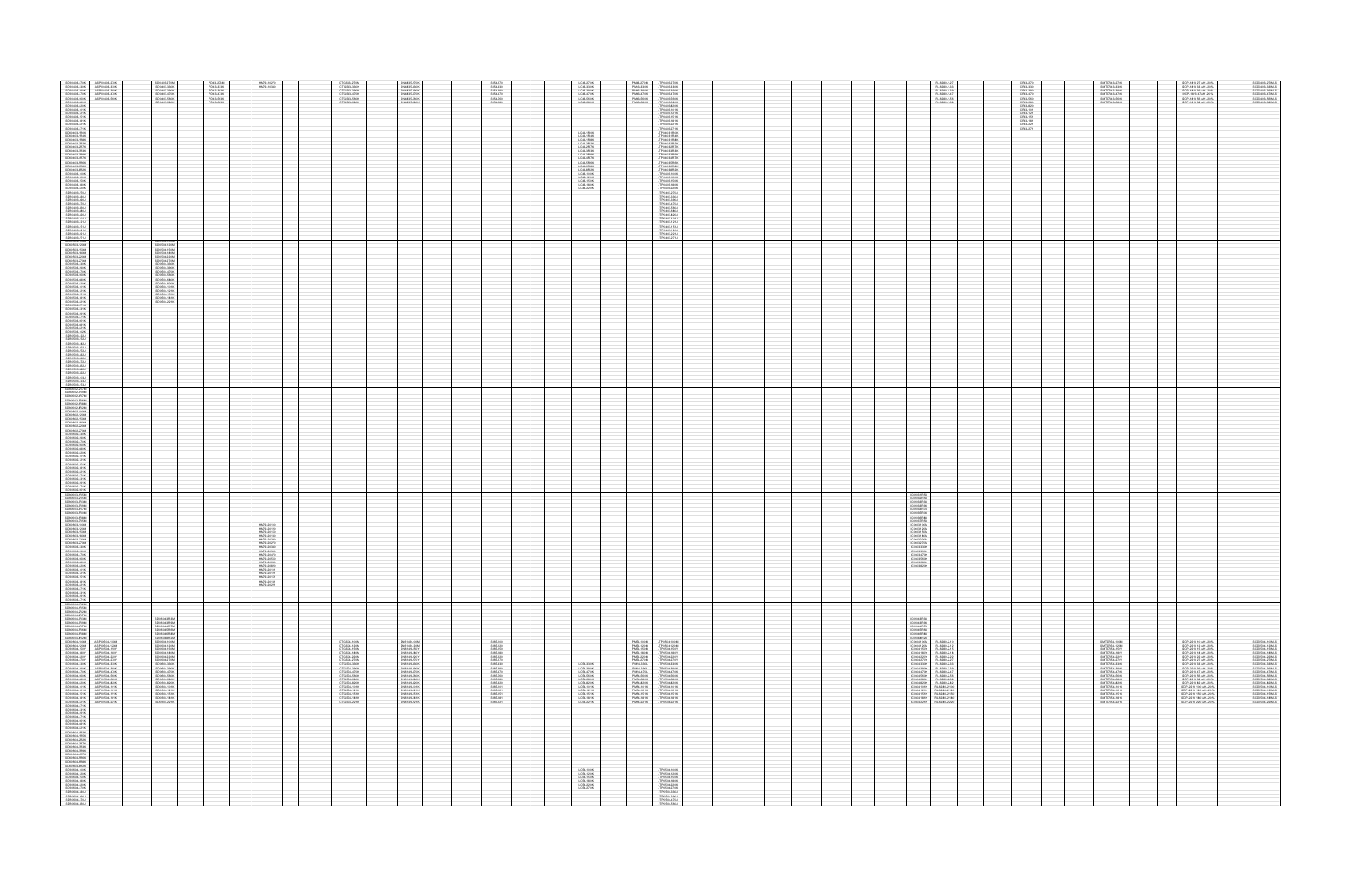| $\begin{tabular}{ c c c c c } \hline \multicolumn{2}{c}{\textbf{ACM}}{\textbf{ACM}}&\textbf{ACM}\\\hline \multicolumn{2}{c}{\textbf{ACM}}&\textbf{ACM}\\\hline \multicolumn{2}{c}{\textbf{ACM}}&\textbf{ACM}\\\hline \multicolumn{2}{c}{\textbf{ACM}}&\textbf{ACM}\\\hline \multicolumn{2}{c}{\textbf{ACM}}&\textbf{ACM}\\\hline \multicolumn{2}{c}{\textbf{ACM}}&\textbf{ACM}\\\hline \multicolumn{2}{c}{\textbf{ACM}}&\textbf{ACM}\\\hline \multic$ | SD0403-270M<br>SD0403-330K<br>SD0403-350K<br>SD0403-560K<br>SD0403-560K<br>SD0403-560K                                                             | PD43-273M<br>PD43-333K<br>PD43-353K<br>PD43-563K<br>PD43-563K<br>PD43-563K | H M 79.10270                                                                                                                                                                                                                                                                                                   |      | CTGS43-270M<br>CTGS43-330K<br>CTGS43-390K<br>CTGS43-560K<br>CTGS43-660K<br>CTGS43-660K                                                                                               | DN4835-270K<br>DN4835-330K<br>DN4835-390K<br>DN4835-560K<br>DN4835-560K<br>DN4835-680K                                             | 8154-270<br>8154-330<br>8154-390<br>8154-470<br>8154-680<br>8154-680 | $\begin{array}{r l l} \hline & \text{LG43-270K} & \text{ } \\ \hline & \text{LG43-330K} & \text{ } \\ \hline & \text{LG43-390K} & \text{ } \\ \hline & \text{LG43-470K} & \text{ } \\ \hline & \text{LG43-660K} & \text{ } \\ \hline \end{array}$ | $\begin{tabular}{ c c c c } \hline \text{PM43-27DM} & \text{,TP0403-270K} \\ \hline \text{PM43-330K} & \text{,TP0403-330K} \\ \text{PM43-390K} & \text{,TP0403-390K} \\ \hline \text{PM43-470K} & \text{,TP0403-660K} \\ \hline \text{PM43-660K} & \text{,TP0403-660K} \\ \hline \text{PM43-680K} & \text{,TP0403-680K} \\ \hline \end{tabular}$                                             |  | Rt -6280-1-27<br>Rt -6280-1-33<br>Rt -6280-1-39<br>Rt -6280-1-56<br>Rt -6280-1-68<br>Rt -6280-1-68                             |   | $\begin{tabular}{c c} \multicolumn{2}{c}{\text{SMIDRA3-370K}}\\ \multicolumn{2}{c}{\text{SMIDRA3-330K}}\\ \multicolumn{2}{c}{\text{SMIDRA3-390K}}\\ \multicolumn{2}{c}{\text{SMIDRA3-470K}}\\ \multicolumn{2}{c}{\text{SMIDRA3-480K}}\\ \multicolumn{2}{c}{\text{SMIDRA3-480K}}\\ \multicolumn{2}{c}{\text{SMIDRA3-680K}}\\ \multicolumn{2}{c}{\text{SMIDRA3-680K}}\\ \multicolumn{2}{c}{\text{SMIDRA3-680K}}\\ \multicolumn$ | IDCP-1813.27 uH --20%<br>IDCP-1813.33 uH --20%<br>IDCP-1813.39 uH --20%<br>IDCP-1813.56 uH --20%<br>IDCP-1813.56 uH --20%                                                                    | SCD0403-270M<br>SCD0403-330M-3<br>SCD0403-390M-3                     |
|-------------------------------------------------------------------------------------------------------------------------------------------------------------------------------------------------------------------------------------------------------------------------------------------------------------------------------------------------------------------------------------------------------------------------------------------------------|----------------------------------------------------------------------------------------------------------------------------------------------------|----------------------------------------------------------------------------|----------------------------------------------------------------------------------------------------------------------------------------------------------------------------------------------------------------------------------------------------------------------------------------------------------------|------|--------------------------------------------------------------------------------------------------------------------------------------------------------------------------------------|------------------------------------------------------------------------------------------------------------------------------------|----------------------------------------------------------------------|---------------------------------------------------------------------------------------------------------------------------------------------------------------------------------------------------------------------------------------------------|----------------------------------------------------------------------------------------------------------------------------------------------------------------------------------------------------------------------------------------------------------------------------------------------------------------------------------------------------------------------------------------------|--|--------------------------------------------------------------------------------------------------------------------------------|---|-------------------------------------------------------------------------------------------------------------------------------------------------------------------------------------------------------------------------------------------------------------------------------------------------------------------------------------------------------------------------------------------------------------------------------|----------------------------------------------------------------------------------------------------------------------------------------------------------------------------------------------|----------------------------------------------------------------------|
|                                                                                                                                                                                                                                                                                                                                                                                                                                                       |                                                                                                                                                    |                                                                            |                                                                                                                                                                                                                                                                                                                |      | CTGS43-680K                                                                                                                                                                          |                                                                                                                                    | SI54-680                                                             | $LC43-680K$                                                                                                                                                                                                                                       |                                                                                                                                                                                                                                                                                                                                                                                              |  |                                                                                                                                |   |                                                                                                                                                                                                                                                                                                                                                                                                                               |                                                                                                                                                                                              | SCD0403-470M-<br>SCD0403-680M-3                                      |
|                                                                                                                                                                                                                                                                                                                                                                                                                                                       |                                                                                                                                                    |                                                                            |                                                                                                                                                                                                                                                                                                                |      |                                                                                                                                                                                      |                                                                                                                                    |                                                                      |                                                                                                                                                                                                                                                   |                                                                                                                                                                                                                                                                                                                                                                                              |  |                                                                                                                                |   |                                                                                                                                                                                                                                                                                                                                                                                                                               |                                                                                                                                                                                              |                                                                      |
|                                                                                                                                                                                                                                                                                                                                                                                                                                                       |                                                                                                                                                    |                                                                            |                                                                                                                                                                                                                                                                                                                |      |                                                                                                                                                                                      |                                                                                                                                    |                                                                      | LC43-1R0K<br>LC43-1R4K<br>LC43-1R8K<br>LC43-2R2K<br>LC43-2R2K                                                                                                                                                                                     |                                                                                                                                                                                                                                                                                                                                                                                              |  |                                                                                                                                |   |                                                                                                                                                                                                                                                                                                                                                                                                                               |                                                                                                                                                                                              |                                                                      |
| SDR0403-3R9K<br>SDR0403-4R7K<br>SDR0403-5R6K<br>SDR0403-8R9K<br>CDR0403-8R9K                                                                                                                                                                                                                                                                                                                                                                          |                                                                                                                                                    |                                                                            |                                                                                                                                                                                                                                                                                                                |      |                                                                                                                                                                                      |                                                                                                                                    |                                                                      | LC43-2R7K<br>LC43-3R3K<br>LC43-3R9K<br>LC43-5R6K<br>LC43-5R6K                                                                                                                                                                                     |                                                                                                                                                                                                                                                                                                                                                                                              |  |                                                                                                                                |   |                                                                                                                                                                                                                                                                                                                                                                                                                               |                                                                                                                                                                                              |                                                                      |
| SDR0403-8R2K<br>SDR0403-100K<br>SDR0403-120K                                                                                                                                                                                                                                                                                                                                                                                                          |                                                                                                                                                    |                                                                            |                                                                                                                                                                                                                                                                                                                |      |                                                                                                                                                                                      |                                                                                                                                    |                                                                      | LC43-6R8K<br>LC43-8R2K<br>LC43-100K<br>LC43-120K                                                                                                                                                                                                  |                                                                                                                                                                                                                                                                                                                                                                                              |  |                                                                                                                                |   |                                                                                                                                                                                                                                                                                                                                                                                                                               |                                                                                                                                                                                              |                                                                      |
|                                                                                                                                                                                                                                                                                                                                                                                                                                                       |                                                                                                                                                    |                                                                            |                                                                                                                                                                                                                                                                                                                |      |                                                                                                                                                                                      |                                                                                                                                    |                                                                      | LC43-150K<br>LC43-180K<br>LC43-220K                                                                                                                                                                                                               |                                                                                                                                                                                                                                                                                                                                                                                              |  |                                                                                                                                |   |                                                                                                                                                                                                                                                                                                                                                                                                                               |                                                                                                                                                                                              |                                                                      |
| 50804034700<br>50804034700<br>50804034700<br>50804034700<br>50804034700<br>50804034800<br>50804034800<br>50804034800<br>50804034800<br>50804034800                                                                                                                                                                                                                                                                                                    |                                                                                                                                                    |                                                                            |                                                                                                                                                                                                                                                                                                                |      |                                                                                                                                                                                      |                                                                                                                                    |                                                                      |                                                                                                                                                                                                                                                   |                                                                                                                                                                                                                                                                                                                                                                                              |  |                                                                                                                                |   |                                                                                                                                                                                                                                                                                                                                                                                                                               |                                                                                                                                                                                              |                                                                      |
|                                                                                                                                                                                                                                                                                                                                                                                                                                                       |                                                                                                                                                    |                                                                            |                                                                                                                                                                                                                                                                                                                |      |                                                                                                                                                                                      |                                                                                                                                    |                                                                      |                                                                                                                                                                                                                                                   |                                                                                                                                                                                                                                                                                                                                                                                              |  |                                                                                                                                |   |                                                                                                                                                                                                                                                                                                                                                                                                                               |                                                                                                                                                                                              |                                                                      |
|                                                                                                                                                                                                                                                                                                                                                                                                                                                       |                                                                                                                                                    |                                                                            |                                                                                                                                                                                                                                                                                                                |      |                                                                                                                                                                                      |                                                                                                                                    |                                                                      |                                                                                                                                                                                                                                                   |                                                                                                                                                                                                                                                                                                                                                                                              |  |                                                                                                                                |   |                                                                                                                                                                                                                                                                                                                                                                                                                               |                                                                                                                                                                                              |                                                                      |
|                                                                                                                                                                                                                                                                                                                                                                                                                                                       | SD0504-100M<br>SD0504-120M<br>SD0504-180M<br>SD0504-220M<br>SD0504-220M                                                                            |                                                                            |                                                                                                                                                                                                                                                                                                                |      |                                                                                                                                                                                      |                                                                                                                                    |                                                                      |                                                                                                                                                                                                                                                   |                                                                                                                                                                                                                                                                                                                                                                                              |  |                                                                                                                                |   |                                                                                                                                                                                                                                                                                                                                                                                                                               |                                                                                                                                                                                              |                                                                      |
|                                                                                                                                                                                                                                                                                                                                                                                                                                                       | 500504-270M<br>SD0504-330K<br>SD0504-330K<br>SD0504-470K<br>SD0504-660K<br>SD0504-660K<br>SD0504-660K<br>SD0504-620K<br>SD0504-620K<br>SD0504-620K |                                                                            |                                                                                                                                                                                                                                                                                                                |      |                                                                                                                                                                                      |                                                                                                                                    |                                                                      |                                                                                                                                                                                                                                                   |                                                                                                                                                                                                                                                                                                                                                                                              |  |                                                                                                                                |   |                                                                                                                                                                                                                                                                                                                                                                                                                               |                                                                                                                                                                                              |                                                                      |
|                                                                                                                                                                                                                                                                                                                                                                                                                                                       | SD0504-101K                                                                                                                                        |                                                                            |                                                                                                                                                                                                                                                                                                                |      |                                                                                                                                                                                      |                                                                                                                                    |                                                                      |                                                                                                                                                                                                                                                   |                                                                                                                                                                                                                                                                                                                                                                                              |  |                                                                                                                                |   |                                                                                                                                                                                                                                                                                                                                                                                                                               |                                                                                                                                                                                              |                                                                      |
|                                                                                                                                                                                                                                                                                                                                                                                                                                                       | SD0504-121K<br>SD0504-151K<br>SD0504-181K<br>SD0504-221K                                                                                           |                                                                            |                                                                                                                                                                                                                                                                                                                |      |                                                                                                                                                                                      |                                                                                                                                    |                                                                      |                                                                                                                                                                                                                                                   |                                                                                                                                                                                                                                                                                                                                                                                              |  |                                                                                                                                |   |                                                                                                                                                                                                                                                                                                                                                                                                                               |                                                                                                                                                                                              |                                                                      |
|                                                                                                                                                                                                                                                                                                                                                                                                                                                       |                                                                                                                                                    |                                                                            |                                                                                                                                                                                                                                                                                                                |      |                                                                                                                                                                                      |                                                                                                                                    |                                                                      |                                                                                                                                                                                                                                                   |                                                                                                                                                                                                                                                                                                                                                                                              |  |                                                                                                                                |   |                                                                                                                                                                                                                                                                                                                                                                                                                               |                                                                                                                                                                                              |                                                                      |
|                                                                                                                                                                                                                                                                                                                                                                                                                                                       |                                                                                                                                                    |                                                                            |                                                                                                                                                                                                                                                                                                                |      |                                                                                                                                                                                      |                                                                                                                                    |                                                                      |                                                                                                                                                                                                                                                   |                                                                                                                                                                                                                                                                                                                                                                                              |  |                                                                                                                                |   |                                                                                                                                                                                                                                                                                                                                                                                                                               |                                                                                                                                                                                              |                                                                      |
|                                                                                                                                                                                                                                                                                                                                                                                                                                                       |                                                                                                                                                    |                                                                            |                                                                                                                                                                                                                                                                                                                |      |                                                                                                                                                                                      |                                                                                                                                    |                                                                      |                                                                                                                                                                                                                                                   |                                                                                                                                                                                                                                                                                                                                                                                              |  |                                                                                                                                |   |                                                                                                                                                                                                                                                                                                                                                                                                                               |                                                                                                                                                                                              |                                                                      |
| 000000102323<br>000000152323<br>000000152323<br>00000015223<br>00000015223<br>00000015223<br>00000015223<br>00000015223<br>0000001523<br>0000001523<br>0000001523<br>0000001523<br>0000001523<br>000000153<br>000000153<br>000000153<br>000000153<br>000000153<br>                                                                                                                                                                                    |                                                                                                                                                    |                                                                            |                                                                                                                                                                                                                                                                                                                |      |                                                                                                                                                                                      |                                                                                                                                    |                                                                      |                                                                                                                                                                                                                                                   |                                                                                                                                                                                                                                                                                                                                                                                              |  |                                                                                                                                |   |                                                                                                                                                                                                                                                                                                                                                                                                                               |                                                                                                                                                                                              |                                                                      |
|                                                                                                                                                                                                                                                                                                                                                                                                                                                       |                                                                                                                                                    |                                                                            |                                                                                                                                                                                                                                                                                                                |      |                                                                                                                                                                                      |                                                                                                                                    |                                                                      |                                                                                                                                                                                                                                                   |                                                                                                                                                                                                                                                                                                                                                                                              |  |                                                                                                                                |   |                                                                                                                                                                                                                                                                                                                                                                                                                               |                                                                                                                                                                                              |                                                                      |
| SDR0602-2R7M                                                                                                                                                                                                                                                                                                                                                                                                                                          |                                                                                                                                                    |                                                                            |                                                                                                                                                                                                                                                                                                                |      |                                                                                                                                                                                      |                                                                                                                                    |                                                                      |                                                                                                                                                                                                                                                   |                                                                                                                                                                                                                                                                                                                                                                                              |  |                                                                                                                                |   |                                                                                                                                                                                                                                                                                                                                                                                                                               |                                                                                                                                                                                              |                                                                      |
| $\begin{tabular}{c c} \hline \texttt{SDR0602-4R7M} & \texttt{SDRO602-4R7M} \\ \hline \texttt{SDRO602-4R8M} & \texttt{SDRO602-4R8M} \\ \hline \texttt{SDRO602-4R9M} & \texttt{SDRO602-4R9M} \\ \hline \texttt{SDRO602-4R9M} & \texttt{SDRO602-4R9M} \\ \hline \texttt{SDRO602-4R9M} & \texttt{SDRO602-2R9M} \\ \hline \texttt{SDRO602-2R9M} & \texttt{SDRO602-77M} \\$                                                                                 |                                                                                                                                                    |                                                                            |                                                                                                                                                                                                                                                                                                                |      |                                                                                                                                                                                      |                                                                                                                                    |                                                                      |                                                                                                                                                                                                                                                   |                                                                                                                                                                                                                                                                                                                                                                                              |  |                                                                                                                                |   |                                                                                                                                                                                                                                                                                                                                                                                                                               |                                                                                                                                                                                              |                                                                      |
|                                                                                                                                                                                                                                                                                                                                                                                                                                                       |                                                                                                                                                    |                                                                            |                                                                                                                                                                                                                                                                                                                |      |                                                                                                                                                                                      |                                                                                                                                    |                                                                      |                                                                                                                                                                                                                                                   |                                                                                                                                                                                                                                                                                                                                                                                              |  |                                                                                                                                |   |                                                                                                                                                                                                                                                                                                                                                                                                                               |                                                                                                                                                                                              |                                                                      |
| $\begin{tabular}{ c c c c } \hline SDR0602,220M\\ \hline SDR0602,220M\\ \hline SCR0602,330K\\ \hline SCR0602,330K\\ \hline SCR0602,470K\\ \hline SCR0602,470K\\ \hline SCR0602,420K\\ \hline SCR0602,121K\\ \hline SCR0602,221K\\ \hline SCR0602,221K\\ \hline SCR0602,221K\\ \hline SCR0602,221K\\ \hline SCR0602,221K\\ \hline SCR0602$                                                                                                             |                                                                                                                                                    |                                                                            |                                                                                                                                                                                                                                                                                                                |      |                                                                                                                                                                                      |                                                                                                                                    |                                                                      |                                                                                                                                                                                                                                                   |                                                                                                                                                                                                                                                                                                                                                                                              |  |                                                                                                                                |   |                                                                                                                                                                                                                                                                                                                                                                                                                               |                                                                                                                                                                                              |                                                                      |
|                                                                                                                                                                                                                                                                                                                                                                                                                                                       |                                                                                                                                                    |                                                                            |                                                                                                                                                                                                                                                                                                                |      |                                                                                                                                                                                      |                                                                                                                                    |                                                                      |                                                                                                                                                                                                                                                   |                                                                                                                                                                                                                                                                                                                                                                                              |  |                                                                                                                                |   |                                                                                                                                                                                                                                                                                                                                                                                                                               |                                                                                                                                                                                              |                                                                      |
|                                                                                                                                                                                                                                                                                                                                                                                                                                                       |                                                                                                                                                    |                                                                            |                                                                                                                                                                                                                                                                                                                |      |                                                                                                                                                                                      |                                                                                                                                    |                                                                      |                                                                                                                                                                                                                                                   |                                                                                                                                                                                                                                                                                                                                                                                              |  |                                                                                                                                |   |                                                                                                                                                                                                                                                                                                                                                                                                                               |                                                                                                                                                                                              |                                                                      |
| SDR0603-1R5M<br>SDR0603-2R5M<br>SDR0603-3R3M<br>SDR0603-3R3M                                                                                                                                                                                                                                                                                                                                                                                          |                                                                                                                                                    |                                                                            |                                                                                                                                                                                                                                                                                                                |      |                                                                                                                                                                                      |                                                                                                                                    |                                                                      |                                                                                                                                                                                                                                                   |                                                                                                                                                                                                                                                                                                                                                                                              |  | CO6031R5M                                                                                                                      |   |                                                                                                                                                                                                                                                                                                                                                                                                                               |                                                                                                                                                                                              |                                                                      |
| SDR0603-4R7M<br>SDR0603-5R0M<br>SDR0603-5R8M                                                                                                                                                                                                                                                                                                                                                                                                          |                                                                                                                                                    |                                                                            |                                                                                                                                                                                                                                                                                                                |      |                                                                                                                                                                                      |                                                                                                                                    |                                                                      |                                                                                                                                                                                                                                                   |                                                                                                                                                                                                                                                                                                                                                                                              |  | CO6033R3M<br>CO6033R3M<br>CO6034R7M<br>CO6034R6M<br>CO6037R6M<br>CO603120M<br>CO603120M<br>CO60315M<br>CO60315M<br>CO60315M    |   |                                                                                                                                                                                                                                                                                                                                                                                                                               |                                                                                                                                                                                              |                                                                      |
| SDR0603-7R5M<br>SDR0603-100M<br>SDR0603-120M<br>SDR0603-150M                                                                                                                                                                                                                                                                                                                                                                                          |                                                                                                                                                    |                                                                            |                                                                                                                                                                                                                                                                                                                |      |                                                                                                                                                                                      |                                                                                                                                    |                                                                      |                                                                                                                                                                                                                                                   |                                                                                                                                                                                                                                                                                                                                                                                              |  |                                                                                                                                |   |                                                                                                                                                                                                                                                                                                                                                                                                                               |                                                                                                                                                                                              |                                                                      |
| SDR0503-180M<br>SDR0503-220M<br>SDR0503-270M<br>SDR0503-330K                                                                                                                                                                                                                                                                                                                                                                                          |                                                                                                                                                    |                                                                            | $\begin{array}{r} \text{HH79-20100} \\ \text{HH79-20150} \\ \text{HH78-20150} \\ \text{HH79-20150} \\ \text{HH79-20250} \\ \text{HH79-20250} \\ \text{HH79-20500} \\ \text{HH79-2050} \\ \text{HH79-20151} \\ \text{HH79-20151} \\ \text{HH79-20151} \\ \text{HH79-20151} \\ \text{HH79-20151} \\ \end{array}$ |      |                                                                                                                                                                                      |                                                                                                                                    |                                                                      |                                                                                                                                                                                                                                                   |                                                                                                                                                                                                                                                                                                                                                                                              |  | CO603180M<br>CO603180M<br>CO603270M<br>CO603330K<br>CO603340K<br>CO603470K<br>CO603850K<br>CO603830K<br>CO603830K<br>CO603820K |   |                                                                                                                                                                                                                                                                                                                                                                                                                               |                                                                                                                                                                                              |                                                                      |
| SDR0603-300K<br>SDR0603-470K<br>SDR0603-500K<br>SDR0603-500K<br>SDR0603-520K<br>SDR0603-121K<br>SDR0603-121K<br>SDR0603-121K<br>SDR0603-121K<br>SDR0603-121K                                                                                                                                                                                                                                                                                          |                                                                                                                                                    |                                                                            |                                                                                                                                                                                                                                                                                                                |      |                                                                                                                                                                                      |                                                                                                                                    |                                                                      |                                                                                                                                                                                                                                                   |                                                                                                                                                                                                                                                                                                                                                                                              |  |                                                                                                                                |   |                                                                                                                                                                                                                                                                                                                                                                                                                               |                                                                                                                                                                                              |                                                                      |
|                                                                                                                                                                                                                                                                                                                                                                                                                                                       |                                                                                                                                                    |                                                                            | HM79-20221                                                                                                                                                                                                                                                                                                     |      |                                                                                                                                                                                      |                                                                                                                                    |                                                                      |                                                                                                                                                                                                                                                   |                                                                                                                                                                                                                                                                                                                                                                                              |  |                                                                                                                                |   |                                                                                                                                                                                                                                                                                                                                                                                                                               |                                                                                                                                                                                              |                                                                      |
|                                                                                                                                                                                                                                                                                                                                                                                                                                                       |                                                                                                                                                    |                                                                            |                                                                                                                                                                                                                                                                                                                |      |                                                                                                                                                                                      |                                                                                                                                    |                                                                      | —1—                                                                                                                                                                                                                                               |                                                                                                                                                                                                                                                                                                                                                                                              |  |                                                                                                                                |   |                                                                                                                                                                                                                                                                                                                                                                                                                               |                                                                                                                                                                                              |                                                                      |
|                                                                                                                                                                                                                                                                                                                                                                                                                                                       |                                                                                                                                                    |                                                                            |                                                                                                                                                                                                                                                                                                                |      |                                                                                                                                                                                      |                                                                                                                                    |                                                                      |                                                                                                                                                                                                                                                   |                                                                                                                                                                                                                                                                                                                                                                                              |  |                                                                                                                                |   |                                                                                                                                                                                                                                                                                                                                                                                                                               |                                                                                                                                                                                              |                                                                      |
|                                                                                                                                                                                                                                                                                                                                                                                                                                                       | SD0604-3R3M<br>SD0604-3R9M<br>SD0604-4R7M<br>SD0604-5R6M<br>SD0604-6R8M<br>SD0604-8R2M<br>CD0604-8R2M                                              |                                                                            |                                                                                                                                                                                                                                                                                                                |      |                                                                                                                                                                                      |                                                                                                                                    |                                                                      |                                                                                                                                                                                                                                                   |                                                                                                                                                                                                                                                                                                                                                                                              |  | IC06043R9M<br>CO6045R6M                                                                                                        |   |                                                                                                                                                                                                                                                                                                                                                                                                                               |                                                                                                                                                                                              |                                                                      |
|                                                                                                                                                                                                                                                                                                                                                                                                                                                       | SD0604-100M<br>SD0604-120M<br>SD0604-150M<br>SD0604-180M<br>CD0604-180M                                                                            |                                                                            |                                                                                                                                                                                                                                                                                                                | ____ | CTGS54-100M<br>CTGS54-120M<br>CTGS54-150M<br>CTGS54-180M                                                                                                                             | DN6149-100M<br>DN6149-120M<br>DN6149-150Y<br>DN6149-180Y<br>CN16149-200Y                                                           | S165-100<br>SI65-150<br>SI65-180                                     |                                                                                                                                                                                                                                                   | PM54-100M JTP0504-100M<br>PM54-120M JTP0504-120M<br>PM54-180M JTP0504-180Y<br>PM54-180M JTP0504-180Y                                                                                                                                                                                                                                                                                         |  | CO504100M RL-6280-2-10<br>CO504120M RL-6280-2-12<br>CO504150Y RL-6280-2-15<br>CO504180Y RL-6280-2-18                           |   | SMTDR54-100M<br>SMTDR54-120M<br>SMTDR54-150Y<br>SMTDR54-180Y<br>CMTDR54-180Y                                                                                                                                                                                                                                                                                                                                                  | IDCP-2218 10 uH -20%<br>IDCP-2218 12 uH -20%<br>DCP-2218 15 uH -20%                                                                                                                          | SCD0504-100M-3                                                       |
|                                                                                                                                                                                                                                                                                                                                                                                                                                                       | SD0604-220M<br>SD0604-330K<br>SD0604-330K<br>SD0604-470K<br>SD0604-560K                                                                            |                                                                            |                                                                                                                                                                                                                                                                                                                |      |                                                                                                                                                                                      |                                                                                                                                    | SI65-220<br>SI65-270<br>5165-330<br>SI65-390                         | LC54-330K<br>LC54-390K<br>LC54-470K                                                                                                                                                                                                               |                                                                                                                                                                                                                                                                                                                                                                                              |  | IC0604220Y RL-6280-2-22<br>CO604330K RL-6280-2-33<br>CO604390K RL-6280-2-39<br>CO604470K RL-6280-2-47                          | — | MTDR54-220Y<br>SMTDR54-270Y<br>SMTDR54-330K<br>SMTDR54-390K<br>SMTDR54-560K<br>SMTDR54-560K<br>SMTDR54-560K<br>SMTDR54-560K                                                                                                                                                                                                                                                                                                   | 002-2218 22 uH - 20%<br>DCP-2218 27 uH - 20%<br>DCP-2218 33 uH - 20%<br>DCP-2218 39 uH - 20%<br>DCP-2218 47 uH - 20%<br>DCP-2218 47 uH - 20%<br>DCP-2218 56 uH - 20%<br>DCP-2218 56 uH - 20% |                                                                      |
|                                                                                                                                                                                                                                                                                                                                                                                                                                                       | SD0604-680K<br>SD0604-820K<br>SD0604-101K                                                                                                          |                                                                            |                                                                                                                                                                                                                                                                                                                |      | 1934<br>1934<br>19354-220M<br>19354-330K<br>19354-330K<br>19354-350K<br>19354-550K<br>19354-550K<br>19354-550K<br>19354-520K<br>19354-520K<br>19354-520K<br>19354-520K<br>19354-191K | MNH49-220Y<br>DN6149-220Y<br>DN6149-330K<br>DN6149-330K<br>DN6149-660K<br>DN6149-680K<br>DN6149-820K<br>DN6149-421K<br>DN6149-121K | SI65-470<br>SI65-560<br>S165-680<br>SI65-101                         | LC54-560K<br>$LCS4-680K$<br>$LC54-820K$<br>$LC54-101K$                                                                                                                                                                                            | $\begin{tabular}{c} \textit{PMS-1.526}\\ \textit{PAIS-1.526}\\ \textit{PAIS-1.526}\\ \textit{PAIS-1.526}\\ \textit{PAIS-1.526}\\ \textit{PAIS-1.526}\\ \textit{PAIS-1.526}\\ \textit{PAIS-1.526}\\ \textit{PAIS-1.526}\\ \textit{PAIS-1.526}\\ \textit{PAIS-1.526}\\ \textit{PAIS-1.526}\\ \textit{PAIS-1.526}\\ \textit{PAIS-1.526}\\ \textit{PAIS-1.526}\\ \textit{PAIS-1.526}\\ \textit{$ |  | IC0604560K RL-6280-2-56<br>C0604680K RL-6280-2-68<br>C0604820K RL-6280-2-82<br>C0604101K RL-6280-2-100                         |   |                                                                                                                                                                                                                                                                                                                                                                                                                               | IDCP-2218 68 uH -20%<br>IDCP-2218 82 uH -20%<br>IDCP-2218 100 uH -20%                                                                                                                        |                                                                      |
|                                                                                                                                                                                                                                                                                                                                                                                                                                                       | SD0604-121K<br>SD0604-151K<br>SD0604-181K<br>SD0604-221K                                                                                           |                                                                            |                                                                                                                                                                                                                                                                                                                |      | CTGS54-121K<br>CTGS54-151K<br>CTGS54-181K<br>CTGS54-221K                                                                                                                             | DN6149-121K<br>DN6149-151K<br>DN6149-181K<br>DN6149-221K                                                                           | SI65-121<br>S165-151<br>SI65-221                                     | LC54-121K<br>LC54-151K<br>LC54-181K<br>LC54-221K                                                                                                                                                                                                  | PM54-121K JTP0504-121K<br>PM54-151K JTP0504-151K<br>PM54-181K JTP0504-181K<br>PM54-221K JTP0504-221K                                                                                                                                                                                                                                                                                         |  | IC0604121K RL-6280-2-120<br>C0604151K RL-5280-2-150<br>C0604181K RL-5280-2-180<br>C0604221K RL-5280-2-220                      |   | SMUDE-4-80K<br>SMTDR54-880K<br>SMTDR54-820K<br>SMTDR54-101K<br>SMTDR54-151K<br>SMTDR54-181K<br>SMTDR54-181K<br>SMTDR54-181K                                                                                                                                                                                                                                                                                                   | IDCP-2218 120 uH -20%<br>IDCP-2218 150 uH -20%<br>IDCP-2218 180 uH -20%<br>IDCP-2218 220 uH -20%                                                                                             | SCD0504-121M-3<br>SCD0504-151M-3<br>SCD0504-181M-3<br>SCD0504-221M-3 |
|                                                                                                                                                                                                                                                                                                                                                                                                                                                       |                                                                                                                                                    |                                                                            |                                                                                                                                                                                                                                                                                                                |      |                                                                                                                                                                                      |                                                                                                                                    |                                                                      |                                                                                                                                                                                                                                                   |                                                                                                                                                                                                                                                                                                                                                                                              |  |                                                                                                                                |   |                                                                                                                                                                                                                                                                                                                                                                                                                               |                                                                                                                                                                                              |                                                                      |
|                                                                                                                                                                                                                                                                                                                                                                                                                                                       |                                                                                                                                                    |                                                                            |                                                                                                                                                                                                                                                                                                                |      |                                                                                                                                                                                      |                                                                                                                                    |                                                                      | ___                                                                                                                                                                                                                                               |                                                                                                                                                                                                                                                                                                                                                                                              |  |                                                                                                                                |   |                                                                                                                                                                                                                                                                                                                                                                                                                               |                                                                                                                                                                                              |                                                                      |
|                                                                                                                                                                                                                                                                                                                                                                                                                                                       |                                                                                                                                                    |                                                                            |                                                                                                                                                                                                                                                                                                                |      |                                                                                                                                                                                      |                                                                                                                                    |                                                                      |                                                                                                                                                                                                                                                   |                                                                                                                                                                                                                                                                                                                                                                                              |  |                                                                                                                                |   |                                                                                                                                                                                                                                                                                                                                                                                                                               |                                                                                                                                                                                              |                                                                      |
|                                                                                                                                                                                                                                                                                                                                                                                                                                                       |                                                                                                                                                    |                                                                            |                                                                                                                                                                                                                                                                                                                |      |                                                                                                                                                                                      |                                                                                                                                    |                                                                      | LC54-100K                                                                                                                                                                                                                                         | JTP0504-100K                                                                                                                                                                                                                                                                                                                                                                                 |  |                                                                                                                                |   |                                                                                                                                                                                                                                                                                                                                                                                                                               |                                                                                                                                                                                              |                                                                      |
| SDR0504-100K<br>SDR0504-120K<br>SDR0504-150K<br>SDR0504-150K                                                                                                                                                                                                                                                                                                                                                                                          |                                                                                                                                                    |                                                                            |                                                                                                                                                                                                                                                                                                                |      |                                                                                                                                                                                      |                                                                                                                                    |                                                                      | LC54-150K<br>$LC54-180K$<br>LC54-220K                                                                                                                                                                                                             | JTP0504-120K<br>JTP0504-150K<br>JTP0504-180K                                                                                                                                                                                                                                                                                                                                                 |  |                                                                                                                                |   |                                                                                                                                                                                                                                                                                                                                                                                                                               |                                                                                                                                                                                              |                                                                      |
| SDR0604-220K<br>SDR0604-270K<br>SDR0604-330J<br>CDD0604-330J<br>SDR0604-390J                                                                                                                                                                                                                                                                                                                                                                          |                                                                                                                                                    |                                                                            |                                                                                                                                                                                                                                                                                                                |      |                                                                                                                                                                                      |                                                                                                                                    |                                                                      | LC54-270K                                                                                                                                                                                                                                         | JTP0504-220K<br>JTP0504-270K<br>JTP0504-330J<br>JTP0504-390J                                                                                                                                                                                                                                                                                                                                 |  |                                                                                                                                |   |                                                                                                                                                                                                                                                                                                                                                                                                                               |                                                                                                                                                                                              |                                                                      |

SDR0604560J J J JTP0504-560J J J J JTP0504-560J

| CR43-270                                     |  | SMTDR43-270K                                                 |  | IDCP-1813 27 uH -20%                                                                                | SCD0403-270M-S                                                       |
|----------------------------------------------|--|--------------------------------------------------------------|--|-----------------------------------------------------------------------------------------------------|----------------------------------------------------------------------|
| CR43-330<br>CR43-390<br>CR43-470<br>CR43-560 |  | SMTDR43-390K<br>SMTDR43-390K<br>SMTDR43-470K<br>SMTDR43-560K |  | IDCP-1813 33 uH -20%<br>IDCP-1813 39 uH -20%<br>IDCP-1813 47uH -20%<br>IDCP-1813 56 uH -20%         | SCO0403330MS<br>SCD0403390MS<br>SCD0403470MS<br>SCD0403560MS         |
| CR43-680<br>CR43-820<br>CR43-101<br>CR43-121 |  | SMTDR43-680K                                                 |  | IDCP-1813 68 uH -20%                                                                                | SCD0403-680M-S                                                       |
|                                              |  |                                                              |  |                                                                                                     |                                                                      |
| CR43-151<br>CR43-181<br>CR43-221<br>CR43-271 |  |                                                              |  |                                                                                                     |                                                                      |
|                                              |  |                                                              |  |                                                                                                     |                                                                      |
|                                              |  |                                                              |  |                                                                                                     |                                                                      |
|                                              |  |                                                              |  |                                                                                                     |                                                                      |
|                                              |  |                                                              |  |                                                                                                     |                                                                      |
|                                              |  |                                                              |  |                                                                                                     |                                                                      |
|                                              |  |                                                              |  |                                                                                                     |                                                                      |
|                                              |  |                                                              |  |                                                                                                     |                                                                      |
|                                              |  |                                                              |  |                                                                                                     |                                                                      |
|                                              |  |                                                              |  |                                                                                                     |                                                                      |
|                                              |  |                                                              |  |                                                                                                     |                                                                      |
|                                              |  |                                                              |  |                                                                                                     |                                                                      |
|                                              |  |                                                              |  |                                                                                                     |                                                                      |
|                                              |  |                                                              |  |                                                                                                     |                                                                      |
|                                              |  |                                                              |  |                                                                                                     |                                                                      |
|                                              |  |                                                              |  |                                                                                                     |                                                                      |
|                                              |  |                                                              |  |                                                                                                     |                                                                      |
|                                              |  |                                                              |  |                                                                                                     |                                                                      |
|                                              |  |                                                              |  |                                                                                                     |                                                                      |
|                                              |  |                                                              |  |                                                                                                     |                                                                      |
|                                              |  |                                                              |  |                                                                                                     |                                                                      |
|                                              |  |                                                              |  |                                                                                                     |                                                                      |
|                                              |  |                                                              |  |                                                                                                     |                                                                      |
|                                              |  |                                                              |  |                                                                                                     |                                                                      |
|                                              |  |                                                              |  |                                                                                                     |                                                                      |
|                                              |  |                                                              |  |                                                                                                     |                                                                      |
|                                              |  |                                                              |  |                                                                                                     |                                                                      |
|                                              |  |                                                              |  |                                                                                                     |                                                                      |
|                                              |  |                                                              |  |                                                                                                     |                                                                      |
|                                              |  |                                                              |  |                                                                                                     |                                                                      |
|                                              |  |                                                              |  |                                                                                                     |                                                                      |
|                                              |  |                                                              |  |                                                                                                     |                                                                      |
|                                              |  |                                                              |  |                                                                                                     |                                                                      |
|                                              |  |                                                              |  |                                                                                                     |                                                                      |
|                                              |  |                                                              |  |                                                                                                     |                                                                      |
|                                              |  |                                                              |  |                                                                                                     |                                                                      |
|                                              |  |                                                              |  |                                                                                                     |                                                                      |
|                                              |  |                                                              |  |                                                                                                     |                                                                      |
|                                              |  |                                                              |  |                                                                                                     |                                                                      |
|                                              |  |                                                              |  |                                                                                                     |                                                                      |
|                                              |  |                                                              |  |                                                                                                     |                                                                      |
|                                              |  |                                                              |  |                                                                                                     |                                                                      |
|                                              |  |                                                              |  |                                                                                                     |                                                                      |
|                                              |  |                                                              |  |                                                                                                     |                                                                      |
|                                              |  |                                                              |  |                                                                                                     |                                                                      |
|                                              |  |                                                              |  |                                                                                                     |                                                                      |
|                                              |  |                                                              |  |                                                                                                     |                                                                      |
|                                              |  |                                                              |  |                                                                                                     |                                                                      |
|                                              |  |                                                              |  |                                                                                                     |                                                                      |
|                                              |  |                                                              |  |                                                                                                     |                                                                      |
|                                              |  |                                                              |  |                                                                                                     |                                                                      |
|                                              |  |                                                              |  |                                                                                                     |                                                                      |
|                                              |  | <b>SMTDR54-100M</b>                                          |  | IDCP-2218 10 uH -20%                                                                                | SCD0504-100M-S                                                       |
|                                              |  | SMTDR54-120M<br>SMTDR54-150Y<br><b>SMTDR54-180Y</b>          |  | IDCP-2218 12 uH -20%<br>IDCP-2218 15 uH -20%<br>IDCP-2218 18 uH -20%                                | SCD0504-120M-S<br>SCD0504-150M-S<br>SCD0504-180M-S                   |
|                                              |  | SMTDR54-220Y                                                 |  | IDCP-2218 22 uH -20%<br>IDCP-2218 27 uH -20%<br>IDCP-2218 33 uH -20%<br>IDCP-2218 33 uH -20%        | SCD0504-220M-S                                                       |
|                                              |  | SMTDR54-270Y<br>SMTDR54-330K<br>SMTDR54-390K<br>SMTDR54-470K |  |                                                                                                     | SCD0504-270M-S<br>SCD0504-330M-S<br>SCD0504-390M-S<br>SCD0504-470M-S |
|                                              |  | SMTDR54-560K<br>SMTDR54-680K                                 |  | IDCP-2218 47 uH - 20%<br>IDCP-2218 56 uH - 20%<br>IDCP-2218 68 uH - 20%<br>IDCP-2218 82 uH -20%     | SCO0504-560M-S<br>SCD0504-560M-S                                     |
|                                              |  | SMTDR54-820K<br>SMTDR54-101K                                 |  | IDCP-2218 100 uH -20%                                                                               | SCD0504-820M-S<br>SCO0504-101M-S                                     |
|                                              |  | SMTDR54-121K<br>SMTDR54-151K<br>SMTDR54-181K<br>SMTDR54-221K |  | IDCP-2218 120 uH - 20%<br>IDCP-2218 150 uH - 20%<br>IDCP-2218 180 uH - 20%<br>IDCP-2218 220 uH -20% | SCD0504-121M-S<br>SCD0504-151M-S<br>SCD0504-181M-S<br>SCD0504-221M-S |
|                                              |  |                                                              |  |                                                                                                     |                                                                      |
|                                              |  |                                                              |  |                                                                                                     |                                                                      |
|                                              |  |                                                              |  |                                                                                                     |                                                                      |
|                                              |  |                                                              |  |                                                                                                     |                                                                      |
|                                              |  |                                                              |  |                                                                                                     |                                                                      |
|                                              |  |                                                              |  |                                                                                                     |                                                                      |
|                                              |  |                                                              |  |                                                                                                     |                                                                      |
|                                              |  |                                                              |  |                                                                                                     |                                                                      |
|                                              |  |                                                              |  |                                                                                                     |                                                                      |
|                                              |  |                                                              |  |                                                                                                     |                                                                      |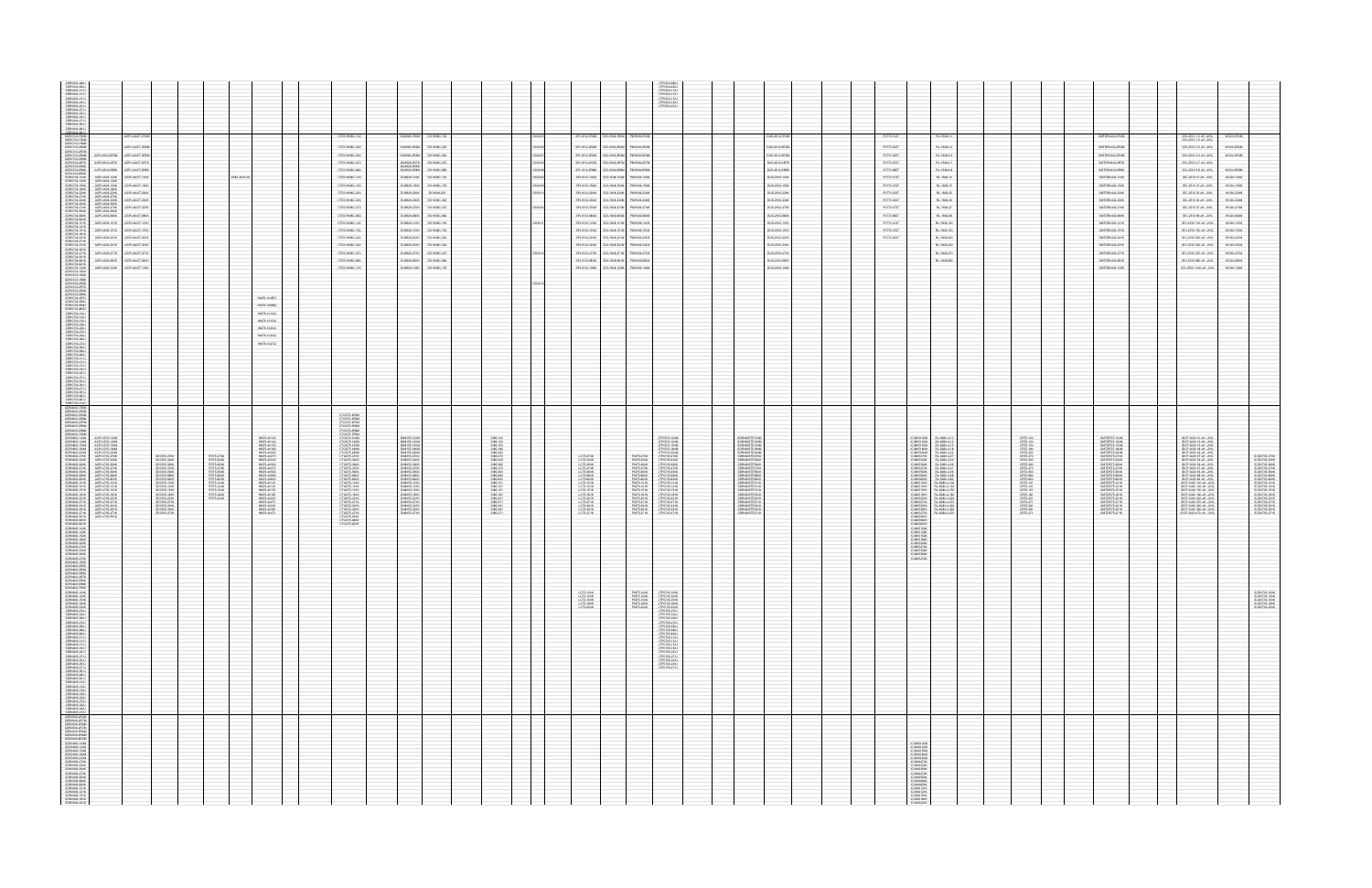| SDR0604-820J<br>SDR0604-101J                                                                                                                                                                                                                                                                                                                                                                                                                                                              |                                                          |                                                  |                                                                                                                                          |                                 |                                 |                                                                                                                                                    |                                                                        |                                                    |                                                                                     |                                 |                                                  |                                        | TP0504-820J                                                                                                                                                                                                                                                                                                                                              |                                                                  |               |            |                                                                                                                                                                                                                                                                                                                                                                                          |                                                          |                                                                                                              |  |                                                                                                                                                                                                                                                  |                                                 |                                                              |
|-------------------------------------------------------------------------------------------------------------------------------------------------------------------------------------------------------------------------------------------------------------------------------------------------------------------------------------------------------------------------------------------------------------------------------------------------------------------------------------------|----------------------------------------------------------|--------------------------------------------------|------------------------------------------------------------------------------------------------------------------------------------------|---------------------------------|---------------------------------|----------------------------------------------------------------------------------------------------------------------------------------------------|------------------------------------------------------------------------|----------------------------------------------------|-------------------------------------------------------------------------------------|---------------------------------|--------------------------------------------------|----------------------------------------|----------------------------------------------------------------------------------------------------------------------------------------------------------------------------------------------------------------------------------------------------------------------------------------------------------------------------------------------------------|------------------------------------------------------------------|---------------|------------|------------------------------------------------------------------------------------------------------------------------------------------------------------------------------------------------------------------------------------------------------------------------------------------------------------------------------------------------------------------------------------------|----------------------------------------------------------|--------------------------------------------------------------------------------------------------------------|--|--------------------------------------------------------------------------------------------------------------------------------------------------------------------------------------------------------------------------------------------------|-------------------------------------------------|--------------------------------------------------------------|
| SDR0604-121J                                                                                                                                                                                                                                                                                                                                                                                                                                                                              |                                                          |                                                  |                                                                                                                                          |                                 |                                 |                                                                                                                                                    |                                                                        |                                                    |                                                                                     |                                 |                                                  |                                        | JTP0504-121J                                                                                                                                                                                                                                                                                                                                             |                                                                  |               |            |                                                                                                                                                                                                                                                                                                                                                                                          |                                                          |                                                                                                              |  |                                                                                                                                                                                                                                                  |                                                 |                                                              |
| SDR0604-181J<br>SDR0604-221J                                                                                                                                                                                                                                                                                                                                                                                                                                                              |                                                          |                                                  |                                                                                                                                          |                                 |                                 |                                                                                                                                                    |                                                                        |                                                    |                                                                                     | ___                             |                                                  |                                        | JTP0504-181J<br>JTP0504-221J                                                                                                                                                                                                                                                                                                                             |                                                                  |               |            |                                                                                                                                                                                                                                                                                                                                                                                          |                                                          |                                                                                                              |  |                                                                                                                                                                                                                                                  |                                                 |                                                              |
| SDR0604-331J                                                                                                                                                                                                                                                                                                                                                                                                                                                                              |                                                          |                                                  |                                                                                                                                          |                                 |                                 |                                                                                                                                                    |                                                                        |                                                    |                                                                                     |                                 |                                                  |                                        |                                                                                                                                                                                                                                                                                                                                                          |                                                                  |               |            |                                                                                                                                                                                                                                                                                                                                                                                          |                                                          |                                                                                                              |  |                                                                                                                                                                                                                                                  |                                                 |                                                              |
| SDR0604-391J<br>SDR0604-471J<br>SDR0604-561J                                                                                                                                                                                                                                                                                                                                                                                                                                              |                                                          |                                                  |                                                                                                                                          |                                 |                                 |                                                                                                                                                    |                                                                        |                                                    |                                                                                     |                                 |                                                  |                                        |                                                                                                                                                                                                                                                                                                                                                          |                                                                  |               |            |                                                                                                                                                                                                                                                                                                                                                                                          |                                                          |                                                                                                              |  |                                                                                                                                                                                                                                                  |                                                 |                                                              |
| SDR0604-681J                                                                                                                                                                                                                                                                                                                                                                                                                                                                              |                                                          |                                                  |                                                                                                                                          |                                 |                                 |                                                                                                                                                    |                                                                        |                                                    |                                                                                     |                                 |                                                  |                                        |                                                                                                                                                                                                                                                                                                                                                          |                                                                  |               |            |                                                                                                                                                                                                                                                                                                                                                                                          |                                                          |                                                                                                              |  |                                                                                                                                                                                                                                                  |                                                 |                                                              |
|                                                                                                                                                                                                                                                                                                                                                                                                                                                                                           |                                                          |                                                  |                                                                                                                                          |                                 |                                 | CTDO1608C-102                                                                                                                                      |                                                                        | DU6629-1R0M DO1608C-102                            |                                                                                     | D03005                          |                                                  | SPL1612-1R0M 523-1608-1R0M PM1608-1R0M |                                                                                                                                                                                                                                                                                                                                                          |                                                                  | DUS-2612-1R0M | P0770.102T | RL-1608-1.0                                                                                                                                                                                                                                                                                                                                                                              |                                                          | SMTDR0402-1R0M                                                                                               |  | IDC-2512 1.5 uH - 20%                                                                                                                                                                                                                            | IDC-2512 1.0 uH - 20% WO20-1R0M                 |                                                              |
|                                                                                                                                                                                                                                                                                                                                                                                                                                                                                           |                                                          |                                                  |                                                                                                                                          |                                 |                                 | CTDO1608C-222                                                                                                                                      |                                                                        | DU6629-2R2M DO1608C-222                            |                                                                                     | 1003006                         |                                                  | SPL1612-2R2M 523-1608-2R2M PM1608-2R2M |                                                                                                                                                                                                                                                                                                                                                          |                                                                  | DUS-2612-2F   | P0770.222T | RL-1608-2.2                                                                                                                                                                                                                                                                                                                                                                              |                                                          | SMTDR0402-2R2M                                                                                               |  |                                                                                                                                                                                                                                                  | IDC-2512 2.2 uH - 20% WO20-2R2M                 |                                                              |
|                                                                                                                                                                                                                                                                                                                                                                                                                                                                                           |                                                          |                                                  |                                                                                                                                          |                                 |                                 | CTDO1608C-332                                                                                                                                      |                                                                        | DU6629-3R3M DO1608C-332                            |                                                                                     | $rac{}{100300}$                 |                                                  | SPL1612-3R3M 523-1608-3R3M PM1608-3R3M |                                                                                                                                                                                                                                                                                                                                                          |                                                                  | DUS-2612-3R3  | P0770.332T | RL-1608-3.3                                                                                                                                                                                                                                                                                                                                                                              |                                                          | SMTDR0402-3R3M                                                                                               |  |                                                                                                                                                                                                                                                  | IDC-2512 3.3 uH - 20% WO20-3R3M                 |                                                              |
|                                                                                                                                                                                                                                                                                                                                                                                                                                                                                           |                                                          |                                                  |                                                                                                                                          |                                 |                                 | CTD01608C-472                                                                                                                                      |                                                                        |                                                    |                                                                                     | 1003003                         |                                                  | SPL1612-4R7M 523-1608-4R7M PM1608-4R7M |                                                                                                                                                                                                                                                                                                                                                          |                                                                  | DUS-2612-4R7  | P0770.472T | RL-1608-4.7                                                                                                                                                                                                                                                                                                                                                                              |                                                          | SMTDR0402-4R7K                                                                                               |  | IDC-2512 4.7 uH - 20%                                                                                                                                                                                                                            |                                                 |                                                              |
|                                                                                                                                                                                                                                                                                                                                                                                                                                                                                           |                                                          |                                                  |                                                                                                                                          |                                 |                                 | CTDO1608C-682                                                                                                                                      |                                                                        | 006629-4R7K 001608C-472<br>006629-5R6K 001608C-682 |                                                                                     | $\sqrt{1000000}$                |                                                  | SPL1612-6R8M 523-1608-6R8M PM1608-6R8M |                                                                                                                                                                                                                                                                                                                                                          |                                                                  | DUS-2612-6RBK | P0770.682T | RL-1608-6.8                                                                                                                                                                                                                                                                                                                                                                              |                                                          | SMTDR0402-6RBK                                                                                               |  |                                                                                                                                                                                                                                                  | IDC-2512 6.8 uH - 20% WO20-6R8M                 |                                                              |
|                                                                                                                                                                                                                                                                                                                                                                                                                                                                                           |                                                          |                                                  |                                                                                                                                          |                                 |                                 | CTDO1608C-103                                                                                                                                      | DU6629-100K DO1608C-10                                                 |                                                    |                                                                                     | 003002                          |                                                  | SPL1612-100M 523-1608-100M PM1608-100M |                                                                                                                                                                                                                                                                                                                                                          |                                                                  | DUS-2612-10   | P0770.103T | RL-1608-10                                                                                                                                                                                                                                                                                                                                                                               |                                                          | SMTDR0402-100K                                                                                               |  |                                                                                                                                                                                                                                                  | DC-2512 10 uH - 20% WO20-100M                   |                                                              |
|                                                                                                                                                                                                                                                                                                                                                                                                                                                                                           |                                                          |                                                  |                                                                                                                                          |                                 |                                 | CTDO1608C-153                                                                                                                                      |                                                                        | DU6629-150K DO1608C-153                            |                                                                                     | $\overline{\phantom{a}}$ posses |                                                  | SPL1612-150M 523-1608-150M PM1608-150M |                                                                                                                                                                                                                                                                                                                                                          |                                                                  | DUS-2612-150K | P0770.153T | RL-1608-15                                                                                                                                                                                                                                                                                                                                                                               |                                                          | SMTDR0402-150K                                                                                               |  |                                                                                                                                                                                                                                                  | DC-2512 15 uH - 20% WO20-150M                   |                                                              |
|                                                                                                                                                                                                                                                                                                                                                                                                                                                                                           |                                                          |                                                  |                                                                                                                                          |                                 |                                 | CTD01608C-223                                                                                                                                      | DU6629-220K DO1608-223                                                 |                                                    |                                                                                     | 00301                           |                                                  | SPL1612-220M 523-1608-220M PM1608-220M |                                                                                                                                                                                                                                                                                                                                                          |                                                                  | DUS-2612-220  | P0770.223T | RL-1608-22                                                                                                                                                                                                                                                                                                                                                                               |                                                          | SMTDR0402-220K                                                                                               |  |                                                                                                                                                                                                                                                  | DC-2512 22 uH - 20% WO20-220M                   |                                                              |
|                                                                                                                                                                                                                                                                                                                                                                                                                                                                                           |                                                          |                                                  |                                                                                                                                          |                                 |                                 | CTDO1608C-333                                                                                                                                      |                                                                        | DU6629-330K DO1608C-333                            |                                                                                     | <u> 1 - 1</u>                   |                                                  | SPL1612-330M 523-1608-330M PM1608-330M |                                                                                                                                                                                                                                                                                                                                                          |                                                                  | DUS-2612-330K | P0770.333T | RL-1608-33                                                                                                                                                                                                                                                                                                                                                                               |                                                          | SMTDR0402-330K                                                                                               |  |                                                                                                                                                                                                                                                  | DC-2512 33 uH - 20% WD20-330M                   |                                                              |
|                                                                                                                                                                                                                                                                                                                                                                                                                                                                                           |                                                          |                                                  |                                                                                                                                          |                                 |                                 | CTDO1608C-473                                                                                                                                      |                                                                        | DU6629-470K DO1608C-473                            |                                                                                     | $\frac{1}{10000}$               |                                                  | SPL1612-470M 523-1608-470M PM1608-470M |                                                                                                                                                                                                                                                                                                                                                          |                                                                  | DUS-2612-470  | P0770.473T | RL-1608-47                                                                                                                                                                                                                                                                                                                                                                               |                                                          | SMTDR0402-470K                                                                                               |  |                                                                                                                                                                                                                                                  | DC-2512 47 uH - 20% WO20-470M                   |                                                              |
|                                                                                                                                                                                                                                                                                                                                                                                                                                                                                           |                                                          |                                                  |                                                                                                                                          |                                 |                                 | CTDO1608C-683                                                                                                                                      |                                                                        | DU6629-680K DO1608C-683                            |                                                                                     | —<br>————                       |                                                  | SPL1612-680M 523-1608-680M PM1608-680M |                                                                                                                                                                                                                                                                                                                                                          |                                                                  | DUS-2612-680K | P0770.683T | RL-1608-68                                                                                                                                                                                                                                                                                                                                                                               |                                                          | SMTDR0402-680K                                                                                               |  |                                                                                                                                                                                                                                                  | DC-2512 68 uH -20% WO20-680M                    |                                                              |
|                                                                                                                                                                                                                                                                                                                                                                                                                                                                                           |                                                          |                                                  |                                                                                                                                          |                                 |                                 | CTDO1608C-104                                                                                                                                      |                                                                        | DU6629-101K DO1608C-104                            |                                                                                     | 003011                          |                                                  | SPL1612-101M 523-1608-101M PM1608-101M |                                                                                                                                                                                                                                                                                                                                                          |                                                                  | DUS-2612-101K | P0770.104T | RL-1608-100                                                                                                                                                                                                                                                                                                                                                                              |                                                          | SMTDR0402-101K                                                                                               |  |                                                                                                                                                                                                                                                  | IDC-2512 100 uH -20% WO20-101M                  |                                                              |
|                                                                                                                                                                                                                                                                                                                                                                                                                                                                                           |                                                          |                                                  |                                                                                                                                          |                                 |                                 | CTDO1608C-154                                                                                                                                      |                                                                        | DU6629-151K DO1608C-154                            |                                                                                     |                                 |                                                  | SPL1612-151M 523-1608-151M PM1608-151M |                                                                                                                                                                                                                                                                                                                                                          |                                                                  | DUS-2612-151K | P0770.154T | RL-1608-150                                                                                                                                                                                                                                                                                                                                                                              |                                                          | SMTDR0402-151K                                                                                               |  |                                                                                                                                                                                                                                                  | IDC-2512 150 uH - 20% WO20-151M                 |                                                              |
|                                                                                                                                                                                                                                                                                                                                                                                                                                                                                           |                                                          |                                                  |                                                                                                                                          |                                 |                                 | CTDO1608C-224                                                                                                                                      |                                                                        | DU6629-221K DO1608C-224                            |                                                                                     |                                 |                                                  | SPL1612-221M 523-1608-221M PM1608-221M |                                                                                                                                                                                                                                                                                                                                                          |                                                                  | DUS-2612-221K | P0770.224T | RL-1608-220                                                                                                                                                                                                                                                                                                                                                                              |                                                          | SMTDR0402-221K                                                                                               |  |                                                                                                                                                                                                                                                  | IDC-2512 220 uH - 20% WO20-221M                 |                                                              |
|                                                                                                                                                                                                                                                                                                                                                                                                                                                                                           |                                                          |                                                  |                                                                                                                                          |                                 |                                 | CTDO1608C-334                                                                                                                                      |                                                                        | DU6629-331K DO1608C-334                            |                                                                                     |                                 |                                                  | SPL1612-331M 523-1608-331M PM1608-331M |                                                                                                                                                                                                                                                                                                                                                          |                                                                  | DUS-2612-331  |            | RL-1608-330                                                                                                                                                                                                                                                                                                                                                                              |                                                          | SMTDR0402-331K                                                                                               |  |                                                                                                                                                                                                                                                  | IDC-2512 330 uH -20% WO20-331M                  |                                                              |
|                                                                                                                                                                                                                                                                                                                                                                                                                                                                                           |                                                          |                                                  |                                                                                                                                          |                                 |                                 | CTDO1608C-474                                                                                                                                      |                                                                        | DU6629-471K DO1608C-474                            |                                                                                     | 003012                          |                                                  | SPL1612-471M 523-1608-471M PM1608-471M |                                                                                                                                                                                                                                                                                                                                                          |                                                                  | DUS-2612-471K |            | RL-1608-470                                                                                                                                                                                                                                                                                                                                                                              |                                                          | SMTDR0402-471K                                                                                               |  |                                                                                                                                                                                                                                                  | DC-2512 470 uH - 20% WO20-471M                  |                                                              |
|                                                                                                                                                                                                                                                                                                                                                                                                                                                                                           |                                                          |                                                  |                                                                                                                                          |                                 |                                 | CTD01608C-684                                                                                                                                      |                                                                        | DU6629-681K DO1608C-684                            |                                                                                     |                                 |                                                  | SPL1612-681M 523-1608-681M PM1608-681M |                                                                                                                                                                                                                                                                                                                                                          |                                                                  | DUS-2612-681K |            | RL-1608-680                                                                                                                                                                                                                                                                                                                                                                              |                                                          | SMTDR0402-681K                                                                                               |  |                                                                                                                                                                                                                                                  | DC-2512 680 uH - 20% WO20-681M                  |                                                              |
|                                                                                                                                                                                                                                                                                                                                                                                                                                                                                           |                                                          |                                                  |                                                                                                                                          |                                 |                                 | CTDO1608C-105                                                                                                                                      |                                                                        | DU6629-102K DO1608C-105                            |                                                                                     |                                 |                                                  | SPL1612-102M 523-1608-102M PM1608-102M |                                                                                                                                                                                                                                                                                                                                                          |                                                                  | DUS-2612-102K |            |                                                                                                                                                                                                                                                                                                                                                                                          |                                                          | SMTDR0402-102K                                                                                               |  |                                                                                                                                                                                                                                                  | DC-2512 1000 uH -20% WO20-102M                  |                                                              |
|                                                                                                                                                                                                                                                                                                                                                                                                                                                                                           |                                                          |                                                  |                                                                                                                                          |                                 |                                 |                                                                                                                                                    |                                                                        |                                                    |                                                                                     |                                 |                                                  |                                        |                                                                                                                                                                                                                                                                                                                                                          |                                                                  |               |            |                                                                                                                                                                                                                                                                                                                                                                                          |                                                          |                                                                                                              |  |                                                                                                                                                                                                                                                  |                                                 |                                                              |
| SDR0703-1R8K<br>SDR0703-2R2K                                                                                                                                                                                                                                                                                                                                                                                                                                                              |                                                          |                                                  |                                                                                                                                          |                                 |                                 |                                                                                                                                                    |                                                                        |                                                    |                                                                                     |                                 |                                                  |                                        |                                                                                                                                                                                                                                                                                                                                                          |                                                                  |               |            |                                                                                                                                                                                                                                                                                                                                                                                          |                                                          |                                                                                                              |  |                                                                                                                                                                                                                                                  |                                                 |                                                              |
| SDR0703-2R7K                                                                                                                                                                                                                                                                                                                                                                                                                                                                              |                                                          |                                                  |                                                                                                                                          |                                 |                                 |                                                                                                                                                    |                                                                        |                                                    |                                                                                     |                                 |                                                  |                                        |                                                                                                                                                                                                                                                                                                                                                          |                                                                  |               |            |                                                                                                                                                                                                                                                                                                                                                                                          |                                                          |                                                                                                              |  |                                                                                                                                                                                                                                                  |                                                 |                                                              |
| SDR0703-3R9K<br>SDR0703-4R7J<br>SDR0703-5R6J<br>SDR0703-6R8J                                                                                                                                                                                                                                                                                                                                                                                                                              |                                                          |                                                  | HM76-104R7J                                                                                                                              |                                 |                                 |                                                                                                                                                    |                                                                        |                                                    |                                                                                     |                                 |                                                  |                                        |                                                                                                                                                                                                                                                                                                                                                          |                                                                  |               |            |                                                                                                                                                                                                                                                                                                                                                                                          |                                                          |                                                                                                              |  |                                                                                                                                                                                                                                                  |                                                 |                                                              |
| SDR0703-6R8J                                                                                                                                                                                                                                                                                                                                                                                                                                                                              |                                                          |                                                  | HM76-106R8J                                                                                                                              |                                 |                                 |                                                                                                                                                    |                                                                        |                                                    |                                                                                     |                                 |                                                  |                                        |                                                                                                                                                                                                                                                                                                                                                          |                                                                  |               |            |                                                                                                                                                                                                                                                                                                                                                                                          |                                                          |                                                                                                              |  |                                                                                                                                                                                                                                                  |                                                 |                                                              |
| SDR0703-8R2J<br>SDR0703-100J                                                                                                                                                                                                                                                                                                                                                                                                                                                              |                                                          |                                                  | HM76-10100J                                                                                                                              |                                 |                                 |                                                                                                                                                    |                                                                        |                                                    |                                                                                     |                                 |                                                  |                                        |                                                                                                                                                                                                                                                                                                                                                          |                                                                  |               |            |                                                                                                                                                                                                                                                                                                                                                                                          |                                                          |                                                                                                              |  |                                                                                                                                                                                                                                                  |                                                 |                                                              |
| SDR0703-120J                                                                                                                                                                                                                                                                                                                                                                                                                                                                              |                                                          |                                                  | HM76-10150                                                                                                                               |                                 |                                 |                                                                                                                                                    |                                                                        |                                                    |                                                                                     |                                 |                                                  |                                        |                                                                                                                                                                                                                                                                                                                                                          |                                                                  |               |            |                                                                                                                                                                                                                                                                                                                                                                                          |                                                          |                                                                                                              |  |                                                                                                                                                                                                                                                  |                                                 |                                                              |
| SDR0703-150J<br>SDR0703-220J<br>SDR0703-220J<br>SDR0703-330J<br>SDR0703-330J<br>SDR0703-390J<br>SDR0703-470J                                                                                                                                                                                                                                                                                                                                                                              |                                                          |                                                  | HM76-10220J                                                                                                                              |                                 |                                 |                                                                                                                                                    |                                                                        |                                                    |                                                                                     |                                 |                                                  |                                        |                                                                                                                                                                                                                                                                                                                                                          |                                                                  |               |            |                                                                                                                                                                                                                                                                                                                                                                                          |                                                          |                                                                                                              |  |                                                                                                                                                                                                                                                  |                                                 |                                                              |
|                                                                                                                                                                                                                                                                                                                                                                                                                                                                                           |                                                          |                                                  | HM76-1                                                                                                                                   |                                 |                                 |                                                                                                                                                    |                                                                        |                                                    |                                                                                     |                                 |                                                  |                                        |                                                                                                                                                                                                                                                                                                                                                          |                                                                  |               |            |                                                                                                                                                                                                                                                                                                                                                                                          |                                                          |                                                                                                              |  |                                                                                                                                                                                                                                                  |                                                 |                                                              |
|                                                                                                                                                                                                                                                                                                                                                                                                                                                                                           |                                                          |                                                  | HM76-10470J                                                                                                                              |                                 |                                 |                                                                                                                                                    |                                                                        |                                                    |                                                                                     |                                 |                                                  |                                        |                                                                                                                                                                                                                                                                                                                                                          |                                                                  |               |            |                                                                                                                                                                                                                                                                                                                                                                                          |                                                          |                                                                                                              |  |                                                                                                                                                                                                                                                  |                                                 |                                                              |
| SDR0703-470J<br>SDR0703-560J<br>SDR0703-820J<br>SDR0703-820J<br>SDR0703-101J<br>SDR0703-121J                                                                                                                                                                                                                                                                                                                                                                                              |                                                          |                                                  |                                                                                                                                          |                                 |                                 |                                                                                                                                                    |                                                                        |                                                    |                                                                                     |                                 |                                                  |                                        |                                                                                                                                                                                                                                                                                                                                                          |                                                                  |               |            |                                                                                                                                                                                                                                                                                                                                                                                          |                                                          |                                                                                                              |  |                                                                                                                                                                                                                                                  |                                                 |                                                              |
|                                                                                                                                                                                                                                                                                                                                                                                                                                                                                           |                                                          |                                                  |                                                                                                                                          |                                 |                                 |                                                                                                                                                    |                                                                        |                                                    |                                                                                     |                                 |                                                  |                                        |                                                                                                                                                                                                                                                                                                                                                          |                                                                  |               |            |                                                                                                                                                                                                                                                                                                                                                                                          |                                                          |                                                                                                              |  |                                                                                                                                                                                                                                                  |                                                 |                                                              |
| SDR0703-151J                                                                                                                                                                                                                                                                                                                                                                                                                                                                              |                                                          |                                                  |                                                                                                                                          |                                 |                                 |                                                                                                                                                    |                                                                        |                                                    |                                                                                     |                                 |                                                  |                                        |                                                                                                                                                                                                                                                                                                                                                          |                                                                  |               |            |                                                                                                                                                                                                                                                                                                                                                                                          |                                                          |                                                                                                              |  |                                                                                                                                                                                                                                                  |                                                 |                                                              |
| SDR0703-221J                                                                                                                                                                                                                                                                                                                                                                                                                                                                              |                                                          |                                                  |                                                                                                                                          |                                 |                                 |                                                                                                                                                    |                                                                        |                                                    |                                                                                     | ___                             |                                                  |                                        |                                                                                                                                                                                                                                                                                                                                                          |                                                                  |               |            |                                                                                                                                                                                                                                                                                                                                                                                          |                                                          |                                                                                                              |  |                                                                                                                                                                                                                                                  |                                                 |                                                              |
|                                                                                                                                                                                                                                                                                                                                                                                                                                                                                           |                                                          |                                                  |                                                                                                                                          |                                 |                                 |                                                                                                                                                    |                                                                        |                                                    |                                                                                     |                                 |                                                  |                                        |                                                                                                                                                                                                                                                                                                                                                          |                                                                  |               |            |                                                                                                                                                                                                                                                                                                                                                                                          |                                                          |                                                                                                              |  |                                                                                                                                                                                                                                                  |                                                 |                                                              |
| SDR0703-331J<br>SDR0703-391J<br>SDR0703-471J                                                                                                                                                                                                                                                                                                                                                                                                                                              |                                                          |                                                  |                                                                                                                                          |                                 |                                 |                                                                                                                                                    |                                                                        |                                                    |                                                                                     |                                 |                                                  |                                        |                                                                                                                                                                                                                                                                                                                                                          |                                                                  |               |            |                                                                                                                                                                                                                                                                                                                                                                                          |                                                          |                                                                                                              |  |                                                                                                                                                                                                                                                  |                                                 |                                                              |
| SDR0703-561J<br>SDR0703-681J                                                                                                                                                                                                                                                                                                                                                                                                                                                              |                                                          |                                                  |                                                                                                                                          |                                 |                                 |                                                                                                                                                    |                                                                        |                                                    |                                                                                     |                                 |                                                  |                                        |                                                                                                                                                                                                                                                                                                                                                          |                                                                  |               |            |                                                                                                                                                                                                                                                                                                                                                                                          |                                                          |                                                                                                              |  |                                                                                                                                                                                                                                                  |                                                 |                                                              |
| SDR0703-821J<br>SDR0703-102J                                                                                                                                                                                                                                                                                                                                                                                                                                                              |                                                          |                                                  |                                                                                                                                          |                                 |                                 |                                                                                                                                                    |                                                                        |                                                    |                                                                                     |                                 |                                                  |                                        |                                                                                                                                                                                                                                                                                                                                                          |                                                                  |               |            |                                                                                                                                                                                                                                                                                                                                                                                          |                                                          |                                                                                                              |  |                                                                                                                                                                                                                                                  |                                                 |                                                              |
| SDR0805-1R5M                                                                                                                                                                                                                                                                                                                                                                                                                                                                              |                                                          |                                                  |                                                                                                                                          |                                 |                                 |                                                                                                                                                    |                                                                        |                                                    |                                                                                     |                                 |                                                  |                                        |                                                                                                                                                                                                                                                                                                                                                          |                                                                  |               |            |                                                                                                                                                                                                                                                                                                                                                                                          |                                                          |                                                                                                              |  |                                                                                                                                                                                                                                                  |                                                 |                                                              |
| SDR0805-2R5M<br>SDR0805-3R3M<br>SDR0805-3R9M                                                                                                                                                                                                                                                                                                                                                                                                                                              |                                                          |                                                  |                                                                                                                                          |                                 |                                 | CTGS75-3R3M                                                                                                                                        |                                                                        |                                                    |                                                                                     |                                 |                                                  |                                        |                                                                                                                                                                                                                                                                                                                                                          |                                                                  |               |            |                                                                                                                                                                                                                                                                                                                                                                                          |                                                          |                                                                                                              |  |                                                                                                                                                                                                                                                  |                                                 |                                                              |
| SDR0805-4R7M<br>SDR0805-5R6M<br>SDR0805-6R8M<br>SDR0805-7R5M                                                                                                                                                                                                                                                                                                                                                                                                                              |                                                          |                                                  |                                                                                                                                          |                                 |                                 | CTGS75-4R7M                                                                                                                                        |                                                                        |                                                    |                                                                                     |                                 |                                                  |                                        |                                                                                                                                                                                                                                                                                                                                                          |                                                                  |               |            |                                                                                                                                                                                                                                                                                                                                                                                          |                                                          |                                                                                                              |  |                                                                                                                                                                                                                                                  |                                                 |                                                              |
|                                                                                                                                                                                                                                                                                                                                                                                                                                                                                           |                                                          |                                                  |                                                                                                                                          |                                 |                                 | CTGS75-7R5M                                                                                                                                        |                                                                        |                                                    |                                                                                     |                                 |                                                  |                                        |                                                                                                                                                                                                                                                                                                                                                          |                                                                  |               |            |                                                                                                                                                                                                                                                                                                                                                                                          |                                                          |                                                                                                              |  |                                                                                                                                                                                                                                                  |                                                 |                                                              |
|                                                                                                                                                                                                                                                                                                                                                                                                                                                                                           |                                                          |                                                  |                                                                                                                                          |                                 |                                 | CTGS75-100M<br>CTGS75-120M<br>CTGS75-150M<br>CTGS75-180M                                                                                           | DN8155-100M<br>DN8155-120M<br>DN8155-160M<br>DN8155-180M               |                                                    | SI85-100<br>SI85-120<br>SI85-150                                                    |                                 |                                                  |                                        | TP0705-100M                                                                                                                                                                                                                                                                                                                                              | SDR0805TE100M<br>SDROBO5TE120M                                   |               |            | IC0805100M RL-6280-4-10<br>C0805120M RL-6280-4-12                                                                                                                                                                                                                                                                                                                                        | CR75-100                                                 | SMTDR75-100M                                                                                                 |  | IDCP-3020 10 uH -20%                                                                                                                                                                                                                             |                                                 |                                                              |
|                                                                                                                                                                                                                                                                                                                                                                                                                                                                                           |                                                          |                                                  |                                                                                                                                          |                                 |                                 |                                                                                                                                                    |                                                                        |                                                    |                                                                                     |                                 |                                                  |                                        |                                                                                                                                                                                                                                                                                                                                                          |                                                                  |               |            |                                                                                                                                                                                                                                                                                                                                                                                          |                                                          |                                                                                                              |  | IDCP-3020 12 uH -20%<br>IDCP-3020 15 uH -20%<br>IDCP-3020 18 uH -20%                                                                                                                                                                             |                                                 |                                                              |
|                                                                                                                                                                                                                                                                                                                                                                                                                                                                                           |                                                          |                                                  |                                                                                                                                          |                                 |                                 |                                                                                                                                                    |                                                                        |                                                    |                                                                                     |                                 |                                                  |                                        |                                                                                                                                                                                                                                                                                                                                                          |                                                                  |               |            |                                                                                                                                                                                                                                                                                                                                                                                          |                                                          |                                                                                                              |  |                                                                                                                                                                                                                                                  |                                                 |                                                              |
|                                                                                                                                                                                                                                                                                                                                                                                                                                                                                           |                                                          |                                                  |                                                                                                                                          |                                 |                                 |                                                                                                                                                    |                                                                        |                                                    | SI85-180                                                                            |                                 |                                                  |                                        | JTP0705-180M                                                                                                                                                                                                                                                                                                                                             | SDR0805TE180M<br>SDR0805TE220M                                   |               |            | IC0805180M RL-6280-4-18                                                                                                                                                                                                                                                                                                                                                                  | CR75-120                                                 |                                                                                                              |  |                                                                                                                                                                                                                                                  |                                                 |                                                              |
|                                                                                                                                                                                                                                                                                                                                                                                                                                                                                           | SD0705-330K                                              | PD75-333K                                        | HM79-40100<br>HM79-40120<br>HM79-40150<br>HM79-40220<br>HM79-40220<br>HM79-40220<br>HM79-40230<br>HM79-40330<br>HM79-40330               |                                 |                                 | CTGS75-220M<br>CTGS75-270K<br>CTGS75-330K<br>CTCCTE 300K                                                                                           | DN8155-220M<br>DN8155-270K<br>DN8155-330K                              |                                                    | SI85-220<br>\$185-330                                                               |                                 | LC75-330K                                        |                                        | TP0705-220M<br>PM75-270K JTP0705-270K<br>PM75-330K JTP0705-330K                                                                                                                                                                                                                                                                                          | SDR0805TE270K<br>SDR0805TE330K                                   |               |            | IC0805220M RL-6280-4-22<br>IC0805330K RL-6280-4-33                                                                                                                                                                                                                                                                                                                                       | CR75-220<br>CR75-270<br>CR75-330                         | 3M TDR75-120M<br>SM TDR75-120M<br>SM TDR75-180M<br>SM TDR75-220M<br>SM TDR75-270K<br>SMTDR75-330K            |  | IDCP-3020 22 uH - 20%<br>IDCP-3020 27 uH - 20%<br>IDCP-3020 33 uH - 20%<br>IDCP-3020 33 uH - 20%                                                                                                                                                 |                                                 | SCD0705-270K                                                 |
| $\begin{tabular}{ c  c  c  c  c  c c} \hline \multicolumn{2}{c }{\multicolumn{2}{c }{\multicolumn{2}{c }{\multicolumn{2}{c }{\multicolumn{2}{c }{\multicolumn{2}{c }{\multicolumn{2}{c }{\multicolumn{2}{c }{\multicolumn{2}{c }{\multicolumn{2}{c }{\multicolumn{2}{c }{\multicolumn{2}{c }{\multicolumn{2}{c }{\multicolumn{2}{c }{\multicolumn{2}{c }{\multicolumn{2}{c }{\multicolumn{2}{c }{\multicolumn{2}{c }{\multicolumn{2}{c }{\multicolumn{2}{$<br>SDR0805-390K ASPI-0705-390K | SD0705-390K<br>SD0705-470K                               | PD75-393K                                        | HM79-40390                                                                                                                               |                                 |                                 | CTGS75-390K                                                                                                                                        | DN8155-390K                                                            |                                                    | SI85-390<br>SI85-470                                                                |                                 | LC75-390K<br>LC75-470K                           |                                        | PM75-390K JTP0705-390K                                                                                                                                                                                                                                                                                                                                   | SDR0805TE390K<br>SDR0805TE470K                                   |               |            | IC0805390K RL-6280-4-39<br>IC0805470K RL-6280-4-47                                                                                                                                                                                                                                                                                                                                       | CR75-390                                                 | SMTDR75-390K                                                                                                 |  | IDCP-3020 39 uH -20%                                                                                                                                                                                                                             |                                                 | SCD0705-330                                                  |
| SDR0805-470K<br>SDR0805-560K ASP1-0705-560K<br>SDR0805-560K ASP1-0705-560K<br>CDR0805-620K ASP1-0705-600K                                                                                                                                                                                                                                                                                                                                                                                 | SD0705-560K<br>SD0705-680K                               | PD75-473K<br>PD75-563K<br>PD75-683K              | HM79-40470<br>HM79-40560<br>HM79-40580<br>HM79-40580                                                                                     |                                 |                                 | CTGS75-470K<br>CTGS75-560K<br>CTGS75-680K<br>CTGS75-680K                                                                                           | DN8155-470K<br>DN8155-560K<br>DN8155-680K                              |                                                    | SI85-560<br>\$185-680                                                               |                                 | LC75-560K<br>$LC75-680K$                         |                                        | PM75-470K JTP0705-470K<br>PM75-560K JTP0705-560K<br>PM75-680K JTP0705-580K                                                                                                                                                                                                                                                                               | SDR0805TE560K<br>SDR0805TE680K                                   |               |            | IC0805560K RL-6280-4-56<br>IC0805680K RL-6280-4-68                                                                                                                                                                                                                                                                                                                                       | CR75-470<br>CR75-560<br>CR75-680                         | SMTDR75-470K<br>SMTDR75-560K<br>SMTDR75-680K<br>SMTDR75-680K                                                 |  | IDCP-3020 47 uH -20%<br>DCP-3020 68 uH -20%                                                                                                                                                                                                      |                                                 |                                                              |
|                                                                                                                                                                                                                                                                                                                                                                                                                                                                                           | SD0705-820K<br>SD0705-101K                               | PD75-823K<br>PD75-104K                           |                                                                                                                                          |                                 |                                 | $CTGS75-820K$<br>CTGS75-101K                                                                                                                       | DN8155-820K                                                            |                                                    | SI85-820<br>SI85-101                                                                |                                 | $LC75-820K$<br>LC75-101K                         |                                        |                                                                                                                                                                                                                                                                                                                                                          | SDR0805TE820K<br>SDR0805TE101K                                   |               |            | IC0805820K RL-6280-4-82<br>IC0805101K RL-6280-4-100                                                                                                                                                                                                                                                                                                                                      | CR75-820<br>CR75-10                                      |                                                                                                              |  | DCP-3020 82 uH -20%                                                                                                                                                                                                                              |                                                 |                                                              |
|                                                                                                                                                                                                                                                                                                                                                                                                                                                                                           |                                                          |                                                  |                                                                                                                                          |                                 |                                 |                                                                                                                                                    |                                                                        |                                                    |                                                                                     |                                 |                                                  |                                        |                                                                                                                                                                                                                                                                                                                                                          |                                                                  |               |            |                                                                                                                                                                                                                                                                                                                                                                                          |                                                          |                                                                                                              |  |                                                                                                                                                                                                                                                  |                                                 |                                                              |
|                                                                                                                                                                                                                                                                                                                                                                                                                                                                                           | SD0705-121K<br>SD0705-151K<br>SD0705-181K<br>SD0705-221K | PD75-124K<br>PD75-154K<br>PD75-184K<br>PD75-224K |                                                                                                                                          |                                 |                                 |                                                                                                                                                    | DN8155-121K<br>DN8155-151K<br>DN8155-181K                              |                                                    | SI85-121<br>SI85-151<br>SI85-181<br>SI85-221                                        |                                 | LC75-121K<br>LC75-151K<br>LC75-181K<br>LC75-221K |                                        | PM75-820K JTP0705-820K<br>PM75-121K JTP0705-101K<br>PM75-121K JTP0705-121K<br>PM75-151K JTP0705-151K<br>PM75-231K JTP0705-181K<br>PM75-221K JTP0705-221K<br>MYF-221K JTP0705-221K                                                                                                                                                                        | SDR0805TE121K<br>SDR0805TE151K<br>SDR0805TE181K<br>SDR0805TE221K |               |            | 100805121K RL 62804-120<br>100805151K RL 62804-150<br>100805181K RL 62804-180<br>100805221K RL 62804-220                                                                                                                                                                                                                                                                                 | CR75-121<br>CR75-151<br>CR75-181                         | SMTDR75-820K<br>SMTDR75-121K<br>SMTDR75-121K<br>SMTDR75-151K<br>SMTDR75-181K<br>SMTDR75-181K<br>SMTDR75-131K |  |                                                                                                                                                                                                                                                  |                                                 |                                                              |
|                                                                                                                                                                                                                                                                                                                                                                                                                                                                                           |                                                          |                                                  |                                                                                                                                          |                                 |                                 |                                                                                                                                                    |                                                                        |                                                    |                                                                                     |                                 |                                                  |                                        |                                                                                                                                                                                                                                                                                                                                                          | SDR0805TE271K                                                    |               |            | IC0805271K RL-6280-4-270                                                                                                                                                                                                                                                                                                                                                                 |                                                          |                                                                                                              |  |                                                                                                                                                                                                                                                  |                                                 |                                                              |
|                                                                                                                                                                                                                                                                                                                                                                                                                                                                                           | SD0705-271K<br>SD0705-331K<br>SD0705-391K<br>SD0705-471K |                                                  | HM79-40820<br>HM79-40820<br>HM79-40121<br>HM79-40151<br>HM79-40221<br>HM79-40221<br>HM79-40221<br>HM79-40381<br>HM79-40381<br>HM79-40381 |                                 |                                 | CIGS75-121K<br>CTGS75-151K<br>CTGS75-151K<br>CTGS75-221K<br>CTGS75-221K<br>CTGS75-331K<br>CTGS75-331K<br>CTGS75-331K<br>CTGS75-431K<br>CTGS75-471K | N8155-221K<br>DN8155-271K<br>DN8155-381K<br>DN8155-381K<br>DN8155-471K |                                                    | SI85-271<br>SI85-331<br>SI85-391<br>SI85-471                                        |                                 | LC75-271K<br>LC75-331K<br>LC75-391K<br>LC75-471K |                                        | PM75-271K JTP0705-271K<br>PM75-331K JTP0705-331K<br>PM75-391K JTP0705-391K<br>PM75-471K JTP0705-471K                                                                                                                                                                                                                                                     | SDR0805TE331K<br>SDR0805TE391K<br>SDR0805TE471K                  |               |            | CO805331K RL 6280-4-330<br>CO805391K RL 6280-4-390<br>CO805471K RL 6280-4-470                                                                                                                                                                                                                                                                                                            | CR75-221<br>CR75-271<br>CR75-331<br>CR75-391<br>CR75-471 | MTDR75-221K<br>MTDR75-271K<br>MTDR75-331K<br>MTDR75-391K<br>MTDR75-391K<br>MTDR75-471K                       |  | 002-3020 120 uH - 20%<br>DCP-3020 150 uH - 20%<br>DCP-3020 150 uH - 20%<br>DCP-3020 150 uH - 20%<br>DCP-3020 220 uH - 20%<br>DCP-3020 270 uH - 20%<br>DCP-3020 350 uH - 20%<br>DCP-3020 350 uH - 20%<br>DCP-3020 350 uH - 20%<br>DCP-3020 350 uH |                                                 | SCD0705-2718<br>SCD0705-3318<br>SCD0705-3918<br>SCD0705-4718 |
|                                                                                                                                                                                                                                                                                                                                                                                                                                                                                           |                                                          |                                                  |                                                                                                                                          |                                 |                                 |                                                                                                                                                    |                                                                        |                                                    |                                                                                     |                                 |                                                  |                                        |                                                                                                                                                                                                                                                                                                                                                          |                                                                  |               |            | TC6805561K                                                                                                                                                                                                                                                                                                                                                                               |                                                          |                                                                                                              |  |                                                                                                                                                                                                                                                  |                                                 |                                                              |
| SDR0805-821K<br>SDR0805-102K                                                                                                                                                                                                                                                                                                                                                                                                                                                              |                                                          |                                                  |                                                                                                                                          |                                 |                                 | CTGS75-561K<br>CTGS75-681K<br>CTGS75-821K                                                                                                          |                                                                        |                                                    |                                                                                     |                                 |                                                  |                                        |                                                                                                                                                                                                                                                                                                                                                          |                                                                  |               |            | IC0805821K<br>IC0805102K                                                                                                                                                                                                                                                                                                                                                                 |                                                          |                                                                                                              |  |                                                                                                                                                                                                                                                  |                                                 |                                                              |
|                                                                                                                                                                                                                                                                                                                                                                                                                                                                                           |                                                          |                                                  |                                                                                                                                          |                                 |                                 |                                                                                                                                                    |                                                                        |                                                    |                                                                                     |                                 |                                                  |                                        |                                                                                                                                                                                                                                                                                                                                                          |                                                                  |               |            | IC0805122K                                                                                                                                                                                                                                                                                                                                                                               |                                                          |                                                                                                              |  |                                                                                                                                                                                                                                                  |                                                 |                                                              |
| SDR0805-122K<br>SDR0805-152K<br>SDR0805-182K<br>SDR0805-182K                                                                                                                                                                                                                                                                                                                                                                                                                              |                                                          |                                                  |                                                                                                                                          |                                 |                                 |                                                                                                                                                    |                                                                        |                                                    |                                                                                     |                                 |                                                  |                                        |                                                                                                                                                                                                                                                                                                                                                          |                                                                  |               |            | CO805152K                                                                                                                                                                                                                                                                                                                                                                                |                                                          |                                                                                                              |  |                                                                                                                                                                                                                                                  |                                                 |                                                              |
| SDR0805-222K<br>SDR0805-272K<br>SDR0805-332K                                                                                                                                                                                                                                                                                                                                                                                                                                              |                                                          |                                                  |                                                                                                                                          |                                 |                                 |                                                                                                                                                    |                                                                        |                                                    |                                                                                     |                                 |                                                  |                                        |                                                                                                                                                                                                                                                                                                                                                          |                                                                  |               |            | $-C6805222K$<br>IC0805332K                                                                                                                                                                                                                                                                                                                                                               |                                                          |                                                                                                              |  |                                                                                                                                                                                                                                                  |                                                 |                                                              |
| SDR0805-392K                                                                                                                                                                                                                                                                                                                                                                                                                                                                              |                                                          |                                                  |                                                                                                                                          |                                 |                                 |                                                                                                                                                    |                                                                        |                                                    |                                                                                     |                                 |                                                  |                                        |                                                                                                                                                                                                                                                                                                                                                          |                                                                  |               |            | C0805392K<br>LC0805472K                                                                                                                                                                                                                                                                                                                                                                  |                                                          |                                                                                                              |  |                                                                                                                                                                                                                                                  |                                                 |                                                              |
| SDR0805-472K                                                                                                                                                                                                                                                                                                                                                                                                                                                                              |                                                          |                                                  |                                                                                                                                          |                                 |                                 |                                                                                                                                                    |                                                                        |                                                    |                                                                                     |                                 |                                                  |                                        |                                                                                                                                                                                                                                                                                                                                                          |                                                                  |               |            |                                                                                                                                                                                                                                                                                                                                                                                          |                                                          |                                                                                                              |  |                                                                                                                                                                                                                                                  |                                                 |                                                              |
|                                                                                                                                                                                                                                                                                                                                                                                                                                                                                           |                                                          |                                                  |                                                                                                                                          |                                 |                                 |                                                                                                                                                    |                                                                        |                                                    |                                                                                     |                                 |                                                  |                                        |                                                                                                                                                                                                                                                                                                                                                          |                                                                  |               |            |                                                                                                                                                                                                                                                                                                                                                                                          |                                                          |                                                                                                              |  |                                                                                                                                                                                                                                                  |                                                 |                                                              |
| SDR0805-2R5K<br>SDR0805-3R3K<br>SDR0805-3R3K<br>SDR0805-4R7K                                                                                                                                                                                                                                                                                                                                                                                                                              |                                                          |                                                  |                                                                                                                                          |                                 |                                 |                                                                                                                                                    |                                                                        |                                                    |                                                                                     |                                 |                                                  |                                        |                                                                                                                                                                                                                                                                                                                                                          |                                                                  |               |            |                                                                                                                                                                                                                                                                                                                                                                                          |                                                          |                                                                                                              |  |                                                                                                                                                                                                                                                  |                                                 |                                                              |
|                                                                                                                                                                                                                                                                                                                                                                                                                                                                                           |                                                          |                                                  |                                                                                                                                          |                                 |                                 |                                                                                                                                                    |                                                                        |                                                    |                                                                                     |                                 | $LC75-100K$                                      |                                        |                                                                                                                                                                                                                                                                                                                                                          |                                                                  |               |            |                                                                                                                                                                                                                                                                                                                                                                                          |                                                          |                                                                                                              |  |                                                                                                                                                                                                                                                  |                                                 |                                                              |
|                                                                                                                                                                                                                                                                                                                                                                                                                                                                                           |                                                          |                                                  |                                                                                                                                          |                                 |                                 |                                                                                                                                                    |                                                                        |                                                    |                                                                                     | ——                              |                                                  |                                        |                                                                                                                                                                                                                                                                                                                                                          |                                                                  |               |            |                                                                                                                                                                                                                                                                                                                                                                                          |                                                          |                                                                                                              |  |                                                                                                                                                                                                                                                  |                                                 | SCD0705-100K                                                 |
|                                                                                                                                                                                                                                                                                                                                                                                                                                                                                           |                                                          |                                                  |                                                                                                                                          |                                 |                                 |                                                                                                                                                    |                                                                        |                                                    |                                                                                     | __                              |                                                  |                                        |                                                                                                                                                                                                                                                                                                                                                          |                                                                  |               |            |                                                                                                                                                                                                                                                                                                                                                                                          |                                                          |                                                                                                              |  |                                                                                                                                                                                                                                                  |                                                 | SCD0705-120<br>SCD0705-150<br>SCD0705-180                    |
|                                                                                                                                                                                                                                                                                                                                                                                                                                                                                           |                                                          |                                                  |                                                                                                                                          | the contract of the contract of |                                 |                                                                                                                                                    |                                                                        |                                                    |                                                                                     |                                 | LC75-120K<br>LC75-150K<br>LC75-180K<br>LC75-220K |                                        |                                                                                                                                                                                                                                                                                                                                                          |                                                                  |               |            |                                                                                                                                                                                                                                                                                                                                                                                          |                                                          |                                                                                                              |  |                                                                                                                                                                                                                                                  |                                                 | SCD0705-220                                                  |
|                                                                                                                                                                                                                                                                                                                                                                                                                                                                                           |                                                          |                                                  |                                                                                                                                          |                                 |                                 |                                                                                                                                                    |                                                                        |                                                    |                                                                                     |                                 |                                                  |                                        | $\begin{tabular}{ c  c  c c c} \hline \textbf{PM75-100K} & JTP0705-100K \\ \hline \textbf{PM75-120K} & JTP0705-120K \\ \hline \textbf{PM75-150K} & JTP0705-150K \\ \hline \textbf{PM75-180K} & JTP0705-220K \\ \hline \textbf{PM75-220K} & JTP0705-320K \\ \hline & JTP0705-300K \\ \hline & JTP0705-300K \\ \hline & JTP0705-470K \\ \hline & JTP0705-$ |                                                                  |               |            | —∟                                                                                                                                                                                                                                                                                                                                                                                       |                                                          |                                                                                                              |  |                                                                                                                                                                                                                                                  |                                                 |                                                              |
|                                                                                                                                                                                                                                                                                                                                                                                                                                                                                           |                                                          |                                                  |                                                                                                                                          |                                 |                                 |                                                                                                                                                    |                                                                        |                                                    |                                                                                     |                                 |                                                  |                                        |                                                                                                                                                                                                                                                                                                                                                          |                                                                  |               |            |                                                                                                                                                                                                                                                                                                                                                                                          |                                                          |                                                                                                              |  |                                                                                                                                                                                                                                                  |                                                 |                                                              |
|                                                                                                                                                                                                                                                                                                                                                                                                                                                                                           |                                                          |                                                  |                                                                                                                                          |                                 |                                 |                                                                                                                                                    | —⊢                                                                     |                                                    | 2) - 2002 - 2002<br>2) - 2002 - 2002 - 2002 - 2002<br>2) - 2002 - 2002 - 2002 - 200 |                                 |                                                  | ——                                     |                                                                                                                                                                                                                                                                                                                                                          |                                                                  |               |            | ___                                                                                                                                                                                                                                                                                                                                                                                      |                                                          |                                                                                                              |  |                                                                                                                                                                                                                                                  |                                                 |                                                              |
|                                                                                                                                                                                                                                                                                                                                                                                                                                                                                           |                                                          |                                                  |                                                                                                                                          |                                 |                                 |                                                                                                                                                    |                                                                        |                                                    |                                                                                     |                                 |                                                  |                                        |                                                                                                                                                                                                                                                                                                                                                          |                                                                  |               |            |                                                                                                                                                                                                                                                                                                                                                                                          |                                                          |                                                                                                              |  |                                                                                                                                                                                                                                                  |                                                 |                                                              |
|                                                                                                                                                                                                                                                                                                                                                                                                                                                                                           |                                                          |                                                  | ____                                                                                                                                     |                                 | the contract of the contract of |                                                                                                                                                    |                                                                        |                                                    |                                                                                     | ——<br>———                       |                                                  |                                        |                                                                                                                                                                                                                                                                                                                                                          |                                                                  |               |            | —                                                                                                                                                                                                                                                                                                                                                                                        |                                                          |                                                                                                              |  |                                                                                                                                                                                                                                                  | the contract of the contract of the contract of |                                                              |
|                                                                                                                                                                                                                                                                                                                                                                                                                                                                                           |                                                          |                                                  |                                                                                                                                          |                                 |                                 |                                                                                                                                                    |                                                                        |                                                    |                                                                                     |                                 |                                                  |                                        | TP0705-4701<br>TP0705-6801<br>TP0705-6801<br>TP0705-6801<br>TP0705-1511<br>TP0705-1511<br>TP0705-1511<br>TP0705-2511<br>TP0705-2511<br>JTP0705-221J<br>JTP0705-271J                                                                                                                                                                                      |                                                                  |               |            |                                                                                                                                                                                                                                                                                                                                                                                          |                                                          |                                                                                                              |  |                                                                                                                                                                                                                                                  |                                                 |                                                              |
|                                                                                                                                                                                                                                                                                                                                                                                                                                                                                           |                                                          |                                                  |                                                                                                                                          |                                 |                                 |                                                                                                                                                    |                                                                        |                                                    |                                                                                     | ———<br>———                      |                                                  |                                        |                                                                                                                                                                                                                                                                                                                                                          |                                                                  |               |            |                                                                                                                                                                                                                                                                                                                                                                                          |                                                          |                                                                                                              |  |                                                                                                                                                                                                                                                  |                                                 |                                                              |
|                                                                                                                                                                                                                                                                                                                                                                                                                                                                                           |                                                          |                                                  |                                                                                                                                          |                                 |                                 |                                                                                                                                                    |                                                                        |                                                    |                                                                                     | ———                             |                                                  |                                        | JTP0705-331J<br>JTP0705-391J<br>JTP0705-471J                                                                                                                                                                                                                                                                                                             |                                                                  |               |            |                                                                                                                                                                                                                                                                                                                                                                                          |                                                          |                                                                                                              |  |                                                                                                                                                                                                                                                  |                                                 |                                                              |
|                                                                                                                                                                                                                                                                                                                                                                                                                                                                                           |                                                          |                                                  |                                                                                                                                          |                                 |                                 |                                                                                                                                                    |                                                                        |                                                    |                                                                                     | --                              |                                                  |                                        |                                                                                                                                                                                                                                                                                                                                                          |                                                                  |               |            |                                                                                                                                                                                                                                                                                                                                                                                          |                                                          |                                                                                                              |  |                                                                                                                                                                                                                                                  |                                                 |                                                              |
|                                                                                                                                                                                                                                                                                                                                                                                                                                                                                           |                                                          |                                                  |                                                                                                                                          |                                 |                                 |                                                                                                                                                    |                                                                        |                                                    |                                                                                     |                                 |                                                  |                                        |                                                                                                                                                                                                                                                                                                                                                          |                                                                  |               |            |                                                                                                                                                                                                                                                                                                                                                                                          |                                                          |                                                                                                              |  |                                                                                                                                                                                                                                                  |                                                 |                                                              |
|                                                                                                                                                                                                                                                                                                                                                                                                                                                                                           |                                                          |                                                  |                                                                                                                                          |                                 |                                 |                                                                                                                                                    |                                                                        |                                                    |                                                                                     | __                              |                                                  |                                        |                                                                                                                                                                                                                                                                                                                                                          |                                                                  |               |            |                                                                                                                                                                                                                                                                                                                                                                                          |                                                          |                                                                                                              |  |                                                                                                                                                                                                                                                  |                                                 |                                                              |
|                                                                                                                                                                                                                                                                                                                                                                                                                                                                                           |                                                          | ___                                              |                                                                                                                                          |                                 |                                 |                                                                                                                                                    |                                                                        |                                                    |                                                                                     | __                              |                                                  | __                                     |                                                                                                                                                                                                                                                                                                                                                          |                                                                  |               |            | –⊢                                                                                                                                                                                                                                                                                                                                                                                       |                                                          |                                                                                                              |  |                                                                                                                                                                                                                                                  |                                                 |                                                              |
|                                                                                                                                                                                                                                                                                                                                                                                                                                                                                           |                                                          |                                                  |                                                                                                                                          |                                 |                                 |                                                                                                                                                    |                                                                        |                                                    |                                                                                     |                                 |                                                  |                                        |                                                                                                                                                                                                                                                                                                                                                          |                                                                  |               |            |                                                                                                                                                                                                                                                                                                                                                                                          |                                                          |                                                                                                              |  |                                                                                                                                                                                                                                                  |                                                 |                                                              |
|                                                                                                                                                                                                                                                                                                                                                                                                                                                                                           |                                                          |                                                  |                                                                                                                                          |                                 |                                 |                                                                                                                                                    |                                                                        |                                                    |                                                                                     |                                 |                                                  |                                        |                                                                                                                                                                                                                                                                                                                                                          |                                                                  |               |            |                                                                                                                                                                                                                                                                                                                                                                                          |                                                          |                                                                                                              |  |                                                                                                                                                                                                                                                  |                                                 |                                                              |
|                                                                                                                                                                                                                                                                                                                                                                                                                                                                                           |                                                          |                                                  |                                                                                                                                          |                                 |                                 |                                                                                                                                                    |                                                                        |                                                    |                                                                                     |                                 |                                                  |                                        |                                                                                                                                                                                                                                                                                                                                                          |                                                                  |               |            |                                                                                                                                                                                                                                                                                                                                                                                          |                                                          |                                                                                                              |  |                                                                                                                                                                                                                                                  |                                                 |                                                              |
|                                                                                                                                                                                                                                                                                                                                                                                                                                                                                           |                                                          |                                                  |                                                                                                                                          |                                 |                                 |                                                                                                                                                    |                                                                        |                                                    | 1 - 1 - 1 - 1 - 1                                                                   |                                 |                                                  | ___                                    |                                                                                                                                                                                                                                                                                                                                                          |                                                                  |               |            | <u> and the community of the community of the community of the community of the community of the community of the community of the community of the community of the community of the community of the community of the communit</u><br>_______                                                                                                                                          |                                                          |                                                                                                              |  |                                                                                                                                                                                                                                                  |                                                 |                                                              |
|                                                                                                                                                                                                                                                                                                                                                                                                                                                                                           |                                                          |                                                  |                                                                                                                                          |                                 |                                 |                                                                                                                                                    |                                                                        |                                                    |                                                                                     | ——                              |                                                  |                                        |                                                                                                                                                                                                                                                                                                                                                          |                                                                  |               |            |                                                                                                                                                                                                                                                                                                                                                                                          |                                                          |                                                                                                              |  |                                                                                                                                                                                                                                                  |                                                 |                                                              |
|                                                                                                                                                                                                                                                                                                                                                                                                                                                                                           |                                                          |                                                  |                                                                                                                                          | _____                           |                                 |                                                                                                                                                    |                                                                        |                                                    |                                                                                     | ____                            |                                                  |                                        |                                                                                                                                                                                                                                                                                                                                                          |                                                                  |               |            |                                                                                                                                                                                                                                                                                                                                                                                          |                                                          |                                                                                                              |  |                                                                                                                                                                                                                                                  |                                                 |                                                              |
|                                                                                                                                                                                                                                                                                                                                                                                                                                                                                           |                                                          |                                                  |                                                                                                                                          |                                 |                                 |                                                                                                                                                    |                                                                        |                                                    |                                                                                     |                                 |                                                  |                                        |                                                                                                                                                                                                                                                                                                                                                          |                                                                  |               |            |                                                                                                                                                                                                                                                                                                                                                                                          |                                                          |                                                                                                              |  |                                                                                                                                                                                                                                                  |                                                 |                                                              |
|                                                                                                                                                                                                                                                                                                                                                                                                                                                                                           |                                                          | the contract of the contract of                  |                                                                                                                                          | ______                          | __                              |                                                                                                                                                    |                                                                        |                                                    |                                                                                     | ——<br>__                        |                                                  | ___                                    |                                                                                                                                                                                                                                                                                                                                                          |                                                                  |               |            | --                                                                                                                                                                                                                                                                                                                                                                                       |                                                          |                                                                                                              |  |                                                                                                                                                                                                                                                  |                                                 | –⊢                                                           |
|                                                                                                                                                                                                                                                                                                                                                                                                                                                                                           |                                                          |                                                  |                                                                                                                                          |                                 |                                 |                                                                                                                                                    |                                                                        |                                                    |                                                                                     |                                 |                                                  |                                        |                                                                                                                                                                                                                                                                                                                                                          |                                                                  |               |            |                                                                                                                                                                                                                                                                                                                                                                                          |                                                          |                                                                                                              |  |                                                                                                                                                                                                                                                  |                                                 |                                                              |
|                                                                                                                                                                                                                                                                                                                                                                                                                                                                                           |                                                          |                                                  |                                                                                                                                          |                                 |                                 |                                                                                                                                                    |                                                                        |                                                    |                                                                                     |                                 |                                                  |                                        |                                                                                                                                                                                                                                                                                                                                                          |                                                                  |               |            |                                                                                                                                                                                                                                                                                                                                                                                          |                                                          |                                                                                                              |  |                                                                                                                                                                                                                                                  |                                                 |                                                              |
|                                                                                                                                                                                                                                                                                                                                                                                                                                                                                           |                                                          |                                                  |                                                                                                                                          |                                 |                                 |                                                                                                                                                    |                                                                        |                                                    |                                                                                     |                                 |                                                  |                                        |                                                                                                                                                                                                                                                                                                                                                          |                                                                  |               |            | $\begin{tabular}{ c c c c } \hline \multicolumn{2}{ c }{CC00010M} \hline \multicolumn{2}{ c }{CC000120M} \hline \multicolumn{2}{ c }{CC000120M} \hline \multicolumn{2}{ c }{CC000120M} \hline \multicolumn{2}{ c }{CC0000120M} \hline \multicolumn{2}{ c }{CC0000120M} \hline \multicolumn{2}{ c }{CC00000120M} \hline \multicolumn{2}{ c }{CC00000010M} \hline \multicolumn{2}{ c }{CC$ |                                                          |                                                                                                              |  |                                                                                                                                                                                                                                                  |                                                 |                                                              |
|                                                                                                                                                                                                                                                                                                                                                                                                                                                                                           |                                                          |                                                  |                                                                                                                                          |                                 |                                 |                                                                                                                                                    |                                                                        |                                                    |                                                                                     |                                 |                                                  |                                        |                                                                                                                                                                                                                                                                                                                                                          |                                                                  |               |            |                                                                                                                                                                                                                                                                                                                                                                                          |                                                          |                                                                                                              |  |                                                                                                                                                                                                                                                  |                                                 |                                                              |
| SDR0906-680K<br>SDR0906-620K<br>SDR0906-121K<br>SDR0906-151K<br>SDR0906-151K<br>SDR0906-221K<br>SDR0906-221K                                                                                                                                                                                                                                                                                                                                                                              |                                                          |                                                  |                                                                                                                                          |                                 |                                 |                                                                                                                                                    |                                                                        |                                                    |                                                                                     |                                 |                                                  |                                        |                                                                                                                                                                                                                                                                                                                                                          |                                                                  |               |            | COBOSBOK<br>COBOSBOK<br>COBOSBOK<br>COBOSSIK<br>COBOSSIK<br>COBOSSIK<br>COBOSSIK<br>COBOSSIK<br>COBOSSIK                                                                                                                                                                                                                                                                                 |                                                          |                                                                                                              |  |                                                                                                                                                                                                                                                  |                                                 |                                                              |

|                                  |  | SMTDR0402-1R0M                                      |  | IDC-2512 1.0 uH - 20%<br>IDC-2512 1.5 uH - 20%                          | WO20-1R0M              |                                              |
|----------------------------------|--|-----------------------------------------------------|--|-------------------------------------------------------------------------|------------------------|----------------------------------------------|
|                                  |  |                                                     |  |                                                                         |                        |                                              |
|                                  |  | SMTDR0402-2R2M<br>SMTDR0402-3R3M                    |  | IDC-2512 2.2 uH - 20%                                                   | W020-2R2M              |                                              |
|                                  |  |                                                     |  | IDC-2512 3.3 uH - 20%                                                   | WO20-3R3M              |                                              |
|                                  |  | SMTDR0402-4R7K                                      |  | IDC-2512 4.7 uH -20%                                                    |                        |                                              |
|                                  |  | SMTDR0402-6R8K                                      |  | IDC-2512 6.8 uH - 20%                                                   | WO20-6RBM              |                                              |
|                                  |  | SMTDR0402-100K                                      |  | IDC-2512 10 uH -20%                                                     | W020-100M              |                                              |
|                                  |  | SMTDR0402-150K                                      |  | DC-2512 15 uH - 20%                                                     | WO20-150M              |                                              |
|                                  |  | SMTDR0402-220K                                      |  | IDC-2512 22 uH -20%                                                     | WO20-220M              |                                              |
|                                  |  | SMTDR0402-330K                                      |  | DC-2512 33 uH - 20%                                                     | W020-330M              |                                              |
|                                  |  | SMTDR0402-470K                                      |  | IDC-2512 47 uH -20%                                                     | W020-470M              |                                              |
|                                  |  | SMTDR0402-680K                                      |  | IDC-2512 68 uH - 20%                                                    | W020-680M              |                                              |
|                                  |  | SMTDR0402-101K                                      |  | IDC-2512 100 uH -20%                                                    | WO20-101M              |                                              |
|                                  |  | SMTDR0402-151K                                      |  | IDC-2512 150 uH -20%                                                    | WO20-151M              |                                              |
|                                  |  | SMTDR0402-221K                                      |  | IDC-2512 220 uH -20%                                                    | W020-221M              |                                              |
|                                  |  | SMTDR0402-331K<br>SMTDR0402-471K                    |  | IDC-2512 330 uH -20%                                                    | W020-331M<br>WO20-471M |                                              |
|                                  |  |                                                     |  | IDC-2512 470 uH -20%                                                    |                        |                                              |
|                                  |  | SMTDR0402-681K                                      |  | IDC-2512 680 uH - 20%                                                   | W020-681M              |                                              |
|                                  |  | SMTDR0402-102K                                      |  | IDC-2512 1000 uH -20%                                                   | WO20-102M              |                                              |
|                                  |  |                                                     |  |                                                                         |                        |                                              |
|                                  |  |                                                     |  |                                                                         |                        |                                              |
|                                  |  |                                                     |  |                                                                         |                        |                                              |
|                                  |  |                                                     |  |                                                                         |                        |                                              |
|                                  |  |                                                     |  |                                                                         |                        |                                              |
|                                  |  |                                                     |  |                                                                         |                        |                                              |
|                                  |  |                                                     |  |                                                                         |                        |                                              |
|                                  |  |                                                     |  |                                                                         |                        |                                              |
|                                  |  |                                                     |  |                                                                         |                        |                                              |
|                                  |  |                                                     |  |                                                                         |                        |                                              |
|                                  |  |                                                     |  |                                                                         |                        |                                              |
|                                  |  |                                                     |  |                                                                         |                        |                                              |
|                                  |  |                                                     |  |                                                                         |                        |                                              |
|                                  |  |                                                     |  |                                                                         |                        |                                              |
|                                  |  |                                                     |  |                                                                         |                        |                                              |
|                                  |  |                                                     |  |                                                                         |                        |                                              |
|                                  |  |                                                     |  |                                                                         |                        |                                              |
|                                  |  |                                                     |  |                                                                         |                        |                                              |
|                                  |  |                                                     |  |                                                                         |                        |                                              |
|                                  |  |                                                     |  |                                                                         |                        |                                              |
|                                  |  |                                                     |  |                                                                         |                        |                                              |
| CR75-100                         |  | SMTDR75-100M                                        |  | IDCP-3020 10 uH -20%                                                    |                        |                                              |
| CR75-120                         |  |                                                     |  |                                                                         |                        |                                              |
|                                  |  | SMTDR75-120M                                        |  | IDCP-3020 12 uH -20%                                                    |                        |                                              |
| CR75-150<br>CR75-180<br>CR75-220 |  | SMTDR75-150M<br>SMTDR75-180M<br>SMTDR75-220M        |  | IDCP-3020 15 uH -20%<br>IDCP-3020 22 uH -20%                            |                        |                                              |
| CR75-270                         |  | <b>SMTDR75-270K</b>                                 |  | IDCP-3020 27 uH -- 20%                                                  |                        | SCD0705-270K                                 |
| CR75-330<br>CR75-390<br>CR75-470 |  | SMTDR75-330K<br>SMTDR75-390K<br><b>SMTDR75-470K</b> |  | IDCP-3020 33 uH -20%<br>IDCP-3020 47 uH -20%                            |                        | SCD0705-330K<br>SCD0705-390K<br>SCD0705-470K |
| CR75-560<br>CR75-680             |  | SMTDR75-560K                                        |  | IDCP-3020 56 uH -- 20%                                                  |                        | SCD0705-560K                                 |
| CR75-820<br>CR75-101             |  | SMTDR75-680K<br><b>SMTDR75-101K</b>                 |  | IDCP-3020 68 uH -20%<br>IDCP-3020 82 uH -20%<br>IDCP-3020 100 uH -20%   |                        | SCD0705-680K<br>SCD0705-820K<br>SCD0705-101K |
| CR75-121<br>CR75-151             |  | SMTDR75-121K<br><b>SMTDR75-151K</b>                 |  | IDCP-3020 120 uH -20%                                                   |                        | SCD0705-121K                                 |
| CR75-181<br>CR75-221             |  | <b>SMTDR75-181K</b><br><b>SMTDR75-221K</b>          |  | IDCP-3020 150 uH -20%<br>IDCP-3020 180 uH -20%<br>IDCP-3020 220 uH -20% |                        | SCD0705-151K<br>SCD0705-181K<br>SCD0705-221K |
| CR75-271<br>CR75-331             |  | <b>SMTDR75-271K</b><br>SMTDR75-331K                 |  | IDCP-3020 270 uH -20%<br>IDCP-3020 330 uH -20%                          |                        | SCD0705-271K<br>SCD0705-331K                 |
| CR75-391<br>CR75-471             |  | SMTDR75-391K<br>SMTDR75-471K                        |  | IDCP-3020 390 uH -20%                                                   |                        | SCD0705-391K<br>SCD0705-471K                 |
|                                  |  |                                                     |  |                                                                         |                        |                                              |
|                                  |  |                                                     |  |                                                                         |                        |                                              |
|                                  |  |                                                     |  |                                                                         |                        |                                              |
|                                  |  |                                                     |  |                                                                         |                        |                                              |
|                                  |  |                                                     |  |                                                                         |                        |                                              |
|                                  |  |                                                     |  |                                                                         |                        |                                              |
|                                  |  |                                                     |  |                                                                         |                        |                                              |
|                                  |  |                                                     |  |                                                                         |                        |                                              |
|                                  |  |                                                     |  |                                                                         |                        |                                              |
|                                  |  |                                                     |  |                                                                         |                        | SCD0705-100K                                 |
|                                  |  |                                                     |  |                                                                         |                        | SCD0705-120K<br>SCD0705-150K                 |
|                                  |  |                                                     |  |                                                                         |                        | SCD0705-180K                                 |
|                                  |  |                                                     |  |                                                                         |                        |                                              |
|                                  |  |                                                     |  |                                                                         |                        |                                              |
|                                  |  |                                                     |  |                                                                         |                        |                                              |
|                                  |  |                                                     |  |                                                                         |                        |                                              |
|                                  |  |                                                     |  |                                                                         |                        |                                              |
|                                  |  |                                                     |  |                                                                         |                        |                                              |
|                                  |  |                                                     |  |                                                                         |                        |                                              |
|                                  |  |                                                     |  |                                                                         |                        |                                              |
|                                  |  |                                                     |  |                                                                         |                        |                                              |
|                                  |  |                                                     |  |                                                                         |                        |                                              |
|                                  |  |                                                     |  |                                                                         |                        |                                              |
|                                  |  |                                                     |  |                                                                         |                        |                                              |
|                                  |  |                                                     |  |                                                                         |                        |                                              |
|                                  |  |                                                     |  |                                                                         |                        |                                              |
|                                  |  |                                                     |  |                                                                         |                        |                                              |
|                                  |  |                                                     |  |                                                                         |                        |                                              |
|                                  |  |                                                     |  |                                                                         |                        |                                              |
|                                  |  |                                                     |  |                                                                         |                        |                                              |
|                                  |  |                                                     |  |                                                                         |                        |                                              |
|                                  |  |                                                     |  |                                                                         |                        |                                              |
|                                  |  |                                                     |  |                                                                         |                        |                                              |
|                                  |  |                                                     |  |                                                                         |                        |                                              |
|                                  |  |                                                     |  |                                                                         |                        |                                              |
|                                  |  |                                                     |  |                                                                         |                        |                                              |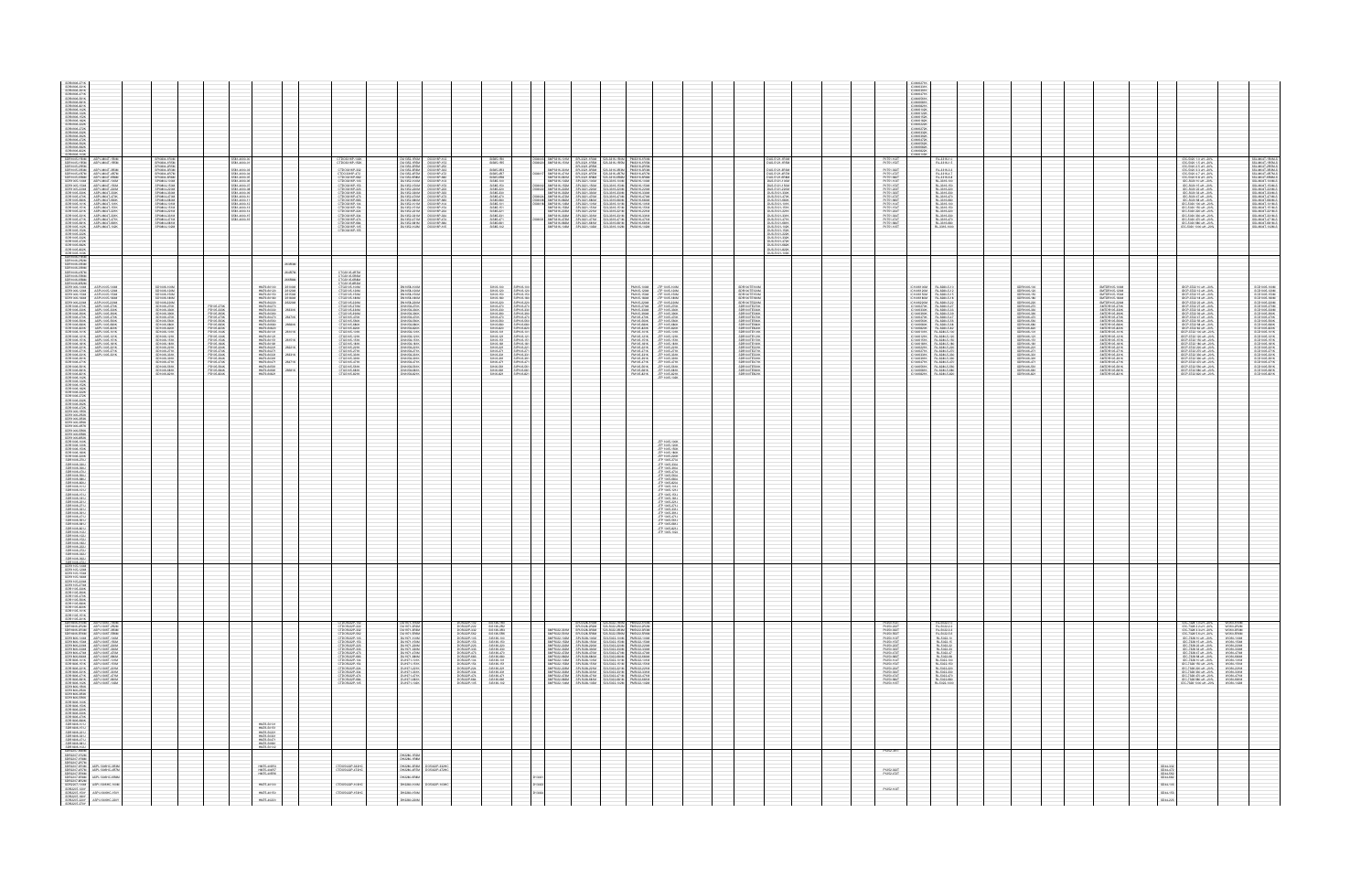| SDR0906-331K<br>SDR0906-391K<br>SDR0906-471K<br>SDR0906-561K<br>SDR0906-681K<br>SDR0906-821K<br>SDR0906-102K<br>SDR0906-122K<br>SDR0906-152K<br>SDR0906-182K<br>SDR0906-222K<br>SDR0906-272K<br>SDR0906-332K<br>SDR0906-392K<br>SDR0906-472K<br>SDR0906-562K<br>SDR0906-682K<br>SDR0906-822K<br>SDR1005-332K<br>SDR1005472K<br>SDR1005-682K<br>SDR1005-822K<br>SDR1005-103K                                                                                                                                                                                                                                                                                                                                                                                                                                                                               | SDR1005-331K<br>SDR1005-331K<br>SDR1005-431K<br>SDR1005-681K<br>SDR1005-582K<br>SDR1005-152K<br>SDR1005-152K<br>SDR1005-152K<br>SDR1005-222K<br>SDR1005-222K                                                                                                                                                           | SPI0804-1R0M<br>SPI0804-1R5M<br>SPI0804-2R5M<br>SPI0804-4R7M<br>SPI0804-100M<br>SPI0804-150M<br>SPI0804-220M<br>SPI0804-330M<br>SPI0804-470M<br>SPI0804-680M<br>SPI0804-101M<br>SPI0804-151M<br>SPI0804-221M<br>SPI0804-331M<br>SPI0804-471M<br>SPI0804-102M                                                                           |                                                                                                                                                                                                                                                                        | S581-4000-00<br>S581-4000-01<br>S581-4000-03<br>S581-4000-04<br>S581-4000-05<br>S581-4000-06<br>\$581-4000-07<br>\$581-4000-08<br>S581-4000-09<br>S581-4000-11<br>S581-4000-12<br>S581-4000-13<br>S581-4000-14<br>\$581-4000-15<br>S581-4000-16                                                                                                                                                                                                                                                            | CTD03316P-102K<br>CTDO3316P-332<br>CTDO3316P-472<br>CTDO3316P-682<br>CTDO3316P-103<br>CTDO3316P-153<br>CTDO3316P-223<br>CTDO3316P-473<br>CTDO3316P-473<br>CTDO3316P-683<br>CTDO3316P-683<br>CTDO3316P-104<br>CTDO3316P-224<br>CTD03316P-334<br>CTD03316P-474<br>CTD03316P-684<br>CTD03316P-105<br>CTDO3316P-155                                                                                                                                 | DU1352-1R0M DO3316P-102<br>001352-1R5M 003316P-152<br>001352-2R5M 003316P-252<br>001352-3R3M 003316P-332<br>001352-4R7M 003316P-472<br>DU1352-6RBM DO3316P-682<br>DU1352-100M DO3316P-103<br>001352-150M 003316P-153<br>001352-220M 003316P-223<br>001352-330M 003316P-333<br>001352-470M 003316P-473<br>001352-680M 003316P-683<br>001352-101M 003316P-104<br>001352-151M 003316P-154<br>001352-221M 003316P-224<br>001352-331M 003316P-334<br>001352-471M 003316P-474<br>001352-581M 003316P-584<br>0011452-591M 003316P-584<br>DU1352-102M DO3316P-105 | SIS85-1R0<br>SIS85-1R5<br>SIS85-3R3<br>SIS85-4R7<br>SIS85-6R8<br>SIS85-100<br>SIS85-150<br>5885-220<br>5885-220<br>5885-330<br>5885-470<br>SIS85-680<br>SIS85-101<br>SIS85-221<br>SIS85-331<br>SIS85-471<br>SIS85-102                                                                                                                                                                                                                                                                                                                                                                                                                                         |                                                                                                                                                                                                                                                                                                                                                                                                               | 08003 SMP3316-101M SPL3321-1R0M 523-3316-1R0M PM3316-1R0M<br>DO8020 SMP3316-151M SPL3321-1R5M 523-3316-1R5M PM3316-1R5M<br>SPL3321-2R5M PM3316-2R5M PM3316-2R5M<br>017 SMP3316-471M SPL3321-4R7M 623-3316-4R7M PM3316-4R7M<br>SMP3316-681M SPL3321-6R8M 623-3316-6R8M PM3316-6R8M<br>SMP3316-102M SPL3321-100M 623-3316-100M PM3316-100M<br>002 SMP3316-152M SPL3321-150M 523-3316-150M PM3316-150M<br>008022 5MP3316-222M 5PL3321-220M 523-3316-220M PM3316-230M<br>5MP3316-332M 5PL3321-330M 523-3316-330M PM3316-330M<br>008024 5MP3316-472M 5PL3321-470M 523-3316-470M PM3316-470M<br>008008 SMP3316-682M SP13321-680M 623-3316-680M PM3316-680M<br>DO8018 SMP3316-103M SP13321-101M 623-3316-101M PM3316-101M<br>SMP3316-153M SP13321-151M 623-3316-151M PM3316-151M<br>SMP3316-223M SP13321-221M 623-3316-221M PM3316-251M<br>SMP3316-333M SPL3321-331M 523-3316-331M PM3316-331M<br>031 8MP3316-473M 8PL3321-471M 523-3316-471M 8MP3316-471M<br>8MP3316-683M 8PL3321-681M 523-3316-681M PM3316-681M<br>8MP3316-103M 8PL3321-102M 523-3316-102M PM3316-102M |                                                                                  |                                                                                                                                                                                                                                                  |                                                                                                                                                                                                                                                                                                                                                                                                                     | DUS-5121-1RD<br>DUS-5121-1R5M<br>DUS-5121-3R3M<br>DUS-5121-4R7M<br>DUS-5121-6R8M<br>DUS-5121-100M<br>DUS-5121-150M<br>008-5121-220M<br>008-5121-330K<br>008-5121-680K<br>008-5121-680K<br>008-5121-151K<br>018-5121-151K<br>DUS-5121-151K<br>DUS-5121-331K<br>DUS-5121-471K<br>DUS-5121-681K<br>DUS-5121-102K<br>DUS-5121-152K<br>DUS-5121-332K<br>DUS-5121-472K<br>DUS-5121-822K<br>DUS-5121-103K | P0751.102<br>P0751.152T<br>P0751.332T<br>P0751.472T<br>P0751.103T<br>P0751.153T<br>P0751,223T<br>P0751,333T<br>P0751,473T<br>P0751.683T<br>P0751.104T<br>P0751.224T<br>P0751.334T<br>P0751.474T<br>P0751.684T<br>P0751.105T | IC0906331K<br>IC0906391K<br>IC0906471K<br>TC0906561K<br>ICO906821K<br>C0906102K<br>C0906152K<br>LC0906182K<br>IC0906222K<br>C0906272K<br>IC0906392K<br>IC0906472K<br>IC0906562K<br>IC0906682K<br>IC0906103K<br>RL-3316-1.0<br>RL-3316-1.5<br>RL-3316-3.3<br>RL-3316-4.7<br>RL-3316-6.8<br>RL-3316-100<br>RL-3316-150<br>RL-3316-220<br>RL-3316-330<br>RL-3316-470<br>RL-3316-680<br>RL-3316-100<br>RL-3316-220<br>RL-3316-330<br>RL-3316-470<br>RL-3316-1000                                                                                                                                                  |                                                                                                                                                                                                                                                                                                                        |                                                                                                                                                                                                                                                                                                                                                                                 | IDC-5020 1.0 uH - 20%<br>DC-5020 1.5 uH -20%<br>DC-5020 2.5 uH - 20%<br>IDC-5020 4.7 uH -20%<br>DC-5020 6.8 uH - 20%<br>DC-5020 15 uH -20%<br>DC-5020 22 uH -- 20%<br>DC-5020 33 uH -- 20%<br>DC-5020 47 uH -- 20%<br>IDC-5020 68 uH - 20%<br>IDC-5020 100 uH - 20%<br>IDC-5020 150 uH - 20%<br>IDC-5020 220 uH -20%<br>IDC-5020 330 uH -20%<br>IDC-5020 470 uH -20%<br>IDC-5020 680 uH -20%<br>IDC-5020 1000 uH -20%                                                                                                                                                                                                                                                                                                    | SSL0804T-1R0M-3<br>SSL0804T-1R5M-3<br>SSL0804T-2RSM-9<br>SSL0804T-4R7M-3<br>SSL0804T-100M-3<br>SSL0804T-150M-3<br>SSL0804T-220M-3<br>SSL0804T-330M-3<br>SSL0804T-470M-3<br>SSL0804T-680M-S<br>SSL0804T-101M-S<br>SSL0804T-151M-S<br>SSL0804T-221M-S<br>SSL0804T-331M-3<br>SSL0804T-471M-3<br>SSL0804T-681M-3<br>SSL0804T-102M-3                              |
|-----------------------------------------------------------------------------------------------------------------------------------------------------------------------------------------------------------------------------------------------------------------------------------------------------------------------------------------------------------------------------------------------------------------------------------------------------------------------------------------------------------------------------------------------------------------------------------------------------------------------------------------------------------------------------------------------------------------------------------------------------------------------------------------------------------------------------------------------------------|------------------------------------------------------------------------------------------------------------------------------------------------------------------------------------------------------------------------------------------------------------------------------------------------------------------------|----------------------------------------------------------------------------------------------------------------------------------------------------------------------------------------------------------------------------------------------------------------------------------------------------------------------------------------|------------------------------------------------------------------------------------------------------------------------------------------------------------------------------------------------------------------------------------------------------------------------|------------------------------------------------------------------------------------------------------------------------------------------------------------------------------------------------------------------------------------------------------------------------------------------------------------------------------------------------------------------------------------------------------------------------------------------------------------------------------------------------------------|-------------------------------------------------------------------------------------------------------------------------------------------------------------------------------------------------------------------------------------------------------------------------------------------------------------------------------------------------------------------------------------------------------------------------------------------------|-----------------------------------------------------------------------------------------------------------------------------------------------------------------------------------------------------------------------------------------------------------------------------------------------------------------------------------------------------------------------------------------------------------------------------------------------------------------------------------------------------------------------------------------------------------|---------------------------------------------------------------------------------------------------------------------------------------------------------------------------------------------------------------------------------------------------------------------------------------------------------------------------------------------------------------------------------------------------------------------------------------------------------------------------------------------------------------------------------------------------------------------------------------------------------------------------------------------------------------|---------------------------------------------------------------------------------------------------------------------------------------------------------------------------------------------------------------------------------------------------------------------------------------------------------------------------------------------------------------------------------------------------------------|-------------------------------------------------------------------------------------------------------------------------------------------------------------------------------------------------------------------------------------------------------------------------------------------------------------------------------------------------------------------------------------------------------------------------------------------------------------------------------------------------------------------------------------------------------------------------------------------------------------------------------------------------------------------------------------------------------------------------------------------------------------------------------------------------------------------------------------------------------------------------------------------------------------------------------------------------------------------------------------------------------------------------------------------------------------------|----------------------------------------------------------------------------------|--------------------------------------------------------------------------------------------------------------------------------------------------------------------------------------------------------------------------------------------------|---------------------------------------------------------------------------------------------------------------------------------------------------------------------------------------------------------------------------------------------------------------------------------------------------------------------------------------------------------------------------------------------------------------------|----------------------------------------------------------------------------------------------------------------------------------------------------------------------------------------------------------------------------------------------------------------------------------------------------------------------------------------------------------------------------------------------------|-----------------------------------------------------------------------------------------------------------------------------------------------------------------------------------------------------------------------------|---------------------------------------------------------------------------------------------------------------------------------------------------------------------------------------------------------------------------------------------------------------------------------------------------------------------------------------------------------------------------------------------------------------------------------------------------------------------------------------------------------------------------------------------------------------------------------------------------------------|------------------------------------------------------------------------------------------------------------------------------------------------------------------------------------------------------------------------------------------------------------------------------------------------------------------------|---------------------------------------------------------------------------------------------------------------------------------------------------------------------------------------------------------------------------------------------------------------------------------------------------------------------------------------------------------------------------------|--------------------------------------------------------------------------------------------------------------------------------------------------------------------------------------------------------------------------------------------------------------------------------------------------------------------------------------------------------------------------------------------------------------------------------------------------------------------------------------------------------------------------------------------------------------------------------------------------------------------------------------------------------------------------------------------------------------------------|--------------------------------------------------------------------------------------------------------------------------------------------------------------------------------------------------------------------------------------------------------------------------------------------------------------------------------------------------------------|
| SDR1006-1R5M<br>SDR1006-2R2M<br>SDR1006-3R3M<br>SDR1006-3R9M<br>SURTUBA/1K<br>SDR1006-681K<br>SDR1006-821K<br>SDR1006-102K<br>SDR1006-122K<br>SDR1006-152K<br>SDR1006-182K<br>SDR1006-222K<br>CDD1006-277K<br>SDR1006-272K<br>SDR1006-332K<br>SDR1006-392K<br>3081006-472K<br>SDR1006-472K<br>SDR1006-2R2K<br>SDR1006-3R3K<br>SDR1006-5R3K<br>SDR1006-5R5K<br>SDR1006-5R5K<br>SDR1006-5R5K<br>SDR1006-5R5K                                                                                                                                                                                                                                                                                                                                                                                                                                                | $\begin{tabular}{ c c c c c c } \hline 1.08399980 & 0.00000 & 0.00000 & 0.00000 & 0.00000 & 0.00000 & 0.00000 & 0.00000 & 0.00000 & 0.00000 & 0.00000 & 0.00000 & 0.00000 & 0.00000 & 0.00000 & 0.00000 & 0.00000 & 0.00000 & 0.00000 & 0.00000 & 0.00000 & 0.00$                                                      | SD1006-100M<br>SD1006-120M<br>SD1006-150M<br>SD1006-220M<br>SD1006-270K<br>SD1006-330K<br>SD1006-390K<br>SD1006-470K<br>SD1006-560K<br>SD1006-820K<br>SD1006-101K<br>SD1006-121K<br>SD1006-151K<br>SD1006-181K<br>SD1006-221K<br>SD1006-271K<br>SD1006-331K<br>SD1006-391K<br>SD1006-471K<br>SD1006-561K<br>SD1006-681K<br>SD1006-821K | PD105-273K<br>PD105-333K<br>PD105-393K<br>PD105-473K<br>PD105-563K<br>PD105-683K<br>PD105-823K<br>PD105-104K<br>PD105-124K<br>PD105-154K<br>PD105-184K<br>PD105-224K<br>PD105-274K<br>PD105-334K<br>PD105-394K<br>PD105-474K<br>PD105-564K<br>PD105-684K<br>PD105-824K | 263R3M<br>264R7M<br>266R8M<br>HM79-60100<br>26100M<br>HM79-60120 26120M<br>HM79-60150 26150M<br>HM79-60180 26180M<br>HM79-60180 26180M<br>HM79-60220 26220M<br>HM79-60270<br>HM79-60330 26330K<br>HM79-60470 26470K<br>HM79-60470 26470K<br>HM79-60560<br>HM79-60680 26680K<br>HM79-60820<br>HM79-60101 26101K<br>HM79-60121<br>HM79-60151 26151K<br>HM79-60181<br>HM79-60221 26221K<br>HM79-60271<br>HM79-60331 26331K<br>HM79-60391<br>HM79-60471 26471K<br>HM79-60561<br>HM79-60681 26681K<br>HM79-6082 | CTGS105-4R7M<br>CTGS105-5R6M<br>CTGS105-BRAM<br>CTGS105-BR2M<br>CTGS105-100M<br>CTGS105-120M<br>CTGS105-150M<br>CTGS105-180M<br>CTGS105-220M<br>CTGS105-270M<br>CTGS105-330M<br>CTGS105-390M<br>CTGS105-470K<br>$CTGS105-560K$<br>CTGS105-820K<br>$CTGS105-101K$<br>CTGS105-121K<br>CTGS105-151K<br>CTGS105-181K<br>CTGS105-221K<br>CTGS105-271K<br>CTGS105-331K<br>CTGS105-391K<br>CI5S1054/1K<br>CTGS105-561K<br>CTGS105-681K<br>CTGS105-821K | DN1058-10<br>DN1058-120M<br>DN1058-150M<br>DN1058-220M<br>M1058-270K<br>DN1058-330K<br>DN1058-330K<br>DN1058-450K<br>DN1058-660K<br>DN1058-660K<br>DN1058-420K<br>DN1058-121K<br>DN1058-121K<br>DN1058-121K<br>DN1058-181K<br>DN1058-221K<br>DN1058-271K<br>DN1058-331K<br>DN1058-391K<br>DN1058-471K<br>DN1058-681K<br>DN1058-821K                                                                                                                                                                                                                       | SI106-151 SIP106-151<br>31105-181 SP105-181<br>S1105-221 SP105-221<br>S1105-271 SP105-271<br>SI106-331 SIP106-331<br>SI106-681 SIP106-681<br>SI106-821 SIP106-821                                                                                                                                                                                                                                                                                                                                                                                                                                                                                             | SI105-100 SIP105-100<br>SI106-120 SIP106-120<br>S105-150 SIP 105-150<br>S1105-180 SIP 105-180<br>SI106-220 SIP106-220<br>81105-270 81P105-270<br>81105-330 81P105-330<br>81105-390 81P105-380<br>81105-470 81P105-470<br>9106-660 91106-660<br>9105-680 91105-680<br>9105-820 91105-820<br>9105-101 91105-101<br>SI105-121 SIP105-121<br>SI106-391 SIP106-391<br>Sit05-471 SiP105-471<br>Sit05-561 SiP105-561 |                                                                                                                                                                                                                                                                                                                                                                                                                                                                                                                                                                                                                                                                                                                                                                                                                                                                                                                                                                                                                                                                   |                                                                                  | PM105-100M JTP 1005-100M<br>PM105-120M JTP 1005-120M<br>PM105-150M JTP 1005-150M<br>PM105-180M JTP 1005-180M<br>PM105-391K JTP 1005-391K<br>PM105-471K JTP 1005-471K<br>PM105-561K JTP 1005-561K<br>PM105-821K<br>JTP 1005-821K<br>JTP 1005-102K | PARIS 2020<br>PARIS 2020<br>PARIS 2020<br>PARIS 2020<br>PARIS 2020<br>PARIS 2020<br>PARIS 2020<br>PARIS 2020<br>PARIS 2020<br>PARIS 2020<br>PARIS 2020<br>PARIS 2020<br>PARIS 2020<br>PARIS 2020<br>PARIS 2020<br>PARIS 2020<br>PARIS 2020<br>PARIS 2020<br>PARIS<br>PM105-181K<br>PM105-221K<br>PM105-221K<br>PM105-271K<br>PM105-331K<br>JTP 1005-331K<br>PM105-331K<br>JTP 1005-331K<br>PM105-681K JTP 1005-681K | SDR100TE100<br>SDR100TE120M<br>SDR100TE150M<br>SDR100TE220M<br>SDR100TE270K<br>SDR100TE330K<br>SDR100TE390K<br>SDR100TE470K<br>SDR100TE560K<br>SDR100TE560K<br>SDR100TE680K<br>SDR100TE820K<br>SDR100TE101K<br>SDR100TE121K<br>SDR100TE151K<br>SDR100TE181K<br>SDR100TE221K<br>SDR100TE271K<br>SDR100TE331K<br>SDR100TE391K<br>SDR100TE561K<br>SDR100TE681K<br>SDR100TE821K                        |                                                                                                                                                                                                                             | IC1006100M RL-6280-5-10<br>IC1006120M RL-6280-5-12<br>C1006150M RL-6280-5-15<br>IC1006220M RL-6280-5-22<br>IC1006270K RL-6280-5-27<br>IC1006330K RL-6280-5-33<br>IC1006470K RL-6280-5-47<br>C1006560K RL-6280-5-56<br>C1006680K RL-6280-5-68<br>C1006620K RL-6280-5-82<br>C1006101K RL-6280-5-100<br>IC1006121K RL-6280-5-120<br>IC1006151K RL-6280-5-150<br>C1006181K RL-6280-5-180<br>C1006221K RL-6280-5-220<br>C1006271K RL-6280-5-270<br>IC1006331K RL-6280-5-330<br>C1006391K RL-6280-5-390<br>C1006471K RL-6280-5-470<br>C1006561K RL-6280-5-560<br>IC1006681K RL-6280-5-680<br>IC1006821K RL-6280-5-8 | SDR1005-10<br>SDR1005-120<br>SDR1006-150<br>SDR1006-180<br>SDR1005-220<br>SDR1006-270<br>SDR1006-330<br>SDR1006-390<br>SDR1005-470<br>SDR1006-560<br>SDR1006-820<br>SDR1006-101<br>SDR1005-121<br>SDR1005-151<br>SDR1006-181<br>SDR1006-221<br>SDR1006-331<br>SDR1006-391<br>SDR1005-561<br>SDR1006-681<br>SDR1006-821 | SMTDR105-1008<br>SMTDR105-120M<br>SMTDR105-150M<br>SMTDR105-180M<br>SMTDR105-220M<br>SMTDR105-270K<br>SMTDR105-330K<br>SMTDR105-390K<br>SMTDR105-470K<br>SMTDR105-560K<br>SMTDR105-820K<br>SMTDR105-101K<br>SMTDR105-121K<br>SMTDR105-151K<br>MTDR105-181K<br>MTDR105-221K<br>MTDR105-271K<br>SMTDR105-331K<br>SMTDR105-391K<br>SMTDR105-561K<br>SMTDR105-681K<br>SMTDR105-821K | IDCP-3722 10 uH -20<br>IDCP-3722 12 uH -20%<br>IDCP-3722 15 uH -20%<br>DCP-3722 22 uH -20%<br>DCP-3722 27 uH -20%<br>DCP-3722 33 uH -20%<br>DCP-3722 39 uH -20%<br>DCP-3722 47 uH -20%<br>DCP-3722 47 uH -20%<br>DCP-3722 56 uH -20%<br>DCP-3722 68 uH -20%<br>DCP-3722 82 uH -20%<br>DCP-3722 100 uH -20%<br>DCP-3722 100 uH -20%<br>IDCP-3722 120 uH -20%<br>IDCP-3722 150 uH -20%<br>DCP-3722 180 uH - 20%<br>DCP-3722 220 uH - 20%<br>DCP-3722 270 uH - 20%<br>IDCP-3722 330 uH -20%<br>IDCP-3722 390 uH -20%<br>DCP-3722 560 uH -20%<br>IDCP-3722 680 uH -20%<br>IDCP-3722 820 uH -20%                                                                                                                              | SCD1005-100M<br>SCD1005-120M<br>SCD1005-150M<br>SCD1005-220M<br>SC01005-330M<br>SC01005-330M<br>SC01005-330M<br>SC01005-470K<br>SC01005-680K<br>SC01005-680K<br>SC01005-630K<br>SC01005-471K<br>SC01005-471K<br>SCD1005-121K<br>SCD1005-151K<br>SCD1005-221K<br>SCD1005-331K<br>SCD1005-391K<br>SCD1005-471K<br>SCD1005-561K<br>SCD1005-681K<br>SCD1005-821K |
| SDR1005-5R8K<br>SDR1005-8R2K<br>SDR1005-100K<br>SDR1005-120K<br>SDR1005-420K<br>SDR1006-150K<br>SDR1006-180K<br>SDR1006-220K<br>SDR1006-270J<br>SDR1006-330J<br>SDR1006-390J<br>SDR1006-470J<br>SDR1006-560J<br>SDR1006-680J<br>SDR1006-820J<br>SDR1006-101J<br>SDR1006-121J<br>SDR1006-151J<br>SDR1006-221J<br>SDR1006-271J<br>SDR1006-271J<br>SDR1006-271J<br>SDR1006-331J<br>SDR1006-391J<br>SDR1006-471J<br>SDR1006-561J<br>SDR1006-681J<br>SDR1006-821J<br>SDR1006-102J<br>SDR1006-122J<br>SDR1006-152J<br>SDR1006-182J<br>SDR1006-222J<br>SDR1006-272J<br>SDR1006-332J<br>SDR1006-392J<br>SOR106-92J<br>SOR105-172J<br>SOR1105-120M<br>SOR1105-150M<br>SOR1105-150M<br>SOR1105-220M<br>SOR1105-220M<br>SOR1105-330K<br>SOR1105-330K<br>SOR1105-330K<br>SOR1105-330K<br>SOR1105-330K<br>SOR1105-470K<br>SOR1105-470K<br>SOR1105-470K<br>SOR1105-470K |                                                                                                                                                                                                                                                                                                                        |                                                                                                                                                                                                                                                                                                                                        |                                                                                                                                                                                                                                                                        |                                                                                                                                                                                                                                                                                                                                                                                                                                                                                                            |                                                                                                                                                                                                                                                                                                                                                                                                                                                 |                                                                                                                                                                                                                                                                                                                                                                                                                                                                                                                                                           |                                                                                                                                                                                                                                                                                                                                                                                                                                                                                                                                                                                                                                                               |                                                                                                                                                                                                                                                                                                                                                                                                               |                                                                                                                                                                                                                                                                                                                                                                                                                                                                                                                                                                                                                                                                                                                                                                                                                                                                                                                                                                                                                                                                   |                                                                                  |                                                                                                                                                                                                                                                  | JTP 1005-100<br>JTP 1005-120K<br>JTP 1005-150K<br>JTP 1005-220K<br>JTP 1005-270J<br>JTP 1005-330J<br>JTP 1005-470J<br>TP 1005-560J<br>JTP 1005-820J<br>TP 1005-1011<br>TP 1005-1211<br>TP 1005-2211<br>TP 1005-2211<br>TP 1005-2211<br>TP 1005-3311<br>TP 1005-3311<br>TP 1005-4411<br>TP 1005-4411<br>TP 1005-4411<br>TP 1005-4411<br>JTP 1005-561J<br>JTP 1005-681J<br>JTP 1005-821J<br>JTP 1005-102J             |                                                                                                                                                                                                                                                                                                                                                                                                    |                                                                                                                                                                                                                             |                                                                                                                                                                                                                                                                                                                                                                                                                                                                                                                                                                                                               |                                                                                                                                                                                                                                                                                                                        |                                                                                                                                                                                                                                                                                                                                                                                 |                                                                                                                                                                                                                                                                                                                                                                                                                                                                                                                                                                                                                                                                                                                          |                                                                                                                                                                                                                                                                                                                                                              |
| SDR1105-680K<br>SDR1105-101K<br>SDR1105-151K<br>SDR1806-3R3K<br>SDR1806-5R6K<br>SDR1806-100K<br>SDR1806-150K<br>SDR1806-220K<br>SDR1806-320K<br>SDR1806-320K<br>SDR1806-680K<br>SDR1806-191J<br>SDR1806-191J<br>SDR1806-231J<br>SDR1806-331J<br>SDR1806-331J                                                                                                                                                                                                                                                                                                                                                                                                                                                                                                                                                                                              | SDR1806-102K<br>SDR1805-1R0K<br>SDR1805-2R2K<br>SDR1805-2R2K                                                                                                                                                                                                                                                           |                                                                                                                                                                                                                                                                                                                                        |                                                                                                                                                                                                                                                                        | HM76-5010<br>HM76-50151<br>HM76-5022<br>HM76-5033<br>HM76-5047<br>HM76-50681<br>HM76-50102                                                                                                                                                                                                                                                                                                                                                                                                                 | CTDO5022P-102<br>CTDO5022P-332<br>CTDO5022P-562<br>CTDO5022P-103<br>CTDO5022P-153<br>CTDO5022P-223<br>CTDO5022P-333<br>CTDO5022P-473<br>CTDO5022P-683<br>CTDO5022P-104<br>CTDO5022P-154<br>CTDO5022P-224<br>CTDO5022P-334<br>CTDO5022P-474<br>CTDO5022P-684<br>CTDO5022P-105                                                                                                                                                                    | DU1971-1R0M<br>001971-3R3M<br>001971-5R6M<br>001971-100M<br>001971-150M<br>DU1971-220M<br>DU1971-330M<br>DU1971-470M<br>DU1971-680M<br>DU1971-101K<br>DU1971-221K<br>DU1971-331K<br>DU1971-471K<br>DU1971-681K<br>DU1971-102K                                                                                                                                                                                                                                                                                                                             | $\begin{tabular}{ c c c c c } \hline & $0.050229$ & $0.02 & $0.05136$ & $180$ & $180$ & $180$ & $180$ & $180$ & $180$ & $180$ & $180$ & $180$ & $180$ & $180$ & $180$ & $180$ & $180$ & $180$ & $180$ & $180$ & $180$ & $180$ & $180$ & $180$ & $180$ & $180$ & $180$ & $180$ & $180$ & $180$ & $180$ & $18$<br>005022P-223 SIS136-220<br>005022P-333 SIS136-330<br>005022P-473 SIS136-470<br>005022P-683 SIS136-680<br>00702P-683 SIS136-680<br>005022P-104 SIS136-101<br>005022P-154 SIS136-151<br>005022P-224 SIS136-221<br>006022P-224 SIS136-221<br>DO5022P-334 SIS135-331<br>DO5022P-474 SIS136-471<br>DO5022P-684 SIS136-681<br>DO5022P-105 SIS136-102 |                                                                                                                                                                                                                                                                                                                                                                                                               | SMP5022-331M SPL5028-3R3M 523-5022-3R3M PM5022-3R3M<br>SMP5022-561M SPL6028-5R6M 523-5022-5R6M PM5022-5R6M<br>SMP5022-102M SPL5028-100M 523-5022-100M PM5022-100M<br>SMP5022-152M SPL5028-100M 523-5022-100M PM5022-100M<br>SMP6020-302M PDL5038-320M 523-5023-020M PM5022-150M<br>SMP5022-222M SPL5028-220M 523-5022-220M PM5022-220M<br>SMP5022-332M SPL5028-330M 523-5022-330M PM5022-330M<br>SMP5022-472M SPL5028-470M 523-5022-470M PM5022-470M<br>SMP5022-682M SPL5028-680M 523-5022-680M PM5022-680M<br>SMP5022-103M SPL5028-101M 523-5022-101M PM5022-101M SMP5022-153M SPL5028-151M 523-5022-151M PM5022-151M<br>SMP5022-223M SPL5028-221M 523-5022-221M PM5022-221M<br>SMP5022-333M SPL5028-331M 523-5022-331M PM5022-331M<br>SMP5022-473M SPL5028-471M 523-5022-471M PM5022-471M<br>SMP5022-683M SPL5028-681M 523-5022-681M PM5022-681M<br>SMP5022-104M SPL5028-102M 523-5022-102M PM5022-102M<br>--                                                                                                                                                   | SPL5028-1R0M 523-5022-1R0M PM5022-1R0M<br>SPL5028-2R2M 523-5022-2R2M PM5022-2R2M |                                                                                                                                                                                                                                                  |                                                                                                                                                                                                                                                                                                                                                                                                                     |                                                                                                                                                                                                                                                                                                                                                                                                    | P0250.102T<br>P0250.332T<br>P0250.103T<br>P0250.153T<br>P0250.223T<br>P0250.333T<br>P0250.473T<br>P0250.104T<br>P0250.154T<br>P0250.224T<br>P0250.334T<br>P0250.474T<br>P0250.684T<br>P0250.105T                            | RL-5022-1.0<br>RL-5022-2.2<br>RL-5022-3.3<br>RL-5022-5.6<br>RL-5022-10<br>RL-5022-15<br>RL-5022-22<br>RL-5022-33<br>RL-5022-47<br>RL-5022-68<br>RL-5022-100<br>RL-5022-150<br>RL-5022-220<br>RL-5022-330<br>RL-5022-470<br>RL-5022-680<br>RL-5022-1000                                                                                                                                                                                                                                                                                                                                                        |                                                                                                                                                                                                                                                                                                                        |                                                                                                                                                                                                                                                                                                                                                                                 | DC-7328 1.0 uH - 20% WO60-1R0M<br>DC-7328 2.2 uH - 20% WO60-2R2M<br>02 17328 3.3 uH - 20% WO60-3R3M<br>DC-7328 5 uH - 20% WO60-5R6M<br>DC-7328 10 uH - 20% WO60-150M<br>DC-7328 15 uH - 20% WO60-150M<br>DC-7328 15 uH - 20% WO60-150M<br>IDC-7328 22 uH -20% WO60-220M<br>002732833 uH -20% W060-330M<br>DC-732847 uH -20% W060-470M<br>DC-732848 uH -20% W060-680M<br>2012/2020 10:00 10:00 10:00 10:00 10:00 10:00 10:00 10:00 10:00 10:00 10:00 10:00 10:00 10:00 10:00 10:00 10:0<br>10:00:23:28 230 uH - 20% 10:00:00 23:1M<br>10:00:23:28 330 uH - 20% 10:00:00 33:1M<br>10:00:23:28 33:00 uH - 20% 10:0<br>IDC-7328 470 uH - 20% WO60-471M<br>IDC-7328 680 uH - 20% WO60-681M<br>IDC-7328 1000 uH -20% WD60-102M |                                                                                                                                                                                                                                                                                                                                                              |
| SDR1806-681J<br>SDR1806-102J<br>SDR2207-R80M<br>SDR2207-1R8M<br>SDR2207-1R8M<br>SDR2207-1R8M                                                                                                                                                                                                                                                                                                                                                                                                                                                                                                                                                                                                                                                                                                                                                              | NHK2007-168M<br>SDR2207-2R2M<br>SDR2207-2R2M<br>SDR2207-4R2M<br>SDR2207-4R2M<br>SDR2207-5R8M<br>SDR2207-5R3M<br>SDR2207-182M<br>SDR2207-120Y<br>SDR2207-120Y<br>DR22207-120Y<br>ASPL-1308HC-100M<br>SDR2207-120Y<br>ASPL-1308HC-100M<br>SDR2207-120Y<br>SDR2207-150Y ASPI-1306HC-150Y<br>SDR2207-220Y ASPI-1306HC-220Y |                                                                                                                                                                                                                                                                                                                                        |                                                                                                                                                                                                                                                                        | HM75-404R7<br>HM75-405R6<br>HM75-40100<br>HM75-40150                                                                                                                                                                                                                                                                                                                                                                                                                                                       | CTDO5022P-472HC<br>CTDO5022P-103HC<br>CTDO5022P-153H                                                                                                                                                                                                                                                                                                                                                                                            | DH2280-1R25<br>DH2280-1R8M<br>DH2280-3R3M DO5022P-332HC<br>DH2280-6R8M<br>DH2280-100M DO5022P-103HC                                                                                                                                                                                                                                                                                                                                                                                                                                                       |                                                                                                                                                                                                                                                                                                                                                                                                                                                                                                                                                                                                                                                               | D13023                                                                                                                                                                                                                                                                                                                                                                                                        |                                                                                                                                                                                                                                                                                                                                                                                                                                                                                                                                                                                                                                                                                                                                                                                                                                                                                                                                                                                                                                                                   |                                                                                  |                                                                                                                                                                                                                                                  |                                                                                                                                                                                                                                                                                                                                                                                                                     |                                                                                                                                                                                                                                                                                                                                                                                                    | P1252.781T<br>P1252.332T<br>P1252.472T<br>P1252.103T                                                                                                                                                                        |                                                                                                                                                                                                                                                                                                                                                                                                                                                                                                                                                                                                               |                                                                                                                                                                                                                                                                                                                        |                                                                                                                                                                                                                                                                                                                                                                                 | SD44-472<br>SD44-562<br>SD44-682<br>SD44-103                                                                                                                                                                                                                                                                                                                                                                                                                                                                                                                                                                                                                                                                             |                                                                                                                                                                                                                                                                                                                                                              |

SDR2207-270Y

|                                           |  |                                                                  |                                  | IDC-5020 1.0 uH -20%<br>IDC-5020 1.5 uH -20%<br>IDC-5020 2.5 uH -20%                                |                                     | SSL0804T-1R0M-S<br>SSL0804T-1R5M-S<br>SSL0804T-2R5M-S                    |
|-------------------------------------------|--|------------------------------------------------------------------|----------------------------------|-----------------------------------------------------------------------------------------------------|-------------------------------------|--------------------------------------------------------------------------|
|                                           |  |                                                                  |                                  | IDC-5020 3.3 uH - 20%<br>IDC-5020 4.7 uH -20%                                                       |                                     | SSL0804T-3R3M-S<br>SSL0804T-4R7M-S                                       |
|                                           |  |                                                                  |                                  | IDC-5020 6.8 uH -20%<br>IDC-5020 10 uH -20%<br>DC-5020 15 uH -20%                                   |                                     | SSL0804T-6R8M-S<br>SSL0804T-100M-S<br>SSL0804T-150M-S<br>SSL0804T-220M-S |
|                                           |  |                                                                  |                                  | IDC-5020 33 uH -20%<br>IDC-5020 47 uH -- 20%                                                        |                                     | SSL0804T-330M-S<br>SSLORO4T-470M-S                                       |
|                                           |  |                                                                  |                                  | IDC-5020 68 uH -20%                                                                                 |                                     | SSL0804T-680M-S<br>SSL0804T-101M-S                                       |
|                                           |  |                                                                  |                                  | IDC-5020 150 uH -20%<br>IDC-5020 220 uH -- 20%<br>IDC-5020 330 uH -20%<br>IDC-5020 470 uH -20%      |                                     | SSL0804T-151M-S<br>SSL0804T-221M-S<br>SSL0804T-221M-S<br>SSL0804T-331M-S |
|                                           |  |                                                                  |                                  | IDC-5020 680 uH -- 20%<br>IDC-5020 1000 uH -20%                                                     |                                     | SSL0804T-681M-S<br>SSL0804T-102M-S                                       |
|                                           |  |                                                                  |                                  |                                                                                                     |                                     |                                                                          |
|                                           |  |                                                                  |                                  |                                                                                                     |                                     |                                                                          |
|                                           |  |                                                                  |                                  |                                                                                                     |                                     |                                                                          |
|                                           |  |                                                                  |                                  |                                                                                                     |                                     |                                                                          |
|                                           |  |                                                                  |                                  |                                                                                                     |                                     |                                                                          |
| SDR1006-100                               |  | SMTDR105-100M                                                    |                                  | IDCP-3722.10 uH -- 20%                                                                              |                                     | SCD1005-100M                                                             |
| SDR1006-120<br>SDR1006-180                |  | SMTDR105-120M<br>SMTDR105-150M<br>SMTDR105-180M                  |                                  | DCP-3722 12 uH -20%<br>IDCP-3722 18 uH -20%                                                         |                                     | SCD1005-120M<br>SCD1005-150M<br>SCD1005-180M                             |
| SDR1006-220<br>SDR1006-270                |  | SMTDR105.220M<br>SMTDR105-270K                                   |                                  | IDCP-3722 22 uH -20%<br>IDCP-3722.27 uH -20%<br>IDCP-3722.33 uH -20%                                |                                     | SCD1005-220M<br>SCD1005-270M<br>SCD1005-330M                             |
| SDR1006-390<br>SDR1005-470                |  | SMTDR105-390K<br><b>SMTDR105-470K</b>                            |                                  | IDCP-3722 39 uH -20%<br>IDCP-3722 47 uH -20%                                                        |                                     | SCD1005-390K<br>SCD1005-470K                                             |
| SDR1006-560<br>SDR1006-680<br>SDR1006-820 |  | SMTDR105-560K<br>SMTDR105-680K<br>SMTDR105-820K                  |                                  | IDCP-3722 56 uH = 20%<br>IDCP-3722 58 uH = 20%                                                      |                                     | SCD1005-560K<br>SCD1005-680K<br>SCD1005-820K                             |
| SDR1006-101<br>SDR1006-121                |  | SMTDR105-101K<br><b>SMTDR105-121K</b>                            |                                  | IDCP-3722 82 uH -20%                                                                                |                                     | SCD1005-101K<br>SCD1005-121K                                             |
| SDR1006-151<br>SDR1006-221                |  | SMTDR105-151K<br>SMTDR105-181K<br>SMTDR105-221K                  |                                  | IDCP-3722 120 uH - 20%<br>IDCP-3722 150 uH - 20%<br>IDCP-3722 180 uH - 20%<br>IDCP-3722 220 uH -20% |                                     | SCD1005-151K<br>SCD1005-181K<br>SCD1005-221K                             |
| SDR1006-271<br>SDR1006-331<br>SDR1006-391 |  | SMTDR105-271K<br>SM1DR109-271N<br>SMTDR105-331K<br>SMTDR105-391K |                                  | IDCP-3722 270 uH -20%<br>IDCP-3722 330 uH -20%                                                      |                                     | SCD1005-271K<br>SCD1005-331K<br>SCD1005-391K                             |
| SDR1005-471<br>SDR1006-561                |  | SMTDR105-471K<br>SMTDR105-561K                                   |                                  | IDCP-3722 470 uH -20%<br>IDCP-3722 560 uH -20%                                                      |                                     | SCD1005-471K<br>SCD1005-561K                                             |
| SDR1006-681                               |  | SMTDR105-681K<br>SMTDR105-681K                                   |                                  | IDCP-3722 680 uH -20%                                                                               |                                     | SCD1005-681K<br>SCD1005-821K                                             |
|                                           |  |                                                                  |                                  |                                                                                                     |                                     |                                                                          |
|                                           |  |                                                                  |                                  |                                                                                                     |                                     |                                                                          |
|                                           |  |                                                                  |                                  |                                                                                                     |                                     |                                                                          |
|                                           |  |                                                                  |                                  |                                                                                                     |                                     |                                                                          |
|                                           |  |                                                                  |                                  |                                                                                                     |                                     |                                                                          |
|                                           |  |                                                                  |                                  |                                                                                                     |                                     |                                                                          |
|                                           |  |                                                                  |                                  |                                                                                                     |                                     |                                                                          |
|                                           |  |                                                                  |                                  |                                                                                                     |                                     |                                                                          |
|                                           |  |                                                                  |                                  |                                                                                                     |                                     |                                                                          |
|                                           |  |                                                                  |                                  |                                                                                                     |                                     |                                                                          |
|                                           |  |                                                                  |                                  |                                                                                                     |                                     |                                                                          |
|                                           |  |                                                                  |                                  |                                                                                                     |                                     |                                                                          |
|                                           |  |                                                                  |                                  |                                                                                                     |                                     |                                                                          |
|                                           |  |                                                                  |                                  |                                                                                                     |                                     |                                                                          |
|                                           |  |                                                                  |                                  |                                                                                                     |                                     |                                                                          |
|                                           |  |                                                                  |                                  |                                                                                                     |                                     |                                                                          |
|                                           |  |                                                                  |                                  |                                                                                                     |                                     |                                                                          |
|                                           |  |                                                                  |                                  |                                                                                                     |                                     |                                                                          |
|                                           |  |                                                                  |                                  |                                                                                                     |                                     |                                                                          |
|                                           |  |                                                                  |                                  |                                                                                                     |                                     |                                                                          |
|                                           |  |                                                                  |                                  |                                                                                                     |                                     |                                                                          |
|                                           |  |                                                                  |                                  |                                                                                                     |                                     |                                                                          |
|                                           |  |                                                                  |                                  |                                                                                                     |                                     |                                                                          |
|                                           |  |                                                                  |                                  | IDC-7328 1.0 uH -20%                                                                                | WO60-1R0M                           |                                                                          |
|                                           |  |                                                                  |                                  | IDC-7328 2.2 uH -20%<br>IDC-7328 3.3 uH -20%<br>IDC-7328 5.6 uH - 20%                               | WO60-2R2M<br>WO60-3R3M<br>WO60-5R6M |                                                                          |
|                                           |  |                                                                  |                                  | IDC-7328 10 uH -20%<br>IDC-7328 15 uH -20%<br>IDC-7328 22 uH -20%                                   | WO60-100M<br>W060-150M<br>W060-220M |                                                                          |
|                                           |  |                                                                  |                                  | IDC-7328 33 uH -20%                                                                                 | WO60-330M                           |                                                                          |
|                                           |  |                                                                  |                                  | IDC-7328 68 uH -20%<br>IDC-7328 10 uH-20%<br>IDC-7328 150 uH -20%<br>IDC-7328 220 uH -20%           | W060-680M<br>WO60-101M<br>WO60-151M |                                                                          |
|                                           |  |                                                                  |                                  | IDC-7328 330 uH -20%<br>IDC-7328 470 uH -20%                                                        | WO60-331M<br>W060-471M              |                                                                          |
|                                           |  |                                                                  |                                  | IDC-7328 680 uH -20%<br>IDC-7328 1000 uH -20%                                                       | WO60-681M                           |                                                                          |
|                                           |  |                                                                  |                                  |                                                                                                     |                                     |                                                                          |
|                                           |  |                                                                  |                                  |                                                                                                     |                                     |                                                                          |
|                                           |  |                                                                  |                                  |                                                                                                     |                                     |                                                                          |
|                                           |  |                                                                  |                                  |                                                                                                     |                                     |                                                                          |
|                                           |  |                                                                  |                                  |                                                                                                     |                                     |                                                                          |
|                                           |  |                                                                  |                                  |                                                                                                     |                                     |                                                                          |
|                                           |  |                                                                  |                                  |                                                                                                     |                                     |                                                                          |
|                                           |  |                                                                  | SD44-332                         |                                                                                                     |                                     |                                                                          |
|                                           |  |                                                                  | SD44-472<br>SD44-562<br>SD44-682 |                                                                                                     |                                     |                                                                          |
|                                           |  |                                                                  | SD44-103                         |                                                                                                     |                                     |                                                                          |
|                                           |  |                                                                  | SD44-153                         |                                                                                                     |                                     |                                                                          |
|                                           |  |                                                                  | SD44-223                         |                                                                                                     |                                     |                                                                          |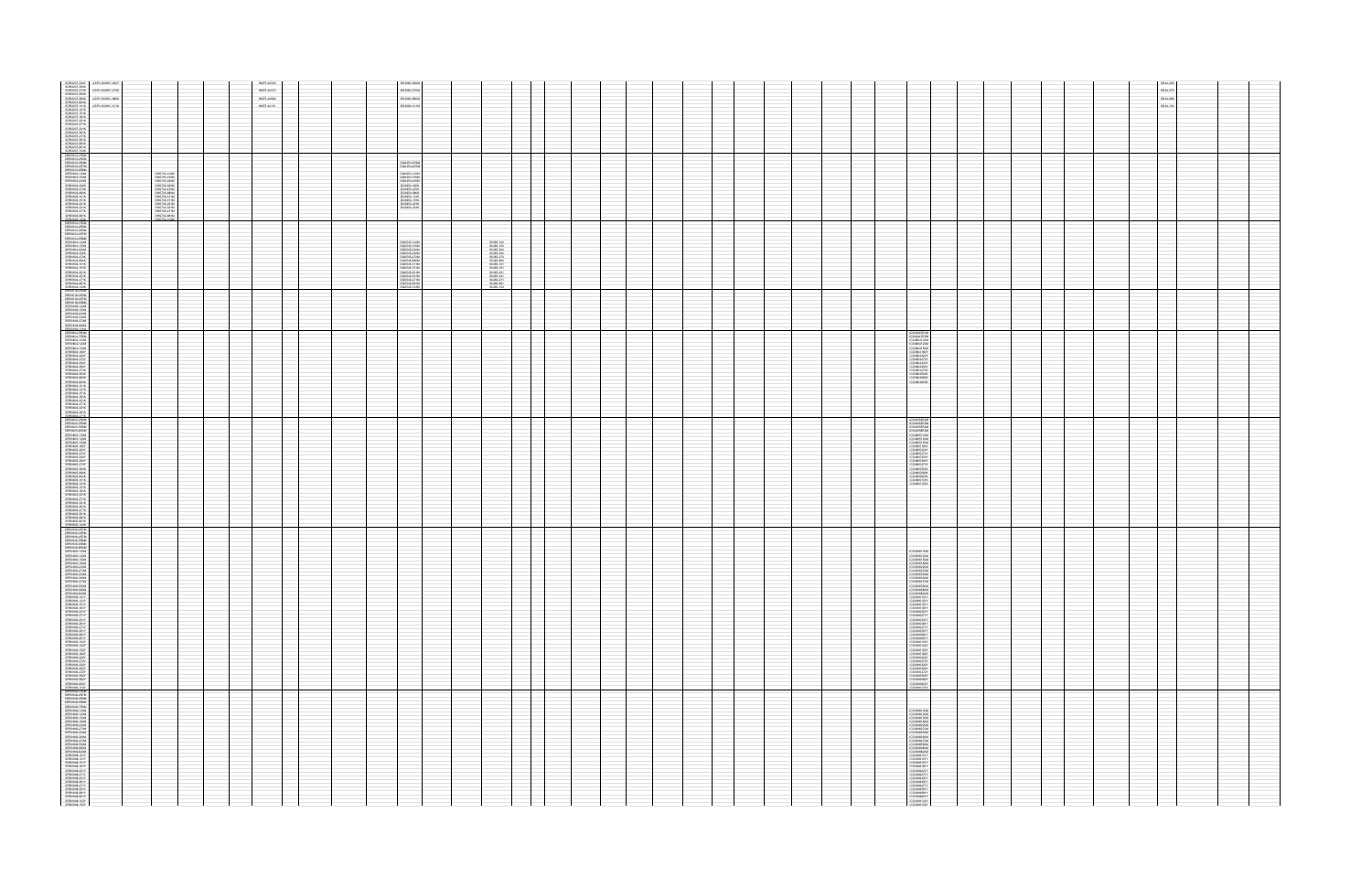| $\begin{tabular}{ c c c c c c } \hline & SEPE2207.3301 & ASE1.13041G.3301' \\ \hline & SEPE207.170K & ASE1.13041G.470K \\ \hline & SEPE207.169K & ASE1.13041G.690K \\ \hline & SEPE207.690K & ASE1.13041G.690K \\ \hline & SEPE207.1401K & ASE1.13041G.101K \\ \hline & SEPE207.1411K & ASE1.13041G.101K \\ \hline & SEPE207.$ |                                                                                                                                                                                                                               | HM75-40330<br>HM75-40470                                             | DH2280-330M<br>DH2280-470M                                                                                                                                                                                     |                                                                                                                                                                                                                                                                                                                                          |                                     |                                   |                                    |  |    |    |                          |  |                                                                                                                                                                                                                                                                                                                                       |                          |        |    | SD44-333<br>SD44473 |  |
|--------------------------------------------------------------------------------------------------------------------------------------------------------------------------------------------------------------------------------------------------------------------------------------------------------------------------------|-------------------------------------------------------------------------------------------------------------------------------------------------------------------------------------------------------------------------------|----------------------------------------------------------------------|----------------------------------------------------------------------------------------------------------------------------------------------------------------------------------------------------------------|------------------------------------------------------------------------------------------------------------------------------------------------------------------------------------------------------------------------------------------------------------------------------------------------------------------------------------------|-------------------------------------|-----------------------------------|------------------------------------|--|----|----|--------------------------|--|---------------------------------------------------------------------------------------------------------------------------------------------------------------------------------------------------------------------------------------------------------------------------------------------------------------------------------------|--------------------------|--------|----|---------------------|--|
|                                                                                                                                                                                                                                                                                                                                |                                                                                                                                                                                                                               |                                                                      |                                                                                                                                                                                                                |                                                                                                                                                                                                                                                                                                                                          |                                     |                                   |                                    |  |    |    |                          |  |                                                                                                                                                                                                                                                                                                                                       |                          |        |    |                     |  |
|                                                                                                                                                                                                                                                                                                                                |                                                                                                                                                                                                                               | HM75-40680                                                           | DH2280-680M                                                                                                                                                                                                    |                                                                                                                                                                                                                                                                                                                                          |                                     |                                   |                                    |  |    |    |                          |  |                                                                                                                                                                                                                                                                                                                                       |                          |        |    | SD44-683            |  |
|                                                                                                                                                                                                                                                                                                                                |                                                                                                                                                                                                                               | HM75-40101                                                           | DH2280-101M                                                                                                                                                                                                    |                                                                                                                                                                                                                                                                                                                                          |                                     |                                   |                                    |  |    |    |                          |  |                                                                                                                                                                                                                                                                                                                                       |                          |        |    | SD44-104            |  |
|                                                                                                                                                                                                                                                                                                                                |                                                                                                                                                                                                                               |                                                                      |                                                                                                                                                                                                                |                                                                                                                                                                                                                                                                                                                                          |                                     |                                   |                                    |  |    |    |                          |  |                                                                                                                                                                                                                                                                                                                                       |                          |        |    |                     |  |
|                                                                                                                                                                                                                                                                                                                                |                                                                                                                                                                                                                               |                                                                      |                                                                                                                                                                                                                |                                                                                                                                                                                                                                                                                                                                          |                                     |                                   |                                    |  |    |    |                          |  |                                                                                                                                                                                                                                                                                                                                       |                          |        |    |                     |  |
|                                                                                                                                                                                                                                                                                                                                |                                                                                                                                                                                                                               |                                                                      |                                                                                                                                                                                                                |                                                                                                                                                                                                                                                                                                                                          |                                     |                                   |                                    |  |    |    |                          |  |                                                                                                                                                                                                                                                                                                                                       |                          |        |    |                     |  |
|                                                                                                                                                                                                                                                                                                                                |                                                                                                                                                                                                                               |                                                                      |                                                                                                                                                                                                                |                                                                                                                                                                                                                                                                                                                                          |                                     |                                   |                                    |  |    |    |                          |  |                                                                                                                                                                                                                                                                                                                                       |                          |        |    |                     |  |
|                                                                                                                                                                                                                                                                                                                                |                                                                                                                                                                                                                               |                                                                      |                                                                                                                                                                                                                |                                                                                                                                                                                                                                                                                                                                          | ——                                  |                                   |                                    |  |    |    |                          |  |                                                                                                                                                                                                                                                                                                                                       |                          |        |    |                     |  |
|                                                                                                                                                                                                                                                                                                                                |                                                                                                                                                                                                                               |                                                                      |                                                                                                                                                                                                                |                                                                                                                                                                                                                                                                                                                                          |                                     |                                   |                                    |  |    |    |                          |  |                                                                                                                                                                                                                                                                                                                                       |                          |        |    |                     |  |
|                                                                                                                                                                                                                                                                                                                                |                                                                                                                                                                                                                               |                                                                      |                                                                                                                                                                                                                |                                                                                                                                                                                                                                                                                                                                          | —                                   |                                   |                                    |  |    |    |                          |  |                                                                                                                                                                                                                                                                                                                                       |                          |        |    |                     |  |
|                                                                                                                                                                                                                                                                                                                                |                                                                                                                                                                                                                               |                                                                      |                                                                                                                                                                                                                |                                                                                                                                                                                                                                                                                                                                          |                                     |                                   |                                    |  |    |    |                          |  |                                                                                                                                                                                                                                                                                                                                       |                          |        |    |                     |  |
|                                                                                                                                                                                                                                                                                                                                |                                                                                                                                                                                                                               |                                                                      |                                                                                                                                                                                                                |                                                                                                                                                                                                                                                                                                                                          |                                     |                                   |                                    |  |    |    |                          |  |                                                                                                                                                                                                                                                                                                                                       |                          |        |    |                     |  |
|                                                                                                                                                                                                                                                                                                                                |                                                                                                                                                                                                                               |                                                                      | DQ6350-3R3M                                                                                                                                                                                                    |                                                                                                                                                                                                                                                                                                                                          | ___                                 |                                   |                                    |  |    |    |                          |  |                                                                                                                                                                                                                                                                                                                                       |                          |        |    |                     |  |
|                                                                                                                                                                                                                                                                                                                                |                                                                                                                                                                                                                               |                                                                      |                                                                                                                                                                                                                |                                                                                                                                                                                                                                                                                                                                          |                                     |                                   |                                    |  |    |    |                          |  |                                                                                                                                                                                                                                                                                                                                       |                          |        |    |                     |  |
|                                                                                                                                                                                                                                                                                                                                |                                                                                                                                                                                                                               |                                                                      |                                                                                                                                                                                                                |                                                                                                                                                                                                                                                                                                                                          | ——                                  |                                   |                                    |  |    |    |                          |  |                                                                                                                                                                                                                                                                                                                                       |                          |        |    |                     |  |
|                                                                                                                                                                                                                                                                                                                                |                                                                                                                                                                                                                               |                                                                      |                                                                                                                                                                                                                |                                                                                                                                                                                                                                                                                                                                          |                                     |                                   |                                    |  |    |    |                          |  |                                                                                                                                                                                                                                                                                                                                       |                          |        |    |                     |  |
|                                                                                                                                                                                                                                                                                                                                |                                                                                                                                                                                                                               |                                                                      |                                                                                                                                                                                                                |                                                                                                                                                                                                                                                                                                                                          |                                     |                                   |                                    |  |    |    |                          |  |                                                                                                                                                                                                                                                                                                                                       |                          |        |    |                     |  |
|                                                                                                                                                                                                                                                                                                                                | 3HS703-100M<br>5HS703-220M<br>5HS703-220M<br>5HS703-320M<br>5HS703-420M<br>5HS703-420M<br>5HS703-420M<br>5HS703-421M<br>5HS703-421M<br>5HS703-421M<br>5HS703-421M<br>5HS703-421M<br>5HS703-421M<br>5HS703-421M<br>5HS703-421M |                                                                      | 006350-100M<br>006350-150M<br>006350-200M<br>006350-330K<br>006350-470K<br>006350-151K<br>006350-151K<br>006350-221K<br>006350-221K<br>006350-221K                                                             |                                                                                                                                                                                                                                                                                                                                          |                                     |                                   |                                    |  |    |    |                          |  |                                                                                                                                                                                                                                                                                                                                       |                          |        |    |                     |  |
|                                                                                                                                                                                                                                                                                                                                |                                                                                                                                                                                                                               |                                                                      |                                                                                                                                                                                                                |                                                                                                                                                                                                                                                                                                                                          |                                     |                                   |                                    |  |    |    |                          |  |                                                                                                                                                                                                                                                                                                                                       |                          |        |    |                     |  |
|                                                                                                                                                                                                                                                                                                                                |                                                                                                                                                                                                                               |                                                                      |                                                                                                                                                                                                                |                                                                                                                                                                                                                                                                                                                                          |                                     |                                   |                                    |  |    |    |                          |  |                                                                                                                                                                                                                                                                                                                                       |                          |        |    |                     |  |
|                                                                                                                                                                                                                                                                                                                                |                                                                                                                                                                                                                               |                                                                      |                                                                                                                                                                                                                |                                                                                                                                                                                                                                                                                                                                          | _____                               |                                   |                                    |  |    |    |                          |  |                                                                                                                                                                                                                                                                                                                                       |                          |        |    |                     |  |
|                                                                                                                                                                                                                                                                                                                                |                                                                                                                                                                                                                               |                                                                      |                                                                                                                                                                                                                |                                                                                                                                                                                                                                                                                                                                          |                                     |                                   |                                    |  |    |    |                          |  |                                                                                                                                                                                                                                                                                                                                       |                          |        |    |                     |  |
|                                                                                                                                                                                                                                                                                                                                |                                                                                                                                                                                                                               |                                                                      |                                                                                                                                                                                                                |                                                                                                                                                                                                                                                                                                                                          |                                     |                                   |                                    |  |    |    |                          |  |                                                                                                                                                                                                                                                                                                                                       |                          |        |    |                     |  |
|                                                                                                                                                                                                                                                                                                                                |                                                                                                                                                                                                                               |                                                                      |                                                                                                                                                                                                                |                                                                                                                                                                                                                                                                                                                                          | ___                                 |                                   |                                    |  |    |    |                          |  |                                                                                                                                                                                                                                                                                                                                       |                          |        |    |                     |  |
|                                                                                                                                                                                                                                                                                                                                |                                                                                                                                                                                                                               |                                                                      |                                                                                                                                                                                                                |                                                                                                                                                                                                                                                                                                                                          |                                     |                                   |                                    |  |    |    |                          |  |                                                                                                                                                                                                                                                                                                                                       |                          |        |    |                     |  |
|                                                                                                                                                                                                                                                                                                                                |                                                                                                                                                                                                                               |                                                                      |                                                                                                                                                                                                                |                                                                                                                                                                                                                                                                                                                                          |                                     |                                   |                                    |  |    |    |                          |  |                                                                                                                                                                                                                                                                                                                                       |                          |        |    |                     |  |
|                                                                                                                                                                                                                                                                                                                                |                                                                                                                                                                                                                               |                                                                      |                                                                                                                                                                                                                |                                                                                                                                                                                                                                                                                                                                          |                                     |                                   |                                    |  |    |    |                          |  |                                                                                                                                                                                                                                                                                                                                       |                          |        |    |                     |  |
|                                                                                                                                                                                                                                                                                                                                |                                                                                                                                                                                                                               |                                                                      |                                                                                                                                                                                                                |                                                                                                                                                                                                                                                                                                                                          |                                     | —⊢                                |                                    |  |    |    |                          |  |                                                                                                                                                                                                                                                                                                                                       |                          |        |    |                     |  |
|                                                                                                                                                                                                                                                                                                                                |                                                                                                                                                                                                                               |                                                                      |                                                                                                                                                                                                                |                                                                                                                                                                                                                                                                                                                                          |                                     |                                   |                                    |  |    |    |                          |  |                                                                                                                                                                                                                                                                                                                                       |                          |        |    |                     |  |
|                                                                                                                                                                                                                                                                                                                                |                                                                                                                                                                                                                               |                                                                      |                                                                                                                                                                                                                |                                                                                                                                                                                                                                                                                                                                          |                                     |                                   |                                    |  |    |    |                          |  |                                                                                                                                                                                                                                                                                                                                       |                          |        |    |                     |  |
|                                                                                                                                                                                                                                                                                                                                |                                                                                                                                                                                                                               |                                                                      |                                                                                                                                                                                                                |                                                                                                                                                                                                                                                                                                                                          |                                     |                                   |                                    |  |    |    |                          |  |                                                                                                                                                                                                                                                                                                                                       |                          |        |    |                     |  |
|                                                                                                                                                                                                                                                                                                                                |                                                                                                                                                                                                                               |                                                                      | 006545-150M<br>006545-150M<br>006545-320M<br>006545-320M<br>006545-470M<br>006545-470M<br>006545-151M<br>006545-471M<br>006545-471M<br>006545-471M<br>006545-471M<br>006545-471M<br>006545-471M<br>006545-471M | $\begin{tabular}{ c c c } \hline & S1026:102 \\ \hline 81026:152 \\ \hline 91026:220 \\ \hline 91026:200 \\ \hline 91026:200 \\ \hline 91026:60 \\ \hline 91026:60 \\ \hline 91026:71 \\ \hline 91026:71 \\ \hline 91026:71 \\ \hline 91026:71 \\ \hline 91026:71 \\ \hline 91026:71 \\ \hline 91026:71 \\ \hline 91026:71 \\ \hline 91$ |                                     |                                   |                                    |  |    |    |                          |  |                                                                                                                                                                                                                                                                                                                                       |                          |        |    |                     |  |
|                                                                                                                                                                                                                                                                                                                                |                                                                                                                                                                                                                               |                                                                      |                                                                                                                                                                                                                |                                                                                                                                                                                                                                                                                                                                          |                                     |                                   |                                    |  |    |    |                          |  |                                                                                                                                                                                                                                                                                                                                       |                          |        |    |                     |  |
|                                                                                                                                                                                                                                                                                                                                |                                                                                                                                                                                                                               |                                                                      |                                                                                                                                                                                                                |                                                                                                                                                                                                                                                                                                                                          |                                     |                                   |                                    |  |    |    |                          |  |                                                                                                                                                                                                                                                                                                                                       |                          |        |    |                     |  |
|                                                                                                                                                                                                                                                                                                                                |                                                                                                                                                                                                                               |                                                                      |                                                                                                                                                                                                                |                                                                                                                                                                                                                                                                                                                                          |                                     |                                   |                                    |  |    |    |                          |  |                                                                                                                                                                                                                                                                                                                                       |                          |        |    |                     |  |
|                                                                                                                                                                                                                                                                                                                                |                                                                                                                                                                                                                               |                                                                      |                                                                                                                                                                                                                |                                                                                                                                                                                                                                                                                                                                          |                                     |                                   |                                    |  |    |    |                          |  |                                                                                                                                                                                                                                                                                                                                       |                          |        |    |                     |  |
|                                                                                                                                                                                                                                                                                                                                |                                                                                                                                                                                                                               |                                                                      |                                                                                                                                                                                                                |                                                                                                                                                                                                                                                                                                                                          |                                     |                                   |                                    |  |    |    |                          |  |                                                                                                                                                                                                                                                                                                                                       |                          |        |    |                     |  |
|                                                                                                                                                                                                                                                                                                                                |                                                                                                                                                                                                                               |                                                                      |                                                                                                                                                                                                                |                                                                                                                                                                                                                                                                                                                                          | ____                                |                                   |                                    |  |    |    |                          |  |                                                                                                                                                                                                                                                                                                                                       |                          |        |    |                     |  |
|                                                                                                                                                                                                                                                                                                                                |                                                                                                                                                                                                                               |                                                                      |                                                                                                                                                                                                                |                                                                                                                                                                                                                                                                                                                                          |                                     |                                   |                                    |  |    |    |                          |  |                                                                                                                                                                                                                                                                                                                                       |                          |        |    |                     |  |
|                                                                                                                                                                                                                                                                                                                                |                                                                                                                                                                                                                               |                                                                      |                                                                                                                                                                                                                |                                                                                                                                                                                                                                                                                                                                          | __                                  |                                   |                                    |  |    |    |                          |  |                                                                                                                                                                                                                                                                                                                                       |                          |        |    |                     |  |
|                                                                                                                                                                                                                                                                                                                                |                                                                                                                                                                                                                               |                                                                      |                                                                                                                                                                                                                |                                                                                                                                                                                                                                                                                                                                          |                                     |                                   |                                    |  |    |    |                          |  |                                                                                                                                                                                                                                                                                                                                       |                          |        |    |                     |  |
|                                                                                                                                                                                                                                                                                                                                |                                                                                                                                                                                                                               |                                                                      |                                                                                                                                                                                                                |                                                                                                                                                                                                                                                                                                                                          |                                     |                                   |                                    |  |    |    |                          |  |                                                                                                                                                                                                                                                                                                                                       |                          |        |    |                     |  |
|                                                                                                                                                                                                                                                                                                                                |                                                                                                                                                                                                                               |                                                                      |                                                                                                                                                                                                                |                                                                                                                                                                                                                                                                                                                                          | —                                   |                                   |                                    |  |    |    |                          |  | $[0.508045800, 0.508045800, 0.50804780, 0.508044580, 0.508044580, 0.508044580, 0.508044580, 0.50804380, 0.50804470, 0.508044580, 0.508044580, 0.508044580, 0.508044580, 0.508044580, 0.508044580, 0.508044580, 0.508044580, 0$                                                                                                        |                          |        |    |                     |  |
|                                                                                                                                                                                                                                                                                                                                |                                                                                                                                                                                                                               |                                                                      |                                                                                                                                                                                                                |                                                                                                                                                                                                                                                                                                                                          |                                     |                                   |                                    |  |    |    |                          |  |                                                                                                                                                                                                                                                                                                                                       |                          |        |    |                     |  |
|                                                                                                                                                                                                                                                                                                                                |                                                                                                                                                                                                                               |                                                                      |                                                                                                                                                                                                                |                                                                                                                                                                                                                                                                                                                                          | ——                                  |                                   |                                    |  |    |    |                          |  |                                                                                                                                                                                                                                                                                                                                       |                          |        |    |                     |  |
|                                                                                                                                                                                                                                                                                                                                |                                                                                                                                                                                                                               |                                                                      |                                                                                                                                                                                                                |                                                                                                                                                                                                                                                                                                                                          |                                     |                                   |                                    |  |    |    |                          |  |                                                                                                                                                                                                                                                                                                                                       |                          |        |    |                     |  |
|                                                                                                                                                                                                                                                                                                                                |                                                                                                                                                                                                                               |                                                                      |                                                                                                                                                                                                                |                                                                                                                                                                                                                                                                                                                                          |                                     |                                   |                                    |  |    |    |                          |  |                                                                                                                                                                                                                                                                                                                                       |                          |        |    |                     |  |
|                                                                                                                                                                                                                                                                                                                                |                                                                                                                                                                                                                               |                                                                      |                                                                                                                                                                                                                |                                                                                                                                                                                                                                                                                                                                          |                                     |                                   |                                    |  |    |    |                          |  |                                                                                                                                                                                                                                                                                                                                       |                          |        |    |                     |  |
|                                                                                                                                                                                                                                                                                                                                |                                                                                                                                                                                                                               |                                                                      |                                                                                                                                                                                                                |                                                                                                                                                                                                                                                                                                                                          |                                     |                                   |                                    |  |    |    |                          |  |                                                                                                                                                                                                                                                                                                                                       |                          |        |    |                     |  |
|                                                                                                                                                                                                                                                                                                                                |                                                                                                                                                                                                                               |                                                                      |                                                                                                                                                                                                                |                                                                                                                                                                                                                                                                                                                                          |                                     |                                   |                                    |  |    |    |                          |  |                                                                                                                                                                                                                                                                                                                                       |                          |        |    |                     |  |
|                                                                                                                                                                                                                                                                                                                                |                                                                                                                                                                                                                               |                                                                      |                                                                                                                                                                                                                |                                                                                                                                                                                                                                                                                                                                          |                                     |                                   |                                    |  |    |    |                          |  |                                                                                                                                                                                                                                                                                                                                       |                          |        |    |                     |  |
|                                                                                                                                                                                                                                                                                                                                |                                                                                                                                                                                                                               |                                                                      |                                                                                                                                                                                                                |                                                                                                                                                                                                                                                                                                                                          |                                     |                                   |                                    |  |    |    |                          |  |                                                                                                                                                                                                                                                                                                                                       |                          |        |    |                     |  |
|                                                                                                                                                                                                                                                                                                                                |                                                                                                                                                                                                                               |                                                                      |                                                                                                                                                                                                                |                                                                                                                                                                                                                                                                                                                                          | $-$                                 |                                   |                                    |  |    |    |                          |  |                                                                                                                                                                                                                                                                                                                                       |                          |        |    |                     |  |
|                                                                                                                                                                                                                                                                                                                                |                                                                                                                                                                                                                               |                                                                      |                                                                                                                                                                                                                |                                                                                                                                                                                                                                                                                                                                          |                                     |                                   |                                    |  |    |    |                          |  |                                                                                                                                                                                                                                                                                                                                       |                          |        |    |                     |  |
|                                                                                                                                                                                                                                                                                                                                |                                                                                                                                                                                                                               |                                                                      |                                                                                                                                                                                                                |                                                                                                                                                                                                                                                                                                                                          |                                     |                                   |                                    |  |    |    |                          |  | ICS08052R2M                                                                                                                                                                                                                                                                                                                           |                          |        |    |                     |  |
|                                                                                                                                                                                                                                                                                                                                |                                                                                                                                                                                                                               |                                                                      |                                                                                                                                                                                                                |                                                                                                                                                                                                                                                                                                                                          |                                     |                                   |                                    |  |    |    |                          |  |                                                                                                                                                                                                                                                                                                                                       |                          |        |    |                     |  |
|                                                                                                                                                                                                                                                                                                                                |                                                                                                                                                                                                                               |                                                                      |                                                                                                                                                                                                                |                                                                                                                                                                                                                                                                                                                                          |                                     |                                   |                                    |  |    |    |                          |  |                                                                                                                                                                                                                                                                                                                                       |                          |        |    |                     |  |
|                                                                                                                                                                                                                                                                                                                                |                                                                                                                                                                                                                               |                                                                      |                                                                                                                                                                                                                |                                                                                                                                                                                                                                                                                                                                          |                                     |                                   |                                    |  |    |    |                          |  |                                                                                                                                                                                                                                                                                                                                       |                          |        |    |                     |  |
|                                                                                                                                                                                                                                                                                                                                |                                                                                                                                                                                                                               |                                                                      |                                                                                                                                                                                                                |                                                                                                                                                                                                                                                                                                                                          |                                     |                                   |                                    |  |    |    |                          |  |                                                                                                                                                                                                                                                                                                                                       |                          |        |    |                     |  |
|                                                                                                                                                                                                                                                                                                                                |                                                                                                                                                                                                                               |                                                                      |                                                                                                                                                                                                                |                                                                                                                                                                                                                                                                                                                                          |                                     |                                   |                                    |  |    |    |                          |  |                                                                                                                                                                                                                                                                                                                                       |                          |        |    |                     |  |
|                                                                                                                                                                                                                                                                                                                                |                                                                                                                                                                                                                               |                                                                      |                                                                                                                                                                                                                |                                                                                                                                                                                                                                                                                                                                          |                                     |                                   |                                    |  |    |    |                          |  | $\begin{tabular}{r c c c} \hline \textbf{1630002RAM} \textbf{1630002RAM} \textbf{1630002RAM} \textbf{1630002RAM} \textbf{1630006RAM} \textbf{1630006RAM} \textbf{1630006RAM} \textbf{1630006RAM} \textbf{1630006RAM} \textbf{1630006RAM} \textbf{1630006RAM} \textbf{1630006RAM} \textbf{1630006RAM} \textbf{1630006RAM} \textbf{163$ |                          |        |    |                     |  |
|                                                                                                                                                                                                                                                                                                                                |                                                                                                                                                                                                                               |                                                                      |                                                                                                                                                                                                                |                                                                                                                                                                                                                                                                                                                                          |                                     |                                   |                                    |  |    |    |                          |  |                                                                                                                                                                                                                                                                                                                                       |                          |        |    |                     |  |
|                                                                                                                                                                                                                                                                                                                                |                                                                                                                                                                                                                               |                                                                      |                                                                                                                                                                                                                |                                                                                                                                                                                                                                                                                                                                          |                                     |                                   |                                    |  |    |    |                          |  |                                                                                                                                                                                                                                                                                                                                       |                          |        |    |                     |  |
|                                                                                                                                                                                                                                                                                                                                |                                                                                                                                                                                                                               |                                                                      |                                                                                                                                                                                                                |                                                                                                                                                                                                                                                                                                                                          |                                     |                                   |                                    |  |    |    |                          |  |                                                                                                                                                                                                                                                                                                                                       |                          |        |    |                     |  |
|                                                                                                                                                                                                                                                                                                                                |                                                                                                                                                                                                                               |                                                                      |                                                                                                                                                                                                                |                                                                                                                                                                                                                                                                                                                                          |                                     |                                   |                                    |  |    |    |                          |  |                                                                                                                                                                                                                                                                                                                                       |                          |        |    |                     |  |
|                                                                                                                                                                                                                                                                                                                                |                                                                                                                                                                                                                               |                                                                      |                                                                                                                                                                                                                |                                                                                                                                                                                                                                                                                                                                          |                                     |                                   |                                    |  |    |    |                          |  |                                                                                                                                                                                                                                                                                                                                       |                          |        |    |                     |  |
|                                                                                                                                                                                                                                                                                                                                |                                                                                                                                                                                                                               |                                                                      |                                                                                                                                                                                                                |                                                                                                                                                                                                                                                                                                                                          |                                     |                                   |                                    |  |    |    |                          |  |                                                                                                                                                                                                                                                                                                                                       |                          |        |    |                     |  |
|                                                                                                                                                                                                                                                                                                                                |                                                                                                                                                                                                                               |                                                                      |                                                                                                                                                                                                                |                                                                                                                                                                                                                                                                                                                                          | ___                                 |                                   |                                    |  |    |    |                          |  |                                                                                                                                                                                                                                                                                                                                       |                          |        |    |                     |  |
|                                                                                                                                                                                                                                                                                                                                |                                                                                                                                                                                                                               |                                                                      |                                                                                                                                                                                                                |                                                                                                                                                                                                                                                                                                                                          |                                     |                                   |                                    |  |    |    |                          |  |                                                                                                                                                                                                                                                                                                                                       |                          |        |    |                     |  |
|                                                                                                                                                                                                                                                                                                                                |                                                                                                                                                                                                                               |                                                                      |                                                                                                                                                                                                                |                                                                                                                                                                                                                                                                                                                                          | ——                                  |                                   |                                    |  |    |    |                          |  |                                                                                                                                                                                                                                                                                                                                       |                          |        |    |                     |  |
|                                                                                                                                                                                                                                                                                                                                |                                                                                                                                                                                                                               |                                                                      |                                                                                                                                                                                                                |                                                                                                                                                                                                                                                                                                                                          |                                     |                                   |                                    |  |    |    |                          |  |                                                                                                                                                                                                                                                                                                                                       |                          |        |    |                     |  |
| SRR0805-821K<br>SRR0805-102K                                                                                                                                                                                                                                                                                                   |                                                                                                                                                                                                                               |                                                                      |                                                                                                                                                                                                                |                                                                                                                                                                                                                                                                                                                                          |                                     |                                   |                                    |  |    |    |                          |  |                                                                                                                                                                                                                                                                                                                                       |                          |        |    |                     |  |
|                                                                                                                                                                                                                                                                                                                                |                                                                                                                                                                                                                               |                                                                      |                                                                                                                                                                                                                |                                                                                                                                                                                                                                                                                                                                          | ——                                  |                                   |                                    |  |    |    |                          |  |                                                                                                                                                                                                                                                                                                                                       |                          |        |    |                     |  |
| SRR0906-2R7M<br>SRR0906-3R5M<br>SRR0906-4R7M<br>SRR0906-5R6M                                                                                                                                                                                                                                                                   |                                                                                                                                                                                                                               |                                                                      |                                                                                                                                                                                                                |                                                                                                                                                                                                                                                                                                                                          |                                     |                                   |                                    |  |    |    |                          |  |                                                                                                                                                                                                                                                                                                                                       |                          |        |    |                     |  |
|                                                                                                                                                                                                                                                                                                                                |                                                                                                                                                                                                                               |                                                                      |                                                                                                                                                                                                                |                                                                                                                                                                                                                                                                                                                                          |                                     |                                   |                                    |  |    |    |                          |  |                                                                                                                                                                                                                                                                                                                                       |                          |        |    |                     |  |
|                                                                                                                                                                                                                                                                                                                                |                                                                                                                                                                                                                               |                                                                      |                                                                                                                                                                                                                |                                                                                                                                                                                                                                                                                                                                          |                                     |                                   |                                    |  |    |    |                          |  |                                                                                                                                                                                                                                                                                                                                       |                          |        |    |                     |  |
|                                                                                                                                                                                                                                                                                                                                |                                                                                                                                                                                                                               |                                                                      |                                                                                                                                                                                                                |                                                                                                                                                                                                                                                                                                                                          |                                     |                                   |                                    |  |    |    |                          |  | ICS0906100M                                                                                                                                                                                                                                                                                                                           |                          |        |    |                     |  |
|                                                                                                                                                                                                                                                                                                                                |                                                                                                                                                                                                                               |                                                                      |                                                                                                                                                                                                                |                                                                                                                                                                                                                                                                                                                                          |                                     |                                   |                                    |  |    |    |                          |  | CS9906120M<br>CS9906120M<br>CS9906120M<br>CS9906220M<br>CS9906220M<br>CS9906320M<br>CS9906330M<br>CS9906330M                                                                                                                                                                                                                          |                          |        |    |                     |  |
|                                                                                                                                                                                                                                                                                                                                |                                                                                                                                                                                                                               |                                                                      |                                                                                                                                                                                                                |                                                                                                                                                                                                                                                                                                                                          | ___                                 |                                   |                                    |  |    |    |                          |  |                                                                                                                                                                                                                                                                                                                                       |                          |        |    |                     |  |
|                                                                                                                                                                                                                                                                                                                                |                                                                                                                                                                                                                               |                                                                      |                                                                                                                                                                                                                |                                                                                                                                                                                                                                                                                                                                          |                                     |                                   |                                    |  |    |    |                          |  |                                                                                                                                                                                                                                                                                                                                       |                          |        |    |                     |  |
|                                                                                                                                                                                                                                                                                                                                |                                                                                                                                                                                                                               |                                                                      |                                                                                                                                                                                                                |                                                                                                                                                                                                                                                                                                                                          |                                     |                                   |                                    |  |    |    |                          |  |                                                                                                                                                                                                                                                                                                                                       |                          |        |    |                     |  |
|                                                                                                                                                                                                                                                                                                                                |                                                                                                                                                                                                                               |                                                                      |                                                                                                                                                                                                                |                                                                                                                                                                                                                                                                                                                                          |                                     |                                   |                                    |  |    |    |                          |  |                                                                                                                                                                                                                                                                                                                                       |                          |        |    |                     |  |
|                                                                                                                                                                                                                                                                                                                                |                                                                                                                                                                                                                               | —                                                                    |                                                                                                                                                                                                                |                                                                                                                                                                                                                                                                                                                                          |                                     | and the company of the company of |                                    |  |    |    | —                        |  |                                                                                                                                                                                                                                                                                                                                       |                          |        |    |                     |  |
|                                                                                                                                                                                                                                                                                                                                |                                                                                                                                                                                                                               |                                                                      |                                                                                                                                                                                                                |                                                                                                                                                                                                                                                                                                                                          |                                     |                                   |                                    |  |    |    |                          |  | CS0906470M<br>CS0906470M<br>CS0906820M<br>CS0906820M<br>CS0906101Y<br>CS0906161Y<br>CS0906161Y<br>CS0906181Y<br>CS0906181Y<br>CS0906181Y                                                                                                                                                                                              |                          |        |    |                     |  |
|                                                                                                                                                                                                                                                                                                                                |                                                                                                                                                                                                                               |                                                                      |                                                                                                                                                                                                                |                                                                                                                                                                                                                                                                                                                                          |                                     |                                   |                                    |  |    |    |                          |  |                                                                                                                                                                                                                                                                                                                                       |                          |        |    |                     |  |
|                                                                                                                                                                                                                                                                                                                                |                                                                                                                                                                                                                               |                                                                      |                                                                                                                                                                                                                |                                                                                                                                                                                                                                                                                                                                          |                                     |                                   |                                    |  |    |    |                          |  |                                                                                                                                                                                                                                                                                                                                       |                          |        |    |                     |  |
|                                                                                                                                                                                                                                                                                                                                |                                                                                                                                                                                                                               |                                                                      |                                                                                                                                                                                                                |                                                                                                                                                                                                                                                                                                                                          |                                     |                                   |                                    |  |    |    |                          |  |                                                                                                                                                                                                                                                                                                                                       |                          |        |    |                     |  |
|                                                                                                                                                                                                                                                                                                                                |                                                                                                                                                                                                                               |                                                                      |                                                                                                                                                                                                                |                                                                                                                                                                                                                                                                                                                                          | —————                               | ——                                |                                    |  |    |    |                          |  |                                                                                                                                                                                                                                                                                                                                       |                          |        |    |                     |  |
|                                                                                                                                                                                                                                                                                                                                |                                                                                                                                                                                                                               |                                                                      |                                                                                                                                                                                                                |                                                                                                                                                                                                                                                                                                                                          |                                     |                                   |                                    |  |    |    |                          |  |                                                                                                                                                                                                                                                                                                                                       |                          |        |    |                     |  |
|                                                                                                                                                                                                                                                                                                                                |                                                                                                                                                                                                                               |                                                                      |                                                                                                                                                                                                                |                                                                                                                                                                                                                                                                                                                                          |                                     |                                   |                                    |  |    |    |                          |  |                                                                                                                                                                                                                                                                                                                                       |                          |        |    |                     |  |
|                                                                                                                                                                                                                                                                                                                                |                                                                                                                                                                                                                               | –∟                                                                   |                                                                                                                                                                                                                |                                                                                                                                                                                                                                                                                                                                          | _____                               | __                                |                                    |  |    |    |                          |  |                                                                                                                                                                                                                                                                                                                                       |                          |        |    |                     |  |
|                                                                                                                                                                                                                                                                                                                                | $-$<br>—                                                                                                                                                                                                                      | ——<br>———                                                            | --<br>--<br>--                                                                                                                                                                                                 | –−                                                                                                                                                                                                                                                                                                                                       | ___                                 | ____                              |                                    |  | __ | -- | ____                     |  | $\overline{\phantom{a}}$                                                                                                                                                                                                                                                                                                              | ____                     | ______ | —— | --                  |  |
|                                                                                                                                                                                                                                                                                                                                | —                                                                                                                                                                                                                             | __                                                                   |                                                                                                                                                                                                                |                                                                                                                                                                                                                                                                                                                                          |                                     | ____                              |                                    |  |    |    |                          |  |                                                                                                                                                                                                                                                                                                                                       |                          |        |    |                     |  |
|                                                                                                                                                                                                                                                                                                                                |                                                                                                                                                                                                                               |                                                                      |                                                                                                                                                                                                                |                                                                                                                                                                                                                                                                                                                                          |                                     |                                   |                                    |  |    |    |                          |  |                                                                                                                                                                                                                                                                                                                                       |                          |        |    |                     |  |
|                                                                                                                                                                                                                                                                                                                                |                                                                                                                                                                                                                               |                                                                      |                                                                                                                                                                                                                |                                                                                                                                                                                                                                                                                                                                          |                                     |                                   |                                    |  |    |    |                          |  |                                                                                                                                                                                                                                                                                                                                       |                          |        |    |                     |  |
|                                                                                                                                                                                                                                                                                                                                |                                                                                                                                                                                                                               |                                                                      |                                                                                                                                                                                                                |                                                                                                                                                                                                                                                                                                                                          |                                     |                                   |                                    |  |    |    |                          |  |                                                                                                                                                                                                                                                                                                                                       |                          |        |    |                     |  |
|                                                                                                                                                                                                                                                                                                                                |                                                                                                                                                                                                                               |                                                                      |                                                                                                                                                                                                                |                                                                                                                                                                                                                                                                                                                                          |                                     |                                   |                                    |  |    |    |                          |  |                                                                                                                                                                                                                                                                                                                                       |                          |        |    |                     |  |
|                                                                                                                                                                                                                                                                                                                                |                                                                                                                                                                                                                               |                                                                      |                                                                                                                                                                                                                |                                                                                                                                                                                                                                                                                                                                          |                                     |                                   |                                    |  |    |    |                          |  |                                                                                                                                                                                                                                                                                                                                       |                          |        |    |                     |  |
|                                                                                                                                                                                                                                                                                                                                |                                                                                                                                                                                                                               | <u>and the set of the set of the set</u><br>the contract of the con- | $\mathcal{L}$                                                                                                                                                                                                  |                                                                                                                                                                                                                                                                                                                                          | and the contract of the contract of |                                   | $\sim$<br><b>Contract Contract</b> |  |    |    | the contract of the con- |  | the control of the con-                                                                                                                                                                                                                                                                                                               | the contract of the con- | $\sim$ |    |                     |  |
|                                                                                                                                                                                                                                                                                                                                |                                                                                                                                                                                                                               |                                                                      |                                                                                                                                                                                                                |                                                                                                                                                                                                                                                                                                                                          |                                     |                                   |                                    |  |    |    |                          |  |                                                                                                                                                                                                                                                                                                                                       |                          |        |    |                     |  |
|                                                                                                                                                                                                                                                                                                                                |                                                                                                                                                                                                                               |                                                                      |                                                                                                                                                                                                                |                                                                                                                                                                                                                                                                                                                                          |                                     |                                   |                                    |  |    |    |                          |  | ______                                                                                                                                                                                                                                                                                                                                |                          |        |    |                     |  |
|                                                                                                                                                                                                                                                                                                                                |                                                                                                                                                                                                                               |                                                                      |                                                                                                                                                                                                                |                                                                                                                                                                                                                                                                                                                                          |                                     |                                   |                                    |  |    |    |                          |  |                                                                                                                                                                                                                                                                                                                                       |                          |        |    |                     |  |
|                                                                                                                                                                                                                                                                                                                                |                                                                                                                                                                                                                               | --                                                                   |                                                                                                                                                                                                                |                                                                                                                                                                                                                                                                                                                                          | ___                                 | __                                |                                    |  |    |    | __                       |  |                                                                                                                                                                                                                                                                                                                                       | --                       |        |    |                     |  |
|                                                                                                                                                                                                                                                                                                                                |                                                                                                                                                                                                                               |                                                                      |                                                                                                                                                                                                                |                                                                                                                                                                                                                                                                                                                                          |                                     |                                   |                                    |  |    |    |                          |  |                                                                                                                                                                                                                                                                                                                                       |                          |        |    |                     |  |
|                                                                                                                                                                                                                                                                                                                                |                                                                                                                                                                                                                               | —∟                                                                   |                                                                                                                                                                                                                |                                                                                                                                                                                                                                                                                                                                          | _____                               | __                                |                                    |  |    |    |                          |  |                                                                                                                                                                                                                                                                                                                                       |                          |        |    |                     |  |
|                                                                                                                                                                                                                                                                                                                                |                                                                                                                                                                                                                               |                                                                      |                                                                                                                                                                                                                |                                                                                                                                                                                                                                                                                                                                          |                                     |                                   |                                    |  |    |    |                          |  |                                                                                                                                                                                                                                                                                                                                       |                          |        |    |                     |  |
|                                                                                                                                                                                                                                                                                                                                |                                                                                                                                                                                                                               | —⊢                                                                   |                                                                                                                                                                                                                |                                                                                                                                                                                                                                                                                                                                          | ————                                | ___                               |                                    |  |    |    |                          |  |                                                                                                                                                                                                                                                                                                                                       | —⊢                       |        |    |                     |  |
|                                                                                                                                                                                                                                                                                                                                |                                                                                                                                                                                                                               |                                                                      |                                                                                                                                                                                                                |                                                                                                                                                                                                                                                                                                                                          | ———                                 |                                   |                                    |  |    |    |                          |  |                                                                                                                                                                                                                                                                                                                                       |                          |        |    |                     |  |
|                                                                                                                                                                                                                                                                                                                                |                                                                                                                                                                                                                               |                                                                      |                                                                                                                                                                                                                |                                                                                                                                                                                                                                                                                                                                          |                                     |                                   |                                    |  |    |    |                          |  |                                                                                                                                                                                                                                                                                                                                       |                          |        |    |                     |  |
|                                                                                                                                                                                                                                                                                                                                |                                                                                                                                                                                                                               |                                                                      |                                                                                                                                                                                                                |                                                                                                                                                                                                                                                                                                                                          |                                     |                                   |                                    |  |    |    |                          |  |                                                                                                                                                                                                                                                                                                                                       |                          |        |    |                     |  |
|                                                                                                                                                                                                                                                                                                                                |                                                                                                                                                                                                                               |                                                                      |                                                                                                                                                                                                                |                                                                                                                                                                                                                                                                                                                                          |                                     |                                   |                                    |  |    |    |                          |  |                                                                                                                                                                                                                                                                                                                                       |                          |        |    |                     |  |
|                                                                                                                                                                                                                                                                                                                                |                                                                                                                                                                                                                               |                                                                      |                                                                                                                                                                                                                |                                                                                                                                                                                                                                                                                                                                          |                                     |                                   |                                    |  |    |    |                          |  |                                                                                                                                                                                                                                                                                                                                       |                          |        |    |                     |  |
|                                                                                                                                                                                                                                                                                                                                |                                                                                                                                                                                                                               |                                                                      |                                                                                                                                                                                                                |                                                                                                                                                                                                                                                                                                                                          | ————                                |                                   |                                    |  |    |    |                          |  |                                                                                                                                                                                                                                                                                                                                       |                          |        |    |                     |  |
|                                                                                                                                                                                                                                                                                                                                |                                                                                                                                                                                                                               |                                                                      |                                                                                                                                                                                                                |                                                                                                                                                                                                                                                                                                                                          |                                     |                                   |                                    |  |    |    |                          |  |                                                                                                                                                                                                                                                                                                                                       |                          |        |    |                     |  |
|                                                                                                                                                                                                                                                                                                                                |                                                                                                                                                                                                                               | —⊢                                                                   |                                                                                                                                                                                                                |                                                                                                                                                                                                                                                                                                                                          | _____                               | ——                                |                                    |  |    |    | ——                       |  |                                                                                                                                                                                                                                                                                                                                       |                          |        |    |                     |  |
|                                                                                                                                                                                                                                                                                                                                |                                                                                                                                                                                                                               | —⊢                                                                   | —⊢                                                                                                                                                                                                             |                                                                                                                                                                                                                                                                                                                                          | ____                                | ——                                | __                                 |  |    |    |                          |  |                                                                                                                                                                                                                                                                                                                                       |                          | ——     |    | ——                  |  |
|                                                                                                                                                                                                                                                                                                                                |                                                                                                                                                                                                                               |                                                                      |                                                                                                                                                                                                                |                                                                                                                                                                                                                                                                                                                                          |                                     |                                   |                                    |  |    |    |                          |  |                                                                                                                                                                                                                                                                                                                                       |                          |        |    |                     |  |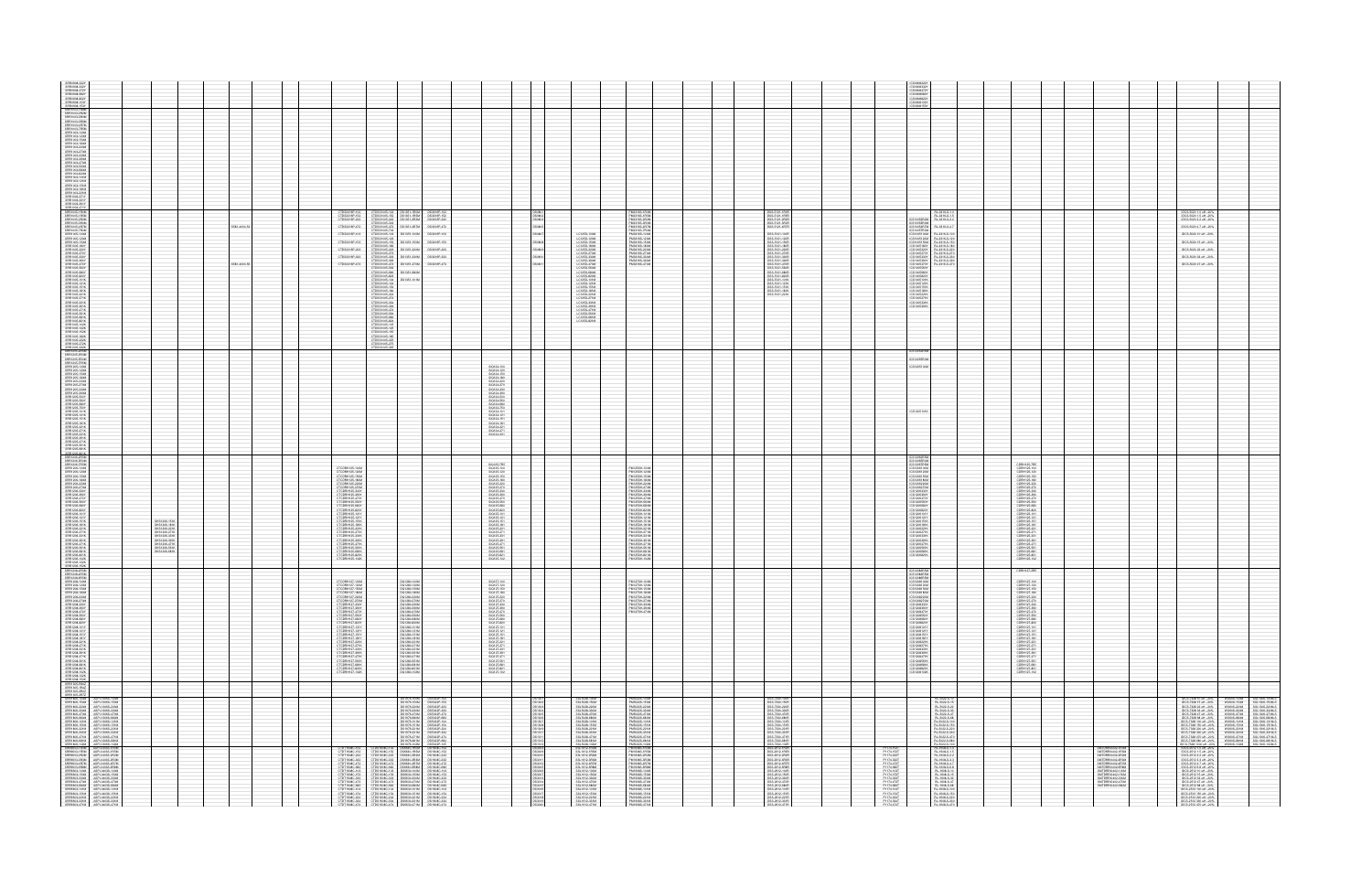| SRR0908-332Y<br>SRR0908-682Y<br>SRR0908-822Y<br>SRR0908-103Y<br>SRR0908-153Y<br>SRR1003-1R8M<br>$\begin{tabular}{r c c c} \hline \texttt{SSR1002-202} \\ \hline \texttt{SSR2002-202} \\ \hline \texttt{SSR1002-202} \\ \hline \texttt{SSR1002-202} \\ \hline \texttt{SSR1002-202} \\ \hline \texttt{SSR1002-202} \\ \hline \texttt{SSR1002-202} \\ \hline \texttt{SSR1002-202} \\ \hline \texttt{SSR1002-202} \\ \hline \texttt{SSR1002-202} \\ \hline \texttt{SSR1002-20$                                                                                                                                                                                                                                                                                                                           |                                                                                                                                             |             |                                                                                                                                                                                                                                                                                                                                                                                                                                                                                                                                                                                                                                                                                                                                                                                                                                                                                                                                                                                                                                                                                      |                                                                                                                                                                                                                                                                                                                                                                                                                                                                                                                                                                                                                                                                                                                                                                                                                                                                                    |                                                                                                                                                                                                                                                                                                                                                                  | ICS0908472<br>ICS0908682Y<br>CS0908103<br>ICS0908153Y                                                                                                                                                                                                                                                                                                                                                                                                                                            |                                                                                                                                                                                                                                                                                                                                                                                                                                                                               |                                                                                                                                                                                                                                                                                                                                                                                                                                                                                                    |
|------------------------------------------------------------------------------------------------------------------------------------------------------------------------------------------------------------------------------------------------------------------------------------------------------------------------------------------------------------------------------------------------------------------------------------------------------------------------------------------------------------------------------------------------------------------------------------------------------------------------------------------------------------------------------------------------------------------------------------------------------------------------------------------------------|---------------------------------------------------------------------------------------------------------------------------------------------|-------------|--------------------------------------------------------------------------------------------------------------------------------------------------------------------------------------------------------------------------------------------------------------------------------------------------------------------------------------------------------------------------------------------------------------------------------------------------------------------------------------------------------------------------------------------------------------------------------------------------------------------------------------------------------------------------------------------------------------------------------------------------------------------------------------------------------------------------------------------------------------------------------------------------------------------------------------------------------------------------------------------------------------------------------------------------------------------------------------|------------------------------------------------------------------------------------------------------------------------------------------------------------------------------------------------------------------------------------------------------------------------------------------------------------------------------------------------------------------------------------------------------------------------------------------------------------------------------------------------------------------------------------------------------------------------------------------------------------------------------------------------------------------------------------------------------------------------------------------------------------------------------------------------------------------------------------------------------------------------------------|------------------------------------------------------------------------------------------------------------------------------------------------------------------------------------------------------------------------------------------------------------------------------------------------------------------------------------------------------------------|--------------------------------------------------------------------------------------------------------------------------------------------------------------------------------------------------------------------------------------------------------------------------------------------------------------------------------------------------------------------------------------------------------------------------------------------------------------------------------------------------|-------------------------------------------------------------------------------------------------------------------------------------------------------------------------------------------------------------------------------------------------------------------------------------------------------------------------------------------------------------------------------------------------------------------------------------------------------------------------------|----------------------------------------------------------------------------------------------------------------------------------------------------------------------------------------------------------------------------------------------------------------------------------------------------------------------------------------------------------------------------------------------------------------------------------------------------------------------------------------------------|
| SRR1005-820Y<br>SRR1005-101K<br>SRR1005-121K<br>SRR1005-151K<br>SRR1005-221K<br>SRR1005-221K<br>SRR1005-271K<br>SRR1005-271K<br>3881005431K<br>SRR1005431K<br>SRR1005451K<br>SRR1005451K<br>SRR1005452K<br>SRR1005452K<br>SRR1005452K<br>SRR1005452K<br>SRR1005452K<br>SRR1005452K<br>SRR1005452K                                                                                                                                                                                                                                                                                                                                                                                                                                                                                                    |                                                                                                                                             | S581-4000-5 | CTDS3316P-102 CTDSS1005-102 DS1351-1R0M DS3316P-102<br>CTDS3316P-152 CTDSS1005-152 DS1351-1R5M DS3316P-152<br>CTDS3316P-222 CTDS51005-122 DS1351-2R2M DS3316P-222<br>CTDS3316P-472 CTDS51005-472 DS1351-4R7M DS3316P-472<br>CTDS3316P-103 CTDS51005-702<br>CTDS3316P-103 CTDS51005-103 DS1351-100M DS3316P-103<br>CTDS3316P-153 CTDSS1005-123 DS1351-150M DS3316P-153<br>1/1033197-133<br>CTDS3197-22<br>CTDS3197-22<br>CTDS3197-22<br>CTDS3197-23<br>CTDS3197-23<br>CTDS3197-473<br>CTDS3197-473<br>CTDS3197-473<br>CTDS3197-473<br>CTDS3197-473<br>CTDS3197-473<br>CTDS3197-473<br>CTDS3197-473<br>CTDS3197-473<br>CTDS3197-473<br>CT<br>CTDSS1005-683   DS1351-680M<br>1083100-833<br>CTDS5100-5423<br>CTDS5100-5124<br>CTDS5100-5124<br>CTDS5100-5124<br>CTDS5100-5124<br>CTDS5100-5224<br>CTDS5100-5224<br>CTDS5100-5334<br>CTDS5100-5334<br>CIDS\$1005-334<br>CIDS\$1005-394<br>CIDS\$1005-474<br>CIDS\$1005-684<br>CIDS\$1005-824<br>CIDS\$1005-125<br>CIDS\$1005-125<br>CIDS\$1005-125<br>CIDS\$1005-125<br>CTDSS1005-185<br>CTDSS1005-225<br>CTDSS1005-275<br>CTDSS1005-335 | DS0801<br>PM3316S-1RD<br>PM3316S-1R5M<br>DS0803<br>PM3316S-2R2M<br>$\overline{\phantom{a}}$ pseass<br>PM3316S-4R7M<br>PM3316S-7R0M<br>DS0807<br>PM3316S-100M<br>LC125S-100M<br>C1255-120M<br>C1255-150M<br>C1255-150M<br>C1255-270M<br>C1255-270M<br>C1255-340M<br>C1255-340M<br>C1255-660M<br>C1255-660M<br>C1255-660M<br><b>DS0808</b><br>PM3316S-150M<br>PM3316S-180M<br>060809<br>PM3316S-270M<br>PM3316S-330M<br>DS0810<br>PM3316S-390M<br>LC125S-680M<br>LC125S-820M<br>LC125S-101M<br>LC125S-121M<br>LC125S-151M<br>LC125S-151M<br>LC125S-181M<br>LC125S-221M<br>LC125S-271M<br>$LC125S-331M$<br>LC125S-471M<br>LC125S-561M<br>LC125S-681M<br>LC125S-821M                                                                                                                                                                                                                   | DSS-5121-1R0<br>DSS-5121-1R5R<br>DSS-5121-2R2R<br>DSS-5121-3R0R<br>DSS-5121-4R7R<br>DSS-5121-100R<br>DSS-5121-150R<br>068-5121-180R<br>068-5121-220R<br>068-5121-270R<br>068-5121-330R<br>DSS-5121-390R<br>DSS-5121-470R<br>DSS-5121-560R<br>DSS-5121-680R<br>DSS-5121-820R<br>DSS-5121-1018<br>DSS-5121-121K<br>DSS-5121-151K<br>DSS-5121-181K<br>0SS-5121-2218 | RL-3316-S-1/<br>RL-3316-S-1.5<br>RL-3316-S-2.2<br>CS10053R0<br>CS10054R7M RL-3316-S-4.7<br>ICS10057R0M<br>ICS1005100M<br>RL-3316-S-1<br>CS1005120M RL-3316-S-120<br>1CS1005180Y RL-3316-S-180<br>1CS1005220Y RL-3316-S-220<br>1CS1005270Y RL-3316-S-270<br>1CS1005330Y RL-3316-S-330<br>CS1005390Y RL-3316-S-390<br>CS1005470Y RL-3316-S-470<br>CS1005560Y<br>LCS1005680Y<br>ICS10058201<br>ICS1005101K<br>ICS1005121K<br>ICS1005151K<br>LCS1005181K<br>ICS1005221<br>ICS1005271K<br>ICS1005331K |                                                                                                                                                                                                                                                                                                                                                                                                                                                                               | IDCS-5020 1.0 uH -- 209<br>IDCS-5020 1.5 uH - 20%<br>IDCS-5020 2.2 uH - 20%<br>IDCS-5020 4.7 uH - 201<br>IDCS-5020 10 uH -20%<br>IDCS-5020 15 uH -209<br>IDCS-5020 22 uH -20%<br>IDCS-5020 33 uH -20%<br>IDCS-5020 47 uH -20                                                                                                                                                                                                                                                                       |
| FREE 1995<br>FREE 1995<br>SERE 1995<br>SERE 1995<br>SERE 1995<br>SERE 1995<br>SERE 1995<br>SERE 1995<br>SERE 1995<br>SERE 1995<br>SERE 1995<br>SERE 1995<br>SERE 1995<br>SERE 1995<br>SERE 1995<br>SERE 1995<br>SERE 1995<br>SERE 1995<br>SERE 1995<br>SERE 1995<br>SE<br>$\begin{tabular}{ c c c c } \hline SRR1205-3900M\\ \hline SRR1205-3600V\\ \hline SRR1205-560V\\ \hline SRR1205-680V\\ \hline SRR1205-680V\\ \hline SRR1205-101K\\ \hline SRR1205-15K\\ \hline SRR1205-27K\\ \hline SRR1205-27K\\ \hline SRR1205-27K\\ \hline SRR1205-68K\\ \hline SRR1205-68K\\ \hline SRR1205-68K\\ \hline SRR1205-68K\\$<br>SER1205-821K<br>SRB1206-258M<br>SRB1206-758M<br>SRB1206-758M<br>SRB1206-120M<br>SRB1206-120M<br>SRB1206-220M<br>SRB1206-220M<br>SRB1206-220M<br>SRB1206-220M<br>SRB1206-220M |                                                                                                                                             |             | CTCDRH125-120M<br>CTCDRH125-150M                                                                                                                                                                                                                                                                                                                                                                                                                                                                                                                                                                                                                                                                                                                                                                                                                                                                                                                                                                                                                                                     | SIQ124-100<br>510124-120<br>510124-150<br>510124-180<br>$\frac{$10124.220}{$10124.270}$<br>SIQ124-330<br>SIQ124-390<br>SIQ124-500<br>SIQ124-560<br>SIQ124-680<br>SIQ124-750<br>SIQ124-101<br>SIQ124-121<br>SIQ124-151<br>SIQ124-181<br>SIQ124-221<br>SIQ124-271<br>SIQ124-331<br>510125-7R5<br>510125-100<br>510125-150<br>510125-180<br>510125-220<br>510125-220<br>510125-220<br>PM125SH-100M                                                                                                                                                                                                                                                                                                                                                                                                                                                                                    |                                                                                                                                                                                                                                                                                                                                                                  | ICS12052R5M<br>ICS1205100M<br>ICS120510<br>ICS12062R5<br>ICS12065R0M<br>ICS12067R5M<br>ICS1206120M<br>ICS1206120M                                                                                                                                                                                                                                                                                                                                                                                | CDRH125-7R5<br>CDRH125-100<br>CDRH125-120                                                                                                                                                                                                                                                                                                                                                                                                                                     |                                                                                                                                                                                                                                                                                                                                                                                                                                                                                                    |
| $\begin{tabular}{ c c c c } \hline SRR1206 & Z7000 & Z7000 & Z7000 \\ \hline SRR1206 & SRR1206 & SRR000 & Z7000 \\ \hline SRR1206 & SRR1206 & SRR000 & Z7000 \\ \hline \end{tabular} \hspace{1.0cm} \begin{tabular}{ c c c } \hline SRR1206 & SRR1206 & SRR1206 & SRR1206 \\ \hline \end{tabular} \hspace{1.0cm} \begin{tabular}{ c c c } \hline SRR1206 & SRR1206 & SRR1206$<br>581206-631206-631206-631206-631206-631206-631206-6321206-6321206-6321206-6321206-6321206-6321206-6321206-6321206-6321206-6321206-6321206-6321206-6321206-6321206-6321206-6321206-6321206-6321206-6321206-6321206-6321206-63212                                                                                                                                                                                      | SHS1206-151<br>SHS1206-181K<br>SHS1206-221K<br>SHS1206-271K<br>SHS1206-331K<br>SHS1206-391K<br>SHS1206-471K<br>SHS1206-561K<br>SHS1206-581K |             | CTCDRH125-270M<br>CTCDRH125-330Y<br>CTCDRH125-390Y<br>CTCDRH125-560Y<br>CTCDRH125-680Y<br>CTCDRH125-820Y<br>CTCDRH125-101Y<br>CTCDRH125-151K<br>CTCDRH125-181K<br>CTCDRH125-221K<br>CTCDRH125-271K<br>CTCDRH125-331K<br>CTCDRH125-391K<br>CTCDRH125-471K<br>CTCDRH125-561K<br>CTCDRH125-681K<br>CTCDRH125-821K<br>CTCDRH125-102K<br>CTCDRH127-100M<br>DQ1280-100M<br>CTCDRH1274120M<br>CTCDRH1274150M<br>CTCDRH1274150M<br>DO1280-120M<br>DO1280-150M<br>DO1280-180M<br>CTCDRHI275220M<br>CTCDRHI27530Y<br>CTCDRHI27530Y<br>001280-220M<br>D01280-270M<br>D01280-330M<br>D01280-380M<br>D01280-380M<br>CTCDRH127-390Y                                                                                                                                                                                                                                                                                                                                                                                                                                                                | PM125SH-150M<br>PM125SH-180M<br>PM125SH-220M<br>PM125SH-220M<br>SIQ125-270<br>PM125SH-270M<br>510125-330<br>510125-390<br>510125-470<br>510125-470<br>PM125SH-330M<br>PM125SH-390M<br>PM125SH-470M<br>PM125SH-560M<br>SIQ125-560<br>SIQ125-680<br>PM125SH-680M<br>SIQ125-820<br>PM125SH-820<br>PM125SH-101M<br>SIQ125-101<br>PM125SH-121M<br>SIQ125-151<br>PM125SH-151M<br>SIQ125-181<br>PM125SH-181M<br>$$10125-221$<br>PM125SH-221M<br>SIQ125-271<br>PM125SH-331M<br>SIQ125-331<br>SIQ125-391<br>PM125SH-391M<br>SIQ125-471<br>SIQ125-561<br>PM125SH-561M<br>PM125SH-681M<br>SIQ125-681<br>SIQ125-821<br>SIQ125-102<br>PM125SH-821M<br>SIQ127-100<br>PM127SH-1001<br>510127-120<br>510127-150<br>510127-180<br>510127-180<br>PM127SH-120M<br>PM127SH-150M<br>PM127SH-180M<br>SIQ127-220<br>PM127SH-220M<br>SIQ127-270<br>SIQ127-330<br>PM127SH-270<br>PM1275H-330M<br>SIQ127-390 |                                                                                                                                                                                                                                                                                                                                                                  | ICS1206150M<br>ICS1206180M<br>ICS1206270M<br>ICS1206270M<br>ICS1206330Y<br>ICS1206390Y<br>ICS1206470Y<br>ICS1206660Y<br>LCS12066801<br>ICS120682<br>ICS1206101Y<br>CS1206121<br>ICS1206151<br>CS1206181K<br>CS1206221K<br>CS1206271K<br>CS1206331K<br>CS1306381K<br>ICS1206391K<br>ICS1206561<br>ICS1206681K<br>ICS1206821K<br>ICS12082R5M<br>ICS1208100M<br>CS1208120M<br>CS1208150M<br>CS1208180M<br>CS1208220M<br>CS1208270M<br>CS1208330Y<br>ICS1208390Y                                     | CDRH125-150<br>CDRH125-180<br>CDRH125-220<br>CDRH125-270<br>CDRH125-330<br>CDRH125-390<br>CDRH125-470<br>CDRH125-560<br>CDRH125-680<br>CDRH125-820<br>CDRH125-101<br>CDRH125-151<br>CDRH125-181<br>CDRH125-221<br>CDRH125-331<br>CDRH125-331<br>CDRH125-391<br>CDRH125-471<br>CDRH125-561<br>CDRH125-581<br>CDRH125-821<br>CDRH125-102<br>CDRH127-2R5<br>CDRH127-100<br>CDRH127-120<br>CDRH127-150<br>CDRH127-150<br>CDRH127-220<br>CDRH127-270<br>CDRH127-330<br>CDRH127-390 |                                                                                                                                                                                                                                                                                                                                                                                                                                                                                                    |
| $\begin{tabular}{ c c c c } \hline SSR1208.9507\\ SR1208.9507\\ SR1208.6507\\ SR1208.6507\\ SR1208.6507\\ SR1208.6507\\ SR1208.6507\\ SR1208.6507\\ SR1208.6507\\ SR1208.6507\\ SR1208.6507\\ SR1208.6507\\ SR1208.6507\\ SR1208.6507\\ SR1208.6507\\ SR1208.6507\\ SR1208.6507\\ SR1208.6507\\ SR1$                                                                                                                                                                                                                                                                                                                                                                                                                                                                                                 |                                                                                                                                             |             | CTCDRH127-470Y<br>001280-470M<br>D01280-560M<br>D01280-680M<br>D01280-820M<br>D01280-820M<br>CTCDRH127-560Y<br>CTCDRH127-680Y<br>CTCDRH127-820Y<br>CTCDRH127-101Y<br>001280-101M<br>D01280-121M<br>D01280-151M<br>D01280-181M<br>CTCDRH127-121Y<br>CTCDRH127-151Y<br>CTCDRH127-181Y<br>CTCDRH127-221K<br>DO1280-221M<br>DO1280-271M<br>CTCDRH127-271K<br>CTCDRH127-331K<br>CTCDRH127-391K<br>DO1280-331M<br>DO1280-391M<br>DO1280-471M<br>CTCDRH127-471K<br>DQ1280-561M<br>DQ1280-681M<br>DQ1280-821M<br>DQ1280-102M<br>CTCDRH127-561K<br>CTCDRH127-681K<br>CTCDRH127-821K<br>CTCDRH127-102K<br>06 1976-100M<br>06 1976-100M<br>06 1976-220M<br>06 1976-220M<br>06 1976-220M<br>06 1976-220M<br>06 1976-470M<br>06 1976-01M<br>06 1976-01M<br>06 1976-01M<br>06 1976-21M<br>06 1976-221M<br>06 1976-221M<br>06 1976-221M<br>06 1976-221M<br>06 1976-221M<br>06                                                                                                                                                                                                                       | SIQ127-470<br>PM127SH-470M<br>SIQ127-560<br>510127-680<br>$$10127-820$<br>SIQ127-101<br>SIQ127-121<br>SIQ127-151<br>SIQ127-181<br>SI0127-221<br>SIQ127-271<br>$$10127-331$<br>SIQ127-391<br>$S10127-471$<br>SIQ127-561<br>\$10127.681<br>SIQ127-821<br>SIQ127-102<br>DS1302<br>SSL5028-150M<br>PM5022S-150M<br>SSL5028-220M<br>DS1303<br>PM5022S-220M<br>DS1304<br>DS1305<br>DS1305<br>SSL5028-330M<br>SSL5028-470M<br>SSL5028-680M<br>PM5022S-680M<br>DS1307<br>DS1308<br>DS1309<br>SSL5028-101M<br>SSL5028-151M<br>SSL5028-221M<br>PM5022S-101M<br>PM5022S-151M<br>DS1311<br>SSL5028-331M<br>PM5022S-331M<br>PM5022S-471M                                                                                                                                                                                                                                                        | DSS-7330-150<br>DSS-7330-220R<br>DSS-7330-330R<br>DSS-7330-470R<br>DSS-7330-680R<br>DSS-7330-101R<br>DSS-7330-151R<br>DSS-7330-221R<br>DSS-7330-331R                                                                                                                                                                                                             | ICS1208470Y<br>ICS1208560<br>ICS1208680Y<br>$-$ ICS1208101Y<br>ICS12081211<br>ICS1208151Y<br>ICS1208221<br>ICS1208271K<br>ICS1208331K<br>ICS1208391K<br>ICS1208471K<br>ICS1208561K<br>ICS1208681K<br>ICS1208821K<br>ICS1208102K<br>RL-5022-S<br>RL-5022-S-1<br>RL-5022-S-22<br>RL-5022-S-33<br>RL-5022-S-47<br>RL-5022-S-68<br>RL-5022-S-100<br>RL-5022-S-150<br>RL-5022-S-220<br>RL-5022-S-330<br>RL-5022-S-470                                                                                 | CDRH127-470<br>CDRH127-560<br>CDRH127-680<br>CDRH127-820<br>CDRH127-101<br>CDRH127-121<br>CDRH127-151<br>CDRH127-181<br>CDRH127-221<br>CDRH127-271<br>CDRH127-331<br>CDRH127-391<br>CDRH127-471<br>CDRH127-561<br>CDRH127-681<br>CDRH127-821<br>CDRH127-102                                                                                                                                                                                                                   | IDCS-7328 10 uH -20% WO60S-100M SSL1306-100M-3<br>IDCS-7328 15 uH -20% WO60S-150M SSL1306-150M-3<br>005-7328 22 uH -20% WORKS-220M SSL1306-220M<br>DCS-7328 24 uH -20% WORKS-320M SSL1306-330M<br>DCS-7328 47 uH -20% WORKS-470M SSL1306-330M<br>DCS-7328 68 uH -20% WORKS-680M SSL1306-680M<br>10CS-7328 100 uH -20% WORKS-101M SSL1306-101M-<br>10CS-7328 120 uH -20% WORKS-151M SSL1306-151M-<br>10CS-7328 230 uH -20% WORKS-221M SSL1306-221M<br>10CS-7328 330 uH -20% WORKS-331M SSL1306-331M |
| SRR1805-471M ASPI-1306S-471M<br>SRR1805-681M ASPI-1306S-681M<br>SRR1805-102M ASPI-1306S-102M<br>SRR6603-1R0M ASPI-0403S-1R0M<br>SRR6603-1R5M ASPLO403S-1R5M<br>SRR6603-2R2M ASPLO403S-2R2M<br>SRR6603-3R3M ASPLO403S-3R3M<br>SRR6603-4R7M ASPI-0403S-4R7M<br>SRR6603-6R8M ASPI-0403S-6R8M<br>SRR6603-100M ASPI-0403S-100M<br>SRR6603-150M ASPI-0403S-150M<br>SRR6603-330M ASPLO4035-330M<br>SRR6603-470M ASPLO4035-470M<br>SRR6603-680M ASPLO4035-680M<br>SRR6603-161M ASPLO4035-101M<br>SRR6603-151M ASPI-0403S-151M<br>SRR6603-221M ASPI-0403S-221M<br>SRR6603-331M ASPI-0403S-331M                                                                                                                                                                                                                |                                                                                                                                             |             | 081976-471M 085022P-474<br>081976-681M 085022P-684<br>081976-102M 085022P-105<br>CTDT1608C-102 CTDS1608C-102 DS6630-1R0M DS1608C-102<br>CTDT1608C-152 CTDS1608C-152 DS6630-1R5M DS1608C-152<br>CTDT1608C-222 CTDS1608C-222 DS6630-2R2M DS1608C-222<br>CTDT1608C-332 CTDS1608C-332 DS6630-3R2M DS1608C-232<br>CTDT1608C-332 CTDS1609C-312 DS6630-3R3M DS1609C-432<br>CTDT1608C-472 CTDS1608C-472 DS6630-4R7M DS1608C-472<br>CTDT1608C-682 CTDS1608C-682 DS6630-6R8M DS1608C-682<br>CTDT1608C-103 CTDS1608C-103 DS6630-100M DS1608C-103<br>CTDT1608C-153 CTDS1608C-153 DS6630-150M DS1608C-153<br>CTDT1609C-033 CTDS1608C-153 DS6630-159M DS1609C-033<br>CTDT1696C-333 CTDS1698C-333 DS6630-330M DS1608C-333<br>CTDT1698C-473 CTDS1698C-473 DS6630-470M DS1698C-473<br>CTDT1698C-683 CTDS1698C-683 DS6630-680M DS1698C-683<br>CTDT1698C-104 CTDS1698C-104 DS6630-680M DS1698C-104<br>CTDT1698C-104<br>CTDT1608C-154 CTDS1608C-154 DS6630-151M DS1608C-154<br>CTDT1608C-224 CTDS1609C-224 DS6580-221M DS1606C-224<br>CTDT1608C-334 CTDS1608C-334 DS6630-331M DS1608C-324                | DS1311<br>DS1312<br>DS1313<br>SSL5028-471M<br>SSL5028-681M<br>SSL5028-102M<br>PM5022S-681M<br>PM5022S-102M<br>DS3003<br>SSL1612-1R0M<br>PM1608S-1R0M<br>DS3009<br>SSL1612-1R5M<br>PM1608S-1R5M<br>SSL1612-2R2M<br>SSL1612-3R3M<br>PM1608S-2R2M<br>PM1608S-3R3M<br>DS3012<br>SSL1612-4R7M<br>SSL1612-6R8M<br>SSL1612-100M<br>SSL1612-150M<br>CCL1613-320M<br>PM1608S-4R7M<br>DS3005<br>DS3006<br>DS3007<br>PM1608S-6RE<br>PM1608S-100<br>PM1608S-150M<br>DS3013<br>SSL1612-330M<br>PM1608S-330M<br>SSL1612-470M<br>SSL1612-680M<br>PM1608S-470M<br>PM1608S-680M<br>PM1608S-101M<br>DS3016<br>SSL1612-101M<br>DS3017<br>SSL1612-151M<br>SSL1612-221M<br>SSL1612-331M<br>PM1608S-151M<br>DS3018<br>PM1608S-221M<br>DS3019<br>PM1608S-331M                                                                                                                                             | DSS-7330-471R<br>DSS-7330-681R<br>DSS-7330-102R<br>DSS-2612-1R0R<br>DSS-2612-1R5R<br>DSS-2612-2R2R<br>DSS-2612-3R3R<br>DSS-2612-4R7R<br>DSS-2612-6R8R<br>DSS-2612-100R<br>DSS-2612-150R<br>DSS-2612-330R<br>DSS-2612-470R<br>DSS-2612-680R<br>DSS-2612-101R<br>DSS-2612-151R<br>DSS-2612-221R<br>DSS-2612-331R                                                   | RL-5022-S-6<br>RL-5022-S-100<br>P1174.102T<br>RL-1608-S-1.0<br>P1174.152T<br>RL-1608-S-1.5<br>RL-1608-S-2.2<br>RL-1608-S-3.3<br>P1174.222T<br>P1174.472T<br>P1174.472T<br>P1174.103T<br>P1174.103T<br>P1174.153T<br>P1174.153T<br>RL-1608-S-4.7<br>RL-1608-S-6.8<br>RL-1608-S-1<br>RL-1608-S-15<br>P1174.333T<br>RL-1608-S-33<br>RL-1608-S-43<br>P1174.683T<br>P1174.104T<br>RL-1608-S-68<br>RL-1608-S-100<br>P1174.154T<br>RL-1608-S-150<br>RL-1608-S-220<br>P1174.334T<br>RL-1608-S-330        | SMTDRRI0402-1R0M<br>SMTDRRI0402-1R5M<br>SMTDRRI0402-2R2M<br>SMTDRRI0402-3R3M<br>SMTDRRI0402-4R7M<br>SMTDRRI0402-6R8M<br>SMTDRRID402-100M<br>SMTDRRI0402-330M<br>SMTDRRI0402-680M                                                                                                                                                                                                                                                                                              | IDCS-2512 1.0 uH -20%<br>IDCS-2512 1.5 uH -20%<br>IDCS-2512 2.2 uH - 20%<br>IDCS-2512 3.3 uH - 20%<br>IDCS-2512 4.7 uH - 20%<br>IDCS-2512 6.8 uH - 20%<br>IDCS-2512 10 uH - 20%<br>IDCS-2512 15 uH - 20%<br>IDCS-2512 15 uH - 20%<br>DCS-2512 33 uH - 20%<br>IDCS-2512 47 uH -20%<br>DCS-2512 68 uH - 20%<br>IDCS-2512 150 uH -20%<br>IDCS-2512 220 uH -20%<br>IDCS-2512 330 uH -20%                                                                                                               |

| SRR6603-100M ASPI-0403S-100M<br>SRR6603-150M ASPI-0403S-150M<br>SRR6603-330M ASPI-0403S-330M<br>SRR6603-470M ASPI-0403S-470M<br>SRR6603-680M ASPI-0403S-680M<br>SRR6603-101M ASPI-0403S-101M                                                                                                                                                                                                                                                                                                                                                                                                                                                                                                                                                                                                                                                         | SRR1208-2R5M<br>SRR1208-4R5M<br>SRR1208-6R5M<br>SRR1208-8584<br>SRR1208-8584<br>SRR1208-1504<br>SRR1208-1504<br>SRR1208-1504<br>SRR1208-2004<br>SRR1208-300Y<br>SRR1208-300Y<br>SRR1208-300Y<br>SRR1208-300Y<br>SRR1208-300Y<br>SRR1208-300Y<br>SRR1208-301Y<br>SRR1208-301Y<br>SRR1208-311Y<br>SRR1208-311Y<br>SRR1208-311Y<br>S<br>SAA1208-561K<br>SRR1208-681K<br>SRR1208-521K<br>SRR1208-122K<br>SRR1208-152K<br>SRR1305-R90Z                                                                                                                                                                                                                                                                                                                                      | SRR1206-2008<br>SRR1206-330Y<br>SRR1206-330Y<br>SRR1206-350Y<br>SRR1206-660Y<br>SRR1206-660Y<br>SRR1206-601Y<br>SRR1206-121Y<br>SRR1206-121Y<br>SRR1206-121Y<br>SRR1206-151K<br>SRR1206-151K<br>SRR1206-151K<br>SRR1206-151K<br>5HS1206-151K<br>5HS1206-181K<br>5HS1206-221K<br>5HS1206-271K<br>SRR1206-331K<br>SRR1206-391K<br>SRR1206-471K<br>SRR1206-561K<br>SHS1206-331K<br>SHS1206-471K<br>SHS1206-561K<br>SHS1206-681K<br>SRR1206-681K<br>SRR1206-821K<br>SRR1206-102K<br>SRR1206-122K<br>SRR1206-152K | SRR1005-3326<br>ERR1005-3266<br>ERR1205-2R5M<br>ERR1205-2R5M<br>ERR1205-5R6M<br>ERR1205-5R6M<br>ERR1205-580M<br>ERR1205-580M<br>ERR1205-580M<br>ERR1205-580M<br>ERR1205-580M<br>ERR1205-580M<br>ERR1205-580M<br>ERR1205-580M<br>ERR1205-580M<br>ERR1205-580M<br>ERR1205-580M<br>E<br>ann (2021-730)<br>SRR1205-121K<br>SRR1205-121K<br>SRR1205-151K<br>SRR1205-151K<br>SRR1205-321K<br>SRR1205-321K<br>SRR1205-321K<br>SRR1205-561K<br>SRR1205-561K<br>SRR1205-561K<br>SRR1205-561K<br>SRR1205-561K<br>SRR1205-561K | SRR0908-222Y<br>SRR0908-332Y<br>SRR0908-472Y<br>SRR0908-682Y                                                                                                                                                                                                                                                                                                                                                                                                                |
|------------------------------------------------------------------------------------------------------------------------------------------------------------------------------------------------------------------------------------------------------------------------------------------------------------------------------------------------------------------------------------------------------------------------------------------------------------------------------------------------------------------------------------------------------------------------------------------------------------------------------------------------------------------------------------------------------------------------------------------------------------------------------------------------------------------------------------------------------|------------------------------------------------------------------------------------------------------------------------------------------------------------------------------------------------------------------------------------------------------------------------------------------------------------------------------------------------------------------------------------------------------------------------------------------------------------------------------------------------------------------------------------------------------------------------------------------------------------------------------------------------------------------------------------------------------------------------------------------------------------------------|--------------------------------------------------------------------------------------------------------------------------------------------------------------------------------------------------------------------------------------------------------------------------------------------------------------------------------------------------------------------------------------------------------------------------------------------------------------------------------------------------------------|---------------------------------------------------------------------------------------------------------------------------------------------------------------------------------------------------------------------------------------------------------------------------------------------------------------------------------------------------------------------------------------------------------------------------------------------------------------------------------------------------------------------|-----------------------------------------------------------------------------------------------------------------------------------------------------------------------------------------------------------------------------------------------------------------------------------------------------------------------------------------------------------------------------------------------------------------------------------------------------------------------------|
|                                                                                                                                                                                                                                                                                                                                                                                                                                                                                                                                                                                                                                                                                                                                                                                                                                                      |                                                                                                                                                                                                                                                                                                                                                                                                                                                                                                                                                                                                                                                                                                                                                                        |                                                                                                                                                                                                                                                                                                                                                                                                                                                                                                              |                                                                                                                                                                                                                                                                                                                                                                                                                                                                                                                     | S581-4000-54<br>S581-4000-56                                                                                                                                                                                                                                                                                                                                                                                                                                                |
| 08 1976-100M 085022P-103<br>08 1976-150M 085022P-153<br>08 1976-220M 085022P-223<br>08 1976-330M 085022P-473<br>08 1976-470M 085022P-473<br>ns 1976-470M 085022P-473<br>08 1976-880M<br>08 1976-880M<br>08 1976-880M<br>08 1976-151M<br>08 1976-151M<br>08 1976-251M<br>08 1976-451M<br>08 1976-881M<br>08 1976-681M<br>08 1976-681M<br>08 1976-681M<br>08 1976-681M<br>08 1976-681M<br>08 1976-681M<br>08 1976-681M<br>08 1976-681M<br>CTDT1608C-102 CTDS1608C-102 DS6630-1R0M DS1608C-102                                                                                                                                                                                                                                                                                                                                                          | CTCDRH1274120M<br>CTCDRH1274150M<br>CTCDRH1274180M<br>DQ1280-120M<br>DQ1280-150M<br>DQ1280-180M<br>DQ1280-220M<br>CTCDRH127-220M<br>CTCDRH127-270M<br>DQ1280-270M<br>CTCDR1127-330Y<br>CTCDR1127-390Y<br>CTCDR1127-470Y<br>DO1280-330M<br>DO1280-390M<br>DO1280-470M<br>CTCDRH127-560Y<br>CTCDRH127-580Y<br>CTCDRH127-520Y<br>DO1280-560M<br>DO1280-680M<br>DO1280-820M<br>DO1280-101M<br>CTCDRH127-101Y<br>CTCDRH127-121Y<br>CTCDRH127-151Y<br>CTCDRH127-181Y<br>CTCDRH127-221K<br>DO1280-121M<br>DO1280-151M<br>DO1280-181M<br>DQ1280-221M<br>CTCDRH127-271K<br>CTCDRH127-331K<br>DQ1280-271M<br>CTCDRH127-391K<br>DO1280-391M<br>$CTCDRH127-471K$<br>DQ1280-471M<br>CTCDRH127-561K<br>DO1280-561M<br>DO1280-681M<br>CTCDRH127-681K<br>CTCDRH127-821K<br>DO1280-821M | CTCDRH125-120M<br>CTCDRH125-150M<br>CTCDRH125-150M<br>CTCDRH125-270M<br>CTCDRH125-270M<br>CTCDRH125-330Y<br>CTCDRH125-390Y<br>CTCDRH125-470Y<br>CTCDRH125-560Y<br>CTCDRH125-680Y<br>CTCDRH125-820Y<br>CTCDRH125-101Y<br>CTCDRH125-121Y<br>CTCDRH125-151K<br>CTCDRH125-161K<br>CTCDRH125-181K<br>CTCDRH125-221K<br>CTCDRH125-331K<br>CTCDRH125-391K<br>CTCDRH125-471K<br>CTCDRH125-561K<br>CTCDRH125-681K<br>CTCDRH125-821K<br>CTCDRH125-102K                                                                 | CTDSS1005-683 DS1351-680M<br>CTDSS1005-823<br>CTDSS1005-104 DS1351-101M<br>CTDSS1005-124<br>CTDSS1005-154<br>CTDSS1005-184<br>CTDSS1005-224<br>CTDSS1005-274<br>CTDSS1005-274<br>$\begin{tabular}{c c c} \hline CTDSS1005-334 \\ \hline CTDSS1005-394 \\ \hline CTDSS1005-474 \\ \hline CTDSS1005-564 \\ \hline \end{tabular}$<br>CTDSS1005-684<br>CTDSS1005-824<br>CTDSS1005-105<br>CTDSS1005-125<br>CTDSS1005-155<br>CTDSS1005-185<br>CTDSS1005-185<br>CTDSS1005-225<br>CTDSS1005-275<br>CTDSS1005-335            | CTDS316P-472 CTDS51005-472 DS1351-4R7M DS3316P-472<br>CTDS3316P-103 CTDS51005-702<br>CTDS3316P-103 CTDS51005-123<br>CTDS3316P-153 CTDS51005-123<br>CTDS3316P-153 CTDS51005-153 DS1351-150M DS3316P-153<br>CTDS3316P-223 CTDS51005-183<br>CTDS3316P-223 CTDS51005-273 DS1351-220M DS3316P-223<br>CTDS3316P-333 CTDS51005-333 DS1351-330M DS3316P-333                                                                                                                         |
| DS1301<br>DS1302<br><u>DS1305</u><br>DS1306<br>DS1307<br>DS1308<br>DS1309<br>DS1311<br>$-1$ DS1313<br>DS300<br><u>DS3011</u><br>DS301<br>DS3007<br>DS3014                                                                                                                                                                                                                                                                                                                                                                                                                                                                                                                                                                                                                                                                                            | 510127-120<br>510127-150<br>510127-180<br>510127-180<br>SIQ127-220<br>510127-270<br>510127-330<br>510127-390<br>510127-470<br>810127-560<br>810127-680<br>810127-820<br>810127-101<br>SIQ127-121<br>SIQ127-151<br>SIQ127-181<br>SIQ127-221<br>SIQ127-271<br>SIQ127-331<br>SIQ127-391<br>$\begin{array}{r l} \hline &810127.471 & \\\hline 810127.461 & \text{ } \\ \hline 810127.681 & \text{ } \\ \hline 810127.621 & \text{ } \\ \hline 810127.402 & \text{ } \\ \hline \end{array}$                                                                                                                                                                                                                                                                                 | SIQ125-7R5<br>SIQ125-100<br>SIQ125-120<br>SIQ125-150<br>810125-180<br>810125-220<br>810125-270<br>SIQ125-330<br>510125-390<br>510125-470<br>510125-560<br>$\begin{array}{r l} 360125.680 & \multicolumn{1}{r}{80175.680} \\ \hline 810125.820 & 810125.421 & 810125.121 \\ \hline 810125.121 & 810125.181 & 810125.221 \\ \hline 810125.221 & 810125.271 & \end{array}$<br>SIQ125-271<br>SIQ125-331<br>SIQ125-391<br>SIQ125-471<br>SIQ125-561<br>SIQ125-681<br>SIQ125-821<br>SIQ125-102                      | SIQ124-100<br>SIQ124-120<br>SIQ124-150<br>SIQ124-150<br>SIQ124-180<br>510124-220<br>510124-270<br>510124-330<br>510124-380<br>510124-380<br>SIQ124-500<br>SIQ124-560<br>SIQ124-680<br>SIQ124-750<br>SIQ124-101<br>SIQ124-121<br>SIQ124-151<br>SIQ124-221<br>SIQ124-271<br>SIQ124-331                                                                                                                                                                                                                                | DS0801<br><b>DS080</b><br>DSOBO<br>DS0808<br>DS0810                                                                                                                                                                                                                                                                                                                                                                                                                         |
| SSL5028-100M<br>PM5022S-100M<br>SSL5028-150M<br>SSL5028-220M<br>SSL5028-330M<br>PM5022S-150M<br>PM5022S-330<br>SSL5028-470M<br>PM5022S-470M<br>SSL5028-680M<br>SSL5028-101M<br>SSL5028-151M<br>SSL5028-221M<br>PM5022S-680M<br>PM5022S-101M<br>PM50225-151M<br>SSL5028-331M<br>SSL5028-471M<br>SSL5028-681M<br>SSL5028-102M<br>PM5022S-331M<br>PM5022S-471M<br>PM5022S-681M<br>SSL1612-1R0M<br>PM1608S-1R0M<br>SSL 1612-1R6M<br>SSL 1612-2R5M<br>SSL 1612-2R2M<br>SSL 1612-4R7M<br>SSL 1612-4R7M<br>SSL 1612-100M<br>SSL 1612-190M<br>SSL 1612-4R9M<br>SSL 1612-4R9M<br>PM1608S-1R5M<br>PM1608S-2R2M<br>PM1608S-3R3M<br>PM1608S-6R3M<br>PM1608S-6R8M<br>PM1608S-100M<br>SSL1612-330M<br>SSL1612-470M<br>SSL1612-470M<br>SSL1612-101M<br>SSL1612-101M<br>SSL1612-221M<br>SSL1612-221M<br>SSL1612-231M<br>SSL1612-471M<br>PM1608S-330M<br>PM1608S-470M | PM127SH-120M<br>PM127SH-150M<br>PM127SH-180M<br>PM127SH-220M<br>PM127SH-270M<br>PM127SH-330M<br>PM127SH-390M<br>PM127SH-470M                                                                                                                                                                                                                                                                                                                                                                                                                                                                                                                                                                                                                                           | PM125SH-120M<br>PM125SH-150M<br>PM125SH-180M<br>PM125SH-220M<br>PM125SH-330M<br>PM125SH-390M<br>PM125SH-470M<br>PM125SH-560M<br>PM125SH-680M<br>PM125SH-820M<br>PM125SH-101M<br>PM125SH-121M<br>PM125SH-151M<br>PM125SH-151M<br>PM125SH-181M<br>PM125SH-221M<br>PM125SH-331M<br>PM125SH-391M<br>PM125SH-471M<br>PM125SH-561M<br>PM125SH-661M<br>PM125SH-821M<br>PM125SH-102M                                                                                                                                 | LC125S-680M<br>LC125S-820M<br>LC125S-101M<br>LC125S-121M<br>LC125S-121M<br>LC125S-151M<br>LC125S-181M<br>LC125S-221M<br>LC125S-271M<br>LC125S-271M<br>LC125S-331M<br>LC125S-391M<br>LC125S-471M<br>LC125S-561M<br>LC125S-561M<br>LC125S-681M<br>LC125S-821M                                                                                                                                                                                                                                                         | PM3316S-1R0M<br>PM3316S-1R5M<br>PM3316S-2R2M<br>PM3316S-3R0M<br>PM3316S-4R7M<br>PM3316S-7R0M<br>PM3316S-100M<br>PM3316S-120M<br>PM3316S-150M<br>PM3316S-180M<br>PM3316S-220M<br>LC125S-100M<br>LC125S-120M<br>LC125S-150M<br>LC125S-220M<br>LC125S-220M<br>LC125S-270M<br>LC125S-270M<br>PM3316S-270M<br>LC125S-330M<br>PM3316S-330M<br>LC125S-390M<br>LC125S-470M<br>LC125S-560M<br>LC125S-560M<br>PM3316S-390<br>PM3316S-470M                                             |
| DSS-7330-100R<br>DSS-7330-150R<br>DSS-7330-220R<br>DSS-7330-330R<br>DSS-7330-470R<br>085-7330-680R<br>DSS-7330-101R<br>DSS-7330-151R<br>DSS-7330-221R<br>DSS-7330-221R<br>DSS-7330-331R<br>DSS-7330-681R<br>DSS-7330-102R<br>DSS-2612-1R0R<br>058-2612-1858<br>058-2612-2828<br>058-2612-3838<br>058-2612-4838<br>058-2612-4838<br>DSS-2612-100R<br>DSS-2612-150R<br>DSS-2612-330R                                                                                                                                                                                                                                                                                                                                                                                                                                                                   |                                                                                                                                                                                                                                                                                                                                                                                                                                                                                                                                                                                                                                                                                                                                                                        |                                                                                                                                                                                                                                                                                                                                                                                                                                                                                                              | DSS-5121-470R<br>DSS-5121-680R<br>DSS-5121-101K<br>DSS-5121-121K<br>DSS-5121-151K<br>DSS-5121-181K<br>DSS-5121-221K                                                                                                                                                                                                                                                                                                                                                                                                 | DSS-5121-1R0R<br>DSS-5121-1R5R<br>DSS-5121-2R2R<br>DSS-5121-3R0R<br>DSS-5121-4R7R<br>DSS-5121-100R<br>DSS-5121-120R<br>DSS-5121-150R<br>DSS-5121-180R<br>DSS-5121-270R<br>DSS-5121-330R<br>DSS-5121-390R                                                                                                                                                                                                                                                                    |
|                                                                                                                                                                                                                                                                                                                                                                                                                                                                                                                                                                                                                                                                                                                                                                                                                                                      |                                                                                                                                                                                                                                                                                                                                                                                                                                                                                                                                                                                                                                                                                                                                                                        |                                                                                                                                                                                                                                                                                                                                                                                                                                                                                                              |                                                                                                                                                                                                                                                                                                                                                                                                                                                                                                                     |                                                                                                                                                                                                                                                                                                                                                                                                                                                                             |
| RL-5022-S-10<br>RL-5022-S-15<br>RL-5022-S-22<br>RL-5022-S-33<br>RL-5022-S-47<br>RL-5022-5-58<br>RL-5022-5-150<br>RL-5022-5-150<br>RL-5022-5-320<br>RL-5022-5-470<br>RL-5022-5-470<br>RL-5022-5-460<br>RL-5022-5-400<br>RL-5022-5-400<br>RL-5022-5-400<br>P1174,102T<br>RL-1608-S-1.0<br>PH24 027<br>PH24 027<br>PH24 3227<br>PH24 3227<br>PH24 0327<br>PH24 0331<br>PH24 0331<br>PH24 034<br>PH24 044<br>PH24 044<br>PH24 044<br>PH24 044<br>PH24 044<br>PH24 044<br>PH24 044<br>PH24 044<br>RL-1608-S-1.5<br>RL-1608-S-2.2<br>RL-1608-S-3.3<br>RL-1608-S-4.7<br>RL-1608-S-10<br>RL-1608-S-33                                                                                                                                                                                                                                                        | ICS12082R5M<br>ICS12084R5M<br>ICS1208120M<br>ICS1208150M<br>ICS1208180M<br>ICS1208220M<br>ICS1208270M<br>ICS1208330Y<br>ICS1208390Y<br>ICS1208470Y<br>ICS1208560Y<br>ICS1208680Y<br>ICS1208820Y<br>ICS1208101Y<br>ICS1208121Y<br>ICS1208221K<br>ICS1208271K<br>ICS1208331K<br>ICS1208391K<br>ICS1208471K<br>ICS1208561K<br>CS1208821K                                                                                                                                                                                                                                                                                                                                                                                                                                  | ICS12062R5M<br>ICS12065R0M<br>ICS12067R5M<br>$\overline{\phantom{0}}$ ICS1206100M<br>ICS1206120M<br>ICS1206150M<br>ICS1206180M<br>ICS1206220M<br>ICS1206270M<br>ICS1206330Y<br>ICS12063901<br>ICS1206560Y<br>CS1206880Y<br>CS1206880Y<br>CS1206101Y<br>CS1206151K<br>CS1206151K<br>CS1206221K<br>CS1206221K<br>CS1206221K<br>CS1206221K<br>CS1206221K<br>ICS1206331K<br>ICS1206391K<br>ICS1206471K<br>ICS1206661K<br>ICS1206681K<br>ICS1206821K                                                              | ICS1005680Y<br>ICS1005820Y<br>ICS1005101K<br>ICS1005121K<br>CS1005151K<br>CS1005181K<br>ICS1005221K<br>ICS1005331K<br>ICS12052R5M<br><b>ICS1205</b><br>ICS1205100M                                                                                                                                                                                                                                                                                                                                                  | ICS0908332Y<br>ICS0908472Y<br>ICS0908682Y<br>ICS0908103Y<br>ICS0908153Y<br>RL-3316-S-1.0<br>RL-3316-S-1.5<br>ICS10054R7M RL-3316-S-4.7<br>CS10057R0M<br>CS1005100M RL-3316-S-100<br>CS1005120M RL-3316-S-120<br>CS1005450M RL-3316-S-120<br>CS1005150M RL-3316-5-150<br>CS1005180Y RL-3316-5-180<br>CS1005220Y RL-3316-5-220<br>CS1005270Y RL-3316-5-270<br>CS1005270Y RL-3316-5-270<br>ICS1005330Y RL-3316-S-330<br>ICS1005390Y RL-3316-S-390<br>ICS1005470Y RL-3316-S-470 |
|                                                                                                                                                                                                                                                                                                                                                                                                                                                                                                                                                                                                                                                                                                                                                                                                                                                      | CDRH127-2R5<br>CDRH127-120<br>CDRH127-150<br>CDRH127-150<br>CDRH127-220<br>CDRH127-270<br>CDRH127-330<br>CDRH127-390<br>CDRH127-470<br>CDRH127-560<br>CDRH127-580<br>CDRH127-820<br>CDRH127-101<br>CDRH127-121<br>CDRH127-221<br>CDRH127-271<br>CDRH127-331<br>CDRH127-391<br>CDRH127-471<br>CDRH127-561<br>CDRH127-681<br>CDRH127-821<br>CDRH127-102                                                                                                                                                                                                                                                                                                                                                                                                                  | CDRH125-7R<br>CDRH125-100<br>CDRH125-120<br>CDRH125-150<br>CDRH125-180<br>CDRH125-220<br>CDRH125-270<br>CDRH125-330<br>CDRH125-390<br>CDRH125-470<br>CDRH125-560<br>CDRH125-880<br>CDRH125-820<br>CDRH125-101<br>CDRH125-181<br>CDRH125-181<br>CDRH125-181<br>CDRH125-221<br>CDRH125-331<br>CORHIZS-391<br>CORHIZS-471<br>CORHIZS-681<br>CORHIZS-681<br>CORHIZS-681<br>CDRH125-821                                                                                                                           |                                                                                                                                                                                                                                                                                                                                                                                                                                                                                                                     |                                                                                                                                                                                                                                                                                                                                                                                                                                                                             |
| IDCS-7328 10 uH -20% WORDS-100M SSL1306-100M-S<br>DCS-7328 330 uH - 20% WORKS-331M SSL 1305-331M-S<br>DCS-7328 470 uH - 20% WORKS-471M SSL 1305-471M-S<br>DCS-7328 1300 uH - 20% WORKS-681M SSL 1305-681M-S<br>DCS-7328 1300 uH - 20% WORKS-102M SSL 1305-102M-S<br>SMTDRRI0402-1R0M<br>IDCS-2512 1.0 uH -20%<br>SMIDRRID402-1R6M<br>SMIDRRID402-2R2M<br>SMIDRRID402-2R2M<br>SMIDRRID402-3R3M<br>SMIDRRID402-3R3M<br>SMIDRRID402-4R7M<br>SMIDRRID402-160M<br>SMIDRRID402-160M<br>SMIDRRID402-160M<br>SMIDRRID402-160M<br>SMIDRRID402-150M<br>1043-2012<br>IDCS-2512.1.5 uH = 20%<br>IDCS-2512.2.2 uH = 20%<br>IDCS-2512.3.3 uH = 20%<br>IDCS-2512.4.7 uH = 20%<br>IDCS-2512.6.8 uH = 20%<br>IDCS-2512 10 uH -20%<br>IDCS-2512 15 uH -20%<br>SMTDRRI0402-330M<br>SMTDRRI0402-470M<br>SMTDRRI0402-680M<br>IDCS-2512 33 uH - 20%                        |                                                                                                                                                                                                                                                                                                                                                                                                                                                                                                                                                                                                                                                                                                                                                                        |                                                                                                                                                                                                                                                                                                                                                                                                                                                                                                              |                                                                                                                                                                                                                                                                                                                                                                                                                                                                                                                     | IDCS-5020 1.0 uH -- 20%<br>IDCS-5020 1.5 uH - 20%<br>IDCS-5020 2.2 uH - 20%<br>IDCS-5020 4.7 uH -20%<br>IDCS-5020 10 uH -20%<br>IDCS-5020 15 uH -20%<br>IDCS-5020 22 uH -2<br>IDCS-5020 33 uH -20%<br>IDCS-5020 47 uH -- 201                                                                                                                                                                                                                                                |